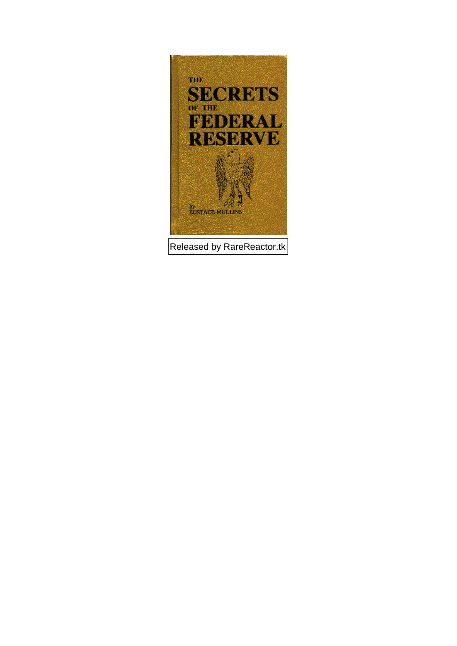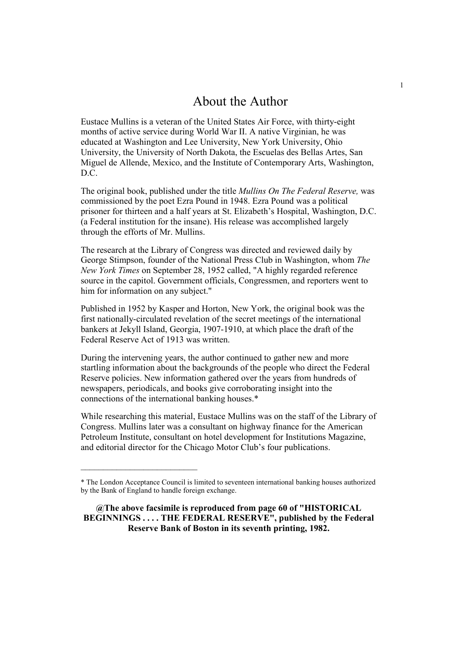## About the Author

Eustace Mullins is a veteran of the United States Air Force, with thirty-eight months of active service during World War II. A native Virginian, he was educated at Washington and Lee University, New York University, Ohio University, the University of North Dakota, the Escuelas des Bellas Artes, San Miguel de Allende, Mexico, and the Institute of Contemporary Arts, Washington, D.C.

The original book, published under the title Mullins On The Federal Reserve, was commissioned by the poet Ezra Pound in 1948. Ezra Pound was a political prisoner for thirteen and a half years at St. Elizabeth's Hospital, Washington, D.C. (a Federal institution for the insane). His release was accomplished largely through the efforts of Mr. Mullins.

The research at the Library of Congress was directed and reviewed daily by George Stimpson, founder of the National Press Club in Washington, whom The New York Times on September 28, 1952 called, "A highly regarded reference source in the capitol. Government officials, Congressmen, and reporters went to him for information on any subject."

Published in 1952 by Kasper and Horton, New York, the original book was the first nationally-circulated revelation of the secret meetings of the international bankers at Jekyll Island, Georgia, 1907-1910, at which place the draft of the Federal Reserve Act of 1913 was written.

During the intervening years, the author continued to gather new and more startling information about the backgrounds of the people who direct the Federal Reserve policies. New information gathered over the years from hundreds of newspapers, periodicals, and books give corroborating insight into the connections of the international banking houses.\*

While researching this material, Eustace Mullins was on the staff of the Library of Congress. Mullins later was a consultant on highway finance for the American Petroleum Institute, consultant on hotel development for Institutions Magazine, and editorial director for the Chicago Motor Club's four publications.

 $\overline{\phantom{a}}$  , where  $\overline{\phantom{a}}$  , where  $\overline{\phantom{a}}$  , where  $\overline{\phantom{a}}$ 

<sup>\*</sup> The London Acceptance Council is limited to seventeen international banking houses authorized by the Bank of England to handle foreign exchange.

<sup>@</sup>The above facsimile is reproduced from page 60 of "HISTORICAL BEGINNINGS . . . . THE FEDERAL RESERVE", published by the Federal Reserve Bank of Boston in its seventh printing, 1982.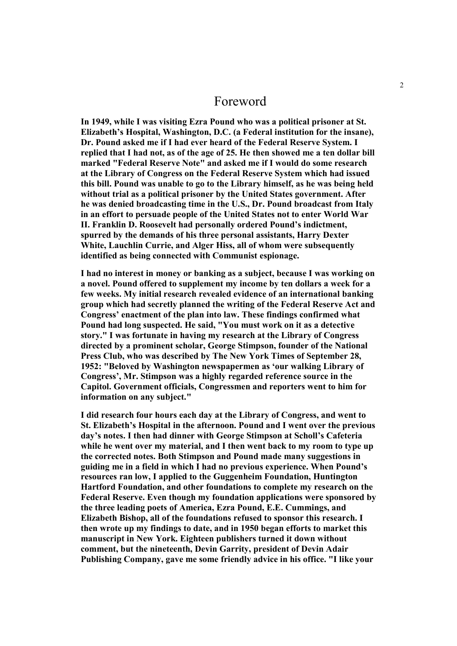#### Foreword

In 1949, while I was visiting Ezra Pound who was a political prisoner at St. Elizabeth's Hospital, Washington, D.C. (a Federal institution for the insane), Dr. Pound asked me if I had ever heard of the Federal Reserve System. I replied that I had not, as of the age of 25. He then showed me a ten dollar bill marked "Federal Reserve Note" and asked me if I would do some research at the Library of Congress on the Federal Reserve System which had issued this bill. Pound was unable to go to the Library himself, as he was being held without trial as a political prisoner by the United States government. After he was denied broadcasting time in the U.S., Dr. Pound broadcast from Italy in an effort to persuade people of the United States not to enter World War II. Franklin D. Roosevelt had personally ordered Pound's indictment, spurred by the demands of his three personal assistants, Harry Dexter White, Lauchlin Currie, and Alger Hiss, all of whom were subsequently identified as being connected with Communist espionage.

I had no interest in money or banking as a subject, because I was working on a novel. Pound offered to supplement my income by ten dollars a week for a few weeks. My initial research revealed evidence of an international banking group which had secretly planned the writing of the Federal Reserve Act and Congress' enactment of the plan into law. These findings confirmed what Pound had long suspected. He said, "You must work on it as a detective story." I was fortunate in having my research at the Library of Congress directed by a prominent scholar, George Stimpson, founder of the National Press Club, who was described by The New York Times of September 28, 1952: "Beloved by Washington newspapermen as 'our walking Library of Congress', Mr. Stimpson was a highly regarded reference source in the Capitol. Government officials, Congressmen and reporters went to him for information on any subject."

I did research four hours each day at the Library of Congress, and went to St. Elizabeth's Hospital in the afternoon. Pound and I went over the previous day's notes. I then had dinner with George Stimpson at Scholl's Cafeteria while he went over my material, and I then went back to my room to type up the corrected notes. Both Stimpson and Pound made many suggestions in guiding me in a field in which I had no previous experience. When Pound's resources ran low, I applied to the Guggenheim Foundation, Huntington Hartford Foundation, and other foundations to complete my research on the Federal Reserve. Even though my foundation applications were sponsored by the three leading poets of America, Ezra Pound, E.E. Cummings, and Elizabeth Bishop, all of the foundations refused to sponsor this research. I then wrote up my findings to date, and in 1950 began efforts to market this manuscript in New York. Eighteen publishers turned it down without comment, but the nineteenth, Devin Garrity, president of Devin Adair Publishing Company, gave me some friendly advice in his office. "I like your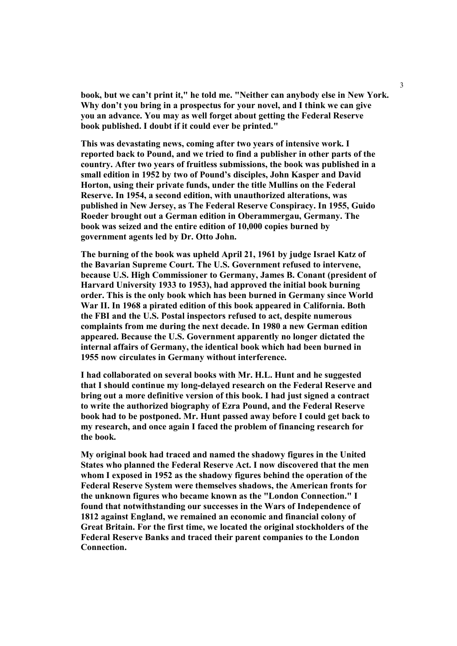book, but we can't print it," he told me. "Neither can anybody else in New York. Why don't you bring in a prospectus for your novel, and I think we can give you an advance. You may as well forget about getting the Federal Reserve book published. I doubt if it could ever be printed."

This was devastating news, coming after two years of intensive work. I reported back to Pound, and we tried to find a publisher in other parts of the country. After two years of fruitless submissions, the book was published in a small edition in 1952 by two of Pound's disciples, John Kasper and David Horton, using their private funds, under the title Mullins on the Federal Reserve. In 1954, a second edition, with unauthorized alterations, was published in New Jersey, as The Federal Reserve Conspiracy. In 1955, Guido Roeder brought out a German edition in Oberammergau, Germany. The book was seized and the entire edition of 10,000 copies burned by government agents led by Dr. Otto John.

The burning of the book was upheld April 21, 1961 by judge Israel Katz of the Bavarian Supreme Court. The U.S. Government refused to intervene, because U.S. High Commissioner to Germany, James B. Conant (president of Harvard University 1933 to 1953), had approved the initial book burning order. This is the only book which has been burned in Germany since World War II. In 1968 a pirated edition of this book appeared in California. Both the FBI and the U.S. Postal inspectors refused to act, despite numerous complaints from me during the next decade. In 1980 a new German edition appeared. Because the U.S. Government apparently no longer dictated the internal affairs of Germany, the identical book which had been burned in 1955 now circulates in Germany without interference.

I had collaborated on several books with Mr. H.L. Hunt and he suggested that I should continue my long-delayed research on the Federal Reserve and bring out a more definitive version of this book. I had just signed a contract to write the authorized biography of Ezra Pound, and the Federal Reserve book had to be postponed. Mr. Hunt passed away before I could get back to my research, and once again I faced the problem of financing research for the book.

My original book had traced and named the shadowy figures in the United States who planned the Federal Reserve Act. I now discovered that the men whom I exposed in 1952 as the shadowy figures behind the operation of the Federal Reserve System were themselves shadows, the American fronts for the unknown figures who became known as the "London Connection." I found that notwithstanding our successes in the Wars of Independence of 1812 against England, we remained an economic and financial colony of Great Britain. For the first time, we located the original stockholders of the Federal Reserve Banks and traced their parent companies to the London Connection.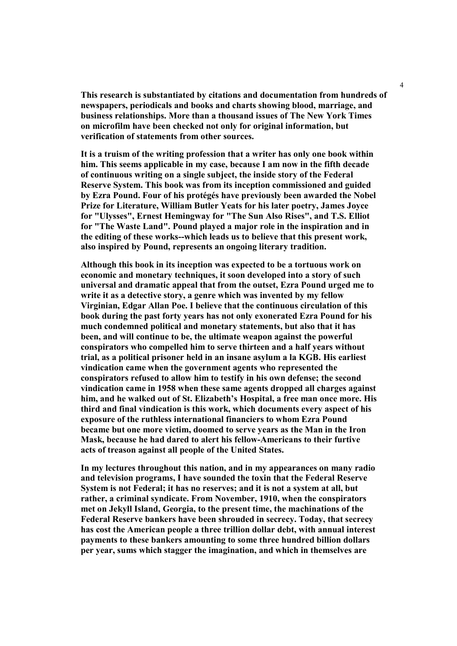This research is substantiated by citations and documentation from hundreds of newspapers, periodicals and books and charts showing blood, marriage, and business relationships. More than a thousand issues of The New York Times on microfilm have been checked not only for original information, but verification of statements from other sources.

It is a truism of the writing profession that a writer has only one book within him. This seems applicable in my case, because I am now in the fifth decade of continuous writing on a single subject, the inside story of the Federal Reserve System. This book was from its inception commissioned and guided by Ezra Pound. Four of his protégés have previously been awarded the Nobel Prize for Literature, William Butler Yeats for his later poetry, James Joyce for "Ulysses", Ernest Hemingway for "The Sun Also Rises", and T.S. Elliot for "The Waste Land". Pound played a major role in the inspiration and in the editing of these works--which leads us to believe that this present work, also inspired by Pound, represents an ongoing literary tradition.

Although this book in its inception was expected to be a tortuous work on economic and monetary techniques, it soon developed into a story of such universal and dramatic appeal that from the outset, Ezra Pound urged me to write it as a detective story, a genre which was invented by my fellow Virginian, Edgar Allan Poe. I believe that the continuous circulation of this book during the past forty years has not only exonerated Ezra Pound for his much condemned political and monetary statements, but also that it has been, and will continue to be, the ultimate weapon against the powerful conspirators who compelled him to serve thirteen and a half years without trial, as a political prisoner held in an insane asylum a la KGB. His earliest vindication came when the government agents who represented the conspirators refused to allow him to testify in his own defense; the second vindication came in 1958 when these same agents dropped all charges against him, and he walked out of St. Elizabeth's Hospital, a free man once more. His third and final vindication is this work, which documents every aspect of his exposure of the ruthless international financiers to whom Ezra Pound became but one more victim, doomed to serve years as the Man in the Iron Mask, because he had dared to alert his fellow-Americans to their furtive acts of treason against all people of the United States.

In my lectures throughout this nation, and in my appearances on many radio and television programs, I have sounded the toxin that the Federal Reserve System is not Federal; it has no reserves; and it is not a system at all, but rather, a criminal syndicate. From November, 1910, when the conspirators met on Jekyll Island, Georgia, to the present time, the machinations of the Federal Reserve bankers have been shrouded in secrecy. Today, that secrecy has cost the American people a three trillion dollar debt, with annual interest payments to these bankers amounting to some three hundred billion dollars per year, sums which stagger the imagination, and which in themselves are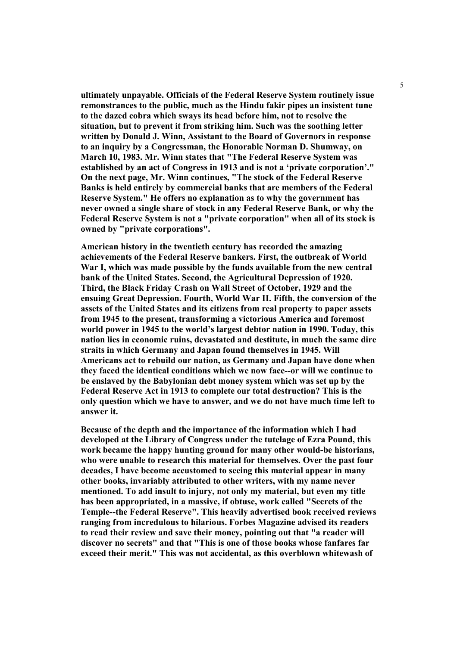ultimately unpayable. Officials of the Federal Reserve System routinely issue remonstrances to the public, much as the Hindu fakir pipes an insistent tune to the dazed cobra which sways its head before him, not to resolve the situation, but to prevent it from striking him. Such was the soothing letter written by Donald J. Winn, Assistant to the Board of Governors in response to an inquiry by a Congressman, the Honorable Norman D. Shumway, on March 10, 1983. Mr. Winn states that "The Federal Reserve System was established by an act of Congress in 1913 and is not a 'private corporation'." On the next page, Mr. Winn continues, "The stock of the Federal Reserve Banks is held entirely by commercial banks that are members of the Federal Reserve System." He offers no explanation as to why the government has never owned a single share of stock in any Federal Reserve Bank, or why the Federal Reserve System is not a "private corporation" when all of its stock is owned by "private corporations".

American history in the twentieth century has recorded the amazing achievements of the Federal Reserve bankers. First, the outbreak of World War I, which was made possible by the funds available from the new central bank of the United States. Second, the Agricultural Depression of 1920. Third, the Black Friday Crash on Wall Street of October, 1929 and the ensuing Great Depression. Fourth, World War II. Fifth, the conversion of the assets of the United States and its citizens from real property to paper assets from 1945 to the present, transforming a victorious America and foremost world power in 1945 to the world's largest debtor nation in 1990. Today, this nation lies in economic ruins, devastated and destitute, in much the same dire straits in which Germany and Japan found themselves in 1945. Will Americans act to rebuild our nation, as Germany and Japan have done when they faced the identical conditions which we now face--or will we continue to be enslaved by the Babylonian debt money system which was set up by the Federal Reserve Act in 1913 to complete our total destruction? This is the only question which we have to answer, and we do not have much time left to answer it.

Because of the depth and the importance of the information which I had developed at the Library of Congress under the tutelage of Ezra Pound, this work became the happy hunting ground for many other would-be historians, who were unable to research this material for themselves. Over the past four decades, I have become accustomed to seeing this material appear in many other books, invariably attributed to other writers, with my name never mentioned. To add insult to injury, not only my material, but even my title has been appropriated, in a massive, if obtuse, work called "Secrets of the Temple--the Federal Reserve". This heavily advertised book received reviews ranging from incredulous to hilarious. Forbes Magazine advised its readers to read their review and save their money, pointing out that "a reader will discover no secrets" and that "This is one of those books whose fanfares far exceed their merit." This was not accidental, as this overblown whitewash of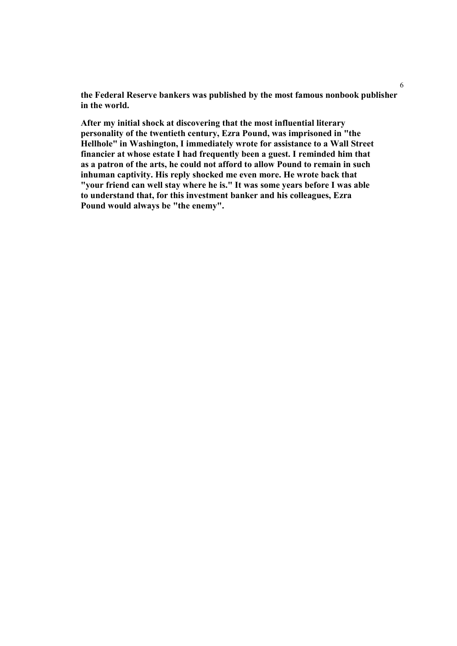the Federal Reserve bankers was published by the most famous nonbook publisher in the world.

After my initial shock at discovering that the most influential literary personality of the twentieth century, Ezra Pound, was imprisoned in "the Hellhole" in Washington, I immediately wrote for assistance to a Wall Street financier at whose estate I had frequently been a guest. I reminded him that as a patron of the arts, he could not afford to allow Pound to remain in such inhuman captivity. His reply shocked me even more. He wrote back that "your friend can well stay where he is." It was some years before I was able to understand that, for this investment banker and his colleagues, Ezra Pound would always be "the enemy".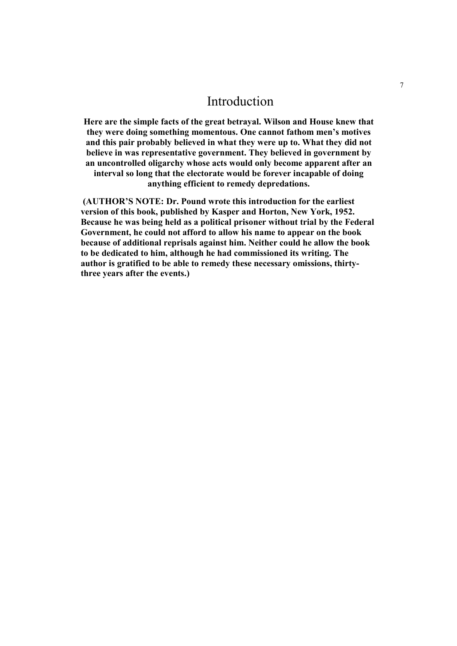## Introduction

Here are the simple facts of the great betrayal. Wilson and House knew that they were doing something momentous. One cannot fathom men's motives and this pair probably believed in what they were up to. What they did not believe in was representative government. They believed in government by an uncontrolled oligarchy whose acts would only become apparent after an interval so long that the electorate would be forever incapable of doing anything efficient to remedy depredations.

 (AUTHOR'S NOTE: Dr. Pound wrote this introduction for the earliest version of this book, published by Kasper and Horton, New York, 1952. Because he was being held as a political prisoner without trial by the Federal Government, he could not afford to allow his name to appear on the book because of additional reprisals against him. Neither could he allow the book to be dedicated to him, although he had commissioned its writing. The author is gratified to be able to remedy these necessary omissions, thirtythree years after the events.)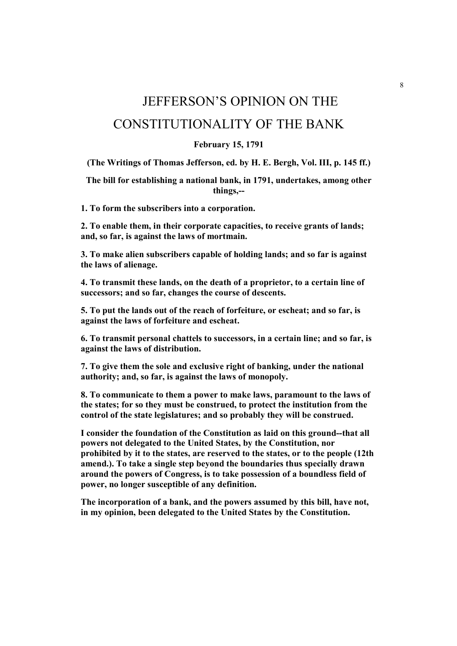# JEFFERSON'S OPINION ON THE

## CONSTITUTIONALITY OF THE BANK

#### February 15, 1791

(The Writings of Thomas Jefferson, ed. by H. E. Bergh, Vol. III, p. 145 ff.)

The bill for establishing a national bank, in 1791, undertakes, among other things,--

1. To form the subscribers into a corporation.

2. To enable them, in their corporate capacities, to receive grants of lands; and, so far, is against the laws of mortmain.

3. To make alien subscribers capable of holding lands; and so far is against the laws of alienage.

4. To transmit these lands, on the death of a proprietor, to a certain line of successors; and so far, changes the course of descents.

5. To put the lands out of the reach of forfeiture, or escheat; and so far, is against the laws of forfeiture and escheat.

6. To transmit personal chattels to successors, in a certain line; and so far, is against the laws of distribution.

7. To give them the sole and exclusive right of banking, under the national authority; and, so far, is against the laws of monopoly.

8. To communicate to them a power to make laws, paramount to the laws of the states; for so they must be construed, to protect the institution from the control of the state legislatures; and so probably they will be construed.

I consider the foundation of the Constitution as laid on this ground--that all powers not delegated to the United States, by the Constitution, nor prohibited by it to the states, are reserved to the states, or to the people (12th amend.). To take a single step beyond the boundaries thus specially drawn around the powers of Congress, is to take possession of a boundless field of power, no longer susceptible of any definition.

The incorporation of a bank, and the powers assumed by this bill, have not, in my opinion, been delegated to the United States by the Constitution.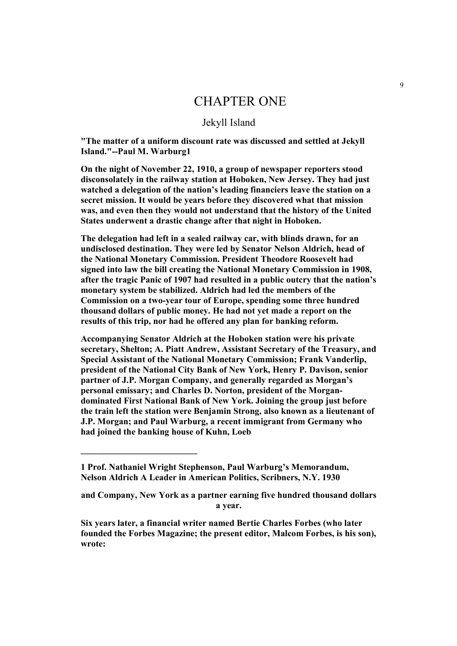## CHAPTER ONE

#### Jekyll Island

"The matter of a uniform discount rate was discussed and settled at Jekyll Island."--Paul M. Warburg1

On the night of November 22, 1910, a group of newspaper reporters stood disconsolately in the railway station at Hoboken, New Jersey. They had just watched a delegation of the nation's leading financiers leave the station on a secret mission. It would be years before they discovered what that mission was, and even then they would not understand that the history of the United States underwent a drastic change after that night in Hoboken.

The delegation had left in a sealed railway car, with blinds drawn, for an undisclosed destination. They were led by Senator Nelson Aldrich, head of the National Monetary Commission. President Theodore Roosevelt had signed into law the bill creating the National Monetary Commission in 1908, after the tragic Panic of 1907 had resulted in a public outcry that the nation's monetary system be stabilized. Aldrich had led the members of the Commission on a two-year tour of Europe, spending some three hundred thousand dollars of public money. He had not yet made a report on the results of this trip, nor had he offered any plan for banking reform.

Accompanying Senator Aldrich at the Hoboken station were his private secretary, Shelton; A. Piatt Andrew, Assistant Secretary of the Treasury, and Special Assistant of the National Monetary Commission; Frank Vanderlip, president of the National City Bank of New York, Henry P. Davison, senior partner of J.P. Morgan Company, and generally regarded as Morgan's personal emissary; and Charles D. Norton, president of the Morgandominated First National Bank of New York. Joining the group just before the train left the station were Benjamin Strong, also known as a lieutenant of J.P. Morgan; and Paul Warburg, a recent immigrant from Germany who had joined the banking house of Kuhn, Loeb

\_\_\_\_\_\_\_\_\_\_\_\_\_\_\_\_\_\_\_\_\_\_\_\_\_\_

<sup>1</sup> Prof. Nathaniel Wright Stephenson, Paul Warburg's Memorandum, Nelson Aldrich A Leader in American Politics, Scribners, N.Y. 1930

and Company, New York as a partner earning five hundred thousand dollars a year.

Six years later, a financial writer named Bertie Charles Forbes (who later founded the Forbes Magazine; the present editor, Malcom Forbes, is his son), wrote: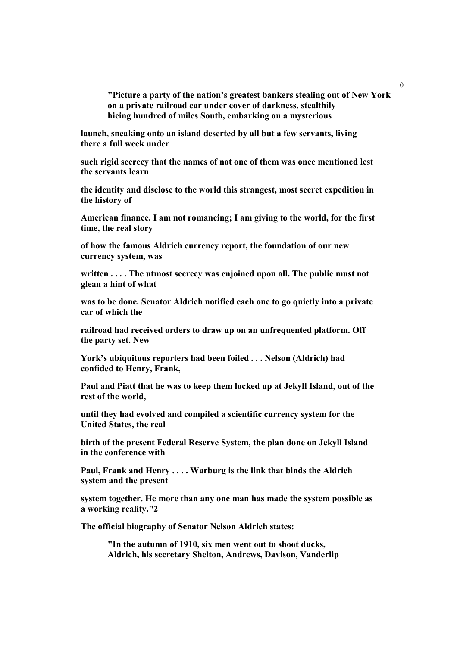"Picture a party of the nation's greatest bankers stealing out of New York on a private railroad car under cover of darkness, stealthily hieing hundred of miles South, embarking on a mysterious

launch, sneaking onto an island deserted by all but a few servants, living there a full week under

such rigid secrecy that the names of not one of them was once mentioned lest the servants learn

the identity and disclose to the world this strangest, most secret expedition in the history of

American finance. I am not romancing; I am giving to the world, for the first time, the real story

of how the famous Aldrich currency report, the foundation of our new currency system, was

written . . . . The utmost secrecy was enjoined upon all. The public must not glean a hint of what

was to be done. Senator Aldrich notified each one to go quietly into a private car of which the

railroad had received orders to draw up on an unfrequented platform. Off the party set. New

York's ubiquitous reporters had been foiled . . . Nelson (Aldrich) had confided to Henry, Frank,

Paul and Piatt that he was to keep them locked up at Jekyll Island, out of the rest of the world,

until they had evolved and compiled a scientific currency system for the United States, the real

birth of the present Federal Reserve System, the plan done on Jekyll Island in the conference with

Paul, Frank and Henry . . . . Warburg is the link that binds the Aldrich system and the present

system together. He more than any one man has made the system possible as a working reality."2

The official biography of Senator Nelson Aldrich states:

"In the autumn of 1910, six men went out to shoot ducks, Aldrich, his secretary Shelton, Andrews, Davison, Vanderlip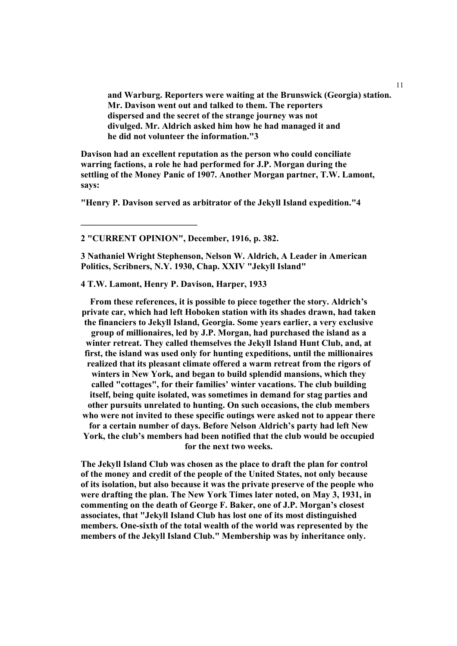and Warburg. Reporters were waiting at the Brunswick (Georgia) station. Mr. Davison went out and talked to them. The reporters dispersed and the secret of the strange journey was not divulged. Mr. Aldrich asked him how he had managed it and he did not volunteer the information."3

Davison had an excellent reputation as the person who could conciliate warring factions, a role he had performed for J.P. Morgan during the settling of the Money Panic of 1907. Another Morgan partner, T.W. Lamont, says:

"Henry P. Davison served as arbitrator of the Jekyll Island expedition."4

2 "CURRENT OPINION", December, 1916, p. 382.

\_\_\_\_\_\_\_\_\_\_\_\_\_\_\_\_\_\_\_\_\_\_\_\_\_\_

3 Nathaniel Wright Stephenson, Nelson W. Aldrich, A Leader in American Politics, Scribners, N.Y. 1930, Chap. XXIV "Jekyll Island"

4 T.W. Lamont, Henry P. Davison, Harper, 1933

From these references, it is possible to piece together the story. Aldrich's private car, which had left Hoboken station with its shades drawn, had taken the financiers to Jekyll Island, Georgia. Some years earlier, a very exclusive group of millionaires, led by J.P. Morgan, had purchased the island as a winter retreat. They called themselves the Jekyll Island Hunt Club, and, at first, the island was used only for hunting expeditions, until the millionaires realized that its pleasant climate offered a warm retreat from the rigors of winters in New York, and began to build splendid mansions, which they called "cottages", for their families' winter vacations. The club building itself, being quite isolated, was sometimes in demand for stag parties and other pursuits unrelated to hunting. On such occasions, the club members who were not invited to these specific outings were asked not to appear there for a certain number of days. Before Nelson Aldrich's party had left New York, the club's members had been notified that the club would be occupied for the next two weeks.

The Jekyll Island Club was chosen as the place to draft the plan for control of the money and credit of the people of the United States, not only because of its isolation, but also because it was the private preserve of the people who were drafting the plan. The New York Times later noted, on May 3, 1931, in commenting on the death of George F. Baker, one of J.P. Morgan's closest associates, that "Jekyll Island Club has lost one of its most distinguished members. One-sixth of the total wealth of the world was represented by the members of the Jekyll Island Club." Membership was by inheritance only.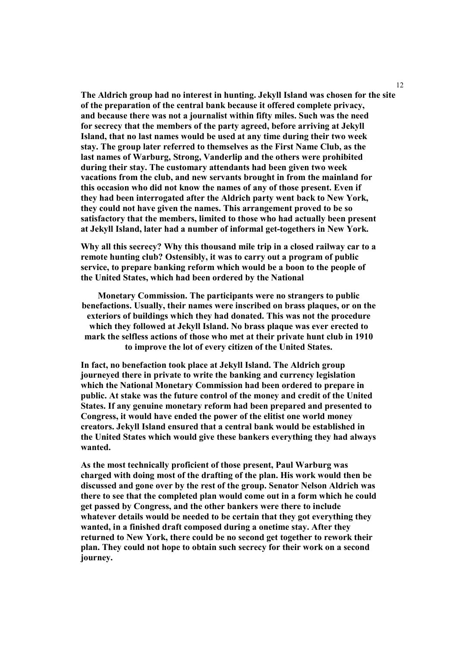The Aldrich group had no interest in hunting. Jekyll Island was chosen for the site of the preparation of the central bank because it offered complete privacy, and because there was not a journalist within fifty miles. Such was the need for secrecy that the members of the party agreed, before arriving at Jekyll Island, that no last names would be used at any time during their two week stay. The group later referred to themselves as the First Name Club, as the last names of Warburg, Strong, Vanderlip and the others were prohibited during their stay. The customary attendants had been given two week vacations from the club, and new servants brought in from the mainland for this occasion who did not know the names of any of those present. Even if they had been interrogated after the Aldrich party went back to New York, they could not have given the names. This arrangement proved to be so satisfactory that the members, limited to those who had actually been present at Jekyll Island, later had a number of informal get-togethers in New York.

Why all this secrecy? Why this thousand mile trip in a closed railway car to a remote hunting club? Ostensibly, it was to carry out a program of public service, to prepare banking reform which would be a boon to the people of the United States, which had been ordered by the National

Monetary Commission. The participants were no strangers to public benefactions. Usually, their names were inscribed on brass plaques, or on the exteriors of buildings which they had donated. This was not the procedure which they followed at Jekyll Island. No brass plaque was ever erected to mark the selfless actions of those who met at their private hunt club in 1910 to improve the lot of every citizen of the United States.

In fact, no benefaction took place at Jekyll Island. The Aldrich group journeyed there in private to write the banking and currency legislation which the National Monetary Commission had been ordered to prepare in public. At stake was the future control of the money and credit of the United States. If any genuine monetary reform had been prepared and presented to Congress, it would have ended the power of the elitist one world money creators. Jekyll Island ensured that a central bank would be established in the United States which would give these bankers everything they had always wanted.

As the most technically proficient of those present, Paul Warburg was charged with doing most of the drafting of the plan. His work would then be discussed and gone over by the rest of the group. Senator Nelson Aldrich was there to see that the completed plan would come out in a form which he could get passed by Congress, and the other bankers were there to include whatever details would be needed to be certain that they got everything they wanted, in a finished draft composed during a onetime stay. After they returned to New York, there could be no second get together to rework their plan. They could not hope to obtain such secrecy for their work on a second journey.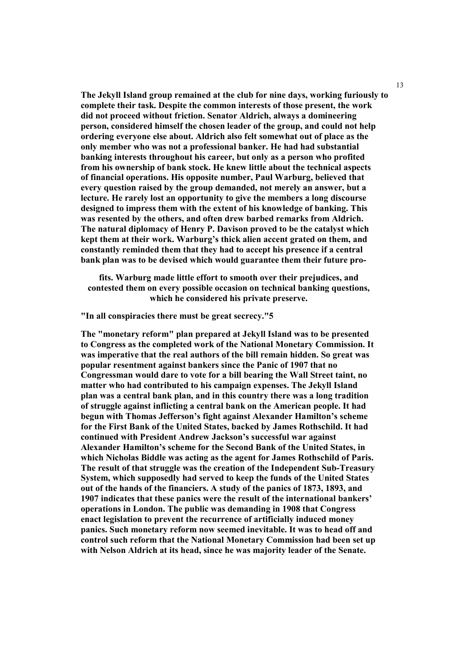The Jekyll Island group remained at the club for nine days, working furiously to complete their task. Despite the common interests of those present, the work did not proceed without friction. Senator Aldrich, always a domineering person, considered himself the chosen leader of the group, and could not help ordering everyone else about. Aldrich also felt somewhat out of place as the only member who was not a professional banker. He had had substantial banking interests throughout his career, but only as a person who profited from his ownership of bank stock. He knew little about the technical aspects of financial operations. His opposite number, Paul Warburg, believed that every question raised by the group demanded, not merely an answer, but a lecture. He rarely lost an opportunity to give the members a long discourse designed to impress them with the extent of his knowledge of banking. This was resented by the others, and often drew barbed remarks from Aldrich. The natural diplomacy of Henry P. Davison proved to be the catalyst which kept them at their work. Warburg's thick alien accent grated on them, and constantly reminded them that they had to accept his presence if a central bank plan was to be devised which would guarantee them their future pro-

fits. Warburg made little effort to smooth over their prejudices, and contested them on every possible occasion on technical banking questions, which he considered his private preserve.

"In all conspiracies there must be great secrecy."5

The "monetary reform" plan prepared at Jekyll Island was to be presented to Congress as the completed work of the National Monetary Commission. It was imperative that the real authors of the bill remain hidden. So great was popular resentment against bankers since the Panic of 1907 that no Congressman would dare to vote for a bill bearing the Wall Street taint, no matter who had contributed to his campaign expenses. The Jekyll Island plan was a central bank plan, and in this country there was a long tradition of struggle against inflicting a central bank on the American people. It had begun with Thomas Jefferson's fight against Alexander Hamilton's scheme for the First Bank of the United States, backed by James Rothschild. It had continued with President Andrew Jackson's successful war against Alexander Hamilton's scheme for the Second Bank of the United States, in which Nicholas Biddle was acting as the agent for James Rothschild of Paris. The result of that struggle was the creation of the Independent Sub-Treasury System, which supposedly had served to keep the funds of the United States out of the hands of the financiers. A study of the panics of 1873, 1893, and 1907 indicates that these panics were the result of the international bankers' operations in London. The public was demanding in 1908 that Congress enact legislation to prevent the recurrence of artificially induced money panics. Such monetary reform now seemed inevitable. It was to head off and control such reform that the National Monetary Commission had been set up with Nelson Aldrich at its head, since he was majority leader of the Senate.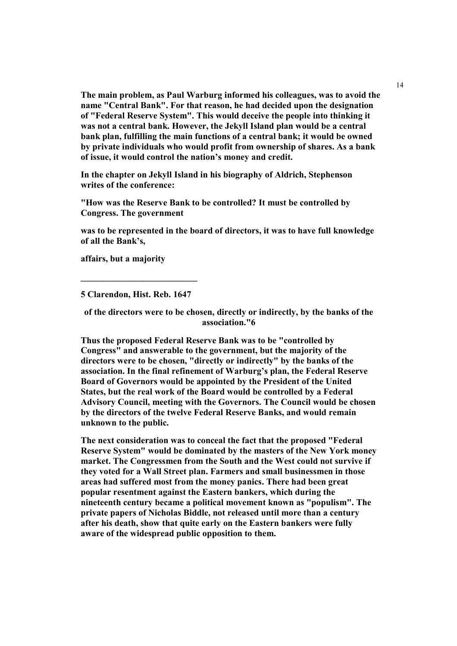The main problem, as Paul Warburg informed his colleagues, was to avoid the name "Central Bank". For that reason, he had decided upon the designation of "Federal Reserve System". This would deceive the people into thinking it was not a central bank. However, the Jekyll Island plan would be a central bank plan, fulfilling the main functions of a central bank; it would be owned by private individuals who would profit from ownership of shares. As a bank of issue, it would control the nation's money and credit.

In the chapter on Jekyll Island in his biography of Aldrich, Stephenson writes of the conference:

"How was the Reserve Bank to be controlled? It must be controlled by Congress. The government

was to be represented in the board of directors, it was to have full knowledge of all the Bank's,

affairs, but a majority

5 Clarendon, Hist. Reb. 1647

\_\_\_\_\_\_\_\_\_\_\_\_\_\_\_\_\_\_\_\_\_\_\_\_\_\_

of the directors were to be chosen, directly or indirectly, by the banks of the association."6

Thus the proposed Federal Reserve Bank was to be "controlled by Congress" and answerable to the government, but the majority of the directors were to be chosen, "directly or indirectly" by the banks of the association. In the final refinement of Warburg's plan, the Federal Reserve Board of Governors would be appointed by the President of the United States, but the real work of the Board would be controlled by a Federal Advisory Council, meeting with the Governors. The Council would be chosen by the directors of the twelve Federal Reserve Banks, and would remain unknown to the public.

The next consideration was to conceal the fact that the proposed "Federal Reserve System" would be dominated by the masters of the New York money market. The Congressmen from the South and the West could not survive if they voted for a Wall Street plan. Farmers and small businessmen in those areas had suffered most from the money panics. There had been great popular resentment against the Eastern bankers, which during the nineteenth century became a political movement known as "populism". The private papers of Nicholas Biddle, not released until more than a century after his death, show that quite early on the Eastern bankers were fully aware of the widespread public opposition to them.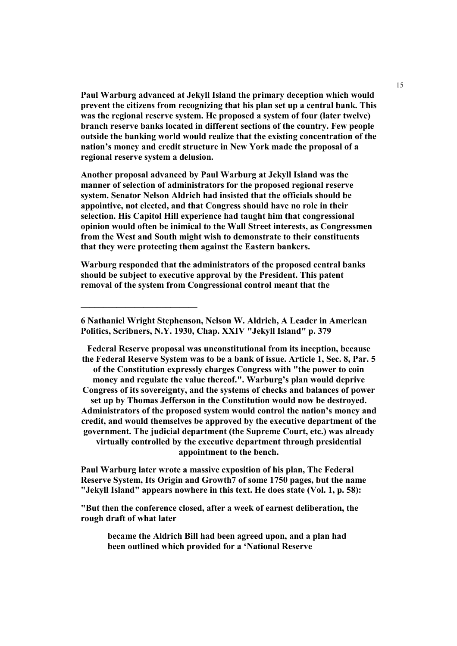Paul Warburg advanced at Jekyll Island the primary deception which would prevent the citizens from recognizing that his plan set up a central bank. This was the regional reserve system. He proposed a system of four (later twelve) branch reserve banks located in different sections of the country. Few people outside the banking world would realize that the existing concentration of the nation's money and credit structure in New York made the proposal of a regional reserve system a delusion.

Another proposal advanced by Paul Warburg at Jekyll Island was the manner of selection of administrators for the proposed regional reserve system. Senator Nelson Aldrich had insisted that the officials should be appointive, not elected, and that Congress should have no role in their selection. His Capitol Hill experience had taught him that congressional opinion would often be inimical to the Wall Street interests, as Congressmen from the West and South might wish to demonstrate to their constituents that they were protecting them against the Eastern bankers.

Warburg responded that the administrators of the proposed central banks should be subject to executive approval by the President. This patent removal of the system from Congressional control meant that the

\_\_\_\_\_\_\_\_\_\_\_\_\_\_\_\_\_\_\_\_\_\_\_\_\_\_

Federal Reserve proposal was unconstitutional from its inception, because the Federal Reserve System was to be a bank of issue. Article 1, Sec. 8, Par. 5 of the Constitution expressly charges Congress with "the power to coin money and regulate the value thereof.". Warburg's plan would deprive Congress of its sovereignty, and the systems of checks and balances of power set up by Thomas Jefferson in the Constitution would now be destroyed. Administrators of the proposed system would control the nation's money and credit, and would themselves be approved by the executive department of the government. The judicial department (the Supreme Court, etc.) was already virtually controlled by the executive department through presidential appointment to the bench.

Paul Warburg later wrote a massive exposition of his plan, The Federal Reserve System, Its Origin and Growth7 of some 1750 pages, but the name "Jekyll Island" appears nowhere in this text. He does state (Vol. 1, p. 58):

"But then the conference closed, after a week of earnest deliberation, the rough draft of what later

became the Aldrich Bill had been agreed upon, and a plan had been outlined which provided for a 'National Reserve

<sup>6</sup> Nathaniel Wright Stephenson, Nelson W. Aldrich, A Leader in American Politics, Scribners, N.Y. 1930, Chap. XXIV "Jekyll Island" p. 379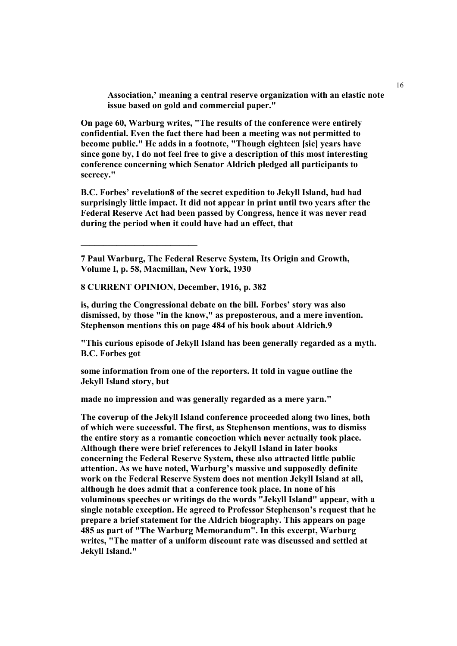Association,' meaning a central reserve organization with an elastic note issue based on gold and commercial paper."

On page 60, Warburg writes, "The results of the conference were entirely confidential. Even the fact there had been a meeting was not permitted to become public." He adds in a footnote, "Though eighteen [sic] years have since gone by, I do not feel free to give a description of this most interesting conference concerning which Senator Aldrich pledged all participants to secrecy."

B.C. Forbes' revelation8 of the secret expedition to Jekyll Island, had had surprisingly little impact. It did not appear in print until two years after the Federal Reserve Act had been passed by Congress, hence it was never read during the period when it could have had an effect, that

8 CURRENT OPINION, December, 1916, p. 382

\_\_\_\_\_\_\_\_\_\_\_\_\_\_\_\_\_\_\_\_\_\_\_\_\_\_

is, during the Congressional debate on the bill. Forbes' story was also dismissed, by those "in the know," as preposterous, and a mere invention. Stephenson mentions this on page 484 of his book about Aldrich.9

"This curious episode of Jekyll Island has been generally regarded as a myth. B.C. Forbes got

some information from one of the reporters. It told in vague outline the Jekyll Island story, but

made no impression and was generally regarded as a mere yarn."

The coverup of the Jekyll Island conference proceeded along two lines, both of which were successful. The first, as Stephenson mentions, was to dismiss the entire story as a romantic concoction which never actually took place. Although there were brief references to Jekyll Island in later books concerning the Federal Reserve System, these also attracted little public attention. As we have noted, Warburg's massive and supposedly definite work on the Federal Reserve System does not mention Jekyll Island at all, although he does admit that a conference took place. In none of his voluminous speeches or writings do the words "Jekyll Island" appear, with a single notable exception. He agreed to Professor Stephenson's request that he prepare a brief statement for the Aldrich biography. This appears on page 485 as part of "The Warburg Memorandum". In this excerpt, Warburg writes, "The matter of a uniform discount rate was discussed and settled at Jekyll Island."

<sup>7</sup> Paul Warburg, The Federal Reserve System, Its Origin and Growth, Volume I, p. 58, Macmillan, New York, 1930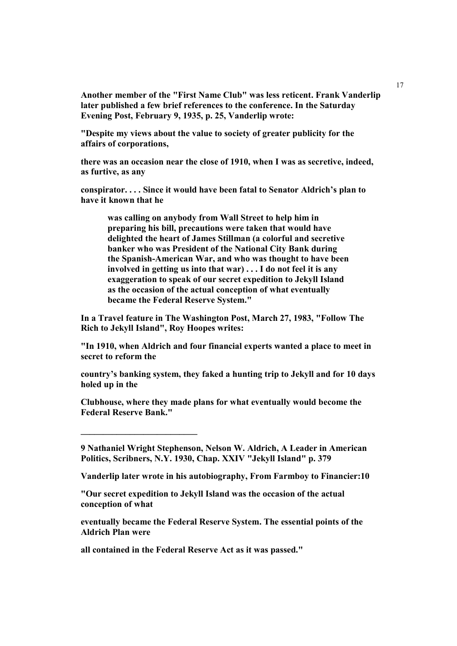Another member of the "First Name Club" was less reticent. Frank Vanderlip later published a few brief references to the conference. In the Saturday Evening Post, February 9, 1935, p. 25, Vanderlip wrote:

"Despite my views about the value to society of greater publicity for the affairs of corporations,

there was an occasion near the close of 1910, when I was as secretive, indeed, as furtive, as any

conspirator. . . . Since it would have been fatal to Senator Aldrich's plan to have it known that he

was calling on anybody from Wall Street to help him in preparing his bill, precautions were taken that would have delighted the heart of James Stillman (a colorful and secretive banker who was President of the National City Bank during the Spanish-American War, and who was thought to have been involved in getting us into that war) . . . I do not feel it is any exaggeration to speak of our secret expedition to Jekyll Island as the occasion of the actual conception of what eventually became the Federal Reserve System."

In a Travel feature in The Washington Post, March 27, 1983, "Follow The Rich to Jekyll Island", Roy Hoopes writes:

"In 1910, when Aldrich and four financial experts wanted a place to meet in secret to reform the

country's banking system, they faked a hunting trip to Jekyll and for 10 days holed up in the

Clubhouse, where they made plans for what eventually would become the Federal Reserve Bank."

\_\_\_\_\_\_\_\_\_\_\_\_\_\_\_\_\_\_\_\_\_\_\_\_\_\_

<sup>9</sup> Nathaniel Wright Stephenson, Nelson W. Aldrich, A Leader in American Politics, Scribners, N.Y. 1930, Chap. XXIV "Jekyll Island" p. 379

Vanderlip later wrote in his autobiography, From Farmboy to Financier:10

<sup>&</sup>quot;Our secret expedition to Jekyll Island was the occasion of the actual conception of what

eventually became the Federal Reserve System. The essential points of the Aldrich Plan were

all contained in the Federal Reserve Act as it was passed."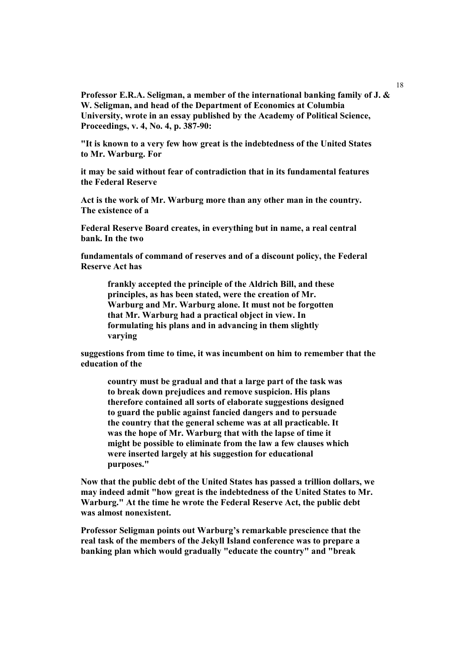Professor E.R.A. Seligman, a member of the international banking family of J. & W. Seligman, and head of the Department of Economics at Columbia University, wrote in an essay published by the Academy of Political Science, Proceedings, v. 4, No. 4, p. 387-90:

"It is known to a very few how great is the indebtedness of the United States to Mr. Warburg. For

it may be said without fear of contradiction that in its fundamental features the Federal Reserve

Act is the work of Mr. Warburg more than any other man in the country. The existence of a

Federal Reserve Board creates, in everything but in name, a real central bank. In the two

fundamentals of command of reserves and of a discount policy, the Federal Reserve Act has

frankly accepted the principle of the Aldrich Bill, and these principles, as has been stated, were the creation of Mr. Warburg and Mr. Warburg alone. It must not be forgotten that Mr. Warburg had a practical object in view. In formulating his plans and in advancing in them slightly varying

suggestions from time to time, it was incumbent on him to remember that the education of the

country must be gradual and that a large part of the task was to break down prejudices and remove suspicion. His plans therefore contained all sorts of elaborate suggestions designed to guard the public against fancied dangers and to persuade the country that the general scheme was at all practicable. It was the hope of Mr. Warburg that with the lapse of time it might be possible to eliminate from the law a few clauses which were inserted largely at his suggestion for educational purposes."

Now that the public debt of the United States has passed a trillion dollars, we may indeed admit "how great is the indebtedness of the United States to Mr. Warburg." At the time he wrote the Federal Reserve Act, the public debt was almost nonexistent.

Professor Seligman points out Warburg's remarkable prescience that the real task of the members of the Jekyll Island conference was to prepare a banking plan which would gradually "educate the country" and "break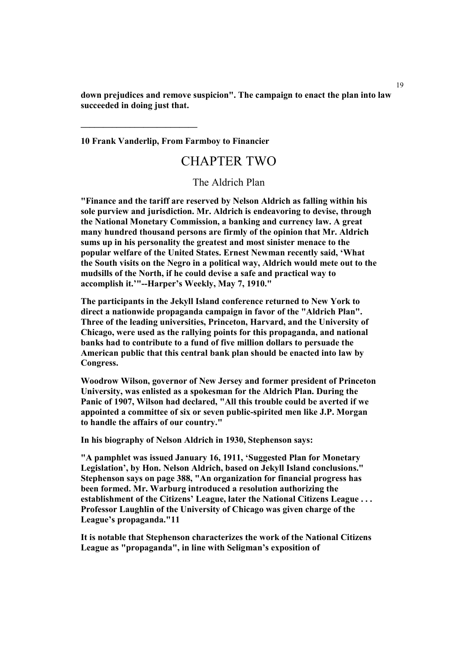down prejudices and remove suspicion". The campaign to enact the plan into law succeeded in doing just that.

10 Frank Vanderlip, From Farmboy to Financier

\_\_\_\_\_\_\_\_\_\_\_\_\_\_\_\_\_\_\_\_\_\_\_\_\_\_

## CHAPTER TWO

The Aldrich Plan

"Finance and the tariff are reserved by Nelson Aldrich as falling within his sole purview and jurisdiction. Mr. Aldrich is endeavoring to devise, through the National Monetary Commission, a banking and currency law. A great many hundred thousand persons are firmly of the opinion that Mr. Aldrich sums up in his personality the greatest and most sinister menace to the popular welfare of the United States. Ernest Newman recently said, 'What the South visits on the Negro in a political way, Aldrich would mete out to the mudsills of the North, if he could devise a safe and practical way to accomplish it.'"--Harper's Weekly, May 7, 1910."

The participants in the Jekyll Island conference returned to New York to direct a nationwide propaganda campaign in favor of the "Aldrich Plan". Three of the leading universities, Princeton, Harvard, and the University of Chicago, were used as the rallying points for this propaganda, and national banks had to contribute to a fund of five million dollars to persuade the American public that this central bank plan should be enacted into law by Congress.

Woodrow Wilson, governor of New Jersey and former president of Princeton University, was enlisted as a spokesman for the Aldrich Plan. During the Panic of 1907, Wilson had declared, "All this trouble could be averted if we appointed a committee of six or seven public-spirited men like J.P. Morgan to handle the affairs of our country."

In his biography of Nelson Aldrich in 1930, Stephenson says:

"A pamphlet was issued January 16, 1911, 'Suggested Plan for Monetary Legislation', by Hon. Nelson Aldrich, based on Jekyll Island conclusions." Stephenson says on page 388, "An organization for financial progress has been formed. Mr. Warburg introduced a resolution authorizing the establishment of the Citizens' League, later the National Citizens League . . . Professor Laughlin of the University of Chicago was given charge of the League's propaganda."11

It is notable that Stephenson characterizes the work of the National Citizens League as "propaganda", in line with Seligman's exposition of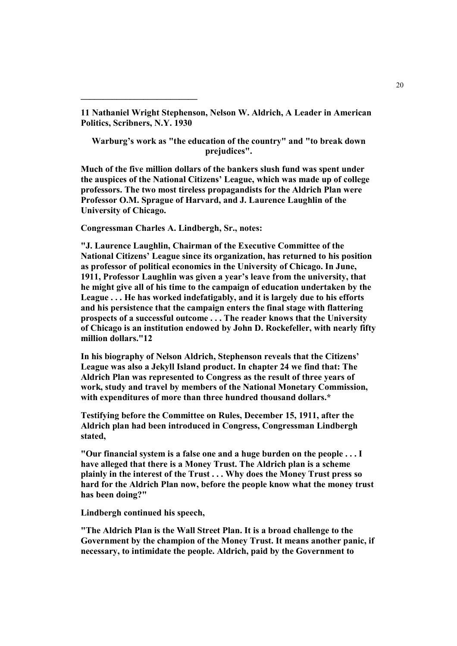Warburg's work as "the education of the country" and "to break down prejudices".

Much of the five million dollars of the bankers slush fund was spent under the auspices of the National Citizens' League, which was made up of college professors. The two most tireless propagandists for the Aldrich Plan were Professor O.M. Sprague of Harvard, and J. Laurence Laughlin of the University of Chicago.

Congressman Charles A. Lindbergh, Sr., notes:

\_\_\_\_\_\_\_\_\_\_\_\_\_\_\_\_\_\_\_\_\_\_\_\_\_\_

"J. Laurence Laughlin, Chairman of the Executive Committee of the National Citizens' League since its organization, has returned to his position as professor of political economics in the University of Chicago. In June, 1911, Professor Laughlin was given a year's leave from the university, that he might give all of his time to the campaign of education undertaken by the League . . . He has worked indefatigably, and it is largely due to his efforts and his persistence that the campaign enters the final stage with flattering prospects of a successful outcome . . . The reader knows that the University of Chicago is an institution endowed by John D. Rockefeller, with nearly fifty million dollars."12

In his biography of Nelson Aldrich, Stephenson reveals that the Citizens' League was also a Jekyll Island product. In chapter 24 we find that: The Aldrich Plan was represented to Congress as the result of three years of work, study and travel by members of the National Monetary Commission, with expenditures of more than three hundred thousand dollars.\*

Testifying before the Committee on Rules, December 15, 1911, after the Aldrich plan had been introduced in Congress, Congressman Lindbergh stated,

"Our financial system is a false one and a huge burden on the people . . . I have alleged that there is a Money Trust. The Aldrich plan is a scheme plainly in the interest of the Trust . . . Why does the Money Trust press so hard for the Aldrich Plan now, before the people know what the money trust has been doing?"

Lindbergh continued his speech,

"The Aldrich Plan is the Wall Street Plan. It is a broad challenge to the Government by the champion of the Money Trust. It means another panic, if necessary, to intimidate the people. Aldrich, paid by the Government to

<sup>11</sup> Nathaniel Wright Stephenson, Nelson W. Aldrich, A Leader in American Politics, Scribners, N.Y. 1930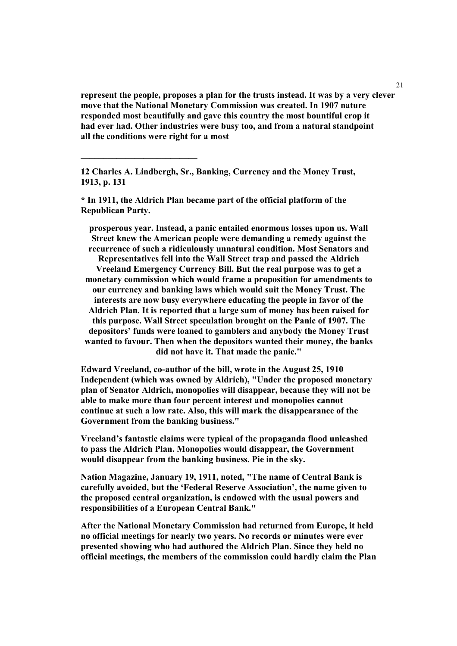represent the people, proposes a plan for the trusts instead. It was by a very clever move that the National Monetary Commission was created. In 1907 nature responded most beautifully and gave this country the most bountiful crop it had ever had. Other industries were busy too, and from a natural standpoint all the conditions were right for a most

\_\_\_\_\_\_\_\_\_\_\_\_\_\_\_\_\_\_\_\_\_\_\_\_\_\_

\* In 1911, the Aldrich Plan became part of the official platform of the Republican Party.

prosperous year. Instead, a panic entailed enormous losses upon us. Wall Street knew the American people were demanding a remedy against the recurrence of such a ridiculously unnatural condition. Most Senators and Representatives fell into the Wall Street trap and passed the Aldrich Vreeland Emergency Currency Bill. But the real purpose was to get a monetary commission which would frame a proposition for amendments to our currency and banking laws which would suit the Money Trust. The interests are now busy everywhere educating the people in favor of the Aldrich Plan. It is reported that a large sum of money has been raised for this purpose. Wall Street speculation brought on the Panic of 1907. The depositors' funds were loaned to gamblers and anybody the Money Trust wanted to favour. Then when the depositors wanted their money, the banks did not have it. That made the panic."

Edward Vreeland, co-author of the bill, wrote in the August 25, 1910 Independent (which was owned by Aldrich), "Under the proposed monetary plan of Senator Aldrich, monopolies will disappear, because they will not be able to make more than four percent interest and monopolies cannot continue at such a low rate. Also, this will mark the disappearance of the Government from the banking business."

Vreeland's fantastic claims were typical of the propaganda flood unleashed to pass the Aldrich Plan. Monopolies would disappear, the Government would disappear from the banking business. Pie in the sky.

Nation Magazine, January 19, 1911, noted, "The name of Central Bank is carefully avoided, but the 'Federal Reserve Association', the name given to the proposed central organization, is endowed with the usual powers and responsibilities of a European Central Bank."

After the National Monetary Commission had returned from Europe, it held no official meetings for nearly two years. No records or minutes were ever presented showing who had authored the Aldrich Plan. Since they held no official meetings, the members of the commission could hardly claim the Plan

<sup>12</sup> Charles A. Lindbergh, Sr., Banking, Currency and the Money Trust, 1913, p. 131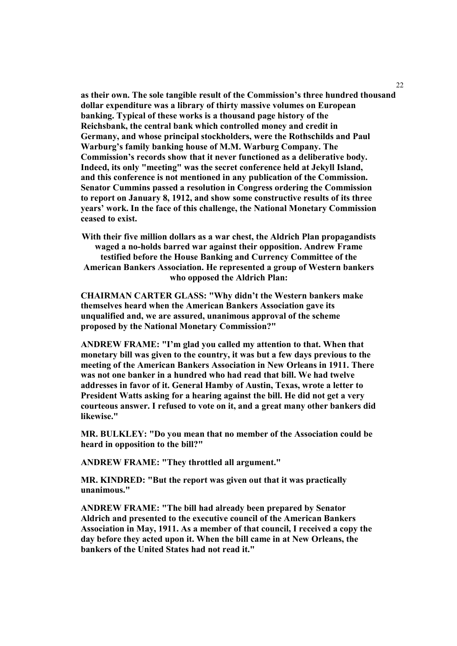as their own. The sole tangible result of the Commission's three hundred thousand dollar expenditure was a library of thirty massive volumes on European banking. Typical of these works is a thousand page history of the Reichsbank, the central bank which controlled money and credit in Germany, and whose principal stockholders, were the Rothschilds and Paul Warburg's family banking house of M.M. Warburg Company. The Commission's records show that it never functioned as a deliberative body. Indeed, its only "meeting" was the secret conference held at Jekyll Island, and this conference is not mentioned in any publication of the Commission. Senator Cummins passed a resolution in Congress ordering the Commission to report on January 8, 1912, and show some constructive results of its three years' work. In the face of this challenge, the National Monetary Commission ceased to exist.

With their five million dollars as a war chest, the Aldrich Plan propagandists waged a no-holds barred war against their opposition. Andrew Frame testified before the House Banking and Currency Committee of the American Bankers Association. He represented a group of Western bankers who opposed the Aldrich Plan:

CHAIRMAN CARTER GLASS: "Why didn't the Western bankers make themselves heard when the American Bankers Association gave its unqualified and, we are assured, unanimous approval of the scheme proposed by the National Monetary Commission?"

ANDREW FRAME: "I'm glad you called my attention to that. When that monetary bill was given to the country, it was but a few days previous to the meeting of the American Bankers Association in New Orleans in 1911. There was not one banker in a hundred who had read that bill. We had twelve addresses in favor of it. General Hamby of Austin, Texas, wrote a letter to President Watts asking for a hearing against the bill. He did not get a very courteous answer. I refused to vote on it, and a great many other bankers did likewise."

MR. BULKLEY: "Do you mean that no member of the Association could be heard in opposition to the bill?"

ANDREW FRAME: "They throttled all argument."

MR. KINDRED: "But the report was given out that it was practically unanimous."

ANDREW FRAME: "The bill had already been prepared by Senator Aldrich and presented to the executive council of the American Bankers Association in May, 1911. As a member of that council, I received a copy the day before they acted upon it. When the bill came in at New Orleans, the bankers of the United States had not read it."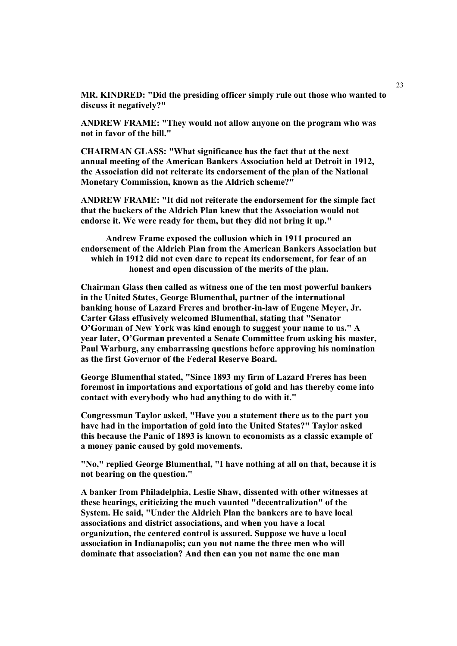MR. KINDRED: "Did the presiding officer simply rule out those who wanted to discuss it negatively?"

ANDREW FRAME: "They would not allow anyone on the program who was not in favor of the bill."

CHAIRMAN GLASS: "What significance has the fact that at the next annual meeting of the American Bankers Association held at Detroit in 1912, the Association did not reiterate its endorsement of the plan of the National Monetary Commission, known as the Aldrich scheme?"

ANDREW FRAME: "It did not reiterate the endorsement for the simple fact that the backers of the Aldrich Plan knew that the Association would not endorse it. We were ready for them, but they did not bring it up."

Andrew Frame exposed the collusion which in 1911 procured an endorsement of the Aldrich Plan from the American Bankers Association but which in 1912 did not even dare to repeat its endorsement, for fear of an honest and open discussion of the merits of the plan.

Chairman Glass then called as witness one of the ten most powerful bankers in the United States, George Blumenthal, partner of the international banking house of Lazard Freres and brother-in-law of Eugene Meyer, Jr. Carter Glass effusively welcomed Blumenthal, stating that "Senator O'Gorman of New York was kind enough to suggest your name to us." A year later, O'Gorman prevented a Senate Committee from asking his master, Paul Warburg, any embarrassing questions before approving his nomination as the first Governor of the Federal Reserve Board.

George Blumenthal stated, "Since 1893 my firm of Lazard Freres has been foremost in importations and exportations of gold and has thereby come into contact with everybody who had anything to do with it."

Congressman Taylor asked, "Have you a statement there as to the part you have had in the importation of gold into the United States?" Taylor asked this because the Panic of 1893 is known to economists as a classic example of a money panic caused by gold movements.

"No," replied George Blumenthal, "I have nothing at all on that, because it is not bearing on the question."

A banker from Philadelphia, Leslie Shaw, dissented with other witnesses at these hearings, criticizing the much vaunted "decentralization" of the System. He said, "Under the Aldrich Plan the bankers are to have local associations and district associations, and when you have a local organization, the centered control is assured. Suppose we have a local association in Indianapolis; can you not name the three men who will dominate that association? And then can you not name the one man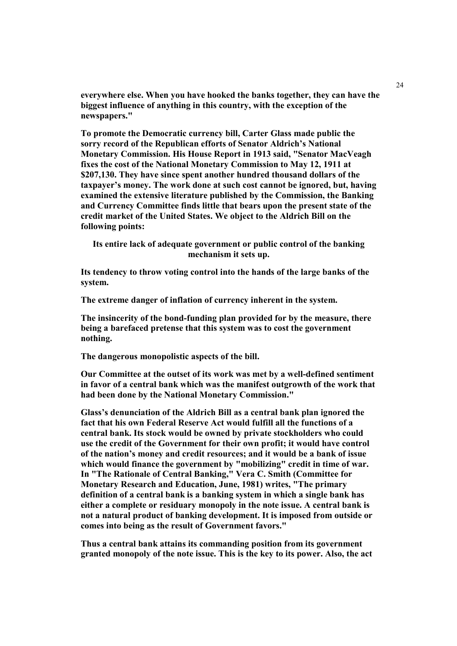everywhere else. When you have hooked the banks together, they can have the biggest influence of anything in this country, with the exception of the newspapers."

To promote the Democratic currency bill, Carter Glass made public the sorry record of the Republican efforts of Senator Aldrich's National Monetary Commission. His House Report in 1913 said, "Senator MacVeagh fixes the cost of the National Monetary Commission to May 12, 1911 at \$207,130. They have since spent another hundred thousand dollars of the taxpayer's money. The work done at such cost cannot be ignored, but, having examined the extensive literature published by the Commission, the Banking and Currency Committee finds little that bears upon the present state of the credit market of the United States. We object to the Aldrich Bill on the following points:

Its entire lack of adequate government or public control of the banking mechanism it sets up.

Its tendency to throw voting control into the hands of the large banks of the system.

The extreme danger of inflation of currency inherent in the system.

The insincerity of the bond-funding plan provided for by the measure, there being a barefaced pretense that this system was to cost the government nothing.

The dangerous monopolistic aspects of the bill.

Our Committee at the outset of its work was met by a well-defined sentiment in favor of a central bank which was the manifest outgrowth of the work that had been done by the National Monetary Commission."

Glass's denunciation of the Aldrich Bill as a central bank plan ignored the fact that his own Federal Reserve Act would fulfill all the functions of a central bank. Its stock would be owned by private stockholders who could use the credit of the Government for their own profit; it would have control of the nation's money and credit resources; and it would be a bank of issue which would finance the government by "mobilizing" credit in time of war. In "The Rationale of Central Banking," Vera C. Smith (Committee for Monetary Research and Education, June, 1981) writes, "The primary definition of a central bank is a banking system in which a single bank has either a complete or residuary monopoly in the note issue. A central bank is not a natural product of banking development. It is imposed from outside or comes into being as the result of Government favors."

Thus a central bank attains its commanding position from its government granted monopoly of the note issue. This is the key to its power. Also, the act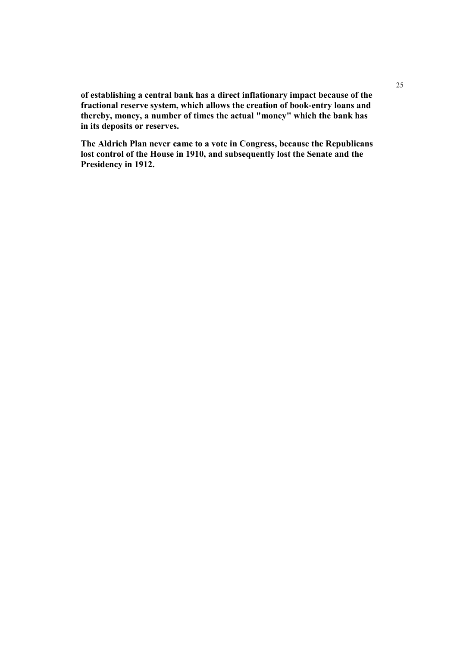of establishing a central bank has a direct inflationary impact because of the fractional reserve system, which allows the creation of book-entry loans and thereby, money, a number of times the actual "money" which the bank has in its deposits or reserves.

The Aldrich Plan never came to a vote in Congress, because the Republicans lost control of the House in 1910, and subsequently lost the Senate and the Presidency in 1912.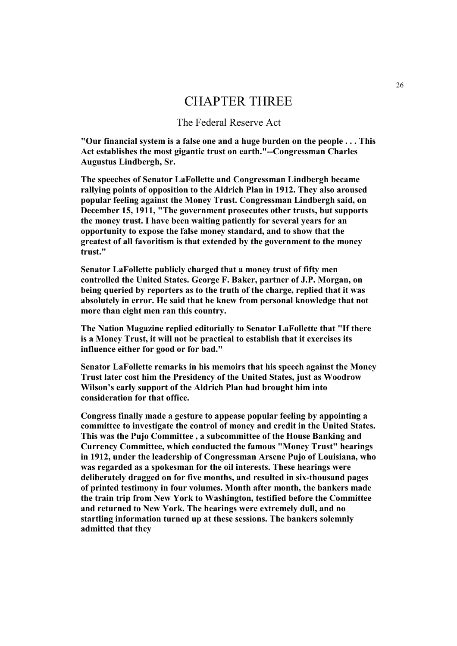## CHAPTER THREE

#### The Federal Reserve Act

"Our financial system is a false one and a huge burden on the people . . . This Act establishes the most gigantic trust on earth."--Congressman Charles Augustus Lindbergh, Sr.

The speeches of Senator LaFollette and Congressman Lindbergh became rallying points of opposition to the Aldrich Plan in 1912. They also aroused popular feeling against the Money Trust. Congressman Lindbergh said, on December 15, 1911, "The government prosecutes other trusts, but supports the money trust. I have been waiting patiently for several years for an opportunity to expose the false money standard, and to show that the greatest of all favoritism is that extended by the government to the money trust."

Senator LaFollette publicly charged that a money trust of fifty men controlled the United States. George F. Baker, partner of J.P. Morgan, on being queried by reporters as to the truth of the charge, replied that it was absolutely in error. He said that he knew from personal knowledge that not more than eight men ran this country.

The Nation Magazine replied editorially to Senator LaFollette that "If there is a Money Trust, it will not be practical to establish that it exercises its influence either for good or for bad."

Senator LaFollette remarks in his memoirs that his speech against the Money Trust later cost him the Presidency of the United States, just as Woodrow Wilson's early support of the Aldrich Plan had brought him into consideration for that office.

Congress finally made a gesture to appease popular feeling by appointing a committee to investigate the control of money and credit in the United States. This was the Pujo Committee , a subcommittee of the House Banking and Currency Committee, which conducted the famous "Money Trust" hearings in 1912, under the leadership of Congressman Arsene Pujo of Louisiana, who was regarded as a spokesman for the oil interests. These hearings were deliberately dragged on for five months, and resulted in six-thousand pages of printed testimony in four volumes. Month after month, the bankers made the train trip from New York to Washington, testified before the Committee and returned to New York. The hearings were extremely dull, and no startling information turned up at these sessions. The bankers solemnly admitted that they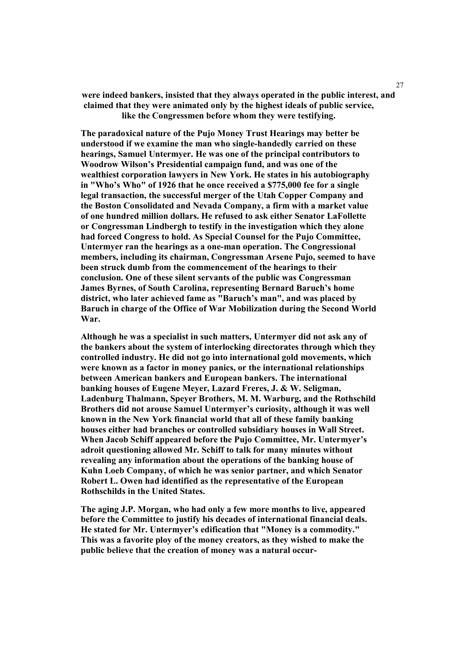were indeed bankers, insisted that they always operated in the public interest, and claimed that they were animated only by the highest ideals of public service, like the Congressmen before whom they were testifying.

The paradoxical nature of the Pujo Money Trust Hearings may better be understood if we examine the man who single-handedly carried on these hearings, Samuel Untermyer. He was one of the principal contributors to Woodrow Wilson's Presidential campaign fund, and was one of the wealthiest corporation lawyers in New York. He states in his autobiography in "Who's Who" of 1926 that he once received a \$775,000 fee for a single legal transaction, the successful merger of the Utah Copper Company and the Boston Consolidated and Nevada Company, a firm with a market value of one hundred million dollars. He refused to ask either Senator LaFollette or Congressman Lindbergh to testify in the investigation which they alone had forced Congress to hold. As Special Counsel for the Pujo Committee, Untermyer ran the hearings as a one-man operation. The Congressional members, including its chairman, Congressman Arsene Pujo, seemed to have been struck dumb from the commencement of the hearings to their conclusion. One of these silent servants of the public was Congressman James Byrnes, of South Carolina, representing Bernard Baruch's home district, who later achieved fame as "Baruch's man", and was placed by Baruch in charge of the Office of War Mobilization during the Second World War.

Although he was a specialist in such matters, Untermyer did not ask any of the bankers about the system of interlocking directorates through which they controlled industry. He did not go into international gold movements, which were known as a factor in money panics, or the international relationships between American bankers and European bankers. The international banking houses of Eugene Meyer, Lazard Freres, J. & W. Seligman, Ladenburg Thalmann, Speyer Brothers, M. M. Warburg, and the Rothschild Brothers did not arouse Samuel Untermyer's curiosity, although it was well known in the New York financial world that all of these family banking houses either had branches or controlled subsidiary houses in Wall Street. When Jacob Schiff appeared before the Pujo Committee, Mr. Untermyer's adroit questioning allowed Mr. Schiff to talk for many minutes without revealing any information about the operations of the banking house of Kuhn Loeb Company, of which he was senior partner, and which Senator Robert L. Owen had identified as the representative of the European Rothschilds in the United States.

The aging J.P. Morgan, who had only a few more months to live, appeared before the Committee to justify his decades of international financial deals. He stated for Mr. Untermyer's edification that "Money is a commodity." This was a favorite ploy of the money creators, as they wished to make the public believe that the creation of money was a natural occur-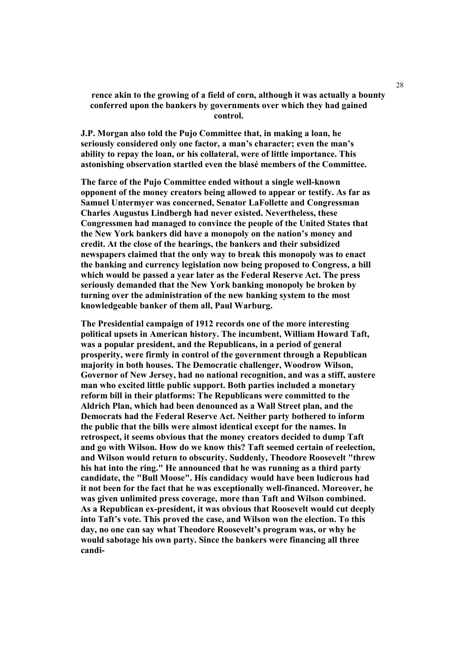rence akin to the growing of a field of corn, although it was actually a bounty conferred upon the bankers by governments over which they had gained control.

J.P. Morgan also told the Pujo Committee that, in making a loan, he seriously considered only one factor, a man's character; even the man's ability to repay the loan, or his collateral, were of little importance. This astonishing observation startled even the blasé members of the Committee.

The farce of the Pujo Committee ended without a single well-known opponent of the money creators being allowed to appear or testify. As far as Samuel Untermyer was concerned, Senator LaFollette and Congressman Charles Augustus Lindbergh had never existed. Nevertheless, these Congressmen had managed to convince the people of the United States that the New York bankers did have a monopoly on the nation's money and credit. At the close of the hearings, the bankers and their subsidized newspapers claimed that the only way to break this monopoly was to enact the banking and currency legislation now being proposed to Congress, a bill which would be passed a year later as the Federal Reserve Act. The press seriously demanded that the New York banking monopoly be broken by turning over the administration of the new banking system to the most knowledgeable banker of them all, Paul Warburg.

The Presidential campaign of 1912 records one of the more interesting political upsets in American history. The incumbent, William Howard Taft, was a popular president, and the Republicans, in a period of general prosperity, were firmly in control of the government through a Republican majority in both houses. The Democratic challenger, Woodrow Wilson, Governor of New Jersey, had no national recognition, and was a stiff, austere man who excited little public support. Both parties included a monetary reform bill in their platforms: The Republicans were committed to the Aldrich Plan, which had been denounced as a Wall Street plan, and the Democrats had the Federal Reserve Act. Neither party bothered to inform the public that the bills were almost identical except for the names. In retrospect, it seems obvious that the money creators decided to dump Taft and go with Wilson. How do we know this? Taft seemed certain of reelection, and Wilson would return to obscurity. Suddenly, Theodore Roosevelt "threw his hat into the ring." He announced that he was running as a third party candidate, the "Bull Moose". His candidacy would have been ludicrous had it not been for the fact that he was exceptionally well-financed. Moreover, he was given unlimited press coverage, more than Taft and Wilson combined. As a Republican ex-president, it was obvious that Roosevelt would cut deeply into Taft's vote. This proved the case, and Wilson won the election. To this day, no one can say what Theodore Roosevelt's program was, or why he would sabotage his own party. Since the bankers were financing all three candi-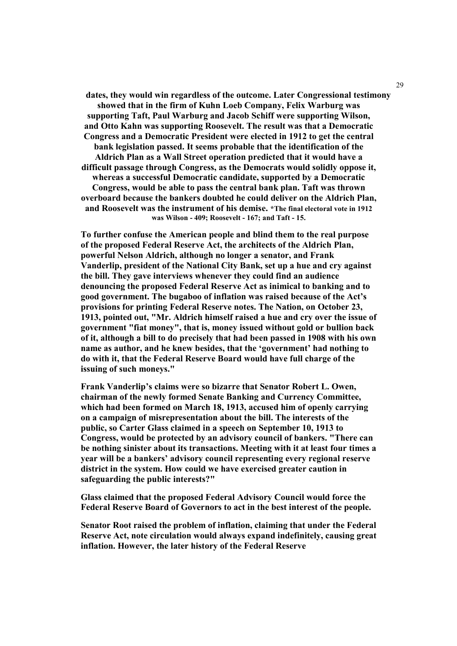dates, they would win regardless of the outcome. Later Congressional testimony showed that in the firm of Kuhn Loeb Company, Felix Warburg was supporting Taft, Paul Warburg and Jacob Schiff were supporting Wilson, and Otto Kahn was supporting Roosevelt. The result was that a Democratic Congress and a Democratic President were elected in 1912 to get the central bank legislation passed. It seems probable that the identification of the Aldrich Plan as a Wall Street operation predicted that it would have a difficult passage through Congress, as the Democrats would solidly oppose it, whereas a successful Democratic candidate, supported by a Democratic Congress, would be able to pass the central bank plan. Taft was thrown overboard because the bankers doubted he could deliver on the Aldrich Plan, and Roosevelt was the instrument of his demise. \*The final electoral vote in 1912 was Wilson - 409; Roosevelt - 167; and Taft - 15.

To further confuse the American people and blind them to the real purpose of the proposed Federal Reserve Act, the architects of the Aldrich Plan, powerful Nelson Aldrich, although no longer a senator, and Frank Vanderlip, president of the National City Bank, set up a hue and cry against the bill. They gave interviews whenever they could find an audience denouncing the proposed Federal Reserve Act as inimical to banking and to good government. The bugaboo of inflation was raised because of the Act's provisions for printing Federal Reserve notes. The Nation, on October 23, 1913, pointed out, "Mr. Aldrich himself raised a hue and cry over the issue of government "fiat money", that is, money issued without gold or bullion back of it, although a bill to do precisely that had been passed in 1908 with his own name as author, and he knew besides, that the 'government' had nothing to do with it, that the Federal Reserve Board would have full charge of the issuing of such moneys."

Frank Vanderlip's claims were so bizarre that Senator Robert L. Owen, chairman of the newly formed Senate Banking and Currency Committee, which had been formed on March 18, 1913, accused him of openly carrying on a campaign of misrepresentation about the bill. The interests of the public, so Carter Glass claimed in a speech on September 10, 1913 to Congress, would be protected by an advisory council of bankers. "There can be nothing sinister about its transactions. Meeting with it at least four times a year will be a bankers' advisory council representing every regional reserve district in the system. How could we have exercised greater caution in safeguarding the public interests?"

Glass claimed that the proposed Federal Advisory Council would force the Federal Reserve Board of Governors to act in the best interest of the people.

Senator Root raised the problem of inflation, claiming that under the Federal Reserve Act, note circulation would always expand indefinitely, causing great inflation. However, the later history of the Federal Reserve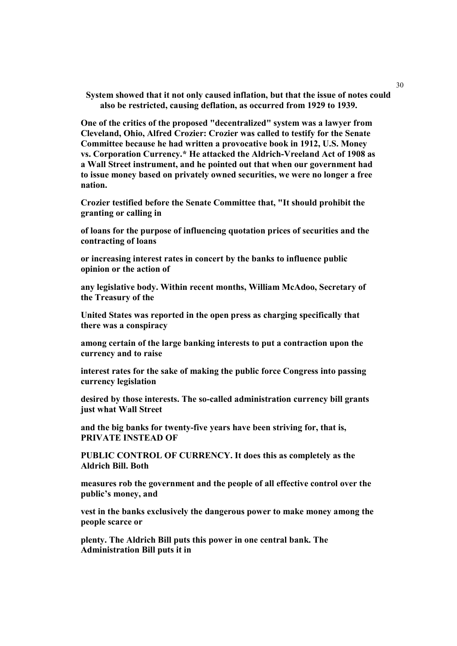System showed that it not only caused inflation, but that the issue of notes could also be restricted, causing deflation, as occurred from 1929 to 1939.

One of the critics of the proposed "decentralized" system was a lawyer from Cleveland, Ohio, Alfred Crozier: Crozier was called to testify for the Senate Committee because he had written a provocative book in 1912, U.S. Money vs. Corporation Currency.\* He attacked the Aldrich-Vreeland Act of 1908 as a Wall Street instrument, and he pointed out that when our government had to issue money based on privately owned securities, we were no longer a free nation.

Crozier testified before the Senate Committee that, "It should prohibit the granting or calling in

of loans for the purpose of influencing quotation prices of securities and the contracting of loans

or increasing interest rates in concert by the banks to influence public opinion or the action of

any legislative body. Within recent months, William McAdoo, Secretary of the Treasury of the

United States was reported in the open press as charging specifically that there was a conspiracy

among certain of the large banking interests to put a contraction upon the currency and to raise

interest rates for the sake of making the public force Congress into passing currency legislation

desired by those interests. The so-called administration currency bill grants just what Wall Street

and the big banks for twenty-five years have been striving for, that is, PRIVATE INSTEAD OF

PUBLIC CONTROL OF CURRENCY. It does this as completely as the Aldrich Bill. Both

measures rob the government and the people of all effective control over the public's money, and

vest in the banks exclusively the dangerous power to make money among the people scarce or

plenty. The Aldrich Bill puts this power in one central bank. The Administration Bill puts it in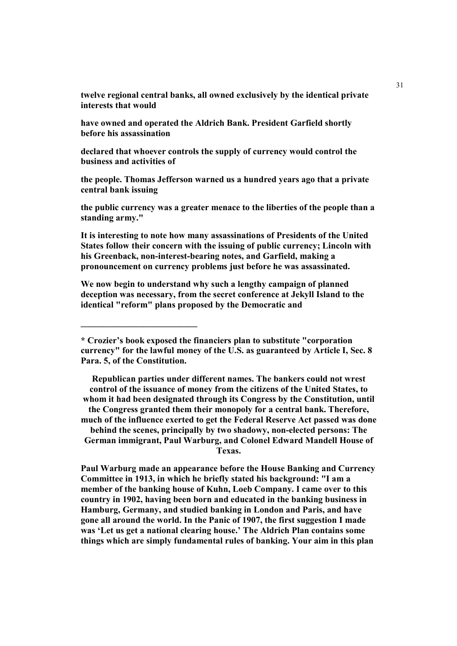twelve regional central banks, all owned exclusively by the identical private interests that would

have owned and operated the Aldrich Bank. President Garfield shortly before his assassination

declared that whoever controls the supply of currency would control the business and activities of

the people. Thomas Jefferson warned us a hundred years ago that a private central bank issuing

the public currency was a greater menace to the liberties of the people than a standing army."

It is interesting to note how many assassinations of Presidents of the United States follow their concern with the issuing of public currency; Lincoln with his Greenback, non-interest-bearing notes, and Garfield, making a pronouncement on currency problems just before he was assassinated.

We now begin to understand why such a lengthy campaign of planned deception was necessary, from the secret conference at Jekyll Island to the identical "reform" plans proposed by the Democratic and

\_\_\_\_\_\_\_\_\_\_\_\_\_\_\_\_\_\_\_\_\_\_\_\_\_\_

Republican parties under different names. The bankers could not wrest control of the issuance of money from the citizens of the United States, to whom it had been designated through its Congress by the Constitution, until the Congress granted them their monopoly for a central bank. Therefore, much of the influence exerted to get the Federal Reserve Act passed was done behind the scenes, principally by two shadowy, non-elected persons: The German immigrant, Paul Warburg, and Colonel Edward Mandell House of Texas.

Paul Warburg made an appearance before the House Banking and Currency Committee in 1913, in which he briefly stated his background: "I am a member of the banking house of Kuhn, Loeb Company. I came over to this country in 1902, having been born and educated in the banking business in Hamburg, Germany, and studied banking in London and Paris, and have gone all around the world. In the Panic of 1907, the first suggestion I made was 'Let us get a national clearing house.' The Aldrich Plan contains some things which are simply fundamental rules of banking. Your aim in this plan

<sup>\*</sup> Crozier's book exposed the financiers plan to substitute "corporation currency" for the lawful money of the U.S. as guaranteed by Article I, Sec. 8 Para. 5, of the Constitution.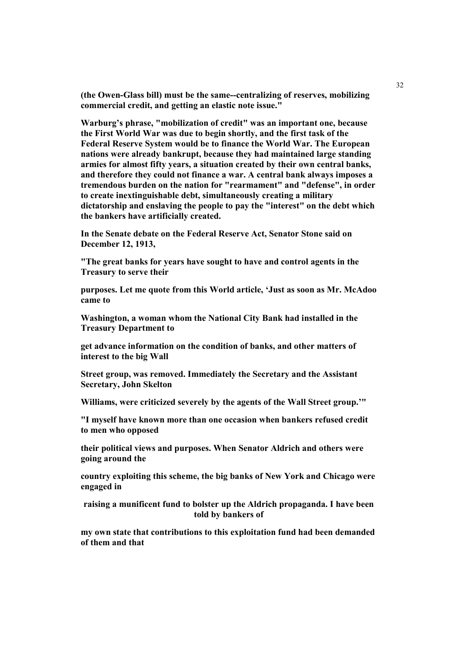(the Owen-Glass bill) must be the same--centralizing of reserves, mobilizing commercial credit, and getting an elastic note issue."

Warburg's phrase, "mobilization of credit" was an important one, because the First World War was due to begin shortly, and the first task of the Federal Reserve System would be to finance the World War. The European nations were already bankrupt, because they had maintained large standing armies for almost fifty years, a situation created by their own central banks, and therefore they could not finance a war. A central bank always imposes a tremendous burden on the nation for "rearmament" and "defense", in order to create inextinguishable debt, simultaneously creating a military dictatorship and enslaving the people to pay the "interest" on the debt which the bankers have artificially created.

In the Senate debate on the Federal Reserve Act, Senator Stone said on December 12, 1913,

"The great banks for years have sought to have and control agents in the Treasury to serve their

purposes. Let me quote from this World article, 'Just as soon as Mr. McAdoo came to

Washington, a woman whom the National City Bank had installed in the Treasury Department to

get advance information on the condition of banks, and other matters of interest to the big Wall

Street group, was removed. Immediately the Secretary and the Assistant Secretary, John Skelton

Williams, were criticized severely by the agents of the Wall Street group.'"

"I myself have known more than one occasion when bankers refused credit to men who opposed

their political views and purposes. When Senator Aldrich and others were going around the

country exploiting this scheme, the big banks of New York and Chicago were engaged in

raising a munificent fund to bolster up the Aldrich propaganda. I have been told by bankers of

my own state that contributions to this exploitation fund had been demanded of them and that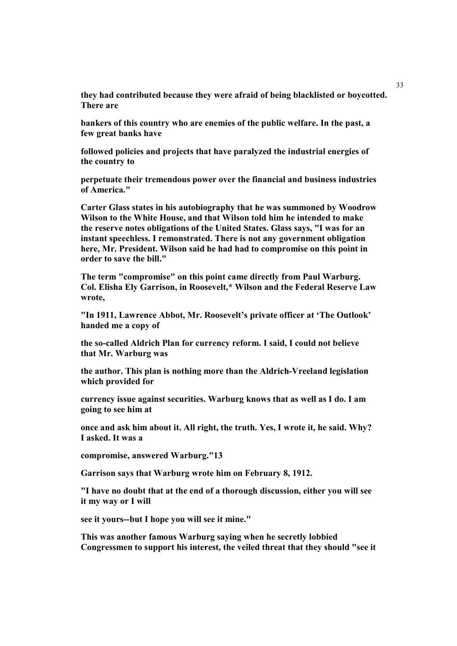they had contributed because they were afraid of being blacklisted or boycotted. There are

bankers of this country who are enemies of the public welfare. In the past, a few great banks have

followed policies and projects that have paralyzed the industrial energies of the country to

perpetuate their tremendous power over the financial and business industries of America."

Carter Glass states in his autobiography that he was summoned by Woodrow Wilson to the White House, and that Wilson told him he intended to make the reserve notes obligations of the United States. Glass says, "I was for an instant speechless. I remonstrated. There is not any government obligation here, Mr. President. Wilson said he had had to compromise on this point in order to save the bill."

The term "compromise" on this point came directly from Paul Warburg. Col. Elisha Ely Garrison, in Roosevelt,\* Wilson and the Federal Reserve Law wrote,

"In 1911, Lawrence Abbot, Mr. Roosevelt's private officer at 'The Outlook' handed me a copy of

the so-called Aldrich Plan for currency reform. I said, I could not believe that Mr. Warburg was

the author. This plan is nothing more than the Aldrich-Vreeland legislation which provided for

currency issue against securities. Warburg knows that as well as I do. I am going to see him at

once and ask him about it. All right, the truth. Yes, I wrote it, he said. Why? I asked. It was a

compromise, answered Warburg."13

Garrison says that Warburg wrote him on February 8, 1912.

"I have no doubt that at the end of a thorough discussion, either you will see it my way or I will

see it yours--but I hope you will see it mine."

This was another famous Warburg saying when he secretly lobbied Congressmen to support his interest, the veiled threat that they should "see it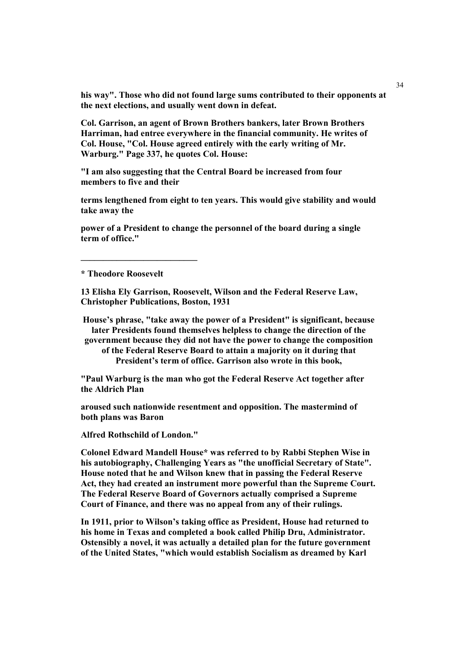his way". Those who did not found large sums contributed to their opponents at the next elections, and usually went down in defeat.

Col. Garrison, an agent of Brown Brothers bankers, later Brown Brothers Harriman, had entree everywhere in the financial community. He writes of Col. House, "Col. House agreed entirely with the early writing of Mr. Warburg." Page 337, he quotes Col. House:

"I am also suggesting that the Central Board be increased from four members to five and their

terms lengthened from eight to ten years. This would give stability and would take away the

power of a President to change the personnel of the board during a single term of office."

#### \* Theodore Roosevelt

\_\_\_\_\_\_\_\_\_\_\_\_\_\_\_\_\_\_\_\_\_\_\_\_\_\_

13 Elisha Ely Garrison, Roosevelt, Wilson and the Federal Reserve Law, Christopher Publications, Boston, 1931

House's phrase, "take away the power of a President" is significant, because later Presidents found themselves helpless to change the direction of the government because they did not have the power to change the composition

of the Federal Reserve Board to attain a majority on it during that President's term of office. Garrison also wrote in this book,

"Paul Warburg is the man who got the Federal Reserve Act together after the Aldrich Plan

aroused such nationwide resentment and opposition. The mastermind of both plans was Baron

Alfred Rothschild of London."

Colonel Edward Mandell House\* was referred to by Rabbi Stephen Wise in his autobiography, Challenging Years as "the unofficial Secretary of State". House noted that he and Wilson knew that in passing the Federal Reserve Act, they had created an instrument more powerful than the Supreme Court. The Federal Reserve Board of Governors actually comprised a Supreme Court of Finance, and there was no appeal from any of their rulings.

In 1911, prior to Wilson's taking office as President, House had returned to his home in Texas and completed a book called Philip Dru, Administrator. Ostensibly a novel, it was actually a detailed plan for the future government of the United States, "which would establish Socialism as dreamed by Karl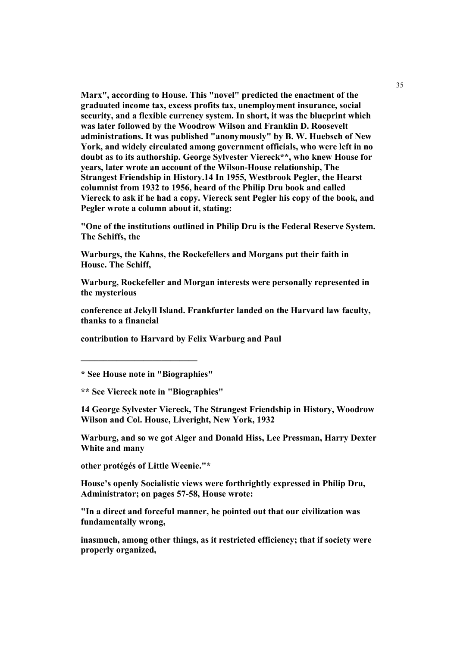Marx", according to House. This "novel" predicted the enactment of the graduated income tax, excess profits tax, unemployment insurance, social security, and a flexible currency system. In short, it was the blueprint which was later followed by the Woodrow Wilson and Franklin D. Roosevelt administrations. It was published "anonymously" by B. W. Huebsch of New York, and widely circulated among government officials, who were left in no doubt as to its authorship. George Sylvester Viereck\*\*, who knew House for years, later wrote an account of the Wilson-House relationship, The Strangest Friendship in History.14 In 1955, Westbrook Pegler, the Hearst columnist from 1932 to 1956, heard of the Philip Dru book and called Viereck to ask if he had a copy. Viereck sent Pegler his copy of the book, and Pegler wrote a column about it, stating:

"One of the institutions outlined in Philip Dru is the Federal Reserve System. The Schiffs, the

Warburgs, the Kahns, the Rockefellers and Morgans put their faith in House. The Schiff,

Warburg, Rockefeller and Morgan interests were personally represented in the mysterious

conference at Jekyll Island. Frankfurter landed on the Harvard law faculty, thanks to a financial

contribution to Harvard by Felix Warburg and Paul

\_\_\_\_\_\_\_\_\_\_\_\_\_\_\_\_\_\_\_\_\_\_\_\_\_\_

\*\* See Viereck note in "Biographies"

14 George Sylvester Viereck, The Strangest Friendship in History, Woodrow Wilson and Col. House, Liveright, New York, 1932

Warburg, and so we got Alger and Donald Hiss, Lee Pressman, Harry Dexter White and many

other protégés of Little Weenie."\*

House's openly Socialistic views were forthrightly expressed in Philip Dru, Administrator; on pages 57-58, House wrote:

"In a direct and forceful manner, he pointed out that our civilization was fundamentally wrong,

inasmuch, among other things, as it restricted efficiency; that if society were properly organized,

<sup>\*</sup> See House note in "Biographies"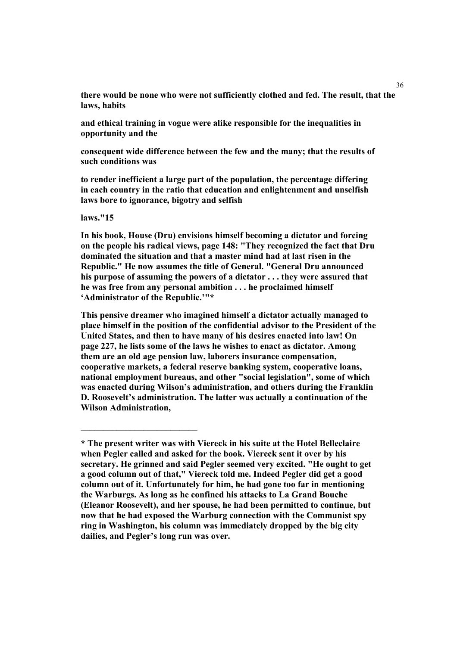there would be none who were not sufficiently clothed and fed. The result, that the laws, habits

and ethical training in vogue were alike responsible for the inequalities in opportunity and the

consequent wide difference between the few and the many; that the results of such conditions was

to render inefficient a large part of the population, the percentage differing in each country in the ratio that education and enlightenment and unselfish laws bore to ignorance, bigotry and selfish

laws."15

\_\_\_\_\_\_\_\_\_\_\_\_\_\_\_\_\_\_\_\_\_\_\_\_\_\_

In his book, House (Dru) envisions himself becoming a dictator and forcing on the people his radical views, page 148: "They recognized the fact that Dru dominated the situation and that a master mind had at last risen in the Republic." He now assumes the title of General. "General Dru announced his purpose of assuming the powers of a dictator . . . they were assured that he was free from any personal ambition . . . he proclaimed himself 'Administrator of the Republic.'"\*

This pensive dreamer who imagined himself a dictator actually managed to place himself in the position of the confidential advisor to the President of the United States, and then to have many of his desires enacted into law! On page 227, he lists some of the laws he wishes to enact as dictator. Among them are an old age pension law, laborers insurance compensation, cooperative markets, a federal reserve banking system, cooperative loans, national employment bureaus, and other "social legislation", some of which was enacted during Wilson's administration, and others during the Franklin D. Roosevelt's administration. The latter was actually a continuation of the Wilson Administration,

<sup>\*</sup> The present writer was with Viereck in his suite at the Hotel Belleclaire when Pegler called and asked for the book. Viereck sent it over by his secretary. He grinned and said Pegler seemed very excited. "He ought to get a good column out of that," Viereck told me. Indeed Pegler did get a good column out of it. Unfortunately for him, he had gone too far in mentioning the Warburgs. As long as he confined his attacks to La Grand Bouche (Eleanor Roosevelt), and her spouse, he had been permitted to continue, but now that he had exposed the Warburg connection with the Communist spy ring in Washington, his column was immediately dropped by the big city dailies, and Pegler's long run was over.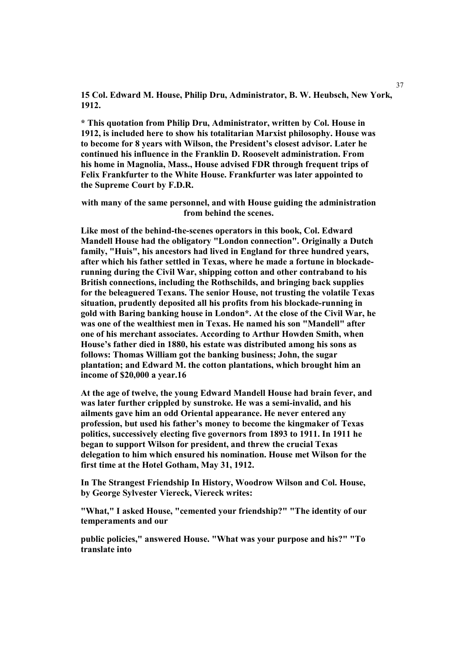15 Col. Edward M. House, Philip Dru, Administrator, B. W. Heubsch, New York, 1912.

\* This quotation from Philip Dru, Administrator, written by Col. House in 1912, is included here to show his totalitarian Marxist philosophy. House was to become for 8 years with Wilson, the President's closest advisor. Later he continued his influence in the Franklin D. Roosevelt administration. From his home in Magnolia, Mass., House advised FDR through frequent trips of Felix Frankfurter to the White House. Frankfurter was later appointed to the Supreme Court by F.D.R.

with many of the same personnel, and with House guiding the administration from behind the scenes.

Like most of the behind-the-scenes operators in this book, Col. Edward Mandell House had the obligatory "London connection". Originally a Dutch family, "Huis", his ancestors had lived in England for three hundred years, after which his father settled in Texas, where he made a fortune in blockaderunning during the Civil War, shipping cotton and other contraband to his British connections, including the Rothschilds, and bringing back supplies for the beleaguered Texans. The senior House, not trusting the volatile Texas situation, prudently deposited all his profits from his blockade-running in gold with Baring banking house in London\*. At the close of the Civil War, he was one of the wealthiest men in Texas. He named his son "Mandell" after one of his merchant associates. According to Arthur Howden Smith, when House's father died in 1880, his estate was distributed among his sons as follows: Thomas William got the banking business; John, the sugar plantation; and Edward M. the cotton plantations, which brought him an income of \$20,000 a year.16

At the age of twelve, the young Edward Mandell House had brain fever, and was later further crippled by sunstroke. He was a semi-invalid, and his ailments gave him an odd Oriental appearance. He never entered any profession, but used his father's money to become the kingmaker of Texas politics, successively electing five governors from 1893 to 1911. In 1911 he began to support Wilson for president, and threw the crucial Texas delegation to him which ensured his nomination. House met Wilson for the first time at the Hotel Gotham, May 31, 1912.

In The Strangest Friendship In History, Woodrow Wilson and Col. House, by George Sylvester Viereck, Viereck writes:

"What," I asked House, "cemented your friendship?" "The identity of our temperaments and our

public policies," answered House. "What was your purpose and his?" "To translate into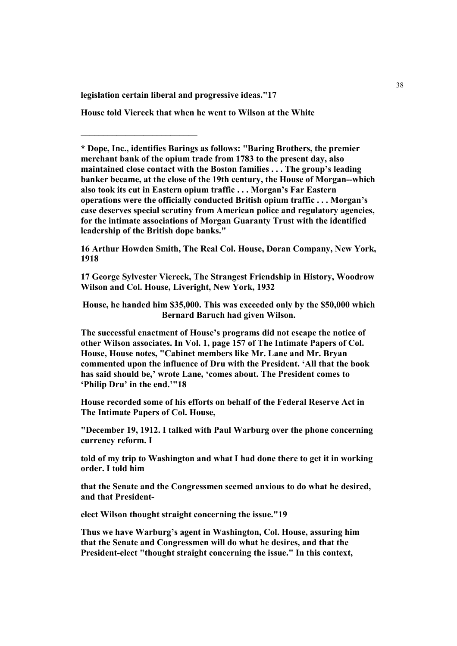legislation certain liberal and progressive ideas."17

\_\_\_\_\_\_\_\_\_\_\_\_\_\_\_\_\_\_\_\_\_\_\_\_\_\_

House told Viereck that when he went to Wilson at the White

\* Dope, Inc., identifies Barings as follows: "Baring Brothers, the premier merchant bank of the opium trade from 1783 to the present day, also maintained close contact with the Boston families . . . The group's leading banker became, at the close of the 19th century, the House of Morgan--which also took its cut in Eastern opium traffic . . . Morgan's Far Eastern operations were the officially conducted British opium traffic . . . Morgan's case deserves special scrutiny from American police and regulatory agencies, for the intimate associations of Morgan Guaranty Trust with the identified leadership of the British dope banks."

16 Arthur Howden Smith, The Real Col. House, Doran Company, New York, 1918

17 George Sylvester Viereck, The Strangest Friendship in History, Woodrow Wilson and Col. House, Liveright, New York, 1932

House, he handed him \$35,000. This was exceeded only by the \$50,000 which Bernard Baruch had given Wilson.

The successful enactment of House's programs did not escape the notice of other Wilson associates. In Vol. 1, page 157 of The Intimate Papers of Col. House, House notes, "Cabinet members like Mr. Lane and Mr. Bryan commented upon the influence of Dru with the President. 'All that the book has said should be,' wrote Lane, 'comes about. The President comes to 'Philip Dru' in the end.'"18

House recorded some of his efforts on behalf of the Federal Reserve Act in The Intimate Papers of Col. House,

"December 19, 1912. I talked with Paul Warburg over the phone concerning currency reform. I

told of my trip to Washington and what I had done there to get it in working order. I told him

that the Senate and the Congressmen seemed anxious to do what he desired, and that President-

elect Wilson thought straight concerning the issue."19

Thus we have Warburg's agent in Washington, Col. House, assuring him that the Senate and Congressmen will do what he desires, and that the President-elect "thought straight concerning the issue." In this context,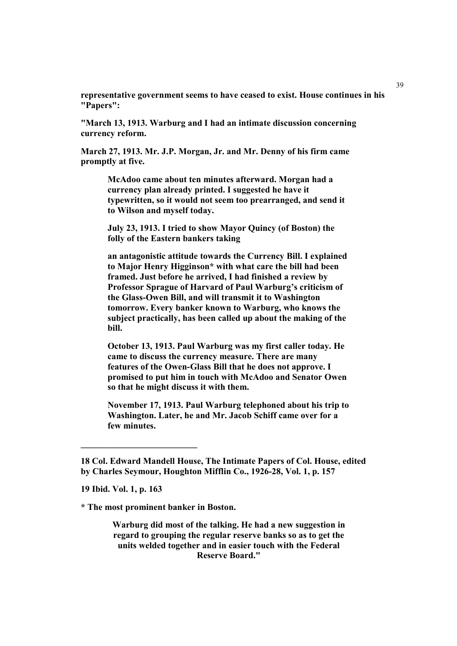representative government seems to have ceased to exist. House continues in his "Papers":

"March 13, 1913. Warburg and I had an intimate discussion concerning currency reform.

March 27, 1913. Mr. J.P. Morgan, Jr. and Mr. Denny of his firm came promptly at five.

McAdoo came about ten minutes afterward. Morgan had a currency plan already printed. I suggested he have it typewritten, so it would not seem too prearranged, and send it to Wilson and myself today.

July 23, 1913. I tried to show Mayor Quincy (of Boston) the folly of the Eastern bankers taking

an antagonistic attitude towards the Currency Bill. I explained to Major Henry Higginson\* with what care the bill had been framed. Just before he arrived, I had finished a review by Professor Sprague of Harvard of Paul Warburg's criticism of the Glass-Owen Bill, and will transmit it to Washington tomorrow. Every banker known to Warburg, who knows the subject practically, has been called up about the making of the bill.

October 13, 1913. Paul Warburg was my first caller today. He came to discuss the currency measure. There are many features of the Owen-Glass Bill that he does not approve. I promised to put him in touch with McAdoo and Senator Owen so that he might discuss it with them.

November 17, 1913. Paul Warburg telephoned about his trip to Washington. Later, he and Mr. Jacob Schiff came over for a few minutes.

\_\_\_\_\_\_\_\_\_\_\_\_\_\_\_\_\_\_\_\_\_\_\_\_\_\_

Warburg did most of the talking. He had a new suggestion in regard to grouping the regular reserve banks so as to get the units welded together and in easier touch with the Federal Reserve Board."

<sup>18</sup> Col. Edward Mandell House, The Intimate Papers of Col. House, edited by Charles Seymour, Houghton Mifflin Co., 1926-28, Vol. 1, p. 157

<sup>19</sup> Ibid. Vol. 1, p. 163

<sup>\*</sup> The most prominent banker in Boston.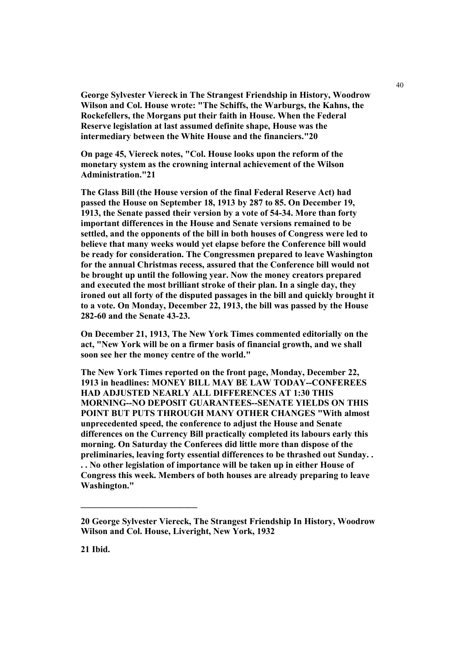George Sylvester Viereck in The Strangest Friendship in History, Woodrow Wilson and Col. House wrote: "The Schiffs, the Warburgs, the Kahns, the Rockefellers, the Morgans put their faith in House. When the Federal Reserve legislation at last assumed definite shape, House was the intermediary between the White House and the financiers."20

On page 45, Viereck notes, "Col. House looks upon the reform of the monetary system as the crowning internal achievement of the Wilson Administration."21

The Glass Bill (the House version of the final Federal Reserve Act) had passed the House on September 18, 1913 by 287 to 85. On December 19, 1913, the Senate passed their version by a vote of 54-34. More than forty important differences in the House and Senate versions remained to be settled, and the opponents of the bill in both houses of Congress were led to believe that many weeks would yet elapse before the Conference bill would be ready for consideration. The Congressmen prepared to leave Washington for the annual Christmas recess, assured that the Conference bill would not be brought up until the following year. Now the money creators prepared and executed the most brilliant stroke of their plan. In a single day, they ironed out all forty of the disputed passages in the bill and quickly brought it to a vote. On Monday, December 22, 1913, the bill was passed by the House 282-60 and the Senate 43-23.

On December 21, 1913, The New York Times commented editorially on the act, "New York will be on a firmer basis of financial growth, and we shall soon see her the money centre of the world."

The New York Times reported on the front page, Monday, December 22, 1913 in headlines: MONEY BILL MAY BE LAW TODAY--CONFEREES HAD ADJUSTED NEARLY ALL DIFFERENCES AT 1:30 THIS MORNING--NO DEPOSIT GUARANTEES--SENATE YIELDS ON THIS POINT BUT PUTS THROUGH MANY OTHER CHANGES "With almost unprecedented speed, the conference to adjust the House and Senate differences on the Currency Bill practically completed its labours early this morning. On Saturday the Conferees did little more than dispose of the preliminaries, leaving forty essential differences to be thrashed out Sunday. . . . No other legislation of importance will be taken up in either House of Congress this week. Members of both houses are already preparing to leave Washington."

\_\_\_\_\_\_\_\_\_\_\_\_\_\_\_\_\_\_\_\_\_\_\_\_\_\_

<sup>20</sup> George Sylvester Viereck, The Strangest Friendship In History, Woodrow Wilson and Col. House, Liveright, New York, 1932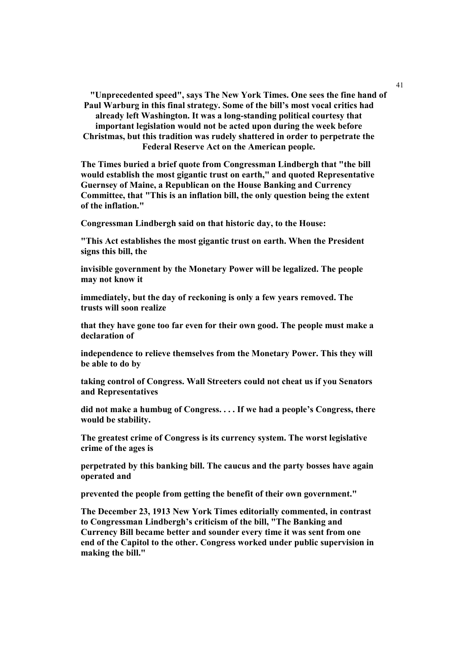"Unprecedented speed", says The New York Times. One sees the fine hand of Paul Warburg in this final strategy. Some of the bill's most vocal critics had already left Washington. It was a long-standing political courtesy that important legislation would not be acted upon during the week before Christmas, but this tradition was rudely shattered in order to perpetrate the Federal Reserve Act on the American people.

The Times buried a brief quote from Congressman Lindbergh that "the bill would establish the most gigantic trust on earth," and quoted Representative Guernsey of Maine, a Republican on the House Banking and Currency Committee, that "This is an inflation bill, the only question being the extent of the inflation."

Congressman Lindbergh said on that historic day, to the House:

"This Act establishes the most gigantic trust on earth. When the President signs this bill, the

invisible government by the Monetary Power will be legalized. The people may not know it

immediately, but the day of reckoning is only a few years removed. The trusts will soon realize

that they have gone too far even for their own good. The people must make a declaration of

independence to relieve themselves from the Monetary Power. This they will be able to do by

taking control of Congress. Wall Streeters could not cheat us if you Senators and Representatives

did not make a humbug of Congress. . . . If we had a people's Congress, there would be stability.

The greatest crime of Congress is its currency system. The worst legislative crime of the ages is

perpetrated by this banking bill. The caucus and the party bosses have again operated and

prevented the people from getting the benefit of their own government."

The December 23, 1913 New York Times editorially commented, in contrast to Congressman Lindbergh's criticism of the bill, "The Banking and Currency Bill became better and sounder every time it was sent from one end of the Capitol to the other. Congress worked under public supervision in making the bill."

41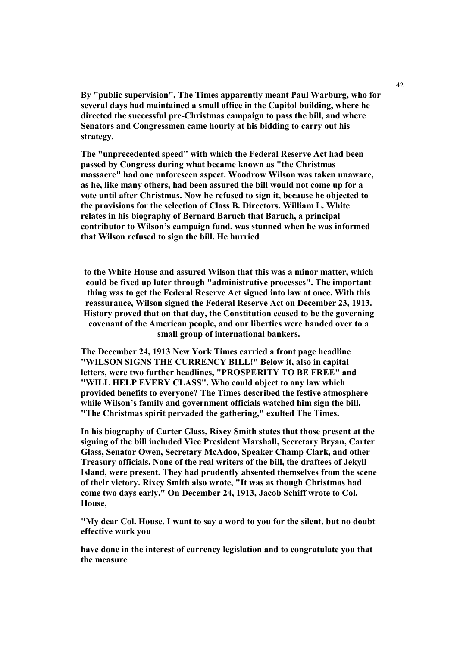By "public supervision", The Times apparently meant Paul Warburg, who for several days had maintained a small office in the Capitol building, where he directed the successful pre-Christmas campaign to pass the bill, and where Senators and Congressmen came hourly at his bidding to carry out his strategy.

The "unprecedented speed" with which the Federal Reserve Act had been passed by Congress during what became known as "the Christmas massacre" had one unforeseen aspect. Woodrow Wilson was taken unaware, as he, like many others, had been assured the bill would not come up for a vote until after Christmas. Now he refused to sign it, because he objected to the provisions for the selection of Class B. Directors. William L. White relates in his biography of Bernard Baruch that Baruch, a principal contributor to Wilson's campaign fund, was stunned when he was informed that Wilson refused to sign the bill. He hurried

to the White House and assured Wilson that this was a minor matter, which could be fixed up later through "administrative processes". The important thing was to get the Federal Reserve Act signed into law at once. With this reassurance, Wilson signed the Federal Reserve Act on December 23, 1913. History proved that on that day, the Constitution ceased to be the governing covenant of the American people, and our liberties were handed over to a small group of international bankers.

The December 24, 1913 New York Times carried a front page headline "WILSON SIGNS THE CURRENCY BILL!" Below it, also in capital letters, were two further headlines, "PROSPERITY TO BE FREE" and "WILL HELP EVERY CLASS". Who could object to any law which provided benefits to everyone? The Times described the festive atmosphere while Wilson's family and government officials watched him sign the bill. "The Christmas spirit pervaded the gathering," exulted The Times.

In his biography of Carter Glass, Rixey Smith states that those present at the signing of the bill included Vice President Marshall, Secretary Bryan, Carter Glass, Senator Owen, Secretary McAdoo, Speaker Champ Clark, and other Treasury officials. None of the real writers of the bill, the draftees of Jekyll Island, were present. They had prudently absented themselves from the scene of their victory. Rixey Smith also wrote, "It was as though Christmas had come two days early." On December 24, 1913, Jacob Schiff wrote to Col. House,

"My dear Col. House. I want to say a word to you for the silent, but no doubt effective work you

have done in the interest of currency legislation and to congratulate you that the measure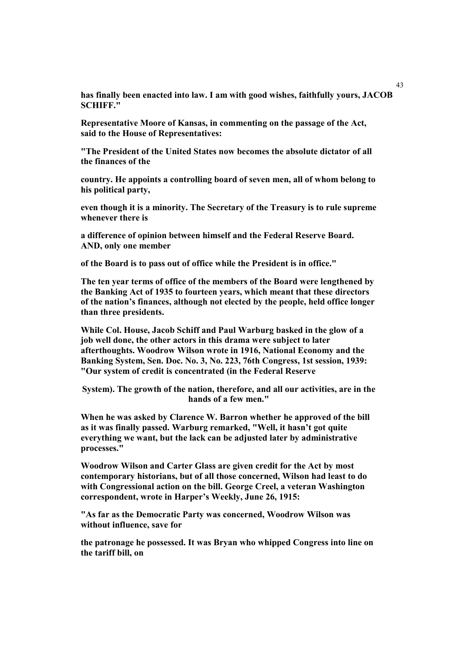has finally been enacted into law. I am with good wishes, faithfully yours, JACOB SCHIFF."

Representative Moore of Kansas, in commenting on the passage of the Act, said to the House of Representatives:

"The President of the United States now becomes the absolute dictator of all the finances of the

country. He appoints a controlling board of seven men, all of whom belong to his political party,

even though it is a minority. The Secretary of the Treasury is to rule supreme whenever there is

a difference of opinion between himself and the Federal Reserve Board. AND, only one member

of the Board is to pass out of office while the President is in office."

The ten year terms of office of the members of the Board were lengthened by the Banking Act of 1935 to fourteen years, which meant that these directors of the nation's finances, although not elected by the people, held office longer than three presidents.

While Col. House, Jacob Schiff and Paul Warburg basked in the glow of a job well done, the other actors in this drama were subject to later afterthoughts. Woodrow Wilson wrote in 1916, National Economy and the Banking System, Sen. Doc. No. 3, No. 223, 76th Congress, 1st session, 1939: "Our system of credit is concentrated (in the Federal Reserve

System). The growth of the nation, therefore, and all our activities, are in the hands of a few men."

When he was asked by Clarence W. Barron whether he approved of the bill as it was finally passed. Warburg remarked, "Well, it hasn't got quite everything we want, but the lack can be adjusted later by administrative processes."

Woodrow Wilson and Carter Glass are given credit for the Act by most contemporary historians, but of all those concerned, Wilson had least to do with Congressional action on the bill. George Creel, a veteran Washington correspondent, wrote in Harper's Weekly, June 26, 1915:

"As far as the Democratic Party was concerned, Woodrow Wilson was without influence, save for

the patronage he possessed. It was Bryan who whipped Congress into line on the tariff bill, on

43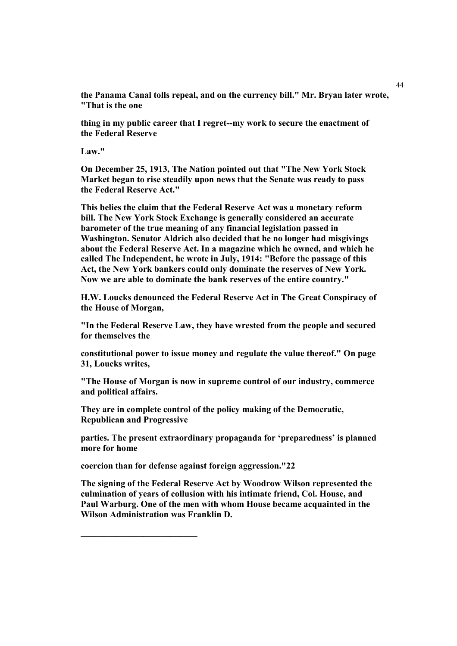the Panama Canal tolls repeal, and on the currency bill." Mr. Bryan later wrote, "That is the one

thing in my public career that I regret--my work to secure the enactment of the Federal Reserve

Law."

On December 25, 1913, The Nation pointed out that "The New York Stock Market began to rise steadily upon news that the Senate was ready to pass the Federal Reserve Act."

This belies the claim that the Federal Reserve Act was a monetary reform bill. The New York Stock Exchange is generally considered an accurate barometer of the true meaning of any financial legislation passed in Washington. Senator Aldrich also decided that he no longer had misgivings about the Federal Reserve Act. In a magazine which he owned, and which he called The Independent, he wrote in July, 1914: "Before the passage of this Act, the New York bankers could only dominate the reserves of New York. Now we are able to dominate the bank reserves of the entire country."

H.W. Loucks denounced the Federal Reserve Act in The Great Conspiracy of the House of Morgan,

"In the Federal Reserve Law, they have wrested from the people and secured for themselves the

constitutional power to issue money and regulate the value thereof." On page 31, Loucks writes,

"The House of Morgan is now in supreme control of our industry, commerce and political affairs.

They are in complete control of the policy making of the Democratic, Republican and Progressive

parties. The present extraordinary propaganda for 'preparedness' is planned more for home

coercion than for defense against foreign aggression."22

\_\_\_\_\_\_\_\_\_\_\_\_\_\_\_\_\_\_\_\_\_\_\_\_\_\_

The signing of the Federal Reserve Act by Woodrow Wilson represented the culmination of years of collusion with his intimate friend, Col. House, and Paul Warburg. One of the men with whom House became acquainted in the Wilson Administration was Franklin D.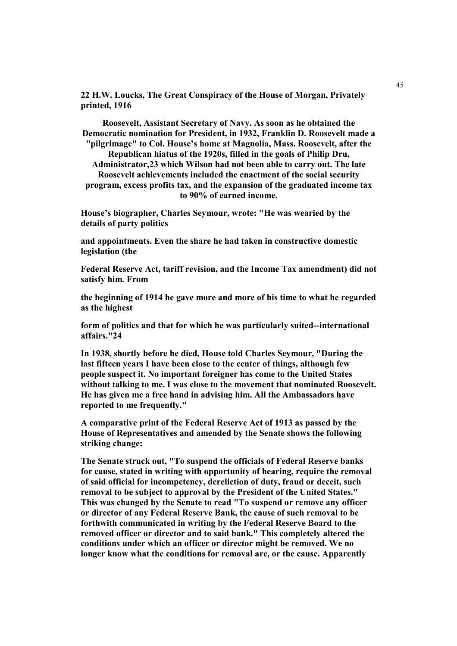22 H.W. Loucks, The Great Conspiracy of the House of Morgan, Privately printed, 1916

Roosevelt, Assistant Secretary of Navy. As soon as he obtained the Democratic nomination for President, in 1932, Franklin D. Roosevelt made a "pilgrimage" to Col. House's home at Magnolia, Mass. Roosevelt, after the Republican hiatus of the 1920s, filled in the goals of Philip Dru, Administrator,23 which Wilson had not been able to carry out. The late Roosevelt achievements included the enactment of the social security program, excess profits tax, and the expansion of the graduated income tax to 90% of earned income.

House's biographer, Charles Seymour, wrote: "He was wearied by the details of party politics

and appointments. Even the share he had taken in constructive domestic legislation (the

Federal Reserve Act, tariff revision, and the Income Tax amendment) did not satisfy him. From

the beginning of 1914 he gave more and more of his time to what he regarded as the highest

form of politics and that for which he was particularly suited--international affairs."24

In 1938, shortly before he died, House told Charles Seymour, "During the last fifteen years I have been close to the center of things, although few people suspect it. No important foreigner has come to the United States without talking to me. I was close to the movement that nominated Roosevelt. He has given me a free hand in advising him. All the Ambassadors have reported to me frequently."

A comparative print of the Federal Reserve Act of 1913 as passed by the House of Representatives and amended by the Senate shows the following striking change:

The Senate struck out, "To suspend the officials of Federal Reserve banks for cause, stated in writing with opportunity of hearing, require the removal of said official for incompetency, dereliction of duty, fraud or deceit, such removal to be subject to approval by the President of the United States." This was changed by the Senate to read "To suspend or remove any officer or director of any Federal Reserve Bank, the cause of such removal to be forthwith communicated in writing by the Federal Reserve Board to the removed officer or director and to said bank." This completely altered the conditions under which an officer or director might be removed. We no longer know what the conditions for removal are, or the cause. Apparently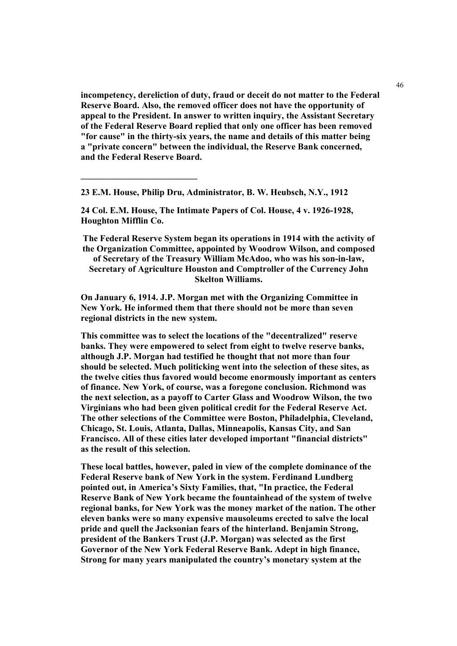incompetency, dereliction of duty, fraud or deceit do not matter to the Federal Reserve Board. Also, the removed officer does not have the opportunity of appeal to the President. In answer to written inquiry, the Assistant Secretary of the Federal Reserve Board replied that only one officer has been removed "for cause" in the thirty-six years, the name and details of this matter being a "private concern" between the individual, the Reserve Bank concerned, and the Federal Reserve Board.

23 E.M. House, Philip Dru, Administrator, B. W. Heubsch, N.Y., 1912

\_\_\_\_\_\_\_\_\_\_\_\_\_\_\_\_\_\_\_\_\_\_\_\_\_\_

24 Col. E.M. House, The Intimate Papers of Col. House, 4 v. 1926-1928, Houghton Mifflin Co.

The Federal Reserve System began its operations in 1914 with the activity of the Organization Committee, appointed by Woodrow Wilson, and composed of Secretary of the Treasury William McAdoo, who was his son-in-law, Secretary of Agriculture Houston and Comptroller of the Currency John Skelton Williams.

On January 6, 1914. J.P. Morgan met with the Organizing Committee in New York. He informed them that there should not be more than seven regional districts in the new system.

This committee was to select the locations of the "decentralized" reserve banks. They were empowered to select from eight to twelve reserve banks, although J.P. Morgan had testified he thought that not more than four should be selected. Much politicking went into the selection of these sites, as the twelve cities thus favored would become enormously important as centers of finance. New York, of course, was a foregone conclusion. Richmond was the next selection, as a payoff to Carter Glass and Woodrow Wilson, the two Virginians who had been given political credit for the Federal Reserve Act. The other selections of the Committee were Boston, Philadelphia, Cleveland, Chicago, St. Louis, Atlanta, Dallas, Minneapolis, Kansas City, and San Francisco. All of these cities later developed important "financial districts" as the result of this selection.

These local battles, however, paled in view of the complete dominance of the Federal Reserve bank of New York in the system. Ferdinand Lundberg pointed out, in America's Sixty Families, that, "In practice, the Federal Reserve Bank of New York became the fountainhead of the system of twelve regional banks, for New York was the money market of the nation. The other eleven banks were so many expensive mausoleums erected to salve the local pride and quell the Jacksonian fears of the hinterland. Benjamin Strong, president of the Bankers Trust (J.P. Morgan) was selected as the first Governor of the New York Federal Reserve Bank. Adept in high finance, Strong for many years manipulated the country's monetary system at the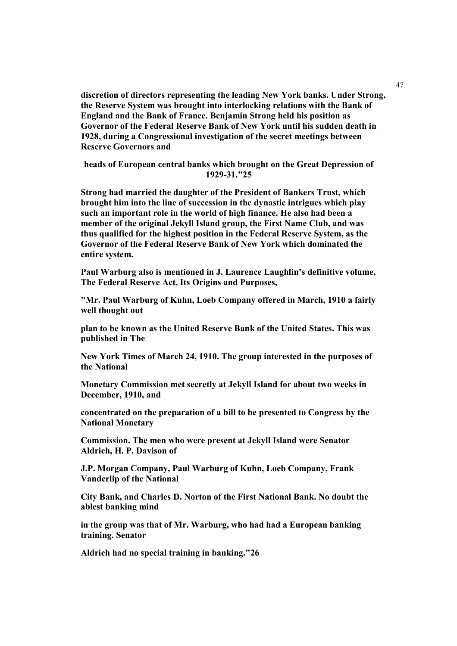discretion of directors representing the leading New York banks. Under Strong, the Reserve System was brought into interlocking relations with the Bank of England and the Bank of France. Benjamin Strong held his position as Governor of the Federal Reserve Bank of New York until his sudden death in 1928, during a Congressional investigation of the secret meetings between Reserve Governors and

heads of European central banks which brought on the Great Depression of 1929-31."25

Strong had married the daughter of the President of Bankers Trust, which brought him into the line of succession in the dynastic intrigues which play such an important role in the world of high finance. He also had been a member of the original Jekyll Island group, the First Name Club, and was thus qualified for the highest position in the Federal Reserve System, as the Governor of the Federal Reserve Bank of New York which dominated the entire system.

Paul Warburg also is mentioned in J. Laurence Laughlin's definitive volume, The Federal Reserve Act, Its Origins and Purposes,

"Mr. Paul Warburg of Kuhn, Loeb Company offered in March, 1910 a fairly well thought out

plan to be known as the United Reserve Bank of the United States. This was published in The

New York Times of March 24, 1910. The group interested in the purposes of the National

Monetary Commission met secretly at Jekyll Island for about two weeks in December, 1910, and

concentrated on the preparation of a bill to be presented to Congress by the National Monetary

Commission. The men who were present at Jekyll Island were Senator Aldrich, H. P. Davison of

J.P. Morgan Company, Paul Warburg of Kuhn, Loeb Company, Frank Vanderlip of the National

City Bank, and Charles D. Norton of the First National Bank. No doubt the ablest banking mind

in the group was that of Mr. Warburg, who had had a European banking training. Senator

Aldrich had no special training in banking."26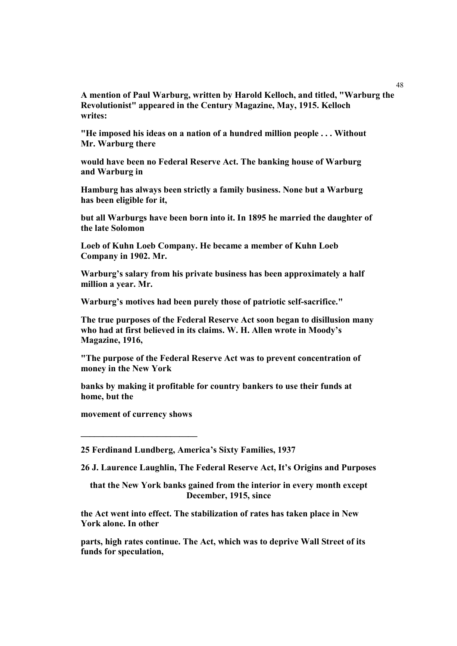A mention of Paul Warburg, written by Harold Kelloch, and titled, "Warburg the Revolutionist" appeared in the Century Magazine, May, 1915. Kelloch writes:

"He imposed his ideas on a nation of a hundred million people . . . Without Mr. Warburg there

would have been no Federal Reserve Act. The banking house of Warburg and Warburg in

Hamburg has always been strictly a family business. None but a Warburg has been eligible for it,

but all Warburgs have been born into it. In 1895 he married the daughter of the late Solomon

Loeb of Kuhn Loeb Company. He became a member of Kuhn Loeb Company in 1902. Mr.

Warburg's salary from his private business has been approximately a half million a year. Mr.

Warburg's motives had been purely those of patriotic self-sacrifice."

The true purposes of the Federal Reserve Act soon began to disillusion many who had at first believed in its claims. W. H. Allen wrote in Moody's Magazine, 1916,

"The purpose of the Federal Reserve Act was to prevent concentration of money in the New York

banks by making it profitable for country bankers to use their funds at home, but the

movement of currency shows

\_\_\_\_\_\_\_\_\_\_\_\_\_\_\_\_\_\_\_\_\_\_\_\_\_\_

25 Ferdinand Lundberg, America's Sixty Families, 1937

26 J. Laurence Laughlin, The Federal Reserve Act, It's Origins and Purposes

that the New York banks gained from the interior in every month except December, 1915, since

the Act went into effect. The stabilization of rates has taken place in New York alone. In other

parts, high rates continue. The Act, which was to deprive Wall Street of its funds for speculation,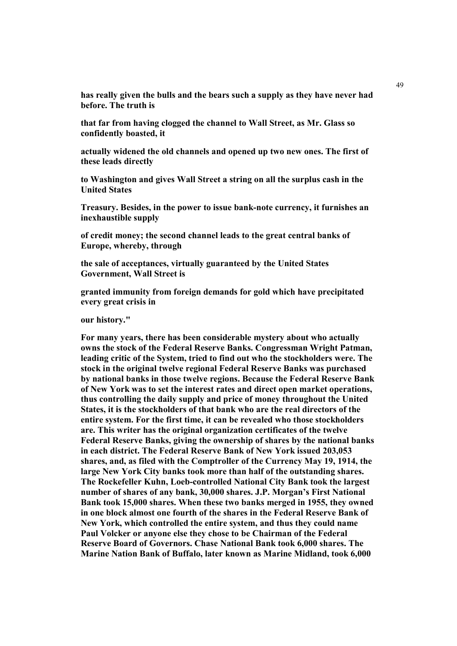has really given the bulls and the bears such a supply as they have never had before. The truth is

that far from having clogged the channel to Wall Street, as Mr. Glass so confidently boasted, it

actually widened the old channels and opened up two new ones. The first of these leads directly

to Washington and gives Wall Street a string on all the surplus cash in the United States

Treasury. Besides, in the power to issue bank-note currency, it furnishes an inexhaustible supply

of credit money; the second channel leads to the great central banks of Europe, whereby, through

the sale of acceptances, virtually guaranteed by the United States Government, Wall Street is

granted immunity from foreign demands for gold which have precipitated every great crisis in

our history."

For many years, there has been considerable mystery about who actually owns the stock of the Federal Reserve Banks. Congressman Wright Patman, leading critic of the System, tried to find out who the stockholders were. The stock in the original twelve regional Federal Reserve Banks was purchased by national banks in those twelve regions. Because the Federal Reserve Bank of New York was to set the interest rates and direct open market operations, thus controlling the daily supply and price of money throughout the United States, it is the stockholders of that bank who are the real directors of the entire system. For the first time, it can be revealed who those stockholders are. This writer has the original organization certificates of the twelve Federal Reserve Banks, giving the ownership of shares by the national banks in each district. The Federal Reserve Bank of New York issued 203,053 shares, and, as filed with the Comptroller of the Currency May 19, 1914, the large New York City banks took more than half of the outstanding shares. The Rockefeller Kuhn, Loeb-controlled National City Bank took the largest number of shares of any bank, 30,000 shares. J.P. Morgan's First National Bank took 15,000 shares. When these two banks merged in 1955, they owned in one block almost one fourth of the shares in the Federal Reserve Bank of New York, which controlled the entire system, and thus they could name Paul Volcker or anyone else they chose to be Chairman of the Federal Reserve Board of Governors. Chase National Bank took 6,000 shares. The Marine Nation Bank of Buffalo, later known as Marine Midland, took 6,000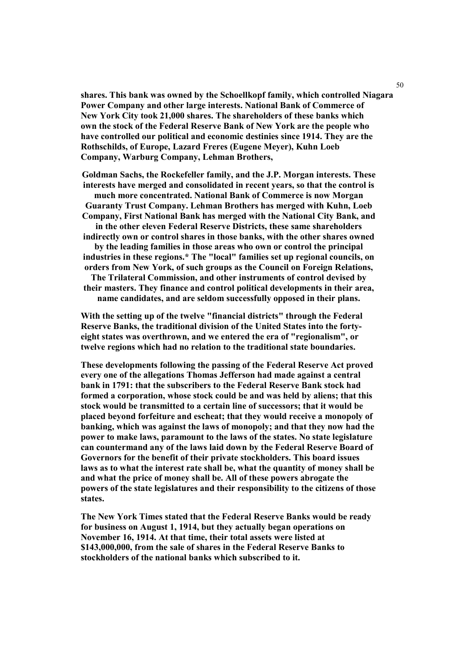shares. This bank was owned by the Schoellkopf family, which controlled Niagara Power Company and other large interests. National Bank of Commerce of New York City took 21,000 shares. The shareholders of these banks which own the stock of the Federal Reserve Bank of New York are the people who have controlled our political and economic destinies since 1914. They are the Rothschilds, of Europe, Lazard Freres (Eugene Meyer), Kuhn Loeb Company, Warburg Company, Lehman Brothers,

Goldman Sachs, the Rockefeller family, and the J.P. Morgan interests. These interests have merged and consolidated in recent years, so that the control is much more concentrated. National Bank of Commerce is now Morgan Guaranty Trust Company. Lehman Brothers has merged with Kuhn, Loeb Company, First National Bank has merged with the National City Bank, and in the other eleven Federal Reserve Districts, these same shareholders indirectly own or control shares in those banks, with the other shares owned by the leading families in those areas who own or control the principal industries in these regions.\* The "local" families set up regional councils, on orders from New York, of such groups as the Council on Foreign Relations, The Trilateral Commission, and other instruments of control devised by their masters. They finance and control political developments in their area,

name candidates, and are seldom successfully opposed in their plans.

With the setting up of the twelve "financial districts" through the Federal Reserve Banks, the traditional division of the United States into the fortyeight states was overthrown, and we entered the era of "regionalism", or twelve regions which had no relation to the traditional state boundaries.

These developments following the passing of the Federal Reserve Act proved every one of the allegations Thomas Jefferson had made against a central bank in 1791: that the subscribers to the Federal Reserve Bank stock had formed a corporation, whose stock could be and was held by aliens; that this stock would be transmitted to a certain line of successors; that it would be placed beyond forfeiture and escheat; that they would receive a monopoly of banking, which was against the laws of monopoly; and that they now had the power to make laws, paramount to the laws of the states. No state legislature can countermand any of the laws laid down by the Federal Reserve Board of Governors for the benefit of their private stockholders. This board issues laws as to what the interest rate shall be, what the quantity of money shall be and what the price of money shall be. All of these powers abrogate the powers of the state legislatures and their responsibility to the citizens of those states.

The New York Times stated that the Federal Reserve Banks would be ready for business on August 1, 1914, but they actually began operations on November 16, 1914. At that time, their total assets were listed at \$143,000,000, from the sale of shares in the Federal Reserve Banks to stockholders of the national banks which subscribed to it.

50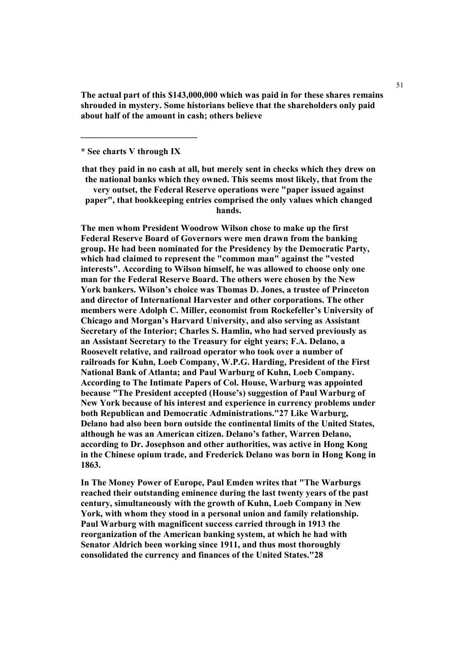The actual part of this \$143,000,000 which was paid in for these shares remains shrouded in mystery. Some historians believe that the shareholders only paid about half of the amount in cash; others believe

\* See charts V through IX

\_\_\_\_\_\_\_\_\_\_\_\_\_\_\_\_\_\_\_\_\_\_\_\_\_\_

that they paid in no cash at all, but merely sent in checks which they drew on the national banks which they owned. This seems most likely, that from the

very outset, the Federal Reserve operations were "paper issued against paper", that bookkeeping entries comprised the only values which changed hands.

The men whom President Woodrow Wilson chose to make up the first Federal Reserve Board of Governors were men drawn from the banking group. He had been nominated for the Presidency by the Democratic Party, which had claimed to represent the "common man" against the "vested interests". According to Wilson himself, he was allowed to choose only one man for the Federal Reserve Board. The others were chosen by the New York bankers. Wilson's choice was Thomas D. Jones, a trustee of Princeton and director of International Harvester and other corporations. The other members were Adolph C. Miller, economist from Rockefeller's University of Chicago and Morgan's Harvard University, and also serving as Assistant Secretary of the Interior; Charles S. Hamlin, who had served previously as an Assistant Secretary to the Treasury for eight years; F.A. Delano, a Roosevelt relative, and railroad operator who took over a number of railroads for Kuhn, Loeb Company, W.P.G. Harding, President of the First National Bank of Atlanta; and Paul Warburg of Kuhn, Loeb Company. According to The Intimate Papers of Col. House, Warburg was appointed because "The President accepted (House's) suggestion of Paul Warburg of New York because of his interest and experience in currency problems under both Republican and Democratic Administrations."27 Like Warburg, Delano had also been born outside the continental limits of the United States, although he was an American citizen. Delano's father, Warren Delano, according to Dr. Josephson and other authorities, was active in Hong Kong in the Chinese opium trade, and Frederick Delano was born in Hong Kong in 1863.

In The Money Power of Europe, Paul Emden writes that "The Warburgs reached their outstanding eminence during the last twenty years of the past century, simultaneously with the growth of Kuhn, Loeb Company in New York, with whom they stood in a personal union and family relationship. Paul Warburg with magnificent success carried through in 1913 the reorganization of the American banking system, at which he had with Senator Aldrich been working since 1911, and thus most thoroughly consolidated the currency and finances of the United States."28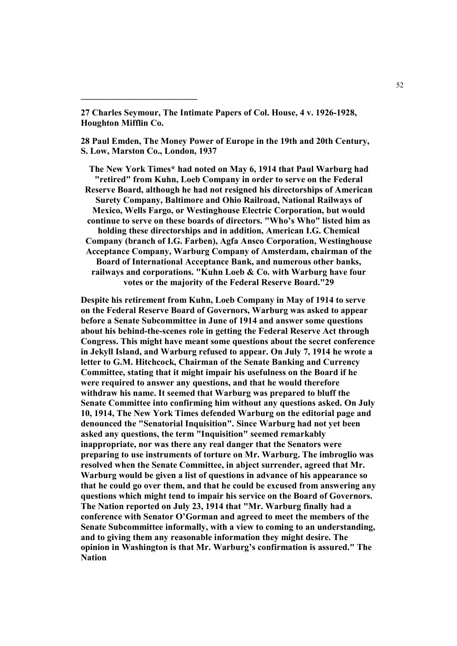\_\_\_\_\_\_\_\_\_\_\_\_\_\_\_\_\_\_\_\_\_\_\_\_\_\_

28 Paul Emden, The Money Power of Europe in the 19th and 20th Century, S. Low, Marston Co., London, 1937

The New York Times\* had noted on May 6, 1914 that Paul Warburg had "retired" from Kuhn, Loeb Company in order to serve on the Federal Reserve Board, although he had not resigned his directorships of American Surety Company, Baltimore and Ohio Railroad, National Railways of Mexico, Wells Fargo, or Westinghouse Electric Corporation, but would continue to serve on these boards of directors. "Who's Who" listed him as holding these directorships and in addition, American I.G. Chemical Company (branch of I.G. Farben), Agfa Ansco Corporation, Westinghouse Acceptance Company, Warburg Company of Amsterdam, chairman of the Board of International Acceptance Bank, and numerous other banks, railways and corporations. "Kuhn Loeb & Co. with Warburg have four votes or the majority of the Federal Reserve Board."29

Despite his retirement from Kuhn, Loeb Company in May of 1914 to serve on the Federal Reserve Board of Governors, Warburg was asked to appear before a Senate Subcommittee in June of 1914 and answer some questions about his behind-the-scenes role in getting the Federal Reserve Act through Congress. This might have meant some questions about the secret conference in Jekyll Island, and Warburg refused to appear. On July 7, 1914 he wrote a letter to G.M. Hitchcock, Chairman of the Senate Banking and Currency Committee, stating that it might impair his usefulness on the Board if he were required to answer any questions, and that he would therefore withdraw his name. It seemed that Warburg was prepared to bluff the Senate Committee into confirming him without any questions asked. On July 10, 1914, The New York Times defended Warburg on the editorial page and denounced the "Senatorial Inquisition". Since Warburg had not yet been asked any questions, the term "Inquisition" seemed remarkably inappropriate, nor was there any real danger that the Senators were preparing to use instruments of torture on Mr. Warburg. The imbroglio was resolved when the Senate Committee, in abject surrender, agreed that Mr. Warburg would be given a list of questions in advance of his appearance so that he could go over them, and that he could be excused from answering any questions which might tend to impair his service on the Board of Governors. The Nation reported on July 23, 1914 that "Mr. Warburg finally had a conference with Senator O'Gorman and agreed to meet the members of the Senate Subcommittee informally, with a view to coming to an understanding, and to giving them any reasonable information they might desire. The opinion in Washington is that Mr. Warburg's confirmation is assured." The Nation

<sup>27</sup> Charles Seymour, The Intimate Papers of Col. House, 4 v. 1926-1928, Houghton Mifflin Co.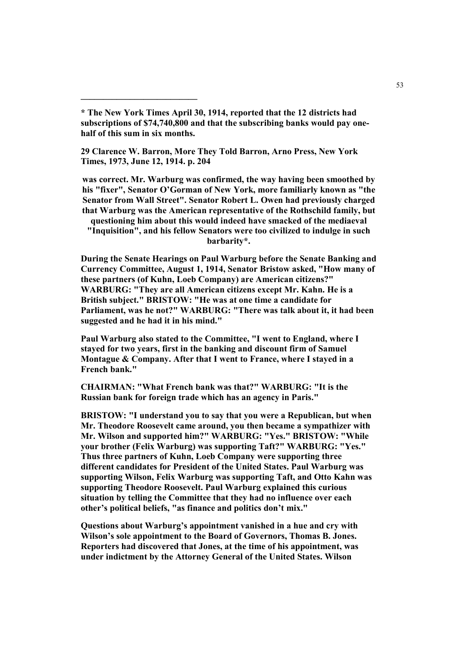\_\_\_\_\_\_\_\_\_\_\_\_\_\_\_\_\_\_\_\_\_\_\_\_\_\_

29 Clarence W. Barron, More They Told Barron, Arno Press, New York Times, 1973, June 12, 1914. p. 204

was correct. Mr. Warburg was confirmed, the way having been smoothed by his "fixer", Senator O'Gorman of New York, more familiarly known as "the Senator from Wall Street". Senator Robert L. Owen had previously charged that Warburg was the American representative of the Rothschild family, but questioning him about this would indeed have smacked of the mediaeval "Inquisition", and his fellow Senators were too civilized to indulge in such barbarity\*.

During the Senate Hearings on Paul Warburg before the Senate Banking and Currency Committee, August 1, 1914, Senator Bristow asked, "How many of these partners (of Kuhn, Loeb Company) are American citizens?" WARBURG: "They are all American citizens except Mr. Kahn. He is a British subject." BRISTOW: "He was at one time a candidate for Parliament, was he not?" WARBURG: "There was talk about it, it had been suggested and he had it in his mind."

Paul Warburg also stated to the Committee, "I went to England, where I stayed for two years, first in the banking and discount firm of Samuel Montague & Company. After that I went to France, where I stayed in a French bank."

CHAIRMAN: "What French bank was that?" WARBURG: "It is the Russian bank for foreign trade which has an agency in Paris."

BRISTOW: "I understand you to say that you were a Republican, but when Mr. Theodore Roosevelt came around, you then became a sympathizer with Mr. Wilson and supported him?" WARBURG: "Yes." BRISTOW: "While your brother (Felix Warburg) was supporting Taft?" WARBURG: "Yes." Thus three partners of Kuhn, Loeb Company were supporting three different candidates for President of the United States. Paul Warburg was supporting Wilson, Felix Warburg was supporting Taft, and Otto Kahn was supporting Theodore Roosevelt. Paul Warburg explained this curious situation by telling the Committee that they had no influence over each other's political beliefs, "as finance and politics don't mix."

Questions about Warburg's appointment vanished in a hue and cry with Wilson's sole appointment to the Board of Governors, Thomas B. Jones. Reporters had discovered that Jones, at the time of his appointment, was under indictment by the Attorney General of the United States. Wilson

<sup>\*</sup> The New York Times April 30, 1914, reported that the 12 districts had subscriptions of \$74,740,800 and that the subscribing banks would pay onehalf of this sum in six months.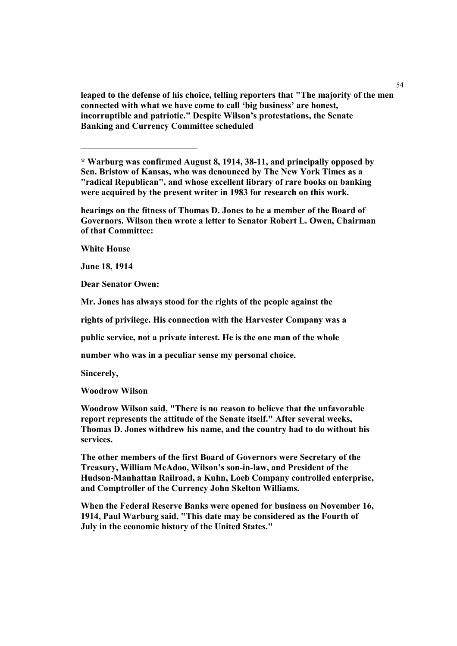leaped to the defense of his choice, telling reporters that "The majority of the men connected with what we have come to call 'big business' are honest, incorruptible and patriotic." Despite Wilson's protestations, the Senate Banking and Currency Committee scheduled

\* Warburg was confirmed August 8, 1914, 38-11, and principally opposed by Sen. Bristow of Kansas, who was denounced by The New York Times as a "radical Republican", and whose excellent library of rare books on banking were acquired by the present writer in 1983 for research on this work.

hearings on the fitness of Thomas D. Jones to be a member of the Board of Governors. Wilson then wrote a letter to Senator Robert L. Owen, Chairman of that Committee:

White House

June 18, 1914

Dear Senator Owen:

\_\_\_\_\_\_\_\_\_\_\_\_\_\_\_\_\_\_\_\_\_\_\_\_\_\_

Mr. Jones has always stood for the rights of the people against the

rights of privilege. His connection with the Harvester Company was a

public service, not a private interest. He is the one man of the whole

number who was in a peculiar sense my personal choice.

Sincerely,

Woodrow Wilson

Woodrow Wilson said, "There is no reason to believe that the unfavorable report represents the attitude of the Senate itself." After several weeks, Thomas D. Jones withdrew his name, and the country had to do without his services.

The other members of the first Board of Governors were Secretary of the Treasury, William McAdoo, Wilson's son-in-law, and President of the Hudson-Manhattan Railroad, a Kuhn, Loeb Company controlled enterprise, and Comptroller of the Currency John Skelton Williams.

When the Federal Reserve Banks were opened for business on November 16, 1914, Paul Warburg said, "This date may be considered as the Fourth of July in the economic history of the United States."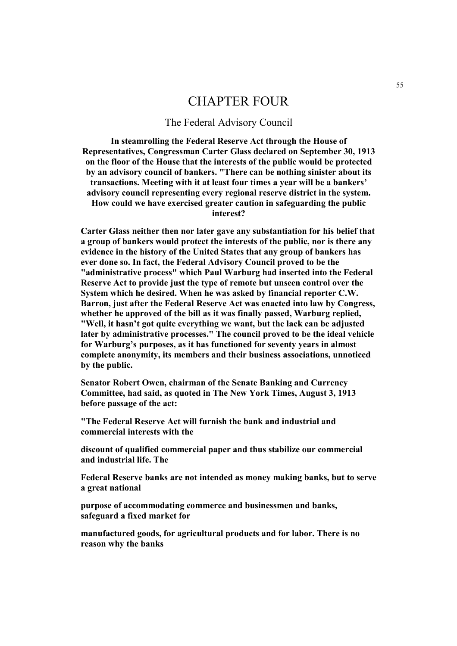## CHAPTER FOUR

## The Federal Advisory Council

In steamrolling the Federal Reserve Act through the House of Representatives, Congressman Carter Glass declared on September 30, 1913 on the floor of the House that the interests of the public would be protected by an advisory council of bankers. "There can be nothing sinister about its transactions. Meeting with it at least four times a year will be a bankers' advisory council representing every regional reserve district in the system. How could we have exercised greater caution in safeguarding the public interest?

Carter Glass neither then nor later gave any substantiation for his belief that a group of bankers would protect the interests of the public, nor is there any evidence in the history of the United States that any group of bankers has ever done so. In fact, the Federal Advisory Council proved to be the "administrative process" which Paul Warburg had inserted into the Federal Reserve Act to provide just the type of remote but unseen control over the System which he desired. When he was asked by financial reporter C.W. Barron, just after the Federal Reserve Act was enacted into law by Congress, whether he approved of the bill as it was finally passed, Warburg replied, "Well, it hasn't got quite everything we want, but the lack can be adjusted later by administrative processes." The council proved to be the ideal vehicle for Warburg's purposes, as it has functioned for seventy years in almost complete anonymity, its members and their business associations, unnoticed by the public.

Senator Robert Owen, chairman of the Senate Banking and Currency Committee, had said, as quoted in The New York Times, August 3, 1913 before passage of the act:

"The Federal Reserve Act will furnish the bank and industrial and commercial interests with the

discount of qualified commercial paper and thus stabilize our commercial and industrial life. The

Federal Reserve banks are not intended as money making banks, but to serve a great national

purpose of accommodating commerce and businessmen and banks, safeguard a fixed market for

manufactured goods, for agricultural products and for labor. There is no reason why the banks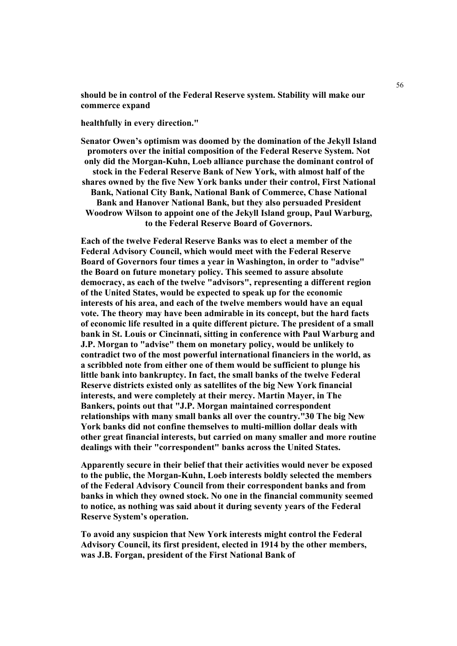should be in control of the Federal Reserve system. Stability will make our commerce expand

healthfully in every direction."

Senator Owen's optimism was doomed by the domination of the Jekyll Island promoters over the initial composition of the Federal Reserve System. Not only did the Morgan-Kuhn, Loeb alliance purchase the dominant control of stock in the Federal Reserve Bank of New York, with almost half of the shares owned by the five New York banks under their control, First National Bank, National City Bank, National Bank of Commerce, Chase National Bank and Hanover National Bank, but they also persuaded President Woodrow Wilson to appoint one of the Jekyll Island group, Paul Warburg, to the Federal Reserve Board of Governors.

Each of the twelve Federal Reserve Banks was to elect a member of the Federal Advisory Council, which would meet with the Federal Reserve Board of Governors four times a year in Washington, in order to "advise" the Board on future monetary policy. This seemed to assure absolute democracy, as each of the twelve "advisors", representing a different region of the United States, would be expected to speak up for the economic interests of his area, and each of the twelve members would have an equal vote. The theory may have been admirable in its concept, but the hard facts of economic life resulted in a quite different picture. The president of a small bank in St. Louis or Cincinnati, sitting in conference with Paul Warburg and J.P. Morgan to "advise" them on monetary policy, would be unlikely to contradict two of the most powerful international financiers in the world, as a scribbled note from either one of them would be sufficient to plunge his little bank into bankruptcy. In fact, the small banks of the twelve Federal Reserve districts existed only as satellites of the big New York financial interests, and were completely at their mercy. Martin Mayer, in The Bankers, points out that "J.P. Morgan maintained correspondent relationships with many small banks all over the country."30 The big New York banks did not confine themselves to multi-million dollar deals with other great financial interests, but carried on many smaller and more routine dealings with their "correspondent" banks across the United States.

Apparently secure in their belief that their activities would never be exposed to the public, the Morgan-Kuhn, Loeb interests boldly selected the members of the Federal Advisory Council from their correspondent banks and from banks in which they owned stock. No one in the financial community seemed to notice, as nothing was said about it during seventy years of the Federal Reserve System's operation.

To avoid any suspicion that New York interests might control the Federal Advisory Council, its first president, elected in 1914 by the other members, was J.B. Forgan, president of the First National Bank of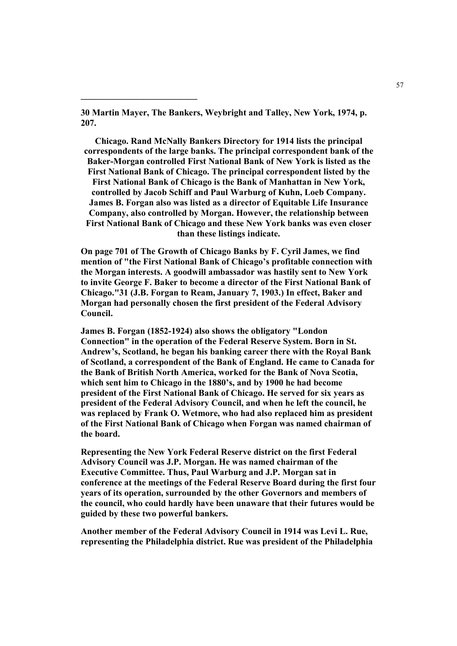30 Martin Mayer, The Bankers, Weybright and Talley, New York, 1974, p. 207.

\_\_\_\_\_\_\_\_\_\_\_\_\_\_\_\_\_\_\_\_\_\_\_\_\_\_

Chicago. Rand McNally Bankers Directory for 1914 lists the principal correspondents of the large banks. The principal correspondent bank of the Baker-Morgan controlled First National Bank of New York is listed as the First National Bank of Chicago. The principal correspondent listed by the First National Bank of Chicago is the Bank of Manhattan in New York, controlled by Jacob Schiff and Paul Warburg of Kuhn, Loeb Company. James B. Forgan also was listed as a director of Equitable Life Insurance Company, also controlled by Morgan. However, the relationship between First National Bank of Chicago and these New York banks was even closer than these listings indicate.

On page 701 of The Growth of Chicago Banks by F. Cyril James, we find mention of "the First National Bank of Chicago's profitable connection with the Morgan interests. A goodwill ambassador was hastily sent to New York to invite George F. Baker to become a director of the First National Bank of Chicago."31 (J.B. Forgan to Ream, January 7, 1903.) In effect, Baker and Morgan had personally chosen the first president of the Federal Advisory Council.

James B. Forgan (1852-1924) also shows the obligatory "London Connection" in the operation of the Federal Reserve System. Born in St. Andrew's, Scotland, he began his banking career there with the Royal Bank of Scotland, a correspondent of the Bank of England. He came to Canada for the Bank of British North America, worked for the Bank of Nova Scotia, which sent him to Chicago in the 1880's, and by 1900 he had become president of the First National Bank of Chicago. He served for six years as president of the Federal Advisory Council, and when he left the council, he was replaced by Frank O. Wetmore, who had also replaced him as president of the First National Bank of Chicago when Forgan was named chairman of the board.

Representing the New York Federal Reserve district on the first Federal Advisory Council was J.P. Morgan. He was named chairman of the Executive Committee. Thus, Paul Warburg and J.P. Morgan sat in conference at the meetings of the Federal Reserve Board during the first four years of its operation, surrounded by the other Governors and members of the council, who could hardly have been unaware that their futures would be guided by these two powerful bankers.

Another member of the Federal Advisory Council in 1914 was Levi L. Rue, representing the Philadelphia district. Rue was president of the Philadelphia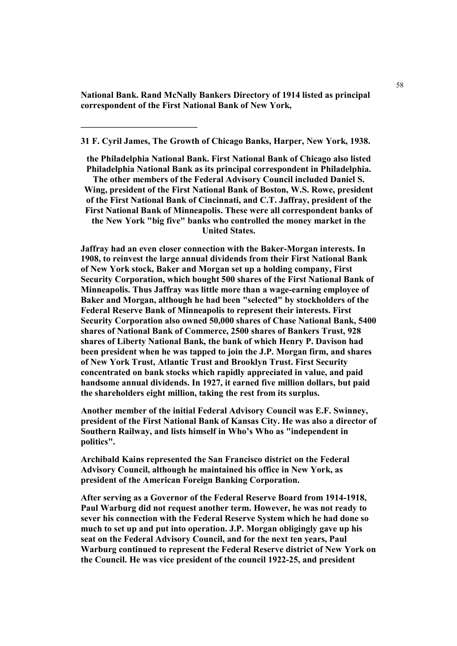National Bank. Rand McNally Bankers Directory of 1914 listed as principal correspondent of the First National Bank of New York,

31 F. Cyril James, The Growth of Chicago Banks, Harper, New York, 1938.

\_\_\_\_\_\_\_\_\_\_\_\_\_\_\_\_\_\_\_\_\_\_\_\_\_\_

the Philadelphia National Bank. First National Bank of Chicago also listed Philadelphia National Bank as its principal correspondent in Philadelphia.

The other members of the Federal Advisory Council included Daniel S. Wing, president of the First National Bank of Boston, W.S. Rowe, president of the First National Bank of Cincinnati, and C.T. Jaffray, president of the First National Bank of Minneapolis. These were all correspondent banks of the New York "big five" banks who controlled the money market in the United States.

Jaffray had an even closer connection with the Baker-Morgan interests. In 1908, to reinvest the large annual dividends from their First National Bank of New York stock, Baker and Morgan set up a holding company, First Security Corporation, which bought 500 shares of the First National Bank of Minneapolis. Thus Jaffray was little more than a wage-earning employee of Baker and Morgan, although he had been "selected" by stockholders of the Federal Reserve Bank of Minneapolis to represent their interests. First Security Corporation also owned 50,000 shares of Chase National Bank, 5400 shares of National Bank of Commerce, 2500 shares of Bankers Trust, 928 shares of Liberty National Bank, the bank of which Henry P. Davison had been president when he was tapped to join the J.P. Morgan firm, and shares of New York Trust, Atlantic Trust and Brooklyn Trust. First Security concentrated on bank stocks which rapidly appreciated in value, and paid handsome annual dividends. In 1927, it earned five million dollars, but paid the shareholders eight million, taking the rest from its surplus.

Another member of the initial Federal Advisory Council was E.F. Swinney, president of the First National Bank of Kansas City. He was also a director of Southern Railway, and lists himself in Who's Who as "independent in politics".

Archibald Kains represented the San Francisco district on the Federal Advisory Council, although he maintained his office in New York, as president of the American Foreign Banking Corporation.

After serving as a Governor of the Federal Reserve Board from 1914-1918, Paul Warburg did not request another term. However, he was not ready to sever his connection with the Federal Reserve System which he had done so much to set up and put into operation. J.P. Morgan obligingly gave up his seat on the Federal Advisory Council, and for the next ten years, Paul Warburg continued to represent the Federal Reserve district of New York on the Council. He was vice president of the council 1922-25, and president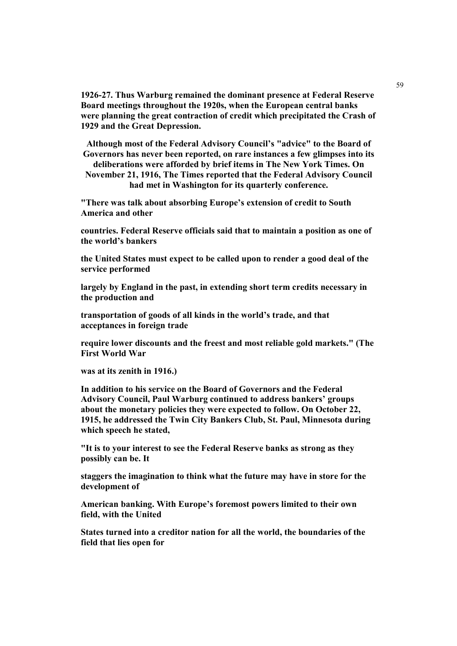1926-27. Thus Warburg remained the dominant presence at Federal Reserve Board meetings throughout the 1920s, when the European central banks were planning the great contraction of credit which precipitated the Crash of 1929 and the Great Depression.

Although most of the Federal Advisory Council's "advice" to the Board of Governors has never been reported, on rare instances a few glimpses into its deliberations were afforded by brief items in The New York Times. On

November 21, 1916, The Times reported that the Federal Advisory Council had met in Washington for its quarterly conference.

"There was talk about absorbing Europe's extension of credit to South America and other

countries. Federal Reserve officials said that to maintain a position as one of the world's bankers

the United States must expect to be called upon to render a good deal of the service performed

largely by England in the past, in extending short term credits necessary in the production and

transportation of goods of all kinds in the world's trade, and that acceptances in foreign trade

require lower discounts and the freest and most reliable gold markets." (The First World War

was at its zenith in 1916.)

In addition to his service on the Board of Governors and the Federal Advisory Council, Paul Warburg continued to address bankers' groups about the monetary policies they were expected to follow. On October 22, 1915, he addressed the Twin City Bankers Club, St. Paul, Minnesota during which speech he stated,

"It is to your interest to see the Federal Reserve banks as strong as they possibly can be. It

staggers the imagination to think what the future may have in store for the development of

American banking. With Europe's foremost powers limited to their own field, with the United

States turned into a creditor nation for all the world, the boundaries of the field that lies open for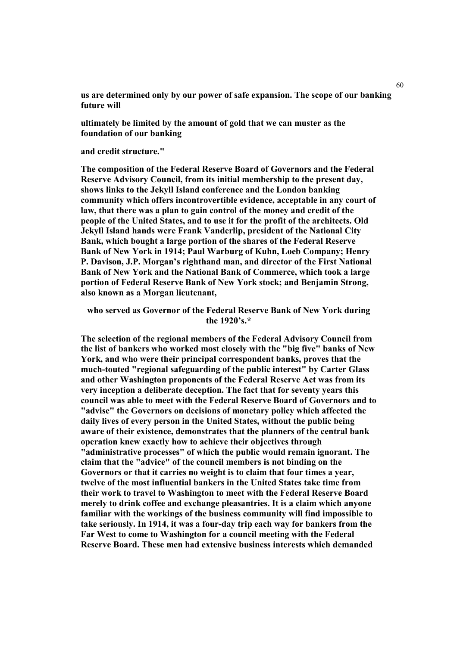us are determined only by our power of safe expansion. The scope of our banking future will

ultimately be limited by the amount of gold that we can muster as the foundation of our banking

and credit structure."

The composition of the Federal Reserve Board of Governors and the Federal Reserve Advisory Council, from its initial membership to the present day, shows links to the Jekyll Island conference and the London banking community which offers incontrovertible evidence, acceptable in any court of law, that there was a plan to gain control of the money and credit of the people of the United States, and to use it for the profit of the architects. Old Jekyll Island hands were Frank Vanderlip, president of the National City Bank, which bought a large portion of the shares of the Federal Reserve Bank of New York in 1914; Paul Warburg of Kuhn, Loeb Company; Henry P. Davison, J.P. Morgan's righthand man, and director of the First National Bank of New York and the National Bank of Commerce, which took a large portion of Federal Reserve Bank of New York stock; and Benjamin Strong, also known as a Morgan lieutenant,

who served as Governor of the Federal Reserve Bank of New York during the 1920's.\*

The selection of the regional members of the Federal Advisory Council from the list of bankers who worked most closely with the "big five" banks of New York, and who were their principal correspondent banks, proves that the much-touted "regional safeguarding of the public interest" by Carter Glass and other Washington proponents of the Federal Reserve Act was from its very inception a deliberate deception. The fact that for seventy years this council was able to meet with the Federal Reserve Board of Governors and to "advise" the Governors on decisions of monetary policy which affected the daily lives of every person in the United States, without the public being aware of their existence, demonstrates that the planners of the central bank operation knew exactly how to achieve their objectives through "administrative processes" of which the public would remain ignorant. The claim that the "advice" of the council members is not binding on the Governors or that it carries no weight is to claim that four times a year, twelve of the most influential bankers in the United States take time from their work to travel to Washington to meet with the Federal Reserve Board merely to drink coffee and exchange pleasantries. It is a claim which anyone familiar with the workings of the business community will find impossible to take seriously. In 1914, it was a four-day trip each way for bankers from the Far West to come to Washington for a council meeting with the Federal Reserve Board. These men had extensive business interests which demanded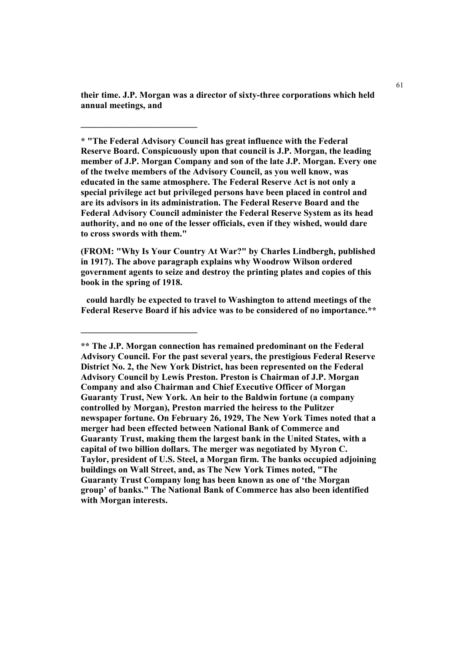their time. J.P. Morgan was a director of sixty-three corporations which held annual meetings, and

\_\_\_\_\_\_\_\_\_\_\_\_\_\_\_\_\_\_\_\_\_\_\_\_\_\_

\_\_\_\_\_\_\_\_\_\_\_\_\_\_\_\_\_\_\_\_\_\_\_\_\_\_

\* "The Federal Advisory Council has great influence with the Federal Reserve Board. Conspicuously upon that council is J.P. Morgan, the leading member of J.P. Morgan Company and son of the late J.P. Morgan. Every one of the twelve members of the Advisory Council, as you well know, was educated in the same atmosphere. The Federal Reserve Act is not only a special privilege act but privileged persons have been placed in control and are its advisors in its administration. The Federal Reserve Board and the Federal Advisory Council administer the Federal Reserve System as its head authority, and no one of the lesser officials, even if they wished, would dare to cross swords with them."

(FROM: "Why Is Your Country At War?" by Charles Lindbergh, published in 1917). The above paragraph explains why Woodrow Wilson ordered government agents to seize and destroy the printing plates and copies of this book in the spring of 1918.

could hardly be expected to travel to Washington to attend meetings of the Federal Reserve Board if his advice was to be considered of no importance.\*\*

<sup>\*\*</sup> The J.P. Morgan connection has remained predominant on the Federal Advisory Council. For the past several years, the prestigious Federal Reserve District No. 2, the New York District, has been represented on the Federal Advisory Council by Lewis Preston. Preston is Chairman of J.P. Morgan Company and also Chairman and Chief Executive Officer of Morgan Guaranty Trust, New York. An heir to the Baldwin fortune (a company controlled by Morgan), Preston married the heiress to the Pulitzer newspaper fortune. On February 26, 1929, The New York Times noted that a merger had been effected between National Bank of Commerce and Guaranty Trust, making them the largest bank in the United States, with a capital of two billion dollars. The merger was negotiated by Myron C. Taylor, president of U.S. Steel, a Morgan firm. The banks occupied adjoining buildings on Wall Street, and, as The New York Times noted, "The Guaranty Trust Company long has been known as one of 'the Morgan group' of banks." The National Bank of Commerce has also been identified with Morgan interests.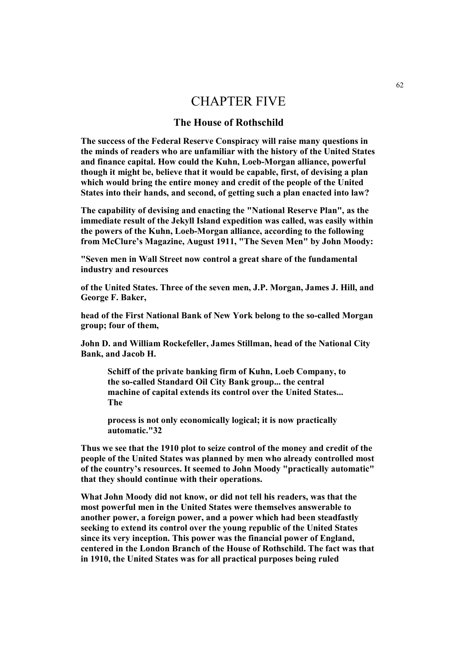## CHAPTER FIVE

## The House of Rothschild

The success of the Federal Reserve Conspiracy will raise many questions in the minds of readers who are unfamiliar with the history of the United States and finance capital. How could the Kuhn, Loeb-Morgan alliance, powerful though it might be, believe that it would be capable, first, of devising a plan which would bring the entire money and credit of the people of the United States into their hands, and second, of getting such a plan enacted into law?

The capability of devising and enacting the "National Reserve Plan", as the immediate result of the Jekyll Island expedition was called, was easily within the powers of the Kuhn, Loeb-Morgan alliance, according to the following from McClure's Magazine, August 1911, "The Seven Men" by John Moody:

"Seven men in Wall Street now control a great share of the fundamental industry and resources

of the United States. Three of the seven men, J.P. Morgan, James J. Hill, and George F. Baker,

head of the First National Bank of New York belong to the so-called Morgan group; four of them,

John D. and William Rockefeller, James Stillman, head of the National City Bank, and Jacob H.

Schiff of the private banking firm of Kuhn, Loeb Company, to the so-called Standard Oil City Bank group... the central machine of capital extends its control over the United States... The

process is not only economically logical; it is now practically automatic."32

Thus we see that the 1910 plot to seize control of the money and credit of the people of the United States was planned by men who already controlled most of the country's resources. It seemed to John Moody "practically automatic" that they should continue with their operations.

What John Moody did not know, or did not tell his readers, was that the most powerful men in the United States were themselves answerable to another power, a foreign power, and a power which had been steadfastly seeking to extend its control over the young republic of the United States since its very inception. This power was the financial power of England, centered in the London Branch of the House of Rothschild. The fact was that in 1910, the United States was for all practical purposes being ruled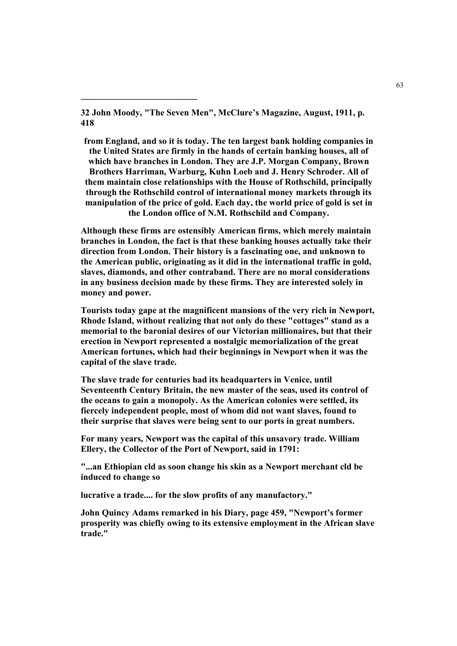\_\_\_\_\_\_\_\_\_\_\_\_\_\_\_\_\_\_\_\_\_\_\_\_\_\_

from England, and so it is today. The ten largest bank holding companies in the United States are firmly in the hands of certain banking houses, all of which have branches in London. They are J.P. Morgan Company, Brown Brothers Harriman, Warburg, Kuhn Loeb and J. Henry Schroder. All of them maintain close relationships with the House of Rothschild, principally through the Rothschild control of international money markets through its manipulation of the price of gold. Each day, the world price of gold is set in the London office of N.M. Rothschild and Company.

Although these firms are ostensibly American firms, which merely maintain branches in London, the fact is that these banking houses actually take their direction from London. Their history is a fascinating one, and unknown to the American public, originating as it did in the international traffic in gold, slaves, diamonds, and other contraband. There are no moral considerations in any business decision made by these firms. They are interested solely in money and power.

Tourists today gape at the magnificent mansions of the very rich in Newport, Rhode Island, without realizing that not only do these "cottages" stand as a memorial to the baronial desires of our Victorian millionaires, but that their erection in Newport represented a nostalgic memorialization of the great American fortunes, which had their beginnings in Newport when it was the capital of the slave trade.

The slave trade for centuries had its headquarters in Venice, until Seventeenth Century Britain, the new master of the seas, used its control of the oceans to gain a monopoly. As the American colonies were settled, its fiercely independent people, most of whom did not want slaves, found to their surprise that slaves were being sent to our ports in great numbers.

For many years, Newport was the capital of this unsavory trade. William Ellery, the Collector of the Port of Newport, said in 1791:

"...an Ethiopian cld as soon change his skin as a Newport merchant cld be induced to change so

lucrative a trade.... for the slow profits of any manufactory."

John Quincy Adams remarked in his Diary, page 459, "Newport's former prosperity was chiefly owing to its extensive employment in the African slave trade."

<sup>32</sup> John Moody, "The Seven Men", McClure's Magazine, August, 1911, p. 418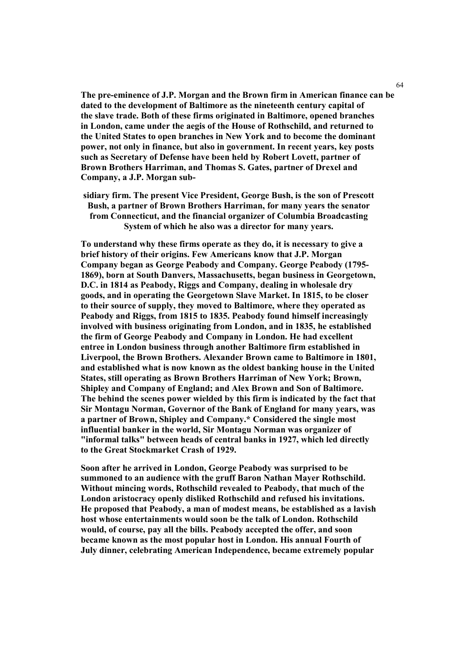The pre-eminence of J.P. Morgan and the Brown firm in American finance can be dated to the development of Baltimore as the nineteenth century capital of the slave trade. Both of these firms originated in Baltimore, opened branches in London, came under the aegis of the House of Rothschild, and returned to the United States to open branches in New York and to become the dominant power, not only in finance, but also in government. In recent years, key posts such as Secretary of Defense have been held by Robert Lovett, partner of Brown Brothers Harriman, and Thomas S. Gates, partner of Drexel and Company, a J.P. Morgan sub-

sidiary firm. The present Vice President, George Bush, is the son of Prescott Bush, a partner of Brown Brothers Harriman, for many years the senator from Connecticut, and the financial organizer of Columbia Broadcasting System of which he also was a director for many years.

To understand why these firms operate as they do, it is necessary to give a brief history of their origins. Few Americans know that J.P. Morgan Company began as George Peabody and Company. George Peabody (1795- 1869), born at South Danvers, Massachusetts, began business in Georgetown, D.C. in 1814 as Peabody, Riggs and Company, dealing in wholesale dry goods, and in operating the Georgetown Slave Market. In 1815, to be closer to their source of supply, they moved to Baltimore, where they operated as Peabody and Riggs, from 1815 to 1835. Peabody found himself increasingly involved with business originating from London, and in 1835, he established the firm of George Peabody and Company in London. He had excellent entree in London business through another Baltimore firm established in Liverpool, the Brown Brothers. Alexander Brown came to Baltimore in 1801, and established what is now known as the oldest banking house in the United States, still operating as Brown Brothers Harriman of New York; Brown, Shipley and Company of England; and Alex Brown and Son of Baltimore. The behind the scenes power wielded by this firm is indicated by the fact that Sir Montagu Norman, Governor of the Bank of England for many years, was a partner of Brown, Shipley and Company.\* Considered the single most influential banker in the world, Sir Montagu Norman was organizer of "informal talks" between heads of central banks in 1927, which led directly to the Great Stockmarket Crash of 1929.

Soon after he arrived in London, George Peabody was surprised to be summoned to an audience with the gruff Baron Nathan Mayer Rothschild. Without mincing words, Rothschild revealed to Peabody, that much of the London aristocracy openly disliked Rothschild and refused his invitations. He proposed that Peabody, a man of modest means, be established as a lavish host whose entertainments would soon be the talk of London. Rothschild would, of course, pay all the bills. Peabody accepted the offer, and soon became known as the most popular host in London. His annual Fourth of July dinner, celebrating American Independence, became extremely popular

64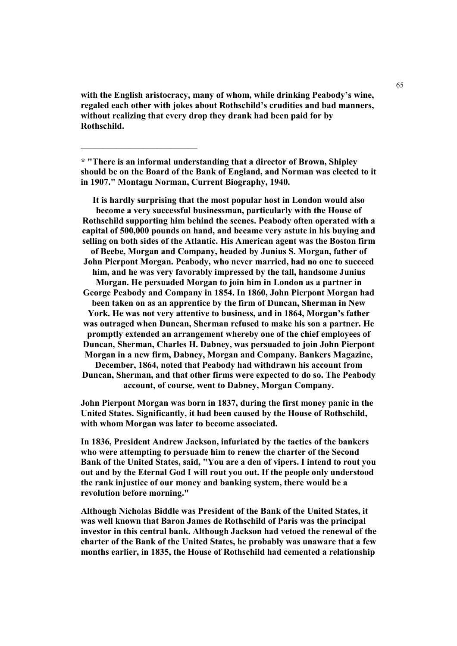with the English aristocracy, many of whom, while drinking Peabody's wine, regaled each other with jokes about Rothschild's crudities and bad manners, without realizing that every drop they drank had been paid for by Rothschild.

\_\_\_\_\_\_\_\_\_\_\_\_\_\_\_\_\_\_\_\_\_\_\_\_\_\_

It is hardly surprising that the most popular host in London would also become a very successful businessman, particularly with the House of Rothschild supporting him behind the scenes. Peabody often operated with a capital of 500,000 pounds on hand, and became very astute in his buying and selling on both sides of the Atlantic. His American agent was the Boston firm of Beebe, Morgan and Company, headed by Junius S. Morgan, father of John Pierpont Morgan. Peabody, who never married, had no one to succeed him, and he was very favorably impressed by the tall, handsome Junius Morgan. He persuaded Morgan to join him in London as a partner in George Peabody and Company in 1854. In 1860, John Pierpont Morgan had been taken on as an apprentice by the firm of Duncan, Sherman in New York. He was not very attentive to business, and in 1864, Morgan's father was outraged when Duncan, Sherman refused to make his son a partner. He promptly extended an arrangement whereby one of the chief employees of Duncan, Sherman, Charles H. Dabney, was persuaded to join John Pierpont Morgan in a new firm, Dabney, Morgan and Company. Bankers Magazine, December, 1864, noted that Peabody had withdrawn his account from Duncan, Sherman, and that other firms were expected to do so. The Peabody

account, of course, went to Dabney, Morgan Company.

John Pierpont Morgan was born in 1837, during the first money panic in the United States. Significantly, it had been caused by the House of Rothschild, with whom Morgan was later to become associated.

In 1836, President Andrew Jackson, infuriated by the tactics of the bankers who were attempting to persuade him to renew the charter of the Second Bank of the United States, said, "You are a den of vipers. I intend to rout you out and by the Eternal God I will rout you out. If the people only understood the rank injustice of our money and banking system, there would be a revolution before morning."

Although Nicholas Biddle was President of the Bank of the United States, it was well known that Baron James de Rothschild of Paris was the principal investor in this central bank. Although Jackson had vetoed the renewal of the charter of the Bank of the United States, he probably was unaware that a few months earlier, in 1835, the House of Rothschild had cemented a relationship

<sup>\* &</sup>quot;There is an informal understanding that a director of Brown, Shipley should be on the Board of the Bank of England, and Norman was elected to it in 1907." Montagu Norman, Current Biography, 1940.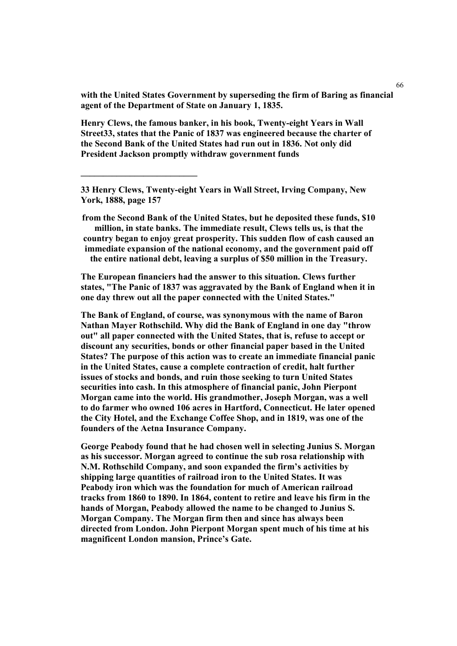with the United States Government by superseding the firm of Baring as financial agent of the Department of State on January 1, 1835.

Henry Clews, the famous banker, in his book, Twenty-eight Years in Wall Street33, states that the Panic of 1837 was engineered because the charter of the Second Bank of the United States had run out in 1836. Not only did President Jackson promptly withdraw government funds

\_\_\_\_\_\_\_\_\_\_\_\_\_\_\_\_\_\_\_\_\_\_\_\_\_\_

from the Second Bank of the United States, but he deposited these funds, \$10 million, in state banks. The immediate result, Clews tells us, is that the country began to enjoy great prosperity. This sudden flow of cash caused an immediate expansion of the national economy, and the government paid off the entire national debt, leaving a surplus of \$50 million in the Treasury.

The European financiers had the answer to this situation. Clews further states, "The Panic of 1837 was aggravated by the Bank of England when it in one day threw out all the paper connected with the United States."

The Bank of England, of course, was synonymous with the name of Baron Nathan Mayer Rothschild. Why did the Bank of England in one day "throw out" all paper connected with the United States, that is, refuse to accept or discount any securities, bonds or other financial paper based in the United States? The purpose of this action was to create an immediate financial panic in the United States, cause a complete contraction of credit, halt further issues of stocks and bonds, and ruin those seeking to turn United States securities into cash. In this atmosphere of financial panic, John Pierpont Morgan came into the world. His grandmother, Joseph Morgan, was a well to do farmer who owned 106 acres in Hartford, Connecticut. He later opened the City Hotel, and the Exchange Coffee Shop, and in 1819, was one of the founders of the Aetna Insurance Company.

George Peabody found that he had chosen well in selecting Junius S. Morgan as his successor. Morgan agreed to continue the sub rosa relationship with N.M. Rothschild Company, and soon expanded the firm's activities by shipping large quantities of railroad iron to the United States. It was Peabody iron which was the foundation for much of American railroad tracks from 1860 to 1890. In 1864, content to retire and leave his firm in the hands of Morgan, Peabody allowed the name to be changed to Junius S. Morgan Company. The Morgan firm then and since has always been directed from London. John Pierpont Morgan spent much of his time at his magnificent London mansion, Prince's Gate.

<sup>33</sup> Henry Clews, Twenty-eight Years in Wall Street, Irving Company, New York, 1888, page 157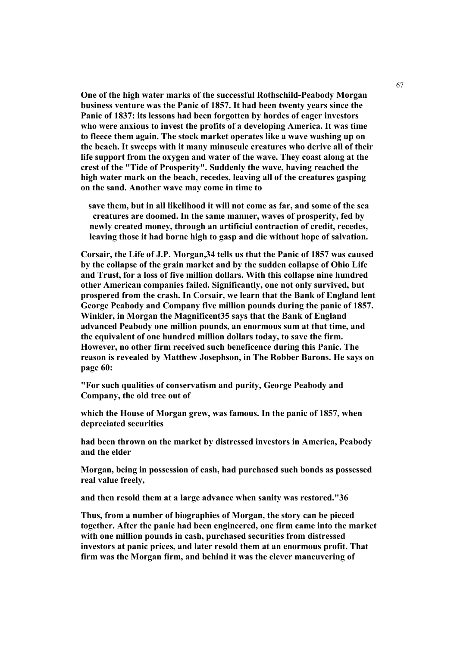One of the high water marks of the successful Rothschild-Peabody Morgan business venture was the Panic of 1857. It had been twenty years since the Panic of 1837: its lessons had been forgotten by hordes of eager investors who were anxious to invest the profits of a developing America. It was time to fleece them again. The stock market operates like a wave washing up on the beach. It sweeps with it many minuscule creatures who derive all of their life support from the oxygen and water of the wave. They coast along at the crest of the "Tide of Prosperity". Suddenly the wave, having reached the high water mark on the beach, recedes, leaving all of the creatures gasping on the sand. Another wave may come in time to

save them, but in all likelihood it will not come as far, and some of the sea creatures are doomed. In the same manner, waves of prosperity, fed by newly created money, through an artificial contraction of credit, recedes, leaving those it had borne high to gasp and die without hope of salvation.

Corsair, the Life of J.P. Morgan,34 tells us that the Panic of 1857 was caused by the collapse of the grain market and by the sudden collapse of Ohio Life and Trust, for a loss of five million dollars. With this collapse nine hundred other American companies failed. Significantly, one not only survived, but prospered from the crash. In Corsair, we learn that the Bank of England lent George Peabody and Company five million pounds during the panic of 1857. Winkler, in Morgan the Magnificent35 says that the Bank of England advanced Peabody one million pounds, an enormous sum at that time, and the equivalent of one hundred million dollars today, to save the firm. However, no other firm received such beneficence during this Panic. The reason is revealed by Matthew Josephson, in The Robber Barons. He says on page 60:

"For such qualities of conservatism and purity, George Peabody and Company, the old tree out of

which the House of Morgan grew, was famous. In the panic of 1857, when depreciated securities

had been thrown on the market by distressed investors in America, Peabody and the elder

Morgan, being in possession of cash, had purchased such bonds as possessed real value freely,

and then resold them at a large advance when sanity was restored."36

Thus, from a number of biographies of Morgan, the story can be pieced together. After the panic had been engineered, one firm came into the market with one million pounds in cash, purchased securities from distressed investors at panic prices, and later resold them at an enormous profit. That firm was the Morgan firm, and behind it was the clever maneuvering of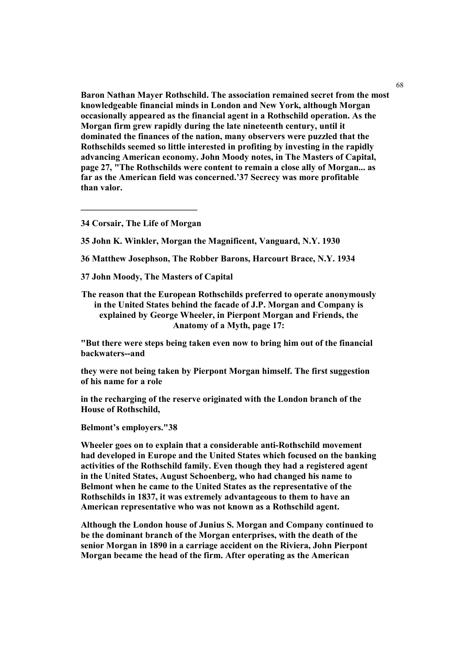Baron Nathan Mayer Rothschild. The association remained secret from the most knowledgeable financial minds in London and New York, although Morgan occasionally appeared as the financial agent in a Rothschild operation. As the Morgan firm grew rapidly during the late nineteenth century, until it dominated the finances of the nation, many observers were puzzled that the Rothschilds seemed so little interested in profiting by investing in the rapidly advancing American economy. John Moody notes, in The Masters of Capital, page 27, "The Rothschilds were content to remain a close ally of Morgan... as far as the American field was concerned.'37 Secrecy was more profitable than valor.

\_\_\_\_\_\_\_\_\_\_\_\_\_\_\_\_\_\_\_\_\_\_\_\_\_\_

- 35 John K. Winkler, Morgan the Magnificent, Vanguard, N.Y. 1930
- 36 Matthew Josephson, The Robber Barons, Harcourt Brace, N.Y. 1934
- 37 John Moody, The Masters of Capital

The reason that the European Rothschilds preferred to operate anonymously in the United States behind the facade of J.P. Morgan and Company is explained by George Wheeler, in Pierpont Morgan and Friends, the Anatomy of a Myth, page 17:

"But there were steps being taken even now to bring him out of the financial backwaters--and

they were not being taken by Pierpont Morgan himself. The first suggestion of his name for a role

in the recharging of the reserve originated with the London branch of the House of Rothschild,

Belmont's employers."38

Wheeler goes on to explain that a considerable anti-Rothschild movement had developed in Europe and the United States which focused on the banking activities of the Rothschild family. Even though they had a registered agent in the United States, August Schoenberg, who had changed his name to Belmont when he came to the United States as the representative of the Rothschilds in 1837, it was extremely advantageous to them to have an American representative who was not known as a Rothschild agent.

Although the London house of Junius S. Morgan and Company continued to be the dominant branch of the Morgan enterprises, with the death of the senior Morgan in 1890 in a carriage accident on the Riviera, John Pierpont Morgan became the head of the firm. After operating as the American

68

<sup>34</sup> Corsair, The Life of Morgan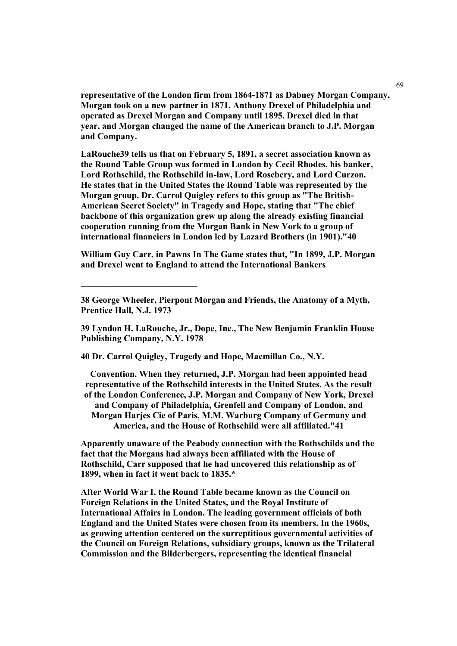representative of the London firm from 1864-1871 as Dabney Morgan Company, Morgan took on a new partner in 1871, Anthony Drexel of Philadelphia and operated as Drexel Morgan and Company until 1895. Drexel died in that year, and Morgan changed the name of the American branch to J.P. Morgan and Company.

LaRouche39 tells us that on February 5, 1891, a secret association known as the Round Table Group was formed in London by Cecil Rhodes, his banker, Lord Rothschild, the Rothschild in-law, Lord Rosebery, and Lord Curzon. He states that in the United States the Round Table was represented by the Morgan group. Dr. Carrol Quigley refers to this group as "The British-American Secret Society" in Tragedy and Hope, stating that "The chief backbone of this organization grew up along the already existing financial cooperation running from the Morgan Bank in New York to a group of international financiers in London led by Lazard Brothers (in 1901)."40

William Guy Carr, in Pawns In The Game states that, "In 1899, J.P. Morgan and Drexel went to England to attend the International Bankers

40 Dr. Carrol Quigley, Tragedy and Hope, Macmillan Co., N.Y.

\_\_\_\_\_\_\_\_\_\_\_\_\_\_\_\_\_\_\_\_\_\_\_\_\_\_

Convention. When they returned, J.P. Morgan had been appointed head representative of the Rothschild interests in the United States. As the result of the London Conference, J.P. Morgan and Company of New York, Drexel and Company of Philadelphia, Grenfell and Company of London, and Morgan Harjes Cie of Paris, M.M. Warburg Company of Germany and America, and the House of Rothschild were all affiliated."41

Apparently unaware of the Peabody connection with the Rothschilds and the fact that the Morgans had always been affiliated with the House of Rothschild, Carr supposed that he had uncovered this relationship as of 1899, when in fact it went back to 1835.\*

After World War I, the Round Table became known as the Council on Foreign Relations in the United States, and the Royal Institute of International Affairs in London. The leading government officials of both England and the United States were chosen from its members. In the 1960s, as growing attention centered on the surreptitious governmental activities of the Council on Foreign Relations, subsidiary groups, known as the Trilateral Commission and the Bilderbergers, representing the identical financial

<sup>38</sup> George Wheeler, Pierpont Morgan and Friends, the Anatomy of a Myth, Prentice Hall, N.J. 1973

<sup>39</sup> Lyndon H. LaRouche, Jr., Dope, Inc., The New Benjamin Franklin House Publishing Company, N.Y. 1978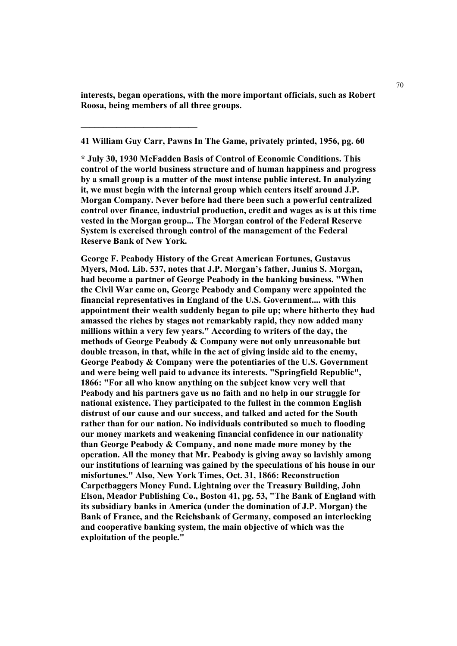interests, began operations, with the more important officials, such as Robert Roosa, being members of all three groups.

41 William Guy Carr, Pawns In The Game, privately printed, 1956, pg. 60

\_\_\_\_\_\_\_\_\_\_\_\_\_\_\_\_\_\_\_\_\_\_\_\_\_\_

\* July 30, 1930 McFadden Basis of Control of Economic Conditions. This control of the world business structure and of human happiness and progress by a small group is a matter of the most intense public interest. In analyzing it, we must begin with the internal group which centers itself around J.P. Morgan Company. Never before had there been such a powerful centralized control over finance, industrial production, credit and wages as is at this time vested in the Morgan group... The Morgan control of the Federal Reserve System is exercised through control of the management of the Federal Reserve Bank of New York.

George F. Peabody History of the Great American Fortunes, Gustavus Myers, Mod. Lib. 537, notes that J.P. Morgan's father, Junius S. Morgan, had become a partner of George Peabody in the banking business. "When the Civil War came on, George Peabody and Company were appointed the financial representatives in England of the U.S. Government.... with this appointment their wealth suddenly began to pile up; where hitherto they had amassed the riches by stages not remarkably rapid, they now added many millions within a very few years." According to writers of the day, the methods of George Peabody & Company were not only unreasonable but double treason, in that, while in the act of giving inside aid to the enemy, George Peabody & Company were the potentiaries of the U.S. Government and were being well paid to advance its interests. "Springfield Republic", 1866: "For all who know anything on the subject know very well that Peabody and his partners gave us no faith and no help in our struggle for national existence. They participated to the fullest in the common English distrust of our cause and our success, and talked and acted for the South rather than for our nation. No individuals contributed so much to flooding our money markets and weakening financial confidence in our nationality than George Peabody & Company, and none made more money by the operation. All the money that Mr. Peabody is giving away so lavishly among our institutions of learning was gained by the speculations of his house in our misfortunes." Also, New York Times, Oct. 31, 1866: Reconstruction Carpetbaggers Money Fund. Lightning over the Treasury Building, John Elson, Meador Publishing Co., Boston 41, pg. 53, "The Bank of England with its subsidiary banks in America (under the domination of J.P. Morgan) the Bank of France, and the Reichsbank of Germany, composed an interlocking and cooperative banking system, the main objective of which was the exploitation of the people."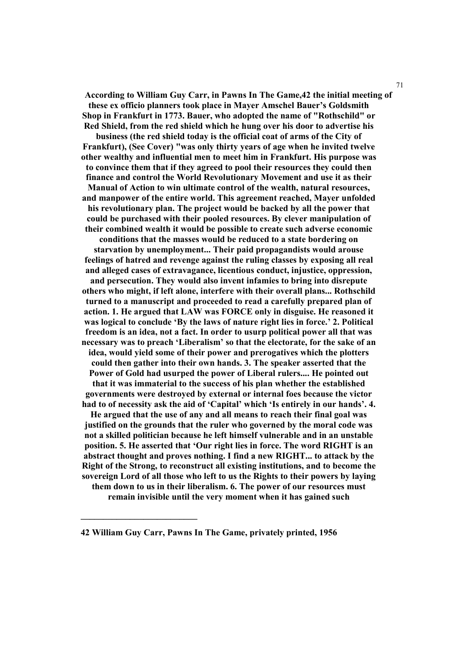According to William Guy Carr, in Pawns In The Game,42 the initial meeting of these ex officio planners took place in Mayer Amschel Bauer's Goldsmith Shop in Frankfurt in 1773. Bauer, who adopted the name of "Rothschild" or Red Shield, from the red shield which he hung over his door to advertise his

business (the red shield today is the official coat of arms of the City of Frankfurt), (See Cover) "was only thirty years of age when he invited twelve other wealthy and influential men to meet him in Frankfurt. His purpose was to convince them that if they agreed to pool their resources they could then finance and control the World Revolutionary Movement and use it as their Manual of Action to win ultimate control of the wealth, natural resources, and manpower of the entire world. This agreement reached, Mayer unfolded his revolutionary plan. The project would be backed by all the power that could be purchased with their pooled resources. By clever manipulation of their combined wealth it would be possible to create such adverse economic

conditions that the masses would be reduced to a state bordering on starvation by unemployment... Their paid propagandists would arouse feelings of hatred and revenge against the ruling classes by exposing all real and alleged cases of extravagance, licentious conduct, injustice, oppression, and persecution. They would also invent infamies to bring into disrepute others who might, if left alone, interfere with their overall plans... Rothschild turned to a manuscript and proceeded to read a carefully prepared plan of action. 1. He argued that LAW was FORCE only in disguise. He reasoned it was logical to conclude 'By the laws of nature right lies in force.' 2. Political freedom is an idea, not a fact. In order to usurp political power all that was necessary was to preach 'Liberalism' so that the electorate, for the sake of an idea, would yield some of their power and prerogatives which the plotters could then gather into their own hands. 3. The speaker asserted that the Power of Gold had usurped the power of Liberal rulers.... He pointed out that it was immaterial to the success of his plan whether the established governments were destroyed by external or internal foes because the victor had to of necessity ask the aid of 'Capital' which 'Is entirely in our hands'. 4. He argued that the use of any and all means to reach their final goal was

justified on the grounds that the ruler who governed by the moral code was not a skilled politician because he left himself vulnerable and in an unstable position. 5. He asserted that 'Our right lies in force. The word RIGHT is an abstract thought and proves nothing. I find a new RIGHT... to attack by the Right of the Strong, to reconstruct all existing institutions, and to become the sovereign Lord of all those who left to us the Rights to their powers by laying them down to us in their liberalism. 6. The power of our resources must remain invisible until the very moment when it has gained such

\_\_\_\_\_\_\_\_\_\_\_\_\_\_\_\_\_\_\_\_\_\_\_\_\_\_

71

<sup>42</sup> William Guy Carr, Pawns In The Game, privately printed, 1956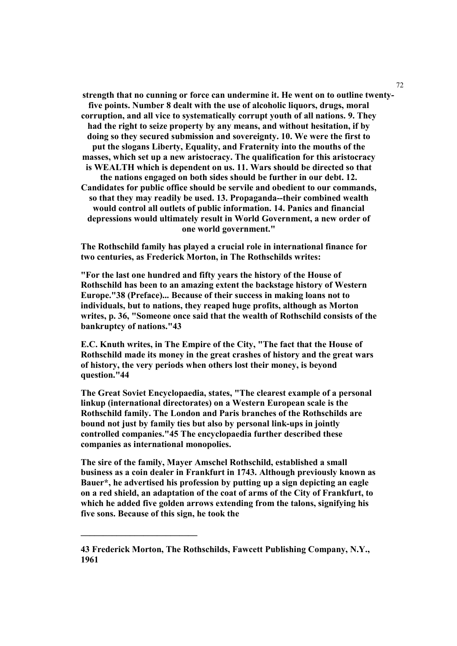strength that no cunning or force can undermine it. He went on to outline twentyfive points. Number 8 dealt with the use of alcoholic liquors, drugs, moral corruption, and all vice to systematically corrupt youth of all nations. 9. They had the right to seize property by any means, and without hesitation, if by doing so they secured submission and sovereignty. 10. We were the first to put the slogans Liberty, Equality, and Fraternity into the mouths of the masses, which set up a new aristocracy. The qualification for this aristocracy is WEALTH which is dependent on us. 11. Wars should be directed so that the nations engaged on both sides should be further in our debt. 12. Candidates for public office should be servile and obedient to our commands, so that they may readily be used. 13. Propaganda--their combined wealth would control all outlets of public information. 14. Panics and financial depressions would ultimately result in World Government, a new order of one world government."

The Rothschild family has played a crucial role in international finance for two centuries, as Frederick Morton, in The Rothschilds writes:

"For the last one hundred and fifty years the history of the House of Rothschild has been to an amazing extent the backstage history of Western Europe."38 (Preface)... Because of their success in making loans not to individuals, but to nations, they reaped huge profits, although as Morton writes, p. 36, "Someone once said that the wealth of Rothschild consists of the bankruptcy of nations."43

E.C. Knuth writes, in The Empire of the City, "The fact that the House of Rothschild made its money in the great crashes of history and the great wars of history, the very periods when others lost their money, is beyond question."44

The Great Soviet Encyclopaedia, states, "The clearest example of a personal linkup (international directorates) on a Western European scale is the Rothschild family. The London and Paris branches of the Rothschilds are bound not just by family ties but also by personal link-ups in jointly controlled companies."45 The encyclopaedia further described these companies as international monopolies.

The sire of the family, Mayer Amschel Rothschild, established a small business as a coin dealer in Frankfurt in 1743. Although previously known as Bauer\*, he advertised his profession by putting up a sign depicting an eagle on a red shield, an adaptation of the coat of arms of the City of Frankfurt, to which he added five golden arrows extending from the talons, signifying his five sons. Because of this sign, he took the

\_\_\_\_\_\_\_\_\_\_\_\_\_\_\_\_\_\_\_\_\_\_\_\_\_\_

72

<sup>43</sup> Frederick Morton, The Rothschilds, Fawcett Publishing Company, N.Y., 1961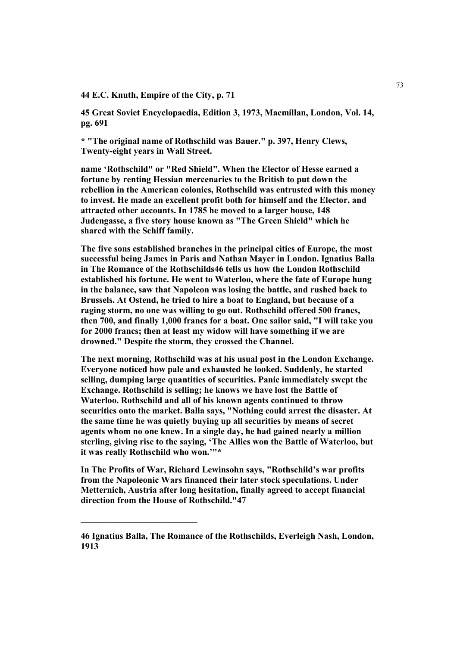#### 44 E.C. Knuth, Empire of the City, p. 71

45 Great Soviet Encyclopaedia, Edition 3, 1973, Macmillan, London, Vol. 14, pg. 691

\* "The original name of Rothschild was Bauer." p. 397, Henry Clews, Twenty-eight years in Wall Street.

name 'Rothschild" or "Red Shield". When the Elector of Hesse earned a fortune by renting Hessian mercenaries to the British to put down the rebellion in the American colonies, Rothschild was entrusted with this money to invest. He made an excellent profit both for himself and the Elector, and attracted other accounts. In 1785 he moved to a larger house, 148 Judengasse, a five story house known as "The Green Shield" which he shared with the Schiff family.

The five sons established branches in the principal cities of Europe, the most successful being James in Paris and Nathan Mayer in London. Ignatius Balla in The Romance of the Rothschilds46 tells us how the London Rothschild established his fortune. He went to Waterloo, where the fate of Europe hung in the balance, saw that Napoleon was losing the battle, and rushed back to Brussels. At Ostend, he tried to hire a boat to England, but because of a raging storm, no one was willing to go out. Rothschild offered 500 francs, then 700, and finally 1,000 francs for a boat. One sailor said, "I will take you for 2000 francs; then at least my widow will have something if we are drowned." Despite the storm, they crossed the Channel.

The next morning, Rothschild was at his usual post in the London Exchange. Everyone noticed how pale and exhausted he looked. Suddenly, he started selling, dumping large quantities of securities. Panic immediately swept the Exchange. Rothschild is selling; he knows we have lost the Battle of Waterloo. Rothschild and all of his known agents continued to throw securities onto the market. Balla says, "Nothing could arrest the disaster. At the same time he was quietly buying up all securities by means of secret agents whom no one knew. In a single day, he had gained nearly a million sterling, giving rise to the saying, 'The Allies won the Battle of Waterloo, but it was really Rothschild who won.'"\*

In The Profits of War, Richard Lewinsohn says, "Rothschild's war profits from the Napoleonic Wars financed their later stock speculations. Under Metternich, Austria after long hesitation, finally agreed to accept financial direction from the House of Rothschild."47

<sup>46</sup> Ignatius Balla, The Romance of the Rothschilds, Everleigh Nash, London, 1913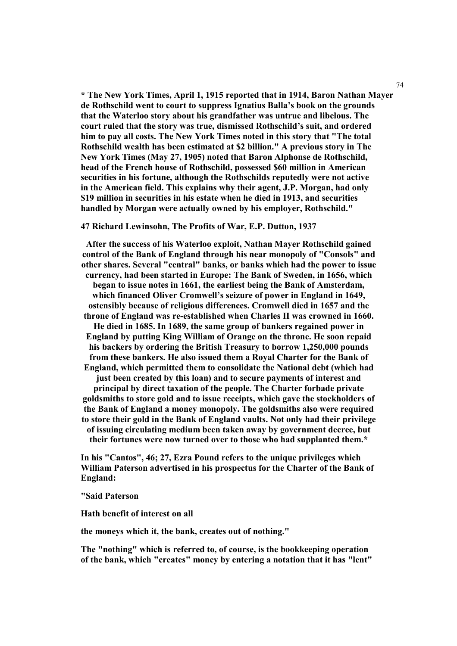\* The New York Times, April 1, 1915 reported that in 1914, Baron Nathan Mayer de Rothschild went to court to suppress Ignatius Balla's book on the grounds that the Waterloo story about his grandfather was untrue and libelous. The court ruled that the story was true, dismissed Rothschild's suit, and ordered him to pay all costs. The New York Times noted in this story that "The total Rothschild wealth has been estimated at \$2 billion." A previous story in The New York Times (May 27, 1905) noted that Baron Alphonse de Rothschild, head of the French house of Rothschild, possessed \$60 million in American securities in his fortune, although the Rothschilds reputedly were not active in the American field. This explains why their agent, J.P. Morgan, had only \$19 million in securities in his estate when he died in 1913, and securities handled by Morgan were actually owned by his employer, Rothschild."

#### 47 Richard Lewinsohn, The Profits of War, E.P. Dutton, 1937

After the success of his Waterloo exploit, Nathan Mayer Rothschild gained control of the Bank of England through his near monopoly of "Consols" and other shares. Several "central" banks, or banks which had the power to issue currency, had been started in Europe: The Bank of Sweden, in 1656, which began to issue notes in 1661, the earliest being the Bank of Amsterdam, which financed Oliver Cromwell's seizure of power in England in 1649, ostensibly because of religious differences. Cromwell died in 1657 and the throne of England was re-established when Charles II was crowned in 1660. He died in 1685. In 1689, the same group of bankers regained power in England by putting King William of Orange on the throne. He soon repaid his backers by ordering the British Treasury to borrow 1,250,000 pounds from these bankers. He also issued them a Royal Charter for the Bank of England, which permitted them to consolidate the National debt (which had just been created by this loan) and to secure payments of interest and principal by direct taxation of the people. The Charter forbade private goldsmiths to store gold and to issue receipts, which gave the stockholders of the Bank of England a money monopoly. The goldsmiths also were required to store their gold in the Bank of England vaults. Not only had their privilege of issuing circulating medium been taken away by government decree, but their fortunes were now turned over to those who had supplanted them.\*

In his "Cantos", 46; 27, Ezra Pound refers to the unique privileges which William Paterson advertised in his prospectus for the Charter of the Bank of England:

### "Said Paterson

Hath benefit of interest on all

the moneys which it, the bank, creates out of nothing."

The "nothing" which is referred to, of course, is the bookkeeping operation of the bank, which "creates" money by entering a notation that it has "lent" 74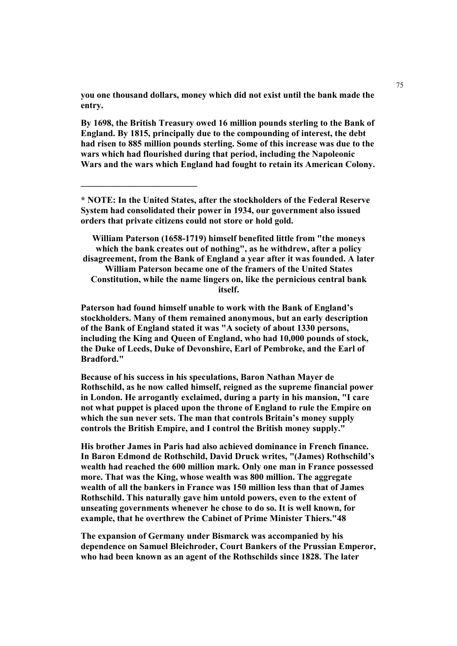you one thousand dollars, money which did not exist until the bank made the entry.

By 1698, the British Treasury owed 16 million pounds sterling to the Bank of England. By 1815, principally due to the compounding of interest, the debt had risen to 885 million pounds sterling. Some of this increase was due to the wars which had flourished during that period, including the Napoleonic Wars and the wars which England had fought to retain its American Colony.

\_\_\_\_\_\_\_\_\_\_\_\_\_\_\_\_\_\_\_\_\_\_\_\_\_\_

William Paterson (1658-1719) himself benefited little from "the moneys which the bank creates out of nothing", as he withdrew, after a policy disagreement, from the Bank of England a year after it was founded. A later

William Paterson became one of the framers of the United States Constitution, while the name lingers on, like the pernicious central bank itself.

Paterson had found himself unable to work with the Bank of England's stockholders. Many of them remained anonymous, but an early description of the Bank of England stated it was "A society of about 1330 persons, including the King and Queen of England, who had 10,000 pounds of stock, the Duke of Leeds, Duke of Devonshire, Earl of Pembroke, and the Earl of Bradford."

Because of his success in his speculations, Baron Nathan Mayer de Rothschild, as he now called himself, reigned as the supreme financial power in London. He arrogantly exclaimed, during a party in his mansion, "I care not what puppet is placed upon the throne of England to rule the Empire on which the sun never sets. The man that controls Britain's money supply controls the British Empire, and I control the British money supply."

His brother James in Paris had also achieved dominance in French finance. In Baron Edmond de Rothschild, David Druck writes, "(James) Rothschild's wealth had reached the 600 million mark. Only one man in France possessed more. That was the King, whose wealth was 800 million. The aggregate wealth of all the bankers in France was 150 million less than that of James Rothschild. This naturally gave him untold powers, even to the extent of unseating governments whenever he chose to do so. It is well known, for example, that he overthrew the Cabinet of Prime Minister Thiers."48

The expansion of Germany under Bismarck was accompanied by his dependence on Samuel Bleichroder, Court Bankers of the Prussian Emperor, who had been known as an agent of the Rothschilds since 1828. The later

<sup>\*</sup> NOTE: In the United States, after the stockholders of the Federal Reserve System had consolidated their power in 1934, our government also issued orders that private citizens could not store or hold gold.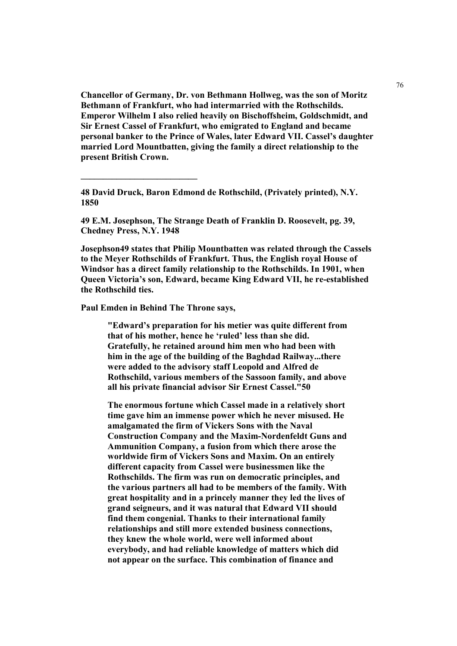Chancellor of Germany, Dr. von Bethmann Hollweg, was the son of Moritz Bethmann of Frankfurt, who had intermarried with the Rothschilds. Emperor Wilhelm I also relied heavily on Bischoffsheim, Goldschmidt, and Sir Ernest Cassel of Frankfurt, who emigrated to England and became personal banker to the Prince of Wales, later Edward VII. Cassel's daughter married Lord Mountbatten, giving the family a direct relationship to the present British Crown.

49 E.M. Josephson, The Strange Death of Franklin D. Roosevelt, pg. 39, Chedney Press, N.Y. 1948

Josephson49 states that Philip Mountbatten was related through the Cassels to the Meyer Rothschilds of Frankfurt. Thus, the English royal House of Windsor has a direct family relationship to the Rothschilds. In 1901, when Queen Victoria's son, Edward, became King Edward VII, he re-established the Rothschild ties.

Paul Emden in Behind The Throne says,

\_\_\_\_\_\_\_\_\_\_\_\_\_\_\_\_\_\_\_\_\_\_\_\_\_\_

"Edward's preparation for his metier was quite different from that of his mother, hence he 'ruled' less than she did. Gratefully, he retained around him men who had been with him in the age of the building of the Baghdad Railway...there were added to the advisory staff Leopold and Alfred de Rothschild, various members of the Sassoon family, and above all his private financial advisor Sir Ernest Cassel."50

The enormous fortune which Cassel made in a relatively short time gave him an immense power which he never misused. He amalgamated the firm of Vickers Sons with the Naval Construction Company and the Maxim-Nordenfeldt Guns and Ammunition Company, a fusion from which there arose the worldwide firm of Vickers Sons and Maxim. On an entirely different capacity from Cassel were businessmen like the Rothschilds. The firm was run on democratic principles, and the various partners all had to be members of the family. With great hospitality and in a princely manner they led the lives of grand seigneurs, and it was natural that Edward VII should find them congenial. Thanks to their international family relationships and still more extended business connections, they knew the whole world, were well informed about everybody, and had reliable knowledge of matters which did not appear on the surface. This combination of finance and

<sup>48</sup> David Druck, Baron Edmond de Rothschild, (Privately printed), N.Y. 1850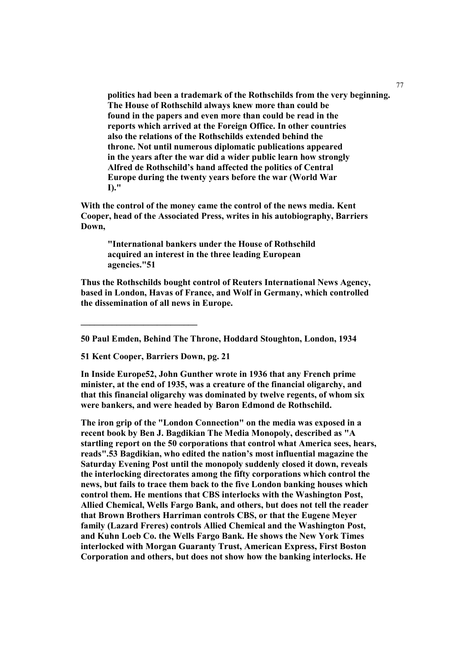politics had been a trademark of the Rothschilds from the very beginning. The House of Rothschild always knew more than could be found in the papers and even more than could be read in the reports which arrived at the Foreign Office. In other countries also the relations of the Rothschilds extended behind the throne. Not until numerous diplomatic publications appeared in the years after the war did a wider public learn how strongly Alfred de Rothschild's hand affected the politics of Central Europe during the twenty years before the war (World War I)."

With the control of the money came the control of the news media. Kent Cooper, head of the Associated Press, writes in his autobiography, Barriers Down,

"International bankers under the House of Rothschild acquired an interest in the three leading European agencies."51

Thus the Rothschilds bought control of Reuters International News Agency, based in London, Havas of France, and Wolf in Germany, which controlled the dissemination of all news in Europe.

51 Kent Cooper, Barriers Down, pg. 21

\_\_\_\_\_\_\_\_\_\_\_\_\_\_\_\_\_\_\_\_\_\_\_\_\_\_

In Inside Europe52, John Gunther wrote in 1936 that any French prime minister, at the end of 1935, was a creature of the financial oligarchy, and that this financial oligarchy was dominated by twelve regents, of whom six were bankers, and were headed by Baron Edmond de Rothschild.

The iron grip of the "London Connection" on the media was exposed in a recent book by Ben J. Bagdikian The Media Monopoly, described as "A startling report on the 50 corporations that control what America sees, hears, reads".53 Bagdikian, who edited the nation's most influential magazine the Saturday Evening Post until the monopoly suddenly closed it down, reveals the interlocking directorates among the fifty corporations which control the news, but fails to trace them back to the five London banking houses which control them. He mentions that CBS interlocks with the Washington Post, Allied Chemical, Wells Fargo Bank, and others, but does not tell the reader that Brown Brothers Harriman controls CBS, or that the Eugene Meyer family (Lazard Freres) controls Allied Chemical and the Washington Post, and Kuhn Loeb Co. the Wells Fargo Bank. He shows the New York Times interlocked with Morgan Guaranty Trust, American Express, First Boston Corporation and others, but does not show how the banking interlocks. He

77

<sup>50</sup> Paul Emden, Behind The Throne, Hoddard Stoughton, London, 1934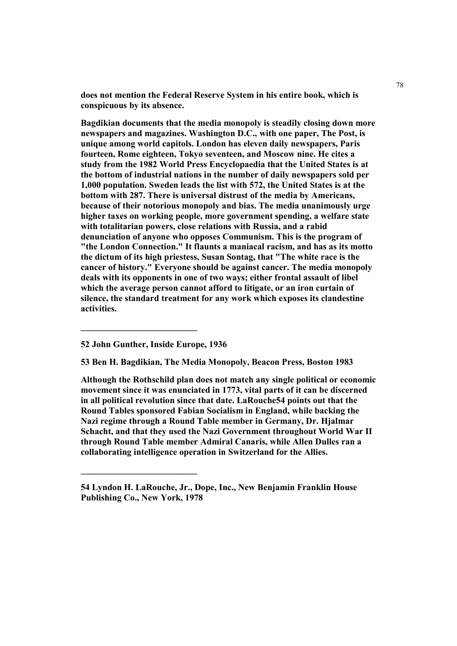does not mention the Federal Reserve System in his entire book, which is conspicuous by its absence.

Bagdikian documents that the media monopoly is steadily closing down more newspapers and magazines. Washington D.C., with one paper, The Post, is unique among world capitols. London has eleven daily newspapers, Paris fourteen, Rome eighteen, Tokyo seventeen, and Moscow nine. He cites a study from the 1982 World Press Encyclopaedia that the United States is at the bottom of industrial nations in the number of daily newspapers sold per 1,000 population. Sweden leads the list with 572, the United States is at the bottom with 287. There is universal distrust of the media by Americans, because of their notorious monopoly and bias. The media unanimously urge higher taxes on working people, more government spending, a welfare state with totalitarian powers, close relations with Russia, and a rabid denunciation of anyone who opposes Communism. This is the program of "the London Connection." It flaunts a maniacal racism, and has as its motto the dictum of its high priestess, Susan Sontag, that "The white race is the cancer of history." Everyone should be against cancer. The media monopoly deals with its opponents in one of two ways; either frontal assault of libel which the average person cannot afford to litigate, or an iron curtain of silence, the standard treatment for any work which exposes its clandestine activities.

### 52 John Gunther, Inside Europe, 1936

\_\_\_\_\_\_\_\_\_\_\_\_\_\_\_\_\_\_\_\_\_\_\_\_\_\_

\_\_\_\_\_\_\_\_\_\_\_\_\_\_\_\_\_\_\_\_\_\_\_\_\_\_

53 Ben H. Bagdikian, The Media Monopoly, Beacon Press, Boston 1983

Although the Rothschild plan does not match any single political or economic movement since it was enunciated in 1773, vital parts of it can be discerned in all political revolution since that date. LaRouche54 points out that the Round Tables sponsored Fabian Socialism in England, while backing the Nazi regime through a Round Table member in Germany, Dr. Hjalmar Schacht, and that they used the Nazi Government throughout World War II through Round Table member Admiral Canaris, while Allen Dulles ran a collaborating intelligence operation in Switzerland for the Allies.

<sup>54</sup> Lyndon H. LaRouche, Jr., Dope, Inc., New Benjamin Franklin House Publishing Co., New York, 1978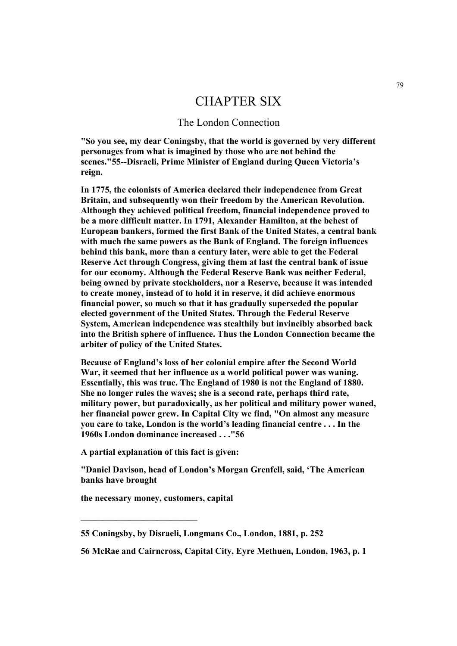# CHAPTER SIX

### The London Connection

"So you see, my dear Coningsby, that the world is governed by very different personages from what is imagined by those who are not behind the scenes."55--Disraeli, Prime Minister of England during Queen Victoria's reign.

In 1775, the colonists of America declared their independence from Great Britain, and subsequently won their freedom by the American Revolution. Although they achieved political freedom, financial independence proved to be a more difficult matter. In 1791, Alexander Hamilton, at the behest of European bankers, formed the first Bank of the United States, a central bank with much the same powers as the Bank of England. The foreign influences behind this bank, more than a century later, were able to get the Federal Reserve Act through Congress, giving them at last the central bank of issue for our economy. Although the Federal Reserve Bank was neither Federal, being owned by private stockholders, nor a Reserve, because it was intended to create money, instead of to hold it in reserve, it did achieve enormous financial power, so much so that it has gradually superseded the popular elected government of the United States. Through the Federal Reserve System, American independence was stealthily but invincibly absorbed back into the British sphere of influence. Thus the London Connection became the arbiter of policy of the United States.

Because of England's loss of her colonial empire after the Second World War, it seemed that her influence as a world political power was waning. Essentially, this was true. The England of 1980 is not the England of 1880. She no longer rules the waves; she is a second rate, perhaps third rate, military power, but paradoxically, as her political and military power waned, her financial power grew. In Capital City we find, "On almost any measure you care to take, London is the world's leading financial centre . . . In the 1960s London dominance increased . . ."56

A partial explanation of this fact is given:

"Daniel Davison, head of London's Morgan Grenfell, said, 'The American banks have brought

the necessary money, customers, capital

<sup>55</sup> Coningsby, by Disraeli, Longmans Co., London, 1881, p. 252

<sup>56</sup> McRae and Cairncross, Capital City, Eyre Methuen, London, 1963, p. 1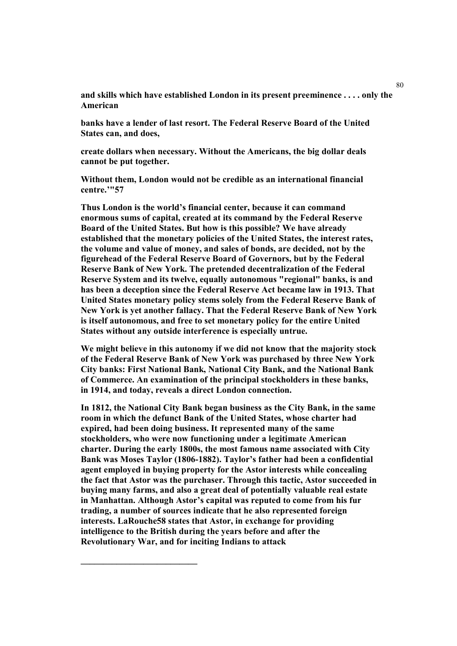and skills which have established London in its present preeminence . . . . only the American

banks have a lender of last resort. The Federal Reserve Board of the United States can, and does,

create dollars when necessary. Without the Americans, the big dollar deals cannot be put together.

Without them, London would not be credible as an international financial centre.'"57

Thus London is the world's financial center, because it can command enormous sums of capital, created at its command by the Federal Reserve Board of the United States. But how is this possible? We have already established that the monetary policies of the United States, the interest rates, the volume and value of money, and sales of bonds, are decided, not by the figurehead of the Federal Reserve Board of Governors, but by the Federal Reserve Bank of New York. The pretended decentralization of the Federal Reserve System and its twelve, equally autonomous "regional" banks, is and has been a deception since the Federal Reserve Act became law in 1913. That United States monetary policy stems solely from the Federal Reserve Bank of New York is yet another fallacy. That the Federal Reserve Bank of New York is itself autonomous, and free to set monetary policy for the entire United States without any outside interference is especially untrue.

We might believe in this autonomy if we did not know that the majority stock of the Federal Reserve Bank of New York was purchased by three New York City banks: First National Bank, National City Bank, and the National Bank of Commerce. An examination of the principal stockholders in these banks, in 1914, and today, reveals a direct London connection.

In 1812, the National City Bank began business as the City Bank, in the same room in which the defunct Bank of the United States, whose charter had expired, had been doing business. It represented many of the same stockholders, who were now functioning under a legitimate American charter. During the early 1800s, the most famous name associated with City Bank was Moses Taylor (1806-1882). Taylor's father had been a confidential agent employed in buying property for the Astor interests while concealing the fact that Astor was the purchaser. Through this tactic, Astor succeeded in buying many farms, and also a great deal of potentially valuable real estate in Manhattan. Although Astor's capital was reputed to come from his fur trading, a number of sources indicate that he also represented foreign interests. LaRouche58 states that Astor, in exchange for providing intelligence to the British during the years before and after the Revolutionary War, and for inciting Indians to attack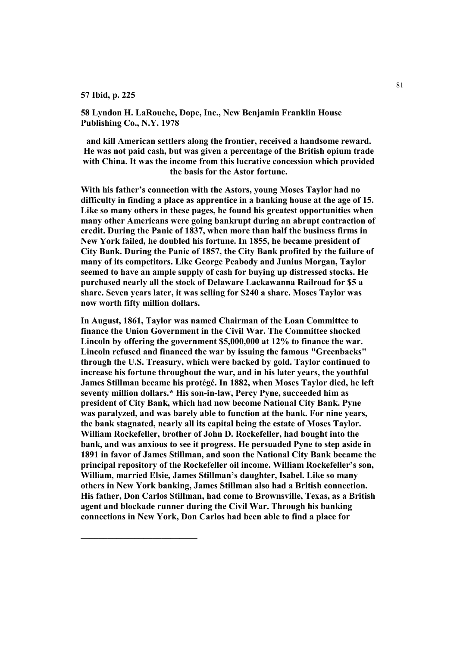#### 57 Ibid, p. 225

58 Lyndon H. LaRouche, Dope, Inc., New Benjamin Franklin House Publishing Co., N.Y. 1978

and kill American settlers along the frontier, received a handsome reward. He was not paid cash, but was given a percentage of the British opium trade with China. It was the income from this lucrative concession which provided the basis for the Astor fortune.

With his father's connection with the Astors, young Moses Taylor had no difficulty in finding a place as apprentice in a banking house at the age of 15. Like so many others in these pages, he found his greatest opportunities when many other Americans were going bankrupt during an abrupt contraction of credit. During the Panic of 1837, when more than half the business firms in New York failed, he doubled his fortune. In 1855, he became president of City Bank. During the Panic of 1857, the City Bank profited by the failure of many of its competitors. Like George Peabody and Junius Morgan, Taylor seemed to have an ample supply of cash for buying up distressed stocks. He purchased nearly all the stock of Delaware Lackawanna Railroad for \$5 a share. Seven years later, it was selling for \$240 a share. Moses Taylor was now worth fifty million dollars.

In August, 1861, Taylor was named Chairman of the Loan Committee to finance the Union Government in the Civil War. The Committee shocked Lincoln by offering the government \$5,000,000 at 12% to finance the war. Lincoln refused and financed the war by issuing the famous "Greenbacks" through the U.S. Treasury, which were backed by gold. Taylor continued to increase his fortune throughout the war, and in his later years, the youthful James Stillman became his protégé. In 1882, when Moses Taylor died, he left seventy million dollars.\* His son-in-law, Percy Pyne, succeeded him as president of City Bank, which had now become National City Bank. Pyne was paralyzed, and was barely able to function at the bank. For nine years, the bank stagnated, nearly all its capital being the estate of Moses Taylor. William Rockefeller, brother of John D. Rockefeller, had bought into the bank, and was anxious to see it progress. He persuaded Pyne to step aside in 1891 in favor of James Stillman, and soon the National City Bank became the principal repository of the Rockefeller oil income. William Rockefeller's son, William, married Elsie, James Stillman's daughter, Isabel. Like so many others in New York banking, James Stillman also had a British connection. His father, Don Carlos Stillman, had come to Brownsville, Texas, as a British agent and blockade runner during the Civil War. Through his banking connections in New York, Don Carlos had been able to find a place for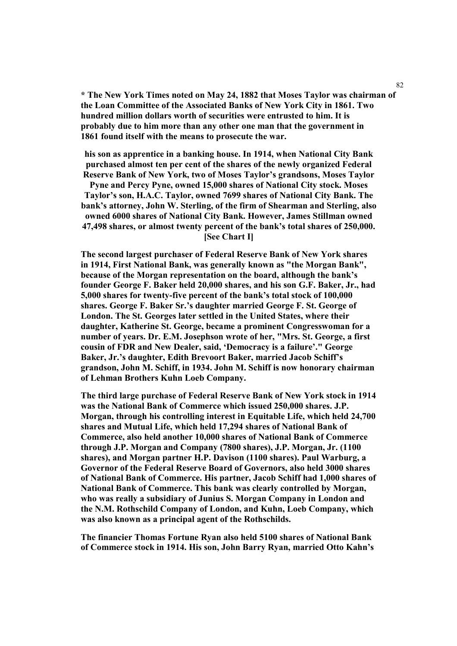\* The New York Times noted on May 24, 1882 that Moses Taylor was chairman of the Loan Committee of the Associated Banks of New York City in 1861. Two hundred million dollars worth of securities were entrusted to him. It is probably due to him more than any other one man that the government in 1861 found itself with the means to prosecute the war.

his son as apprentice in a banking house. In 1914, when National City Bank purchased almost ten per cent of the shares of the newly organized Federal Reserve Bank of New York, two of Moses Taylor's grandsons, Moses Taylor

Pyne and Percy Pyne, owned 15,000 shares of National City stock. Moses Taylor's son, H.A.C. Taylor, owned 7699 shares of National City Bank. The bank's attorney, John W. Sterling, of the firm of Shearman and Sterling, also owned 6000 shares of National City Bank. However, James Stillman owned 47,498 shares, or almost twenty percent of the bank's total shares of 250,000. [See Chart I]

The second largest purchaser of Federal Reserve Bank of New York shares in 1914, First National Bank, was generally known as "the Morgan Bank", because of the Morgan representation on the board, although the bank's founder George F. Baker held 20,000 shares, and his son G.F. Baker, Jr., had 5,000 shares for twenty-five percent of the bank's total stock of 100,000 shares. George F. Baker Sr.'s daughter married George F. St. George of London. The St. Georges later settled in the United States, where their daughter, Katherine St. George, became a prominent Congresswoman for a number of years. Dr. E.M. Josephson wrote of her, "Mrs. St. George, a first cousin of FDR and New Dealer, said, 'Democracy is a failure'." George Baker, Jr.'s daughter, Edith Brevoort Baker, married Jacob Schiff's grandson, John M. Schiff, in 1934. John M. Schiff is now honorary chairman of Lehman Brothers Kuhn Loeb Company.

The third large purchase of Federal Reserve Bank of New York stock in 1914 was the National Bank of Commerce which issued 250,000 shares. J.P. Morgan, through his controlling interest in Equitable Life, which held 24,700 shares and Mutual Life, which held 17,294 shares of National Bank of Commerce, also held another 10,000 shares of National Bank of Commerce through J.P. Morgan and Company (7800 shares), J.P. Morgan, Jr. (1100 shares), and Morgan partner H.P. Davison (1100 shares). Paul Warburg, a Governor of the Federal Reserve Board of Governors, also held 3000 shares of National Bank of Commerce. His partner, Jacob Schiff had 1,000 shares of National Bank of Commerce. This bank was clearly controlled by Morgan, who was really a subsidiary of Junius S. Morgan Company in London and the N.M. Rothschild Company of London, and Kuhn, Loeb Company, which was also known as a principal agent of the Rothschilds.

The financier Thomas Fortune Ryan also held 5100 shares of National Bank of Commerce stock in 1914. His son, John Barry Ryan, married Otto Kahn's 82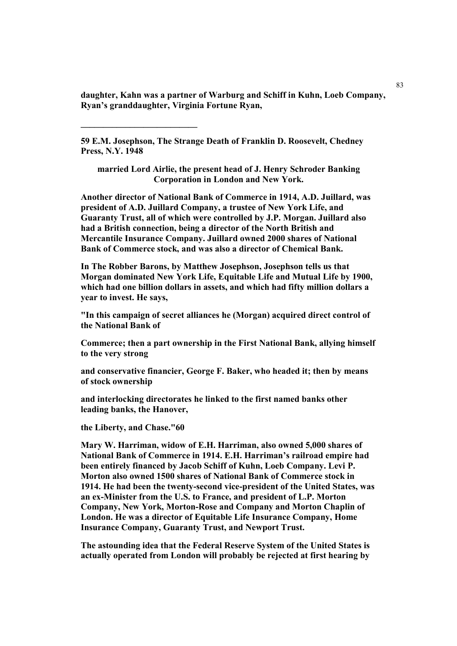daughter, Kahn was a partner of Warburg and Schiff in Kuhn, Loeb Company, Ryan's granddaughter, Virginia Fortune Ryan,

59 E.M. Josephson, The Strange Death of Franklin D. Roosevelt, Chedney Press, N.Y. 1948

married Lord Airlie, the present head of J. Henry Schroder Banking Corporation in London and New York.

Another director of National Bank of Commerce in 1914, A.D. Juillard, was president of A.D. Juillard Company, a trustee of New York Life, and Guaranty Trust, all of which were controlled by J.P. Morgan. Juillard also had a British connection, being a director of the North British and Mercantile Insurance Company. Juillard owned 2000 shares of National Bank of Commerce stock, and was also a director of Chemical Bank.

In The Robber Barons, by Matthew Josephson, Josephson tells us that Morgan dominated New York Life, Equitable Life and Mutual Life by 1900, which had one billion dollars in assets, and which had fifty million dollars a year to invest. He says,

"In this campaign of secret alliances he (Morgan) acquired direct control of the National Bank of

Commerce; then a part ownership in the First National Bank, allying himself to the very strong

and conservative financier, George F. Baker, who headed it; then by means of stock ownership

and interlocking directorates he linked to the first named banks other leading banks, the Hanover,

the Liberty, and Chase."60

\_\_\_\_\_\_\_\_\_\_\_\_\_\_\_\_\_\_\_\_\_\_\_\_\_\_

Mary W. Harriman, widow of E.H. Harriman, also owned 5,000 shares of National Bank of Commerce in 1914. E.H. Harriman's railroad empire had been entirely financed by Jacob Schiff of Kuhn, Loeb Company. Levi P. Morton also owned 1500 shares of National Bank of Commerce stock in 1914. He had been the twenty-second vice-president of the United States, was an ex-Minister from the U.S. to France, and president of L.P. Morton Company, New York, Morton-Rose and Company and Morton Chaplin of London. He was a director of Equitable Life Insurance Company, Home Insurance Company, Guaranty Trust, and Newport Trust.

The astounding idea that the Federal Reserve System of the United States is actually operated from London will probably be rejected at first hearing by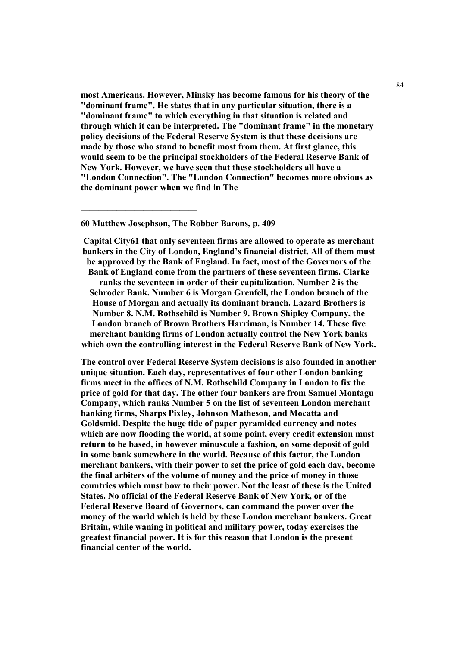most Americans. However, Minsky has become famous for his theory of the "dominant frame". He states that in any particular situation, there is a "dominant frame" to which everything in that situation is related and through which it can be interpreted. The "dominant frame" in the monetary policy decisions of the Federal Reserve System is that these decisions are made by those who stand to benefit most from them. At first glance, this would seem to be the principal stockholders of the Federal Reserve Bank of New York. However, we have seen that these stockholders all have a "London Connection". The "London Connection" becomes more obvious as the dominant power when we find in The

60 Matthew Josephson, The Robber Barons, p. 409

\_\_\_\_\_\_\_\_\_\_\_\_\_\_\_\_\_\_\_\_\_\_\_\_\_\_

Capital City61 that only seventeen firms are allowed to operate as merchant bankers in the City of London, England's financial district. All of them must be approved by the Bank of England. In fact, most of the Governors of the Bank of England come from the partners of these seventeen firms. Clarke ranks the seventeen in order of their capitalization. Number 2 is the Schroder Bank. Number 6 is Morgan Grenfell, the London branch of the House of Morgan and actually its dominant branch. Lazard Brothers is Number 8. N.M. Rothschild is Number 9. Brown Shipley Company, the London branch of Brown Brothers Harriman, is Number 14. These five merchant banking firms of London actually control the New York banks which own the controlling interest in the Federal Reserve Bank of New York.

The control over Federal Reserve System decisions is also founded in another unique situation. Each day, representatives of four other London banking firms meet in the offices of N.M. Rothschild Company in London to fix the price of gold for that day. The other four bankers are from Samuel Montagu Company, which ranks Number 5 on the list of seventeen London merchant banking firms, Sharps Pixley, Johnson Matheson, and Mocatta and Goldsmid. Despite the huge tide of paper pyramided currency and notes which are now flooding the world, at some point, every credit extension must return to be based, in however minuscule a fashion, on some deposit of gold in some bank somewhere in the world. Because of this factor, the London merchant bankers, with their power to set the price of gold each day, become the final arbiters of the volume of money and the price of money in those countries which must bow to their power. Not the least of these is the United States. No official of the Federal Reserve Bank of New York, or of the Federal Reserve Board of Governors, can command the power over the money of the world which is held by these London merchant bankers. Great Britain, while waning in political and military power, today exercises the greatest financial power. It is for this reason that London is the present financial center of the world.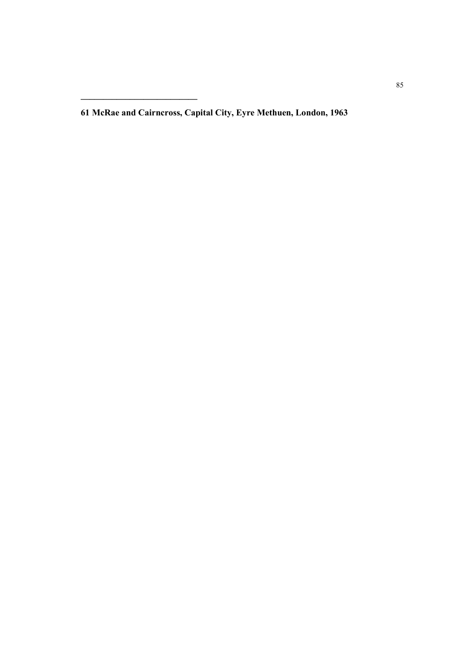<sup>61</sup> McRae and Cairncross, Capital City, Eyre Methuen, London, 1963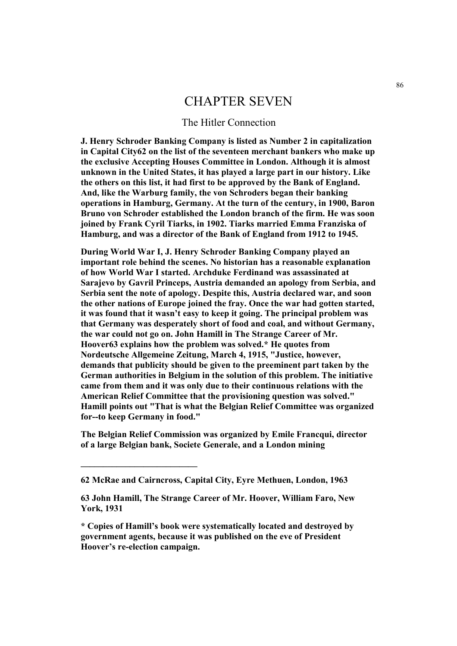# CHAPTER SEVEN

## The Hitler Connection

J. Henry Schroder Banking Company is listed as Number 2 in capitalization in Capital City62 on the list of the seventeen merchant bankers who make up the exclusive Accepting Houses Committee in London. Although it is almost unknown in the United States, it has played a large part in our history. Like the others on this list, it had first to be approved by the Bank of England. And, like the Warburg family, the von Schroders began their banking operations in Hamburg, Germany. At the turn of the century, in 1900, Baron Bruno von Schroder established the London branch of the firm. He was soon joined by Frank Cyril Tiarks, in 1902. Tiarks married Emma Franziska of Hamburg, and was a director of the Bank of England from 1912 to 1945.

During World War I, J. Henry Schroder Banking Company played an important role behind the scenes. No historian has a reasonable explanation of how World War I started. Archduke Ferdinand was assassinated at Sarajevo by Gavril Princeps, Austria demanded an apology from Serbia, and Serbia sent the note of apology. Despite this, Austria declared war, and soon the other nations of Europe joined the fray. Once the war had gotten started, it was found that it wasn't easy to keep it going. The principal problem was that Germany was desperately short of food and coal, and without Germany, the war could not go on. John Hamill in The Strange Career of Mr. Hoover63 explains how the problem was solved.\* He quotes from Nordeutsche Allgemeine Zeitung, March 4, 1915, "Justice, however, demands that publicity should be given to the preeminent part taken by the German authorities in Belgium in the solution of this problem. The initiative came from them and it was only due to their continuous relations with the American Relief Committee that the provisioning question was solved." Hamill points out "That is what the Belgian Relief Committee was organized for--to keep Germany in food."

The Belgian Relief Commission was organized by Emile Francqui, director of a large Belgian bank, Societe Generale, and a London mining

<sup>62</sup> McRae and Cairncross, Capital City, Eyre Methuen, London, 1963

<sup>63</sup> John Hamill, The Strange Career of Mr. Hoover, William Faro, New York, 1931

<sup>\*</sup> Copies of Hamill's book were systematically located and destroyed by government agents, because it was published on the eve of President Hoover's re-election campaign.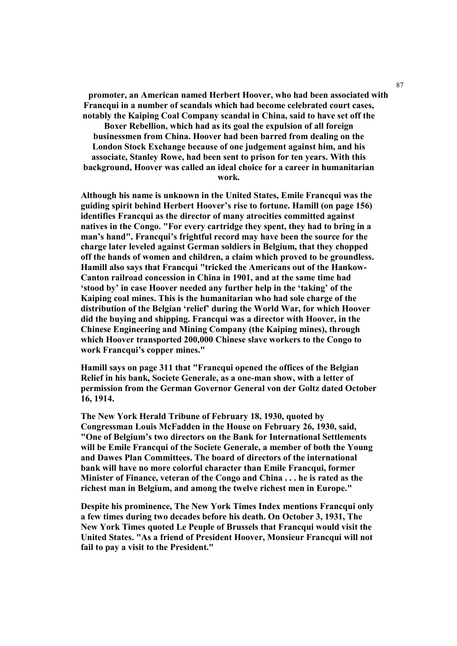promoter, an American named Herbert Hoover, who had been associated with Francqui in a number of scandals which had become celebrated court cases, notably the Kaiping Coal Company scandal in China, said to have set off the Boxer Rebellion, which had as its goal the expulsion of all foreign businessmen from China. Hoover had been barred from dealing on the London Stock Exchange because of one judgement against him, and his associate, Stanley Rowe, had been sent to prison for ten years. With this background, Hoover was called an ideal choice for a career in humanitarian work.

Although his name is unknown in the United States, Emile Francqui was the guiding spirit behind Herbert Hoover's rise to fortune. Hamill (on page 156) identifies Francqui as the director of many atrocities committed against natives in the Congo. "For every cartridge they spent, they had to bring in a man's hand". Francqui's frightful record may have been the source for the charge later leveled against German soldiers in Belgium, that they chopped off the hands of women and children, a claim which proved to be groundless. Hamill also says that Francqui "tricked the Americans out of the Hankow-Canton railroad concession in China in 1901, and at the same time had 'stood by' in case Hoover needed any further help in the 'taking' of the Kaiping coal mines. This is the humanitarian who had sole charge of the distribution of the Belgian 'relief' during the World War, for which Hoover did the buying and shipping. Francqui was a director with Hoover, in the Chinese Engineering and Mining Company (the Kaiping mines), through which Hoover transported 200,000 Chinese slave workers to the Congo to work Francqui's copper mines."

Hamill says on page 311 that "Francqui opened the offices of the Belgian Relief in his bank, Societe Generale, as a one-man show, with a letter of permission from the German Governor General von der Goltz dated October 16, 1914.

The New York Herald Tribune of February 18, 1930, quoted by Congressman Louis McFadden in the House on February 26, 1930, said, "One of Belgium's two directors on the Bank for International Settlements will be Emile Francqui of the Societe Generale, a member of both the Young and Dawes Plan Committees. The board of directors of the international bank will have no more colorful character than Emile Francqui, former Minister of Finance, veteran of the Congo and China . . . he is rated as the richest man in Belgium, and among the twelve richest men in Europe."

Despite his prominence, The New York Times Index mentions Francqui only a few times during two decades before his death. On October 3, 1931, The New York Times quoted Le Peuple of Brussels that Francqui would visit the United States. "As a friend of President Hoover, Monsieur Francqui will not fail to pay a visit to the President."

87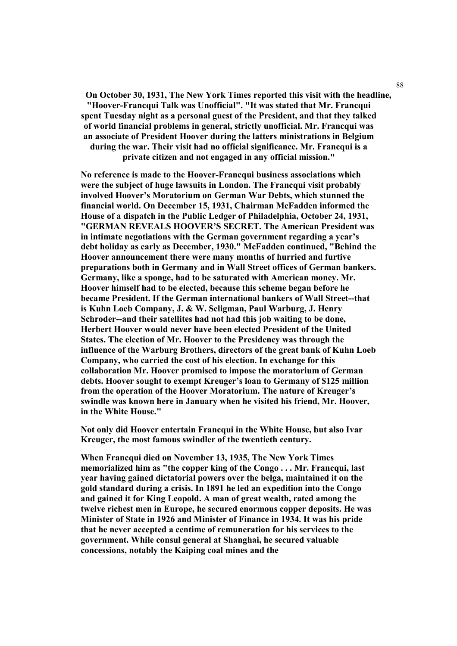On October 30, 1931, The New York Times reported this visit with the headline, "Hoover-Francqui Talk was Unofficial". "It was stated that Mr. Francqui spent Tuesday night as a personal guest of the President, and that they talked of world financial problems in general, strictly unofficial. Mr. Francqui was an associate of President Hoover during the latters ministrations in Belgium during the war. Their visit had no official significance. Mr. Francqui is a private citizen and not engaged in any official mission."

No reference is made to the Hoover-Francqui business associations which were the subject of huge lawsuits in London. The Francqui visit probably involved Hoover's Moratorium on German War Debts, which stunned the financial world. On December 15, 1931, Chairman McFadden informed the House of a dispatch in the Public Ledger of Philadelphia, October 24, 1931, "GERMAN REVEALS HOOVER'S SECRET. The American President was in intimate negotiations with the German government regarding a year's debt holiday as early as December, 1930." McFadden continued, "Behind the Hoover announcement there were many months of hurried and furtive preparations both in Germany and in Wall Street offices of German bankers. Germany, like a sponge, had to be saturated with American money. Mr. Hoover himself had to be elected, because this scheme began before he became President. If the German international bankers of Wall Street--that is Kuhn Loeb Company, J. & W. Seligman, Paul Warburg, J. Henry Schroder--and their satellites had not had this job waiting to be done, Herbert Hoover would never have been elected President of the United States. The election of Mr. Hoover to the Presidency was through the influence of the Warburg Brothers, directors of the great bank of Kuhn Loeb Company, who carried the cost of his election. In exchange for this collaboration Mr. Hoover promised to impose the moratorium of German debts. Hoover sought to exempt Kreuger's loan to Germany of \$125 million from the operation of the Hoover Moratorium. The nature of Kreuger's swindle was known here in January when he visited his friend, Mr. Hoover, in the White House."

Not only did Hoover entertain Francqui in the White House, but also Ivar Kreuger, the most famous swindler of the twentieth century.

When Francqui died on November 13, 1935, The New York Times memorialized him as "the copper king of the Congo . . . Mr. Francqui, last year having gained dictatorial powers over the belga, maintained it on the gold standard during a crisis. In 1891 he led an expedition into the Congo and gained it for King Leopold. A man of great wealth, rated among the twelve richest men in Europe, he secured enormous copper deposits. He was Minister of State in 1926 and Minister of Finance in 1934. It was his pride that he never accepted a centime of remuneration for his services to the government. While consul general at Shanghai, he secured valuable concessions, notably the Kaiping coal mines and the

88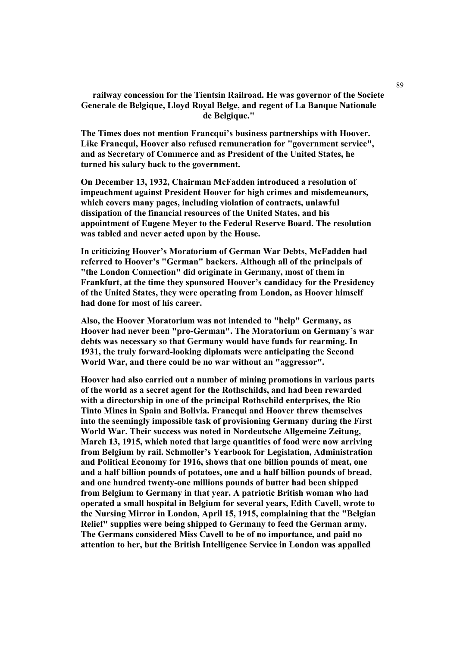### railway concession for the Tientsin Railroad. He was governor of the Societe Generale de Belgique, Lloyd Royal Belge, and regent of La Banque Nationale de Belgique."

The Times does not mention Francqui's business partnerships with Hoover. Like Francqui, Hoover also refused remuneration for "government service", and as Secretary of Commerce and as President of the United States, he turned his salary back to the government.

On December 13, 1932, Chairman McFadden introduced a resolution of impeachment against President Hoover for high crimes and misdemeanors, which covers many pages, including violation of contracts, unlawful dissipation of the financial resources of the United States, and his appointment of Eugene Meyer to the Federal Reserve Board. The resolution was tabled and never acted upon by the House.

In criticizing Hoover's Moratorium of German War Debts, McFadden had referred to Hoover's "German" backers. Although all of the principals of "the London Connection" did originate in Germany, most of them in Frankfurt, at the time they sponsored Hoover's candidacy for the Presidency of the United States, they were operating from London, as Hoover himself had done for most of his career.

Also, the Hoover Moratorium was not intended to "help" Germany, as Hoover had never been "pro-German". The Moratorium on Germany's war debts was necessary so that Germany would have funds for rearming. In 1931, the truly forward-looking diplomats were anticipating the Second World War, and there could be no war without an "aggressor".

Hoover had also carried out a number of mining promotions in various parts of the world as a secret agent for the Rothschilds, and had been rewarded with a directorship in one of the principal Rothschild enterprises, the Rio Tinto Mines in Spain and Bolivia. Francqui and Hoover threw themselves into the seemingly impossible task of provisioning Germany during the First World War. Their success was noted in Nordeutsche Allgemeine Zeitung, March 13, 1915, which noted that large quantities of food were now arriving from Belgium by rail. Schmoller's Yearbook for Legislation, Administration and Political Economy for 1916, shows that one billion pounds of meat, one and a half billion pounds of potatoes, one and a half billion pounds of bread, and one hundred twenty-one millions pounds of butter had been shipped from Belgium to Germany in that year. A patriotic British woman who had operated a small hospital in Belgium for several years, Edith Cavell, wrote to the Nursing Mirror in London, April 15, 1915, complaining that the "Belgian Relief" supplies were being shipped to Germany to feed the German army. The Germans considered Miss Cavell to be of no importance, and paid no attention to her, but the British Intelligence Service in London was appalled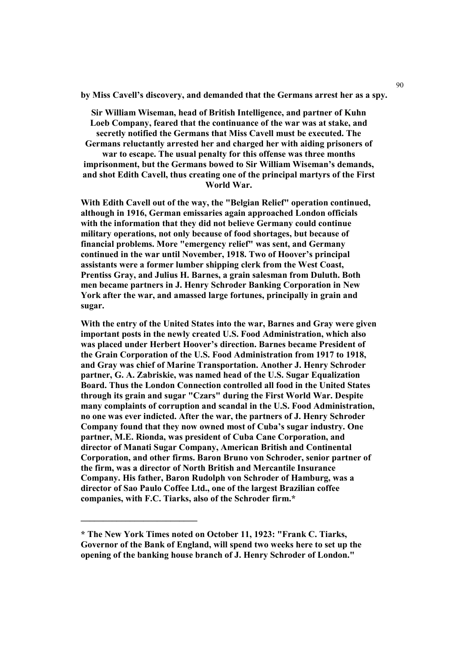by Miss Cavell's discovery, and demanded that the Germans arrest her as a spy.

Sir William Wiseman, head of British Intelligence, and partner of Kuhn Loeb Company, feared that the continuance of the war was at stake, and secretly notified the Germans that Miss Cavell must be executed. The Germans reluctantly arrested her and charged her with aiding prisoners of war to escape. The usual penalty for this offense was three months imprisonment, but the Germans bowed to Sir William Wiseman's demands, and shot Edith Cavell, thus creating one of the principal martyrs of the First World War.

With Edith Cavell out of the way, the "Belgian Relief" operation continued, although in 1916, German emissaries again approached London officials with the information that they did not believe Germany could continue military operations, not only because of food shortages, but because of financial problems. More "emergency relief" was sent, and Germany continued in the war until November, 1918. Two of Hoover's principal assistants were a former lumber shipping clerk from the West Coast, Prentiss Gray, and Julius H. Barnes, a grain salesman from Duluth. Both men became partners in J. Henry Schroder Banking Corporation in New York after the war, and amassed large fortunes, principally in grain and sugar.

With the entry of the United States into the war, Barnes and Gray were given important posts in the newly created U.S. Food Administration, which also was placed under Herbert Hoover's direction. Barnes became President of the Grain Corporation of the U.S. Food Administration from 1917 to 1918, and Gray was chief of Marine Transportation. Another J. Henry Schroder partner, G. A. Zabriskie, was named head of the U.S. Sugar Equalization Board. Thus the London Connection controlled all food in the United States through its grain and sugar "Czars" during the First World War. Despite many complaints of corruption and scandal in the U.S. Food Administration, no one was ever indicted. After the war, the partners of J. Henry Schroder Company found that they now owned most of Cuba's sugar industry. One partner, M.E. Rionda, was president of Cuba Cane Corporation, and director of Manati Sugar Company, American British and Continental Corporation, and other firms. Baron Bruno von Schroder, senior partner of the firm, was a director of North British and Mercantile Insurance Company. His father, Baron Rudolph von Schroder of Hamburg, was a director of Sao Paulo Coffee Ltd., one of the largest Brazilian coffee companies, with F.C. Tiarks, also of the Schroder firm.\*

<sup>\*</sup> The New York Times noted on October 11, 1923: "Frank C. Tiarks, Governor of the Bank of England, will spend two weeks here to set up the opening of the banking house branch of J. Henry Schroder of London."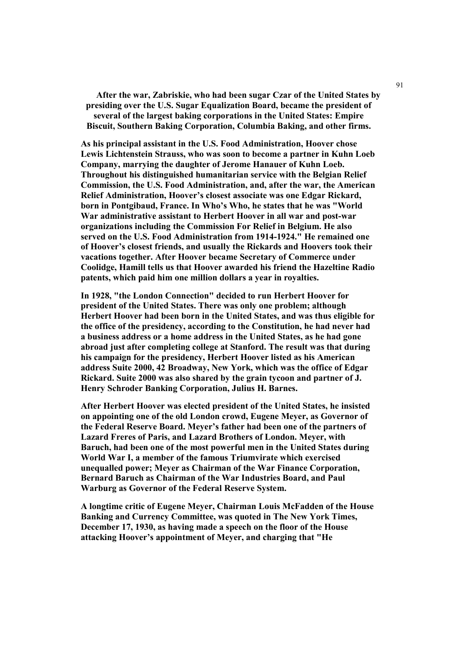After the war, Zabriskie, who had been sugar Czar of the United States by presiding over the U.S. Sugar Equalization Board, became the president of several of the largest baking corporations in the United States: Empire Biscuit, Southern Baking Corporation, Columbia Baking, and other firms.

As his principal assistant in the U.S. Food Administration, Hoover chose Lewis Lichtenstein Strauss, who was soon to become a partner in Kuhn Loeb Company, marrying the daughter of Jerome Hanauer of Kuhn Loeb. Throughout his distinguished humanitarian service with the Belgian Relief Commission, the U.S. Food Administration, and, after the war, the American Relief Administration, Hoover's closest associate was one Edgar Rickard, born in Pontgibaud, France. In Who's Who, he states that he was "World War administrative assistant to Herbert Hoover in all war and post-war organizations including the Commission For Relief in Belgium. He also served on the U.S. Food Administration from 1914-1924." He remained one of Hoover's closest friends, and usually the Rickards and Hoovers took their vacations together. After Hoover became Secretary of Commerce under Coolidge, Hamill tells us that Hoover awarded his friend the Hazeltine Radio patents, which paid him one million dollars a year in royalties.

In 1928, "the London Connection" decided to run Herbert Hoover for president of the United States. There was only one problem; although Herbert Hoover had been born in the United States, and was thus eligible for the office of the presidency, according to the Constitution, he had never had a business address or a home address in the United States, as he had gone abroad just after completing college at Stanford. The result was that during his campaign for the presidency, Herbert Hoover listed as his American address Suite 2000, 42 Broadway, New York, which was the office of Edgar Rickard. Suite 2000 was also shared by the grain tycoon and partner of J. Henry Schroder Banking Corporation, Julius H. Barnes.

After Herbert Hoover was elected president of the United States, he insisted on appointing one of the old London crowd, Eugene Meyer, as Governor of the Federal Reserve Board. Meyer's father had been one of the partners of Lazard Freres of Paris, and Lazard Brothers of London. Meyer, with Baruch, had been one of the most powerful men in the United States during World War I, a member of the famous Triumvirate which exercised unequalled power; Meyer as Chairman of the War Finance Corporation, Bernard Baruch as Chairman of the War Industries Board, and Paul Warburg as Governor of the Federal Reserve System.

A longtime critic of Eugene Meyer, Chairman Louis McFadden of the House Banking and Currency Committee, was quoted in The New York Times, December 17, 1930, as having made a speech on the floor of the House attacking Hoover's appointment of Meyer, and charging that "He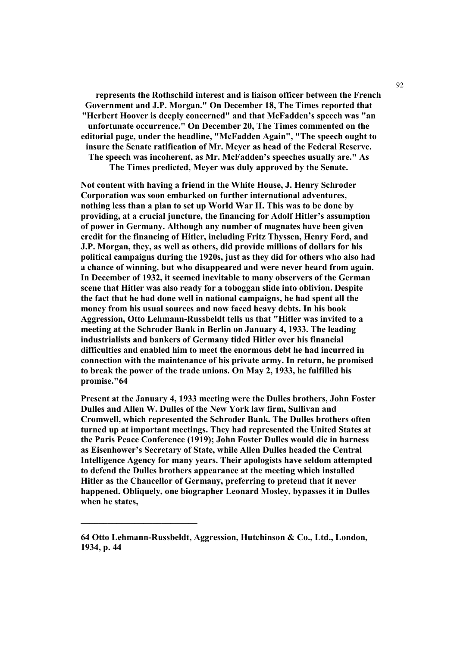represents the Rothschild interest and is liaison officer between the French Government and J.P. Morgan." On December 18, The Times reported that "Herbert Hoover is deeply concerned" and that McFadden's speech was "an unfortunate occurrence." On December 20, The Times commented on the editorial page, under the headline, "McFadden Again", "The speech ought to insure the Senate ratification of Mr. Meyer as head of the Federal Reserve. The speech was incoherent, as Mr. McFadden's speeches usually are." As The Times predicted, Meyer was duly approved by the Senate.

Not content with having a friend in the White House, J. Henry Schroder Corporation was soon embarked on further international adventures, nothing less than a plan to set up World War II. This was to be done by providing, at a crucial juncture, the financing for Adolf Hitler's assumption of power in Germany. Although any number of magnates have been given credit for the financing of Hitler, including Fritz Thyssen, Henry Ford, and J.P. Morgan, they, as well as others, did provide millions of dollars for his political campaigns during the 1920s, just as they did for others who also had a chance of winning, but who disappeared and were never heard from again. In December of 1932, it seemed inevitable to many observers of the German scene that Hitler was also ready for a toboggan slide into oblivion. Despite the fact that he had done well in national campaigns, he had spent all the money from his usual sources and now faced heavy debts. In his book Aggression, Otto Lehmann-Russbeldt tells us that "Hitler was invited to a meeting at the Schroder Bank in Berlin on January 4, 1933. The leading industrialists and bankers of Germany tided Hitler over his financial difficulties and enabled him to meet the enormous debt he had incurred in connection with the maintenance of his private army. In return, he promised to break the power of the trade unions. On May 2, 1933, he fulfilled his promise."64

Present at the January 4, 1933 meeting were the Dulles brothers, John Foster Dulles and Allen W. Dulles of the New York law firm, Sullivan and Cromwell, which represented the Schroder Bank. The Dulles brothers often turned up at important meetings. They had represented the United States at the Paris Peace Conference (1919); John Foster Dulles would die in harness as Eisenhower's Secretary of State, while Allen Dulles headed the Central Intelligence Agency for many years. Their apologists have seldom attempted to defend the Dulles brothers appearance at the meeting which installed Hitler as the Chancellor of Germany, preferring to pretend that it never happened. Obliquely, one biographer Leonard Mosley, bypasses it in Dulles when he states,

<sup>64</sup> Otto Lehmann-Russbeldt, Aggression, Hutchinson & Co., Ltd., London, 1934, p. 44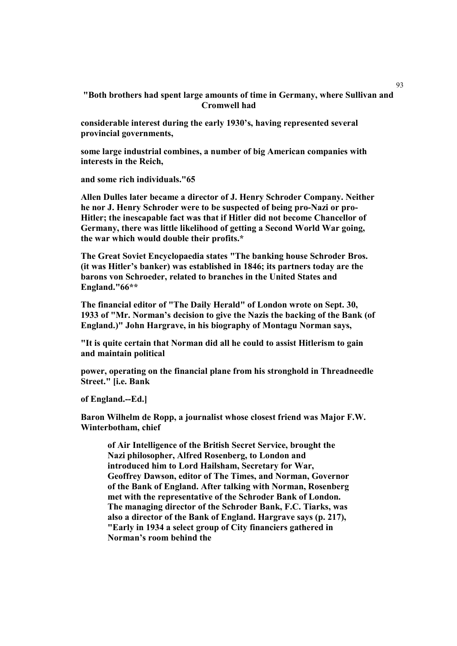"Both brothers had spent large amounts of time in Germany, where Sullivan and Cromwell had

considerable interest during the early 1930's, having represented several provincial governments,

some large industrial combines, a number of big American companies with interests in the Reich,

and some rich individuals."65

Allen Dulles later became a director of J. Henry Schroder Company. Neither he nor J. Henry Schroder were to be suspected of being pro-Nazi or pro-Hitler; the inescapable fact was that if Hitler did not become Chancellor of Germany, there was little likelihood of getting a Second World War going, the war which would double their profits.\*

The Great Soviet Encyclopaedia states "The banking house Schroder Bros. (it was Hitler's banker) was established in 1846; its partners today are the barons von Schroeder, related to branches in the United States and England."66\*\*

The financial editor of "The Daily Herald" of London wrote on Sept. 30, 1933 of "Mr. Norman's decision to give the Nazis the backing of the Bank (of England.)" John Hargrave, in his biography of Montagu Norman says,

"It is quite certain that Norman did all he could to assist Hitlerism to gain and maintain political

power, operating on the financial plane from his stronghold in Threadneedle Street." [i.e. Bank

of England.--Ed.]

Baron Wilhelm de Ropp, a journalist whose closest friend was Major F.W. Winterbotham, chief

of Air Intelligence of the British Secret Service, brought the Nazi philosopher, Alfred Rosenberg, to London and introduced him to Lord Hailsham, Secretary for War, Geoffrey Dawson, editor of The Times, and Norman, Governor of the Bank of England. After talking with Norman, Rosenberg met with the representative of the Schroder Bank of London. The managing director of the Schroder Bank, F.C. Tiarks, was also a director of the Bank of England. Hargrave says (p. 217), "Early in 1934 a select group of City financiers gathered in Norman's room behind the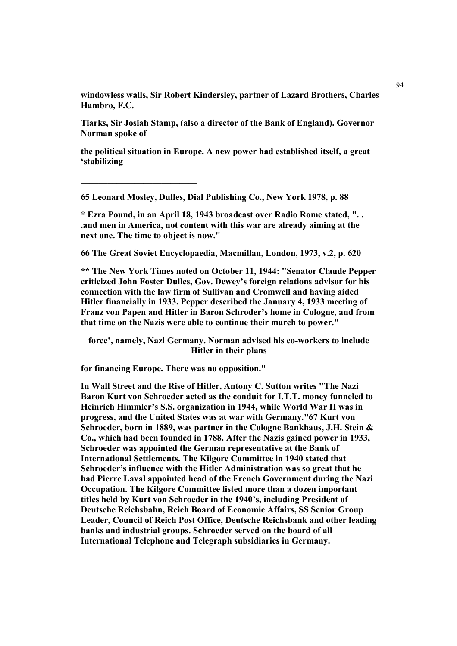windowless walls, Sir Robert Kindersley, partner of Lazard Brothers, Charles Hambro, F.C.

Tiarks, Sir Josiah Stamp, (also a director of the Bank of England). Governor Norman spoke of

the political situation in Europe. A new power had established itself, a great 'stabilizing

65 Leonard Mosley, Dulles, Dial Publishing Co., New York 1978, p. 88

\* Ezra Pound, in an April 18, 1943 broadcast over Radio Rome stated, ". . .and men in America, not content with this war are already aiming at the next one. The time to object is now."

66 The Great Soviet Encyclopaedia, Macmillan, London, 1973, v.2, p. 620

\*\* The New York Times noted on October 11, 1944: "Senator Claude Pepper criticized John Foster Dulles, Gov. Dewey's foreign relations advisor for his connection with the law firm of Sullivan and Cromwell and having aided Hitler financially in 1933. Pepper described the January 4, 1933 meeting of Franz von Papen and Hitler in Baron Schroder's home in Cologne, and from that time on the Nazis were able to continue their march to power."

force', namely, Nazi Germany. Norman advised his co-workers to include Hitler in their plans

for financing Europe. There was no opposition."

\_\_\_\_\_\_\_\_\_\_\_\_\_\_\_\_\_\_\_\_\_\_\_\_\_\_

In Wall Street and the Rise of Hitler, Antony C. Sutton writes "The Nazi Baron Kurt von Schroeder acted as the conduit for I.T.T. money funneled to Heinrich Himmler's S.S. organization in 1944, while World War II was in progress, and the United States was at war with Germany."67 Kurt von Schroeder, born in 1889, was partner in the Cologne Bankhaus, J.H. Stein & Co., which had been founded in 1788. After the Nazis gained power in 1933, Schroeder was appointed the German representative at the Bank of International Settlements. The Kilgore Committee in 1940 stated that Schroeder's influence with the Hitler Administration was so great that he had Pierre Laval appointed head of the French Government during the Nazi Occupation. The Kilgore Committee listed more than a dozen important titles held by Kurt von Schroeder in the 1940's, including President of Deutsche Reichsbahn, Reich Board of Economic Affairs, SS Senior Group Leader, Council of Reich Post Office, Deutsche Reichsbank and other leading banks and industrial groups. Schroeder served on the board of all International Telephone and Telegraph subsidiaries in Germany.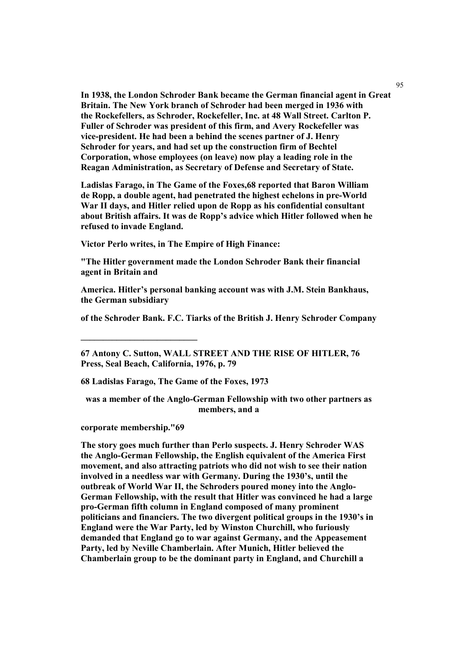In 1938, the London Schroder Bank became the German financial agent in Great Britain. The New York branch of Schroder had been merged in 1936 with the Rockefellers, as Schroder, Rockefeller, Inc. at 48 Wall Street. Carlton P. Fuller of Schroder was president of this firm, and Avery Rockefeller was vice-president. He had been a behind the scenes partner of J. Henry Schroder for years, and had set up the construction firm of Bechtel Corporation, whose employees (on leave) now play a leading role in the Reagan Administration, as Secretary of Defense and Secretary of State.

Ladislas Farago, in The Game of the Foxes,68 reported that Baron William de Ropp, a double agent, had penetrated the highest echelons in pre-World War II days, and Hitler relied upon de Ropp as his confidential consultant about British affairs. It was de Ropp's advice which Hitler followed when he refused to invade England.

Victor Perlo writes, in The Empire of High Finance:

"The Hitler government made the London Schroder Bank their financial agent in Britain and

America. Hitler's personal banking account was with J.M. Stein Bankhaus, the German subsidiary

of the Schroder Bank. F.C. Tiarks of the British J. Henry Schroder Company

67 Antony C. Sutton, WALL STREET AND THE RISE OF HITLER, 76 Press, Seal Beach, California, 1976, p. 79

68 Ladislas Farago, The Game of the Foxes, 1973

was a member of the Anglo-German Fellowship with two other partners as members, and a

corporate membership."69

\_\_\_\_\_\_\_\_\_\_\_\_\_\_\_\_\_\_\_\_\_\_\_\_\_\_

The story goes much further than Perlo suspects. J. Henry Schroder WAS the Anglo-German Fellowship, the English equivalent of the America First movement, and also attracting patriots who did not wish to see their nation involved in a needless war with Germany. During the 1930's, until the outbreak of World War II, the Schroders poured money into the Anglo-German Fellowship, with the result that Hitler was convinced he had a large pro-German fifth column in England composed of many prominent politicians and financiers. The two divergent political groups in the 1930's in England were the War Party, led by Winston Churchill, who furiously demanded that England go to war against Germany, and the Appeasement Party, led by Neville Chamberlain. After Munich, Hitler believed the Chamberlain group to be the dominant party in England, and Churchill a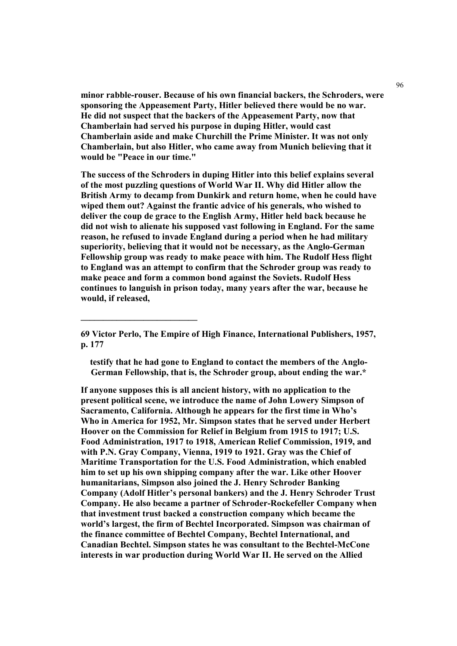minor rabble-rouser. Because of his own financial backers, the Schroders, were sponsoring the Appeasement Party, Hitler believed there would be no war. He did not suspect that the backers of the Appeasement Party, now that Chamberlain had served his purpose in duping Hitler, would cast Chamberlain aside and make Churchill the Prime Minister. It was not only Chamberlain, but also Hitler, who came away from Munich believing that it would be "Peace in our time."

The success of the Schroders in duping Hitler into this belief explains several of the most puzzling questions of World War II. Why did Hitler allow the British Army to decamp from Dunkirk and return home, when he could have wiped them out? Against the frantic advice of his generals, who wished to deliver the coup de grace to the English Army, Hitler held back because he did not wish to alienate his supposed vast following in England. For the same reason, he refused to invade England during a period when he had military superiority, believing that it would not be necessary, as the Anglo-German Fellowship group was ready to make peace with him. The Rudolf Hess flight to England was an attempt to confirm that the Schroder group was ready to make peace and form a common bond against the Soviets. Rudolf Hess continues to languish in prison today, many years after the war, because he would, if released,

\_\_\_\_\_\_\_\_\_\_\_\_\_\_\_\_\_\_\_\_\_\_\_\_\_\_

testify that he had gone to England to contact the members of the Anglo-German Fellowship, that is, the Schroder group, about ending the war.\*

If anyone supposes this is all ancient history, with no application to the present political scene, we introduce the name of John Lowery Simpson of Sacramento, California. Although he appears for the first time in Who's Who in America for 1952, Mr. Simpson states that he served under Herbert Hoover on the Commission for Relief in Belgium from 1915 to 1917; U.S. Food Administration, 1917 to 1918, American Relief Commission, 1919, and with P.N. Gray Company, Vienna, 1919 to 1921. Gray was the Chief of Maritime Transportation for the U.S. Food Administration, which enabled him to set up his own shipping company after the war. Like other Hoover humanitarians, Simpson also joined the J. Henry Schroder Banking Company (Adolf Hitler's personal bankers) and the J. Henry Schroder Trust Company. He also became a partner of Schroder-Rockefeller Company when that investment trust backed a construction company which became the world's largest, the firm of Bechtel Incorporated. Simpson was chairman of the finance committee of Bechtel Company, Bechtel International, and Canadian Bechtel. Simpson states he was consultant to the Bechtel-McCone interests in war production during World War II. He served on the Allied

<sup>69</sup> Victor Perlo, The Empire of High Finance, International Publishers, 1957, p. 177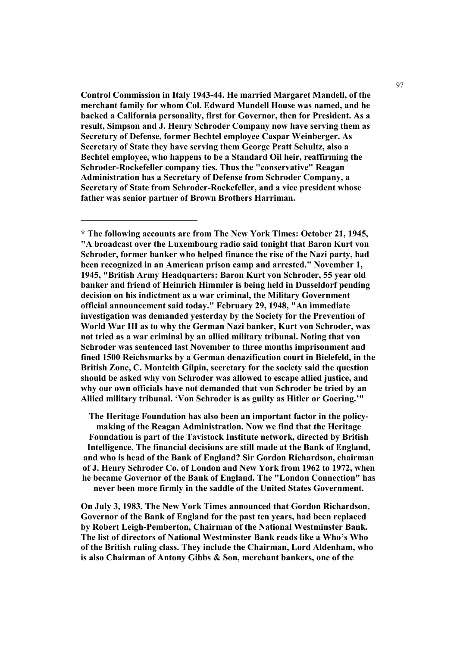Control Commission in Italy 1943-44. He married Margaret Mandell, of the merchant family for whom Col. Edward Mandell House was named, and he backed a California personality, first for Governor, then for President. As a result, Simpson and J. Henry Schroder Company now have serving them as Secretary of Defense, former Bechtel employee Caspar Weinberger. As Secretary of State they have serving them George Pratt Schultz, also a Bechtel employee, who happens to be a Standard Oil heir, reaffirming the Schroder-Rockefeller company ties. Thus the "conservative" Reagan Administration has a Secretary of Defense from Schroder Company, a Secretary of State from Schroder-Rockefeller, and a vice president whose father was senior partner of Brown Brothers Harriman.

\_\_\_\_\_\_\_\_\_\_\_\_\_\_\_\_\_\_\_\_\_\_\_\_\_\_

\* The following accounts are from The New York Times: October 21, 1945, "A broadcast over the Luxembourg radio said tonight that Baron Kurt von Schroder, former banker who helped finance the rise of the Nazi party, had been recognized in an American prison camp and arrested." November 1, 1945, "British Army Headquarters: Baron Kurt von Schroder, 55 year old banker and friend of Heinrich Himmler is being held in Dusseldorf pending decision on his indictment as a war criminal, the Military Government official announcement said today." February 29, 1948, "An immediate investigation was demanded yesterday by the Society for the Prevention of World War III as to why the German Nazi banker, Kurt von Schroder, was not tried as a war criminal by an allied military tribunal. Noting that von Schroder was sentenced last November to three months imprisonment and fined 1500 Reichsmarks by a German denazification court in Bielefeld, in the British Zone, C. Monteith Gilpin, secretary for the society said the question should be asked why von Schroder was allowed to escape allied justice, and why our own officials have not demanded that von Schroder be tried by an Allied military tribunal. 'Von Schroder is as guilty as Hitler or Goering.'"

The Heritage Foundation has also been an important factor in the policymaking of the Reagan Administration. Now we find that the Heritage Foundation is part of the Tavistock Institute network, directed by British Intelligence. The financial decisions are still made at the Bank of England, and who is head of the Bank of England? Sir Gordon Richardson, chairman of J. Henry Schroder Co. of London and New York from 1962 to 1972, when he became Governor of the Bank of England. The "London Connection" has never been more firmly in the saddle of the United States Government.

On July 3, 1983, The New York Times announced that Gordon Richardson, Governor of the Bank of England for the past ten years, had been replaced by Robert Leigh-Pemberton, Chairman of the National Westminster Bank. The list of directors of National Westminster Bank reads like a Who's Who of the British ruling class. They include the Chairman, Lord Aldenham, who is also Chairman of Antony Gibbs & Son, merchant bankers, one of the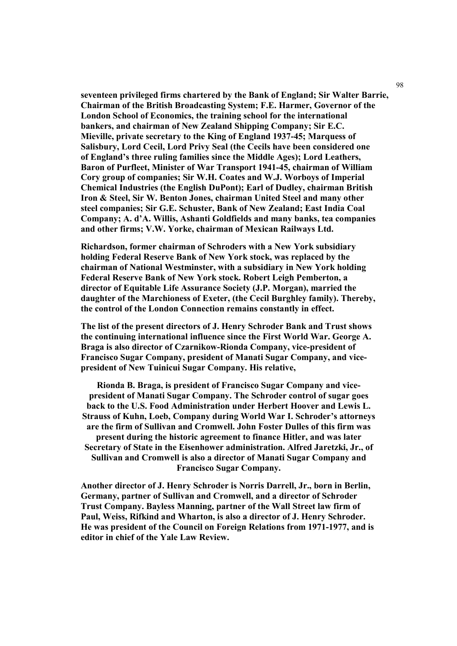seventeen privileged firms chartered by the Bank of England; Sir Walter Barrie, Chairman of the British Broadcasting System; F.E. Harmer, Governor of the London School of Economics, the training school for the international bankers, and chairman of New Zealand Shipping Company; Sir E.C. Mieville, private secretary to the King of England 1937-45; Marquess of Salisbury, Lord Cecil, Lord Privy Seal (the Cecils have been considered one of England's three ruling families since the Middle Ages); Lord Leathers, Baron of Purfleet, Minister of War Transport 1941-45, chairman of William Cory group of companies; Sir W.H. Coates and W.J. Worboys of Imperial Chemical Industries (the English DuPont); Earl of Dudley, chairman British Iron & Steel, Sir W. Benton Jones, chairman United Steel and many other steel companies; Sir G.E. Schuster, Bank of New Zealand; East India Coal Company; A. d'A. Willis, Ashanti Goldfields and many banks, tea companies and other firms; V.W. Yorke, chairman of Mexican Railways Ltd.

Richardson, former chairman of Schroders with a New York subsidiary holding Federal Reserve Bank of New York stock, was replaced by the chairman of National Westminster, with a subsidiary in New York holding Federal Reserve Bank of New York stock. Robert Leigh Pemberton, a director of Equitable Life Assurance Society (J.P. Morgan), married the daughter of the Marchioness of Exeter, (the Cecil Burghley family). Thereby, the control of the London Connection remains constantly in effect.

The list of the present directors of J. Henry Schroder Bank and Trust shows the continuing international influence since the First World War. George A. Braga is also director of Czarnikow-Rionda Company, vice-president of Francisco Sugar Company, president of Manati Sugar Company, and vicepresident of New Tuinicui Sugar Company. His relative,

Rionda B. Braga, is president of Francisco Sugar Company and vicepresident of Manati Sugar Company. The Schroder control of sugar goes back to the U.S. Food Administration under Herbert Hoover and Lewis L. Strauss of Kuhn, Loeb, Company during World War I. Schroder's attorneys are the firm of Sullivan and Cromwell. John Foster Dulles of this firm was present during the historic agreement to finance Hitler, and was later Secretary of State in the Eisenhower administration. Alfred Jaretzki, Jr., of Sullivan and Cromwell is also a director of Manati Sugar Company and Francisco Sugar Company.

Another director of J. Henry Schroder is Norris Darrell, Jr., born in Berlin, Germany, partner of Sullivan and Cromwell, and a director of Schroder Trust Company. Bayless Manning, partner of the Wall Street law firm of Paul, Weiss, Rifkind and Wharton, is also a director of J. Henry Schroder. He was president of the Council on Foreign Relations from 1971-1977, and is editor in chief of the Yale Law Review.

98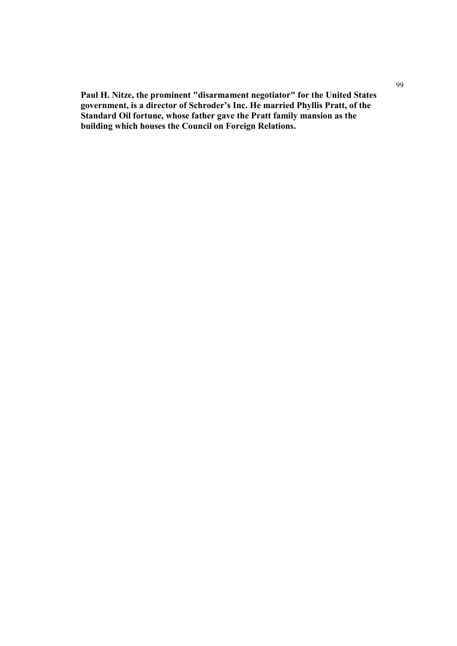Paul H. Nitze, the prominent "disarmament negotiator" for the United States government, is a director of Schroder's Inc. He married Phyllis Pratt, of the Standard Oil fortune, whose father gave the Pratt family mansion as the building which houses the Council on Foreign Relations.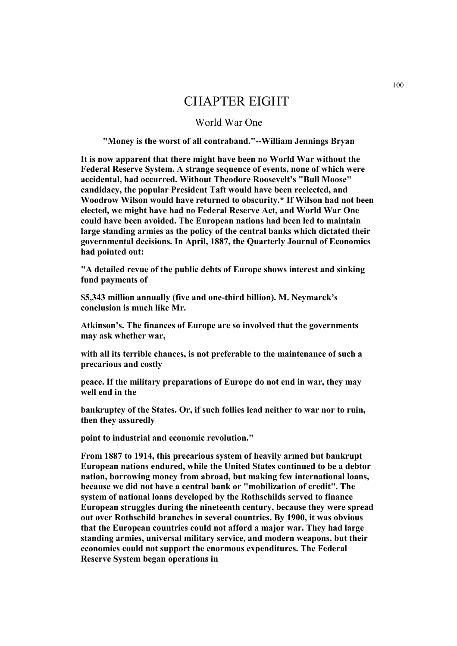# CHAPTER EIGHT

## World War One

"Money is the worst of all contraband."--William Jennings Bryan

It is now apparent that there might have been no World War without the Federal Reserve System. A strange sequence of events, none of which were accidental, had occurred. Without Theodore Roosevelt's "Bull Moose" candidacy, the popular President Taft would have been reelected, and Woodrow Wilson would have returned to obscurity.\* If Wilson had not been elected, we might have had no Federal Reserve Act, and World War One could have been avoided. The European nations had been led to maintain large standing armies as the policy of the central banks which dictated their governmental decisions. In April, 1887, the Quarterly Journal of Economics had pointed out:

"A detailed revue of the public debts of Europe shows interest and sinking fund payments of

\$5,343 million annually (five and one-third billion). M. Neymarck's conclusion is much like Mr.

Atkinson's. The finances of Europe are so involved that the governments may ask whether war,

with all its terrible chances, is not preferable to the maintenance of such a precarious and costly

peace. If the military preparations of Europe do not end in war, they may well end in the

bankruptcy of the States. Or, if such follies lead neither to war nor to ruin, then they assuredly

point to industrial and economic revolution."

From 1887 to 1914, this precarious system of heavily armed but bankrupt European nations endured, while the United States continued to be a debtor nation, borrowing money from abroad, but making few international loans, because we did not have a central bank or "mobilization of credit". The system of national loans developed by the Rothschilds served to finance European struggles during the nineteenth century, because they were spread out over Rothschild branches in several countries. By 1900, it was obvious that the European countries could not afford a major war. They had large standing armies, universal military service, and modern weapons, but their economies could not support the enormous expenditures. The Federal Reserve System began operations in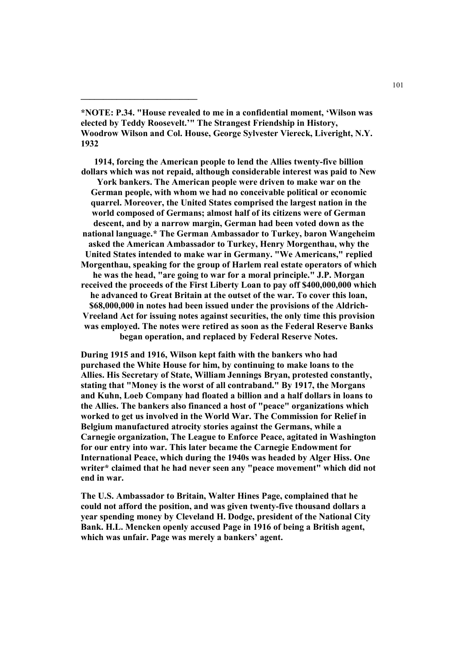elected by Teddy Roosevelt.'" The Strangest Friendship in History, Woodrow Wilson and Col. House, George Sylvester Viereck, Liveright, N.Y. 1932

1914, forcing the American people to lend the Allies twenty-five billion dollars which was not repaid, although considerable interest was paid to New York bankers. The American people were driven to make war on the German people, with whom we had no conceivable political or economic quarrel. Moreover, the United States comprised the largest nation in the world composed of Germans; almost half of its citizens were of German descent, and by a narrow margin, German had been voted down as the national language.\* The German Ambassador to Turkey, baron Wangeheim asked the American Ambassador to Turkey, Henry Morgenthau, why the United States intended to make war in Germany. "We Americans," replied Morgenthau, speaking for the group of Harlem real estate operators of which he was the head, "are going to war for a moral principle." J.P. Morgan received the proceeds of the First Liberty Loan to pay off \$400,000,000 which he advanced to Great Britain at the outset of the war. To cover this loan, \$68,000,000 in notes had been issued under the provisions of the Aldrich-Vreeland Act for issuing notes against securities, the only time this provision was employed. The notes were retired as soon as the Federal Reserve Banks began operation, and replaced by Federal Reserve Notes.

During 1915 and 1916, Wilson kept faith with the bankers who had purchased the White House for him, by continuing to make loans to the Allies. His Secretary of State, William Jennings Bryan, protested constantly, stating that "Money is the worst of all contraband." By 1917, the Morgans and Kuhn, Loeb Company had floated a billion and a half dollars in loans to the Allies. The bankers also financed a host of "peace" organizations which worked to get us involved in the World War. The Commission for Relief in Belgium manufactured atrocity stories against the Germans, while a Carnegie organization, The League to Enforce Peace, agitated in Washington for our entry into war. This later became the Carnegie Endowment for International Peace, which during the 1940s was headed by Alger Hiss. One writer\* claimed that he had never seen any "peace movement" which did not end in war.

The U.S. Ambassador to Britain, Walter Hines Page, complained that he could not afford the position, and was given twenty-five thousand dollars a year spending money by Cleveland H. Dodge, president of the National City Bank. H.L. Mencken openly accused Page in 1916 of being a British agent, which was unfair. Page was merely a bankers' agent.

\_\_\_\_\_\_\_\_\_\_\_\_\_\_\_\_\_\_\_\_\_\_\_\_\_\_ \*NOTE: P.34. "House revealed to me in a confidential moment, 'Wilson was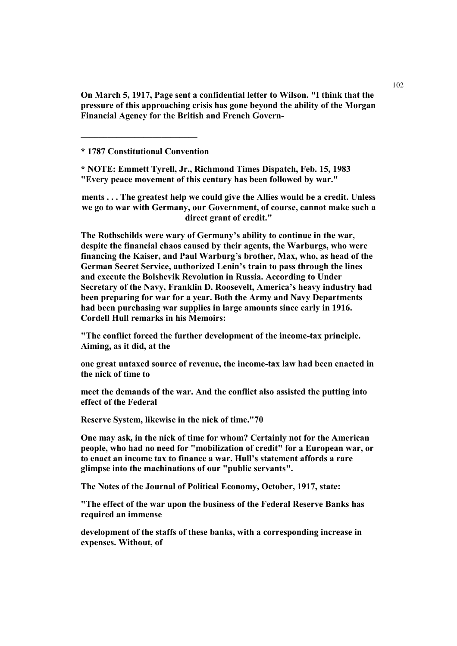On March 5, 1917, Page sent a confidential letter to Wilson. "I think that the pressure of this approaching crisis has gone beyond the ability of the Morgan Financial Agency for the British and French Govern-

\* 1787 Constitutional Convention

\_\_\_\_\_\_\_\_\_\_\_\_\_\_\_\_\_\_\_\_\_\_\_\_\_\_

\* NOTE: Emmett Tyrell, Jr., Richmond Times Dispatch, Feb. 15, 1983 "Every peace movement of this century has been followed by war."

ments . . . The greatest help we could give the Allies would be a credit. Unless we go to war with Germany, our Government, of course, cannot make such a direct grant of credit."

The Rothschilds were wary of Germany's ability to continue in the war, despite the financial chaos caused by their agents, the Warburgs, who were financing the Kaiser, and Paul Warburg's brother, Max, who, as head of the German Secret Service, authorized Lenin's train to pass through the lines and execute the Bolshevik Revolution in Russia. According to Under Secretary of the Navy, Franklin D. Roosevelt, America's heavy industry had been preparing for war for a year. Both the Army and Navy Departments had been purchasing war supplies in large amounts since early in 1916. Cordell Hull remarks in his Memoirs:

"The conflict forced the further development of the income-tax principle. Aiming, as it did, at the

one great untaxed source of revenue, the income-tax law had been enacted in the nick of time to

meet the demands of the war. And the conflict also assisted the putting into effect of the Federal

Reserve System, likewise in the nick of time."70

One may ask, in the nick of time for whom? Certainly not for the American people, who had no need for "mobilization of credit" for a European war, or to enact an income tax to finance a war. Hull's statement affords a rare glimpse into the machinations of our "public servants".

The Notes of the Journal of Political Economy, October, 1917, state:

"The effect of the war upon the business of the Federal Reserve Banks has required an immense

development of the staffs of these banks, with a corresponding increase in expenses. Without, of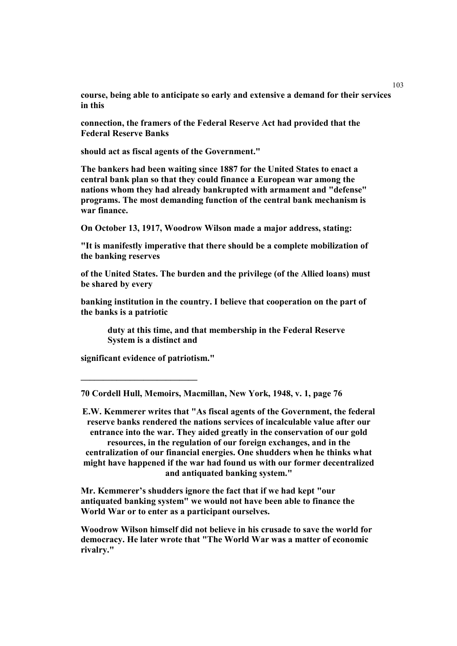course, being able to anticipate so early and extensive a demand for their services in this

connection, the framers of the Federal Reserve Act had provided that the Federal Reserve Banks

should act as fiscal agents of the Government."

The bankers had been waiting since 1887 for the United States to enact a central bank plan so that they could finance a European war among the nations whom they had already bankrupted with armament and "defense" programs. The most demanding function of the central bank mechanism is war finance.

On October 13, 1917, Woodrow Wilson made a major address, stating:

"It is manifestly imperative that there should be a complete mobilization of the banking reserves

of the United States. The burden and the privilege (of the Allied loans) must be shared by every

banking institution in the country. I believe that cooperation on the part of the banks is a patriotic

duty at this time, and that membership in the Federal Reserve System is a distinct and

significant evidence of patriotism."

\_\_\_\_\_\_\_\_\_\_\_\_\_\_\_\_\_\_\_\_\_\_\_\_\_\_

E.W. Kemmerer writes that "As fiscal agents of the Government, the federal reserve banks rendered the nations services of incalculable value after our entrance into the war. They aided greatly in the conservation of our gold

resources, in the regulation of our foreign exchanges, and in the centralization of our financial energies. One shudders when he thinks what might have happened if the war had found us with our former decentralized and antiquated banking system."

Mr. Kemmerer's shudders ignore the fact that if we had kept "our antiquated banking system" we would not have been able to finance the World War or to enter as a participant ourselves.

Woodrow Wilson himself did not believe in his crusade to save the world for democracy. He later wrote that "The World War was a matter of economic rivalry."

<sup>70</sup> Cordell Hull, Memoirs, Macmillan, New York, 1948, v. 1, page 76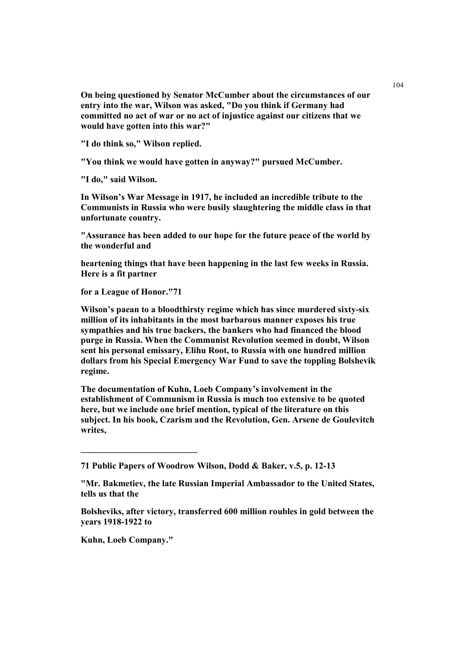On being questioned by Senator McCumber about the circumstances of our entry into the war, Wilson was asked, "Do you think if Germany had committed no act of war or no act of injustice against our citizens that we would have gotten into this war?"

"I do think so," Wilson replied.

"You think we would have gotten in anyway?" pursued McCumber.

"I do," said Wilson.

In Wilson's War Message in 1917, he included an incredible tribute to the Communists in Russia who were busily slaughtering the middle class in that unfortunate country.

"Assurance has been added to our hope for the future peace of the world by the wonderful and

heartening things that have been happening in the last few weeks in Russia. Here is a fit partner

for a League of Honor."71

Wilson's paean to a bloodthirsty regime which has since murdered sixty-six million of its inhabitants in the most barbarous manner exposes his true sympathies and his true backers, the bankers who had financed the blood purge in Russia. When the Communist Revolution seemed in doubt, Wilson sent his personal emissary, Elihu Root, to Russia with one hundred million dollars from his Special Emergency War Fund to save the toppling Bolshevik regime.

The documentation of Kuhn, Loeb Company's involvement in the establishment of Communism in Russia is much too extensive to be quoted here, but we include one brief mention, typical of the literature on this subject. In his book, Czarism and the Revolution, Gen. Arsene de Goulevitch writes,

Bolsheviks, after victory, transferred 600 million roubles in gold between the years 1918-1922 to

Kuhn, Loeb Company."

<sup>71</sup> Public Papers of Woodrow Wilson, Dodd & Baker, v.5, p. 12-13

<sup>&</sup>quot;Mr. Bakmetiev, the late Russian Imperial Ambassador to the United States, tells us that the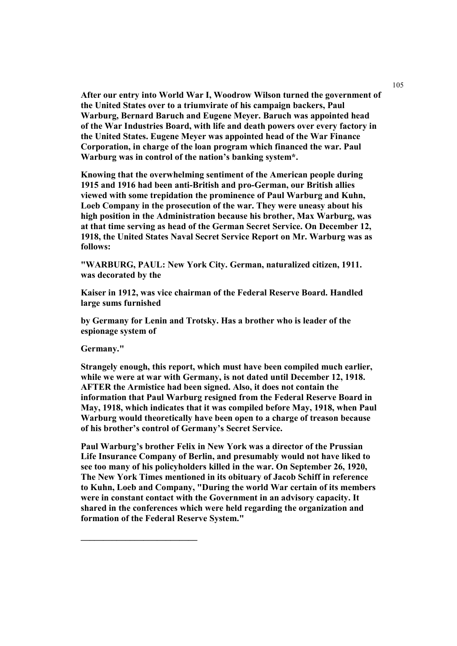After our entry into World War I, Woodrow Wilson turned the government of the United States over to a triumvirate of his campaign backers, Paul Warburg, Bernard Baruch and Eugene Meyer. Baruch was appointed head of the War Industries Board, with life and death powers over every factory in the United States. Eugene Meyer was appointed head of the War Finance Corporation, in charge of the loan program which financed the war. Paul Warburg was in control of the nation's banking system\*.

Knowing that the overwhelming sentiment of the American people during 1915 and 1916 had been anti-British and pro-German, our British allies viewed with some trepidation the prominence of Paul Warburg and Kuhn, Loeb Company in the prosecution of the war. They were uneasy about his high position in the Administration because his brother, Max Warburg, was at that time serving as head of the German Secret Service. On December 12, 1918, the United States Naval Secret Service Report on Mr. Warburg was as follows:

"WARBURG, PAUL: New York City. German, naturalized citizen, 1911. was decorated by the

Kaiser in 1912, was vice chairman of the Federal Reserve Board. Handled large sums furnished

by Germany for Lenin and Trotsky. Has a brother who is leader of the espionage system of

### Germany."

\_\_\_\_\_\_\_\_\_\_\_\_\_\_\_\_\_\_\_\_\_\_\_\_\_\_

Strangely enough, this report, which must have been compiled much earlier, while we were at war with Germany, is not dated until December 12, 1918. AFTER the Armistice had been signed. Also, it does not contain the information that Paul Warburg resigned from the Federal Reserve Board in May, 1918, which indicates that it was compiled before May, 1918, when Paul Warburg would theoretically have been open to a charge of treason because of his brother's control of Germany's Secret Service.

Paul Warburg's brother Felix in New York was a director of the Prussian Life Insurance Company of Berlin, and presumably would not have liked to see too many of his policyholders killed in the war. On September 26, 1920, The New York Times mentioned in its obituary of Jacob Schiff in reference to Kuhn, Loeb and Company, "During the world War certain of its members were in constant contact with the Government in an advisory capacity. It shared in the conferences which were held regarding the organization and formation of the Federal Reserve System."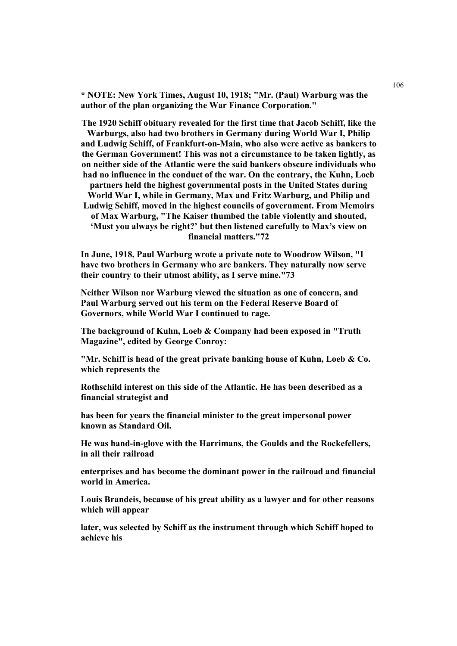\* NOTE: New York Times, August 10, 1918; "Mr. (Paul) Warburg was the author of the plan organizing the War Finance Corporation."

The 1920 Schiff obituary revealed for the first time that Jacob Schiff, like the Warburgs, also had two brothers in Germany during World War I, Philip and Ludwig Schiff, of Frankfurt-on-Main, who also were active as bankers to the German Government! This was not a circumstance to be taken lightly, as on neither side of the Atlantic were the said bankers obscure individuals who had no influence in the conduct of the war. On the contrary, the Kuhn, Loeb partners held the highest governmental posts in the United States during World War I, while in Germany, Max and Fritz Warburg, and Philip and

Ludwig Schiff, moved in the highest councils of government. From Memoirs of Max Warburg, "The Kaiser thumbed the table violently and shouted, 'Must you always be right?' but then listened carefully to Max's view on financial matters."72

In June, 1918, Paul Warburg wrote a private note to Woodrow Wilson, "I have two brothers in Germany who are bankers. They naturally now serve their country to their utmost ability, as I serve mine."73

Neither Wilson nor Warburg viewed the situation as one of concern, and Paul Warburg served out his term on the Federal Reserve Board of Governors, while World War I continued to rage.

The background of Kuhn, Loeb & Company had been exposed in "Truth Magazine", edited by George Conroy:

"Mr. Schiff is head of the great private banking house of Kuhn, Loeb & Co. which represents the

Rothschild interest on this side of the Atlantic. He has been described as a financial strategist and

has been for years the financial minister to the great impersonal power known as Standard Oil.

He was hand-in-glove with the Harrimans, the Goulds and the Rockefellers, in all their railroad

enterprises and has become the dominant power in the railroad and financial world in America.

Louis Brandeis, because of his great ability as a lawyer and for other reasons which will appear

later, was selected by Schiff as the instrument through which Schiff hoped to achieve his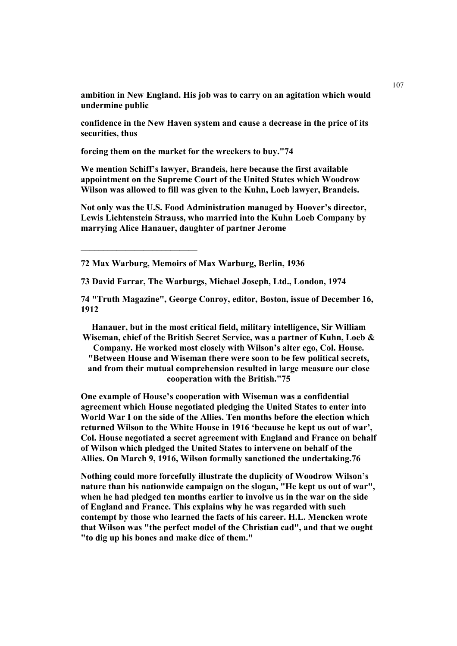ambition in New England. His job was to carry on an agitation which would undermine public

confidence in the New Haven system and cause a decrease in the price of its securities, thus

forcing them on the market for the wreckers to buy."74

We mention Schiff's lawyer, Brandeis, here because the first available appointment on the Supreme Court of the United States which Woodrow Wilson was allowed to fill was given to the Kuhn, Loeb lawyer, Brandeis.

Not only was the U.S. Food Administration managed by Hoover's director, Lewis Lichtenstein Strauss, who married into the Kuhn Loeb Company by marrying Alice Hanauer, daughter of partner Jerome

72 Max Warburg, Memoirs of Max Warburg, Berlin, 1936

\_\_\_\_\_\_\_\_\_\_\_\_\_\_\_\_\_\_\_\_\_\_\_\_\_\_

73 David Farrar, The Warburgs, Michael Joseph, Ltd., London, 1974

74 "Truth Magazine", George Conroy, editor, Boston, issue of December 16, 1912

Hanauer, but in the most critical field, military intelligence, Sir William Wiseman, chief of the British Secret Service, was a partner of Kuhn, Loeb & Company. He worked most closely with Wilson's alter ego, Col. House. "Between House and Wiseman there were soon to be few political secrets, and from their mutual comprehension resulted in large measure our close cooperation with the British."75

One example of House's cooperation with Wiseman was a confidential agreement which House negotiated pledging the United States to enter into World War I on the side of the Allies. Ten months before the election which returned Wilson to the White House in 1916 'because he kept us out of war', Col. House negotiated a secret agreement with England and France on behalf of Wilson which pledged the United States to intervene on behalf of the Allies. On March 9, 1916, Wilson formally sanctioned the undertaking.76

Nothing could more forcefully illustrate the duplicity of Woodrow Wilson's nature than his nationwide campaign on the slogan, "He kept us out of war", when he had pledged ten months earlier to involve us in the war on the side of England and France. This explains why he was regarded with such contempt by those who learned the facts of his career. H.L. Mencken wrote that Wilson was "the perfect model of the Christian cad", and that we ought "to dig up his bones and make dice of them."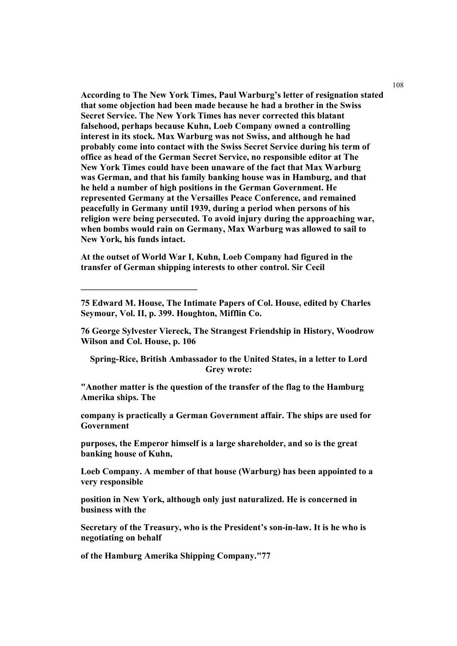According to The New York Times, Paul Warburg's letter of resignation stated that some objection had been made because he had a brother in the Swiss Secret Service. The New York Times has never corrected this blatant falsehood, perhaps because Kuhn, Loeb Company owned a controlling interest in its stock. Max Warburg was not Swiss, and although he had probably come into contact with the Swiss Secret Service during his term of office as head of the German Secret Service, no responsible editor at The New York Times could have been unaware of the fact that Max Warburg was German, and that his family banking house was in Hamburg, and that he held a number of high positions in the German Government. He represented Germany at the Versailles Peace Conference, and remained peacefully in Germany until 1939, during a period when persons of his religion were being persecuted. To avoid injury during the approaching war, when bombs would rain on Germany, Max Warburg was allowed to sail to New York, his funds intact.

At the outset of World War I, Kuhn, Loeb Company had figured in the transfer of German shipping interests to other control. Sir Cecil

\_\_\_\_\_\_\_\_\_\_\_\_\_\_\_\_\_\_\_\_\_\_\_\_\_\_

Spring-Rice, British Ambassador to the United States, in a letter to Lord Grey wrote:

"Another matter is the question of the transfer of the flag to the Hamburg Amerika ships. The

company is practically a German Government affair. The ships are used for Government

purposes, the Emperor himself is a large shareholder, and so is the great banking house of Kuhn,

Loeb Company. A member of that house (Warburg) has been appointed to a very responsible

position in New York, although only just naturalized. He is concerned in business with the

Secretary of the Treasury, who is the President's son-in-law. It is he who is negotiating on behalf

of the Hamburg Amerika Shipping Company."77

<sup>75</sup> Edward M. House, The Intimate Papers of Col. House, edited by Charles Seymour, Vol. II, p. 399. Houghton, Mifflin Co.

<sup>76</sup> George Sylvester Viereck, The Strangest Friendship in History, Woodrow Wilson and Col. House, p. 106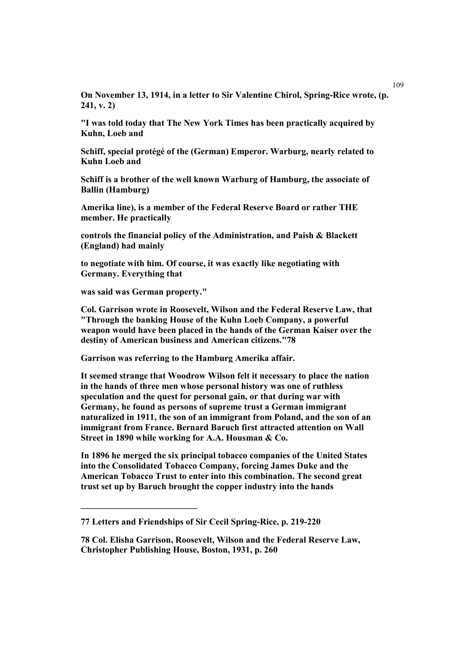On November 13, 1914, in a letter to Sir Valentine Chirol, Spring-Rice wrote, (p. 241, v. 2)

"I was told today that The New York Times has been practically acquired by Kuhn, Loeb and

Schiff, special protégé of the (German) Emperor. Warburg, nearly related to Kuhn Loeb and

Schiff is a brother of the well known Warburg of Hamburg, the associate of Ballin (Hamburg)

Amerika line), is a member of the Federal Reserve Board or rather THE member. He practically

controls the financial policy of the Administration, and Paish & Blackett (England) had mainly

to negotiate with him. Of course, it was exactly like negotiating with Germany. Everything that

was said was German property."

\_\_\_\_\_\_\_\_\_\_\_\_\_\_\_\_\_\_\_\_\_\_\_\_\_\_

Col. Garrison wrote in Roosevelt, Wilson and the Federal Reserve Law, that "Through the banking House of the Kuhn Loeb Company, a powerful weapon would have been placed in the hands of the German Kaiser over the destiny of American business and American citizens."78

Garrison was referring to the Hamburg Amerika affair.

It seemed strange that Woodrow Wilson felt it necessary to place the nation in the hands of three men whose personal history was one of ruthless speculation and the quest for personal gain, or that during war with Germany, he found as persons of supreme trust a German immigrant naturalized in 1911, the son of an immigrant from Poland, and the son of an immigrant from France. Bernard Baruch first attracted attention on Wall Street in 1890 while working for A.A. Housman & Co.

In 1896 he merged the six principal tobacco companies of the United States into the Consolidated Tobacco Company, forcing James Duke and the American Tobacco Trust to enter into this combination. The second great trust set up by Baruch brought the copper industry into the hands

<sup>77</sup> Letters and Friendships of Sir Cecil Spring-Rice, p. 219-220

<sup>78</sup> Col. Elisha Garrison, Roosevelt, Wilson and the Federal Reserve Law, Christopher Publishing House, Boston, 1931, p. 260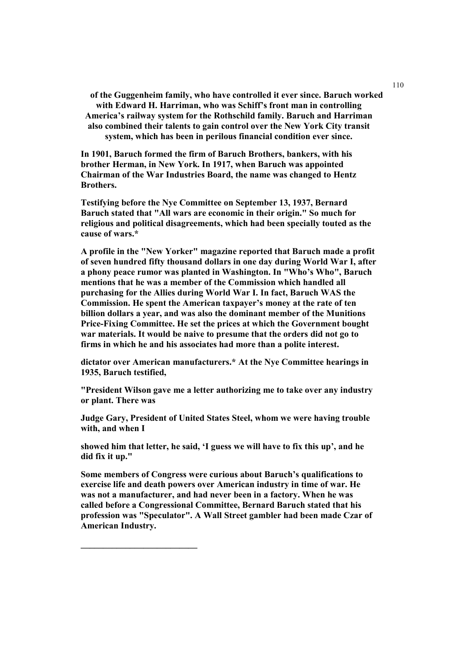of the Guggenheim family, who have controlled it ever since. Baruch worked with Edward H. Harriman, who was Schiff's front man in controlling America's railway system for the Rothschild family. Baruch and Harriman also combined their talents to gain control over the New York City transit system, which has been in perilous financial condition ever since.

In 1901, Baruch formed the firm of Baruch Brothers, bankers, with his brother Herman, in New York. In 1917, when Baruch was appointed Chairman of the War Industries Board, the name was changed to Hentz Brothers.

Testifying before the Nye Committee on September 13, 1937, Bernard Baruch stated that "All wars are economic in their origin." So much for religious and political disagreements, which had been specially touted as the cause of wars.\*

A profile in the "New Yorker" magazine reported that Baruch made a profit of seven hundred fifty thousand dollars in one day during World War I, after a phony peace rumor was planted in Washington. In "Who's Who", Baruch mentions that he was a member of the Commission which handled all purchasing for the Allies during World War I. In fact, Baruch WAS the Commission. He spent the American taxpayer's money at the rate of ten billion dollars a year, and was also the dominant member of the Munitions Price-Fixing Committee. He set the prices at which the Government bought war materials. It would be naive to presume that the orders did not go to firms in which he and his associates had more than a polite interest.

dictator over American manufacturers.\* At the Nye Committee hearings in 1935, Baruch testified,

"President Wilson gave me a letter authorizing me to take over any industry or plant. There was

Judge Gary, President of United States Steel, whom we were having trouble with, and when I

showed him that letter, he said, 'I guess we will have to fix this up', and he did fix it up."

Some members of Congress were curious about Baruch's qualifications to exercise life and death powers over American industry in time of war. He was not a manufacturer, and had never been in a factory. When he was called before a Congressional Committee, Bernard Baruch stated that his profession was "Speculator". A Wall Street gambler had been made Czar of American Industry.

\_\_\_\_\_\_\_\_\_\_\_\_\_\_\_\_\_\_\_\_\_\_\_\_\_\_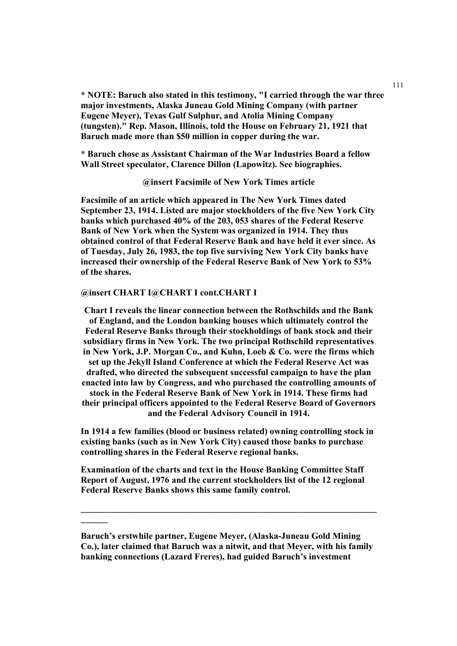\* NOTE: Baruch also stated in this testimony, "I carried through the war three major investments, Alaska Juneau Gold Mining Company (with partner Eugene Meyer), Texas Gulf Sulphur, and Atolia Mining Company (tungsten)." Rep. Mason, Illinois, told the House on February 21, 1921 that Baruch made more than \$50 million in copper during the war.

\* Baruch chose as Assistant Chairman of the War Industries Board a fellow Wall Street speculator, Clarence Dillon (Lapowitz). See biographies.

## @insert Facsimile of New York Times article

Facsimile of an article which appeared in The New York Times dated September 23, 1914. Listed are major stockholders of the five New York City banks which purchased 40% of the 203, 053 shares of the Federal Reserve Bank of New York when the System was organized in 1914. They thus obtained control of that Federal Reserve Bank and have held it ever since. As of Tuesday, July 26, 1983, the top five surviving New York City banks have increased their ownership of the Federal Reserve Bank of New York to 53% of the shares.

## @insert CHART I@CHART I cont.CHART I

 $\overline{\phantom{a}}$ 

Chart I reveals the linear connection between the Rothschilds and the Bank of England, and the London banking houses which ultimately control the Federal Reserve Banks through their stockholdings of bank stock and their subsidiary firms in New York. The two principal Rothschild representatives in New York, J.P. Morgan Co., and Kuhn, Loeb & Co. were the firms which set up the Jekyll Island Conference at which the Federal Reserve Act was drafted, who directed the subsequent successful campaign to have the plan enacted into law by Congress, and who purchased the controlling amounts of stock in the Federal Reserve Bank of New York in 1914. These firms had their principal officers appointed to the Federal Reserve Board of Governors and the Federal Advisory Council in 1914.

In 1914 a few families (blood or business related) owning controlling stock in existing banks (such as in New York City) caused those banks to purchase controlling shares in the Federal Reserve regional banks.

Examination of the charts and text in the House Banking Committee Staff Report of August, 1976 and the current stockholders list of the 12 regional Federal Reserve Banks shows this same family control.

Baruch's erstwhile partner, Eugene Meyer, (Alaska-Juneau Gold Mining Co.), later claimed that Baruch was a nitwit, and that Meyer, with his family banking connections (Lazard Freres), had guided Baruch's investment

\_\_\_\_\_\_\_\_\_\_\_\_\_\_\_\_\_\_\_\_\_\_\_\_\_\_\_\_\_\_\_\_\_\_\_\_\_\_\_\_\_\_\_\_\_\_\_\_\_\_\_\_\_\_\_\_\_\_\_\_\_\_\_\_\_\_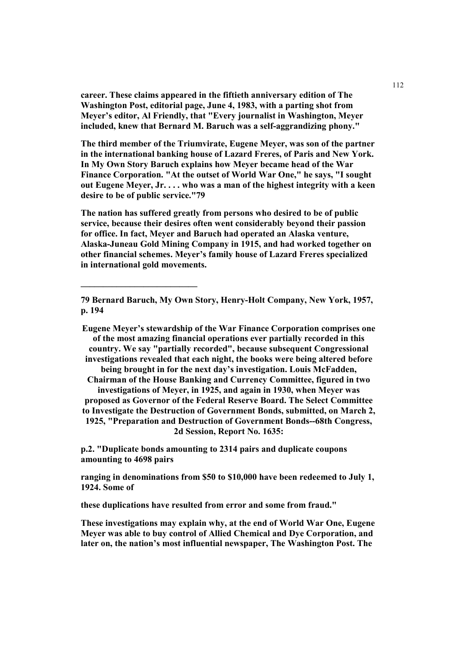career. These claims appeared in the fiftieth anniversary edition of The Washington Post, editorial page, June 4, 1983, with a parting shot from Meyer's editor, Al Friendly, that "Every journalist in Washington, Meyer included, knew that Bernard M. Baruch was a self-aggrandizing phony."

The third member of the Triumvirate, Eugene Meyer, was son of the partner in the international banking house of Lazard Freres, of Paris and New York. In My Own Story Baruch explains how Meyer became head of the War Finance Corporation. "At the outset of World War One," he says, "I sought out Eugene Meyer, Jr. . . . who was a man of the highest integrity with a keen desire to be of public service."79

The nation has suffered greatly from persons who desired to be of public service, because their desires often went considerably beyond their passion for office. In fact, Meyer and Baruch had operated an Alaska venture, Alaska-Juneau Gold Mining Company in 1915, and had worked together on other financial schemes. Meyer's family house of Lazard Freres specialized in international gold movements.

\_\_\_\_\_\_\_\_\_\_\_\_\_\_\_\_\_\_\_\_\_\_\_\_\_\_

Eugene Meyer's stewardship of the War Finance Corporation comprises one of the most amazing financial operations ever partially recorded in this country. We say "partially recorded", because subsequent Congressional investigations revealed that each night, the books were being altered before being brought in for the next day's investigation. Louis McFadden, Chairman of the House Banking and Currency Committee, figured in two investigations of Meyer, in 1925, and again in 1930, when Meyer was proposed as Governor of the Federal Reserve Board. The Select Committee to Investigate the Destruction of Government Bonds, submitted, on March 2, 1925, "Preparation and Destruction of Government Bonds--68th Congress, 2d Session, Report No. 1635:

p.2. "Duplicate bonds amounting to 2314 pairs and duplicate coupons amounting to 4698 pairs

ranging in denominations from \$50 to \$10,000 have been redeemed to July 1, 1924. Some of

these duplications have resulted from error and some from fraud."

These investigations may explain why, at the end of World War One, Eugene Meyer was able to buy control of Allied Chemical and Dye Corporation, and later on, the nation's most influential newspaper, The Washington Post. The

<sup>79</sup> Bernard Baruch, My Own Story, Henry-Holt Company, New York, 1957, p. 194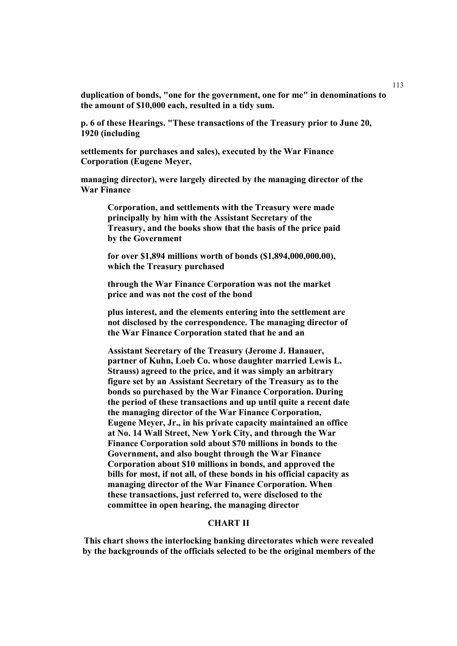duplication of bonds, "one for the government, one for me" in denominations to the amount of \$10,000 each, resulted in a tidy sum.

p. 6 of these Hearings. "These transactions of the Treasury prior to June 20, 1920 (including

settlements for purchases and sales), executed by the War Finance Corporation (Eugene Meyer,

managing director), were largely directed by the managing director of the War Finance

Corporation, and settlements with the Treasury were made principally by him with the Assistant Secretary of the Treasury, and the books show that the basis of the price paid by the Government

for over \$1,894 millions worth of bonds (\$1,894,000,000.00), which the Treasury purchased

through the War Finance Corporation was not the market price and was not the cost of the bond

plus interest, and the elements entering into the settlement are not disclosed by the correspondence. The managing director of the War Finance Corporation stated that he and an

Assistant Secretary of the Treasury (Jerome J. Hanauer, partner of Kuhn, Loeb Co. whose daughter married Lewis L. Strauss) agreed to the price, and it was simply an arbitrary figure set by an Assistant Secretary of the Treasury as to the bonds so purchased by the War Finance Corporation. During the period of these transactions and up until quite a recent date the managing director of the War Finance Corporation, Eugene Meyer, Jr., in his private capacity maintained an office at No. 14 Wall Street, New York City, and through the War Finance Corporation sold about \$70 millions in bonds to the Government, and also bought through the War Finance Corporation about \$10 millions in bonds, and approved the bills for most, if not all, of these bonds in his official capacity as managing director of the War Finance Corporation. When these transactions, just referred to, were disclosed to the committee in open hearing, the managing director

### CHART II

This chart shows the interlocking banking directorates which were revealed by the backgrounds of the officials selected to be the original members of the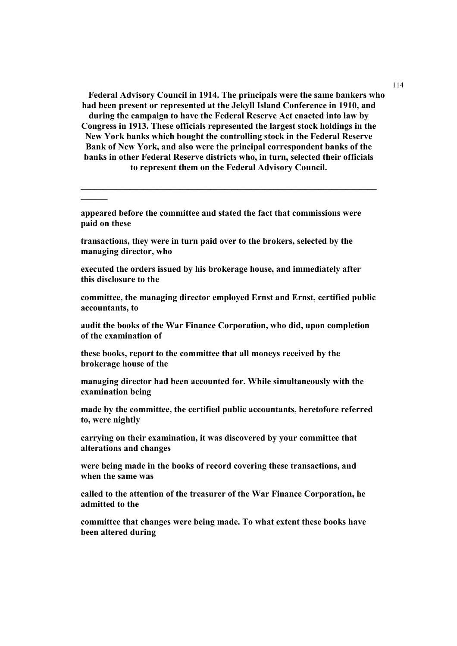Federal Advisory Council in 1914. The principals were the same bankers who had been present or represented at the Jekyll Island Conference in 1910, and during the campaign to have the Federal Reserve Act enacted into law by Congress in 1913. These officials represented the largest stock holdings in the New York banks which bought the controlling stock in the Federal Reserve Bank of New York, and also were the principal correspondent banks of the banks in other Federal Reserve districts who, in turn, selected their officials to represent them on the Federal Advisory Council.

\_\_\_\_\_\_\_\_\_\_\_\_\_\_\_\_\_\_\_\_\_\_\_\_\_\_\_\_\_\_\_\_\_\_\_\_\_\_\_\_\_\_\_\_\_\_\_\_\_\_\_\_\_\_\_\_\_\_\_\_\_\_\_\_\_\_

appeared before the committee and stated the fact that commissions were paid on these

 $\overline{\phantom{a}}$ 

transactions, they were in turn paid over to the brokers, selected by the managing director, who

executed the orders issued by his brokerage house, and immediately after this disclosure to the

committee, the managing director employed Ernst and Ernst, certified public accountants, to

audit the books of the War Finance Corporation, who did, upon completion of the examination of

these books, report to the committee that all moneys received by the brokerage house of the

managing director had been accounted for. While simultaneously with the examination being

made by the committee, the certified public accountants, heretofore referred to, were nightly

carrying on their examination, it was discovered by your committee that alterations and changes

were being made in the books of record covering these transactions, and when the same was

called to the attention of the treasurer of the War Finance Corporation, he admitted to the

committee that changes were being made. To what extent these books have been altered during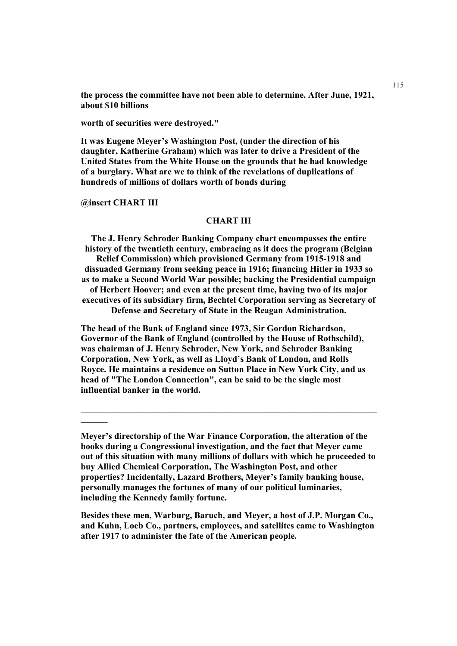the process the committee have not been able to determine. After June, 1921, about \$10 billions

worth of securities were destroyed."

It was Eugene Meyer's Washington Post, (under the direction of his daughter, Katherine Graham) which was later to drive a President of the United States from the White House on the grounds that he had knowledge of a burglary. What are we to think of the revelations of duplications of hundreds of millions of dollars worth of bonds during

@insert CHART III

 $\overline{\phantom{a}}$ 

## CHART III

The J. Henry Schroder Banking Company chart encompasses the entire history of the twentieth century, embracing as it does the program (Belgian Relief Commission) which provisioned Germany from 1915-1918 and dissuaded Germany from seeking peace in 1916; financing Hitler in 1933 so as to make a Second World War possible; backing the Presidential campaign of Herbert Hoover; and even at the present time, having two of its major executives of its subsidiary firm, Bechtel Corporation serving as Secretary of Defense and Secretary of State in the Reagan Administration.

The head of the Bank of England since 1973, Sir Gordon Richardson, Governor of the Bank of England (controlled by the House of Rothschild), was chairman of J. Henry Schroder, New York, and Schroder Banking Corporation, New York, as well as Lloyd's Bank of London, and Rolls Royce. He maintains a residence on Sutton Place in New York City, and as head of "The London Connection", can be said to be the single most influential banker in the world.

\_\_\_\_\_\_\_\_\_\_\_\_\_\_\_\_\_\_\_\_\_\_\_\_\_\_\_\_\_\_\_\_\_\_\_\_\_\_\_\_\_\_\_\_\_\_\_\_\_\_\_\_\_\_\_\_\_\_\_\_\_\_\_\_\_\_

Besides these men, Warburg, Baruch, and Meyer, a host of J.P. Morgan Co., and Kuhn, Loeb Co., partners, employees, and satellites came to Washington after 1917 to administer the fate of the American people.

Meyer's directorship of the War Finance Corporation, the alteration of the books during a Congressional investigation, and the fact that Meyer came out of this situation with many millions of dollars with which he proceeded to buy Allied Chemical Corporation, The Washington Post, and other properties? Incidentally, Lazard Brothers, Meyer's family banking house, personally manages the fortunes of many of our political luminaries, including the Kennedy family fortune.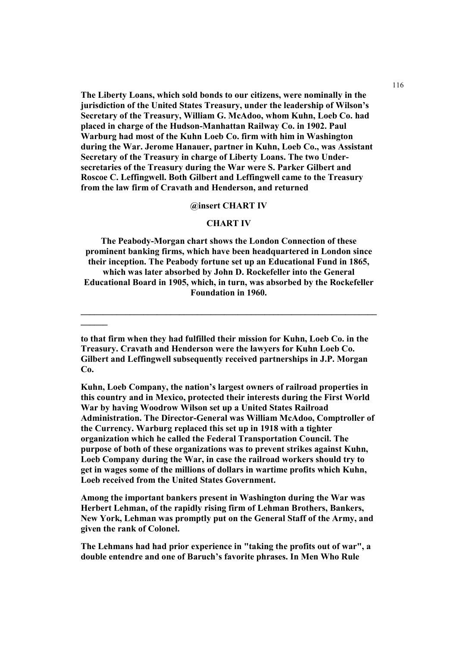The Liberty Loans, which sold bonds to our citizens, were nominally in the jurisdiction of the United States Treasury, under the leadership of Wilson's Secretary of the Treasury, William G. McAdoo, whom Kuhn, Loeb Co. had placed in charge of the Hudson-Manhattan Railway Co. in 1902. Paul Warburg had most of the Kuhn Loeb Co. firm with him in Washington during the War. Jerome Hanauer, partner in Kuhn, Loeb Co., was Assistant Secretary of the Treasury in charge of Liberty Loans. The two Undersecretaries of the Treasury during the War were S. Parker Gilbert and Roscoe C. Leffingwell. Both Gilbert and Leffingwell came to the Treasury from the law firm of Cravath and Henderson, and returned

### @insert CHART IV

## CHART IV

The Peabody-Morgan chart shows the London Connection of these prominent banking firms, which have been headquartered in London since their inception. The Peabody fortune set up an Educational Fund in 1865, which was later absorbed by John D. Rockefeller into the General Educational Board in 1905, which, in turn, was absorbed by the Rockefeller Foundation in 1960.

\_\_\_\_\_\_\_\_\_\_\_\_\_\_\_\_\_\_\_\_\_\_\_\_\_\_\_\_\_\_\_\_\_\_\_\_\_\_\_\_\_\_\_\_\_\_\_\_\_\_\_\_\_\_\_\_\_\_\_\_\_\_\_\_\_\_

 $\overline{\phantom{a}}$ 

to that firm when they had fulfilled their mission for Kuhn, Loeb Co. in the Treasury. Cravath and Henderson were the lawyers for Kuhn Loeb Co. Gilbert and Leffingwell subsequently received partnerships in J.P. Morgan Co.

Kuhn, Loeb Company, the nation's largest owners of railroad properties in this country and in Mexico, protected their interests during the First World War by having Woodrow Wilson set up a United States Railroad Administration. The Director-General was William McAdoo, Comptroller of the Currency. Warburg replaced this set up in 1918 with a tighter organization which he called the Federal Transportation Council. The purpose of both of these organizations was to prevent strikes against Kuhn, Loeb Company during the War, in case the railroad workers should try to get in wages some of the millions of dollars in wartime profits which Kuhn, Loeb received from the United States Government.

Among the important bankers present in Washington during the War was Herbert Lehman, of the rapidly rising firm of Lehman Brothers, Bankers, New York, Lehman was promptly put on the General Staff of the Army, and given the rank of Colonel.

The Lehmans had had prior experience in "taking the profits out of war", a double entendre and one of Baruch's favorite phrases. In Men Who Rule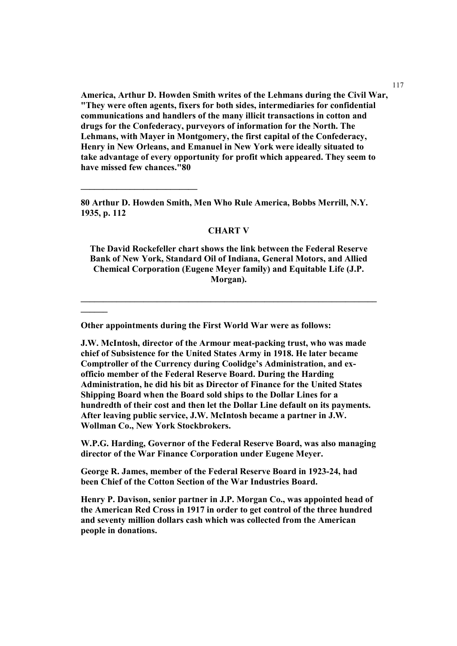America, Arthur D. Howden Smith writes of the Lehmans during the Civil War, "They were often agents, fixers for both sides, intermediaries for confidential communications and handlers of the many illicit transactions in cotton and drugs for the Confederacy, purveyors of information for the North. The Lehmans, with Mayer in Montgomery, the first capital of the Confederacy, Henry in New Orleans, and Emanuel in New York were ideally situated to take advantage of every opportunity for profit which appeared. They seem to have missed few chances."80

\_\_\_\_\_\_\_\_\_\_\_\_\_\_\_\_\_\_\_\_\_\_\_\_\_\_

 $\overline{\phantom{a}}$ 

### CHART V

The David Rockefeller chart shows the link between the Federal Reserve Bank of New York, Standard Oil of Indiana, General Motors, and Allied Chemical Corporation (Eugene Meyer family) and Equitable Life (J.P. Morgan).

\_\_\_\_\_\_\_\_\_\_\_\_\_\_\_\_\_\_\_\_\_\_\_\_\_\_\_\_\_\_\_\_\_\_\_\_\_\_\_\_\_\_\_\_\_\_\_\_\_\_\_\_\_\_\_\_\_\_\_\_\_\_\_\_\_\_

Other appointments during the First World War were as follows:

J.W. McIntosh, director of the Armour meat-packing trust, who was made chief of Subsistence for the United States Army in 1918. He later became Comptroller of the Currency during Coolidge's Administration, and exofficio member of the Federal Reserve Board. During the Harding Administration, he did his bit as Director of Finance for the United States Shipping Board when the Board sold ships to the Dollar Lines for a hundredth of their cost and then let the Dollar Line default on its payments. After leaving public service, J.W. McIntosh became a partner in J.W. Wollman Co., New York Stockbrokers.

W.P.G. Harding, Governor of the Federal Reserve Board, was also managing director of the War Finance Corporation under Eugene Meyer.

George R. James, member of the Federal Reserve Board in 1923-24, had been Chief of the Cotton Section of the War Industries Board.

Henry P. Davison, senior partner in J.P. Morgan Co., was appointed head of the American Red Cross in 1917 in order to get control of the three hundred and seventy million dollars cash which was collected from the American people in donations.

<sup>80</sup> Arthur D. Howden Smith, Men Who Rule America, Bobbs Merrill, N.Y. 1935, p. 112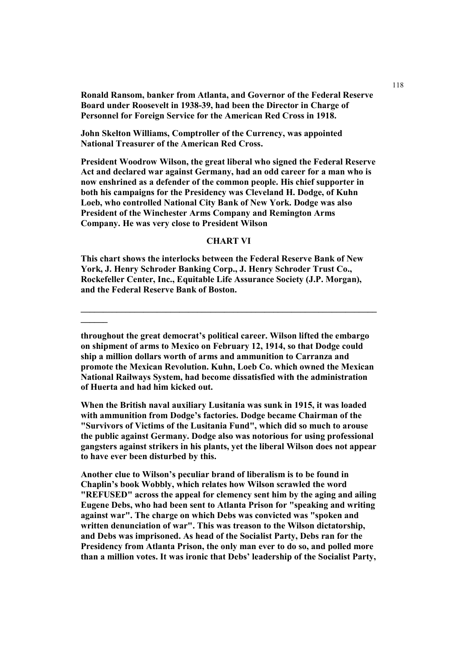Ronald Ransom, banker from Atlanta, and Governor of the Federal Reserve Board under Roosevelt in 1938-39, had been the Director in Charge of Personnel for Foreign Service for the American Red Cross in 1918.

John Skelton Williams, Comptroller of the Currency, was appointed National Treasurer of the American Red Cross.

President Woodrow Wilson, the great liberal who signed the Federal Reserve Act and declared war against Germany, had an odd career for a man who is now enshrined as a defender of the common people. His chief supporter in both his campaigns for the Presidency was Cleveland H. Dodge, of Kuhn Loeb, who controlled National City Bank of New York. Dodge was also President of the Winchester Arms Company and Remington Arms Company. He was very close to President Wilson

## CHART VI

This chart shows the interlocks between the Federal Reserve Bank of New York, J. Henry Schroder Banking Corp., J. Henry Schroder Trust Co., Rockefeller Center, Inc., Equitable Life Assurance Society (J.P. Morgan), and the Federal Reserve Bank of Boston.

throughout the great democrat's political career. Wilson lifted the embargo on shipment of arms to Mexico on February 12, 1914, so that Dodge could ship a million dollars worth of arms and ammunition to Carranza and promote the Mexican Revolution. Kuhn, Loeb Co. which owned the Mexican National Railways System, had become dissatisfied with the administration of Huerta and had him kicked out.

\_\_\_\_\_\_\_\_\_\_\_\_\_\_\_\_\_\_\_\_\_\_\_\_\_\_\_\_\_\_\_\_\_\_\_\_\_\_\_\_\_\_\_\_\_\_\_\_\_\_\_\_\_\_\_\_\_\_\_\_\_\_\_\_\_\_

 $\overline{\phantom{a}}$ 

When the British naval auxiliary Lusitania was sunk in 1915, it was loaded with ammunition from Dodge's factories. Dodge became Chairman of the "Survivors of Victims of the Lusitania Fund", which did so much to arouse the public against Germany. Dodge also was notorious for using professional gangsters against strikers in his plants, yet the liberal Wilson does not appear to have ever been disturbed by this.

Another clue to Wilson's peculiar brand of liberalism is to be found in Chaplin's book Wobbly, which relates how Wilson scrawled the word "REFUSED" across the appeal for clemency sent him by the aging and ailing Eugene Debs, who had been sent to Atlanta Prison for "speaking and writing against war". The charge on which Debs was convicted was "spoken and written denunciation of war". This was treason to the Wilson dictatorship, and Debs was imprisoned. As head of the Socialist Party, Debs ran for the Presidency from Atlanta Prison, the only man ever to do so, and polled more than a million votes. It was ironic that Debs' leadership of the Socialist Party,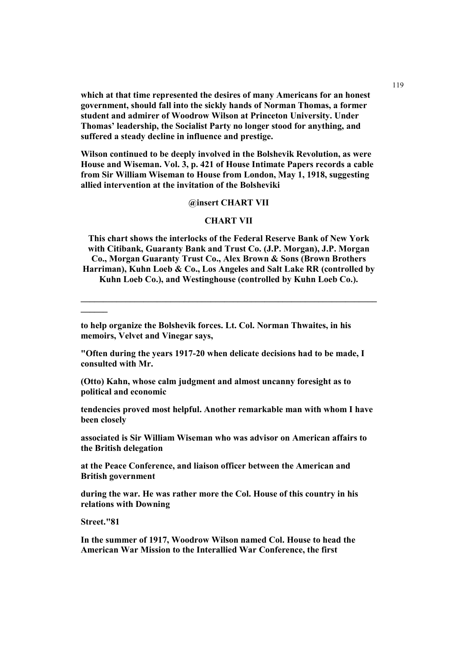which at that time represented the desires of many Americans for an honest government, should fall into the sickly hands of Norman Thomas, a former student and admirer of Woodrow Wilson at Princeton University. Under Thomas' leadership, the Socialist Party no longer stood for anything, and suffered a steady decline in influence and prestige.

Wilson continued to be deeply involved in the Bolshevik Revolution, as were House and Wiseman. Vol. 3, p. 421 of House Intimate Papers records a cable from Sir William Wiseman to House from London, May 1, 1918, suggesting allied intervention at the invitation of the Bolsheviki

#### @insert CHART VII

#### CHART VII

This chart shows the interlocks of the Federal Reserve Bank of New York with Citibank, Guaranty Bank and Trust Co. (J.P. Morgan), J.P. Morgan Co., Morgan Guaranty Trust Co., Alex Brown & Sons (Brown Brothers Harriman), Kuhn Loeb & Co., Los Angeles and Salt Lake RR (controlled by Kuhn Loeb Co.), and Westinghouse (controlled by Kuhn Loeb Co.).

\_\_\_\_\_\_\_\_\_\_\_\_\_\_\_\_\_\_\_\_\_\_\_\_\_\_\_\_\_\_\_\_\_\_\_\_\_\_\_\_\_\_\_\_\_\_\_\_\_\_\_\_\_\_\_\_\_\_\_\_\_\_\_\_\_\_

to help organize the Bolshevik forces. Lt. Col. Norman Thwaites, in his memoirs, Velvet and Vinegar says,

"Often during the years 1917-20 when delicate decisions had to be made, I consulted with Mr.

(Otto) Kahn, whose calm judgment and almost uncanny foresight as to political and economic

tendencies proved most helpful. Another remarkable man with whom I have been closely

associated is Sir William Wiseman who was advisor on American affairs to the British delegation

at the Peace Conference, and liaison officer between the American and British government

during the war. He was rather more the Col. House of this country in his relations with Downing

Street."81

 $\overline{\phantom{a}}$ 

In the summer of 1917, Woodrow Wilson named Col. House to head the American War Mission to the Interallied War Conference, the first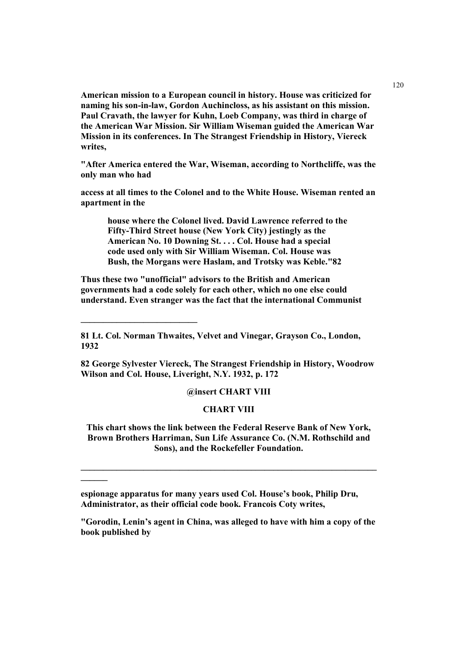American mission to a European council in history. House was criticized for naming his son-in-law, Gordon Auchincloss, as his assistant on this mission. Paul Cravath, the lawyer for Kuhn, Loeb Company, was third in charge of the American War Mission. Sir William Wiseman guided the American War Mission in its conferences. In The Strangest Friendship in History, Viereck writes,

"After America entered the War, Wiseman, according to Northcliffe, was the only man who had

access at all times to the Colonel and to the White House. Wiseman rented an apartment in the

house where the Colonel lived. David Lawrence referred to the Fifty-Third Street house (New York City) jestingly as the American No. 10 Downing St. . . . Col. House had a special code used only with Sir William Wiseman. Col. House was Bush, the Morgans were Haslam, and Trotsky was Keble."82

Thus these two "unofficial" advisors to the British and American governments had a code solely for each other, which no one else could understand. Even stranger was the fact that the international Communist

\_\_\_\_\_\_\_\_\_\_\_\_\_\_\_\_\_\_\_\_\_\_\_\_\_\_

 $\overline{\phantom{a}}$ 

82 George Sylvester Viereck, The Strangest Friendship in History, Woodrow Wilson and Col. House, Liveright, N.Y. 1932, p. 172

@insert CHART VIII

## CHART VIII

This chart shows the link between the Federal Reserve Bank of New York, Brown Brothers Harriman, Sun Life Assurance Co. (N.M. Rothschild and Sons), and the Rockefeller Foundation.

\_\_\_\_\_\_\_\_\_\_\_\_\_\_\_\_\_\_\_\_\_\_\_\_\_\_\_\_\_\_\_\_\_\_\_\_\_\_\_\_\_\_\_\_\_\_\_\_\_\_\_\_\_\_\_\_\_\_\_\_\_\_\_\_\_\_

espionage apparatus for many years used Col. House's book, Philip Dru, Administrator, as their official code book. Francois Coty writes,

"Gorodin, Lenin's agent in China, was alleged to have with him a copy of the book published by

<sup>81</sup> Lt. Col. Norman Thwaites, Velvet and Vinegar, Grayson Co., London, 1932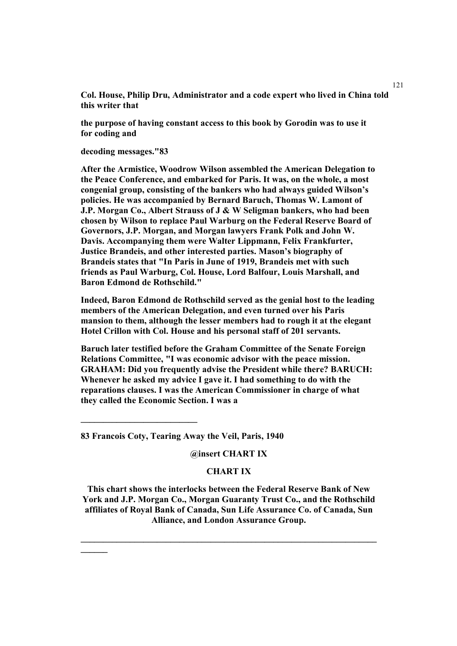Col. House, Philip Dru, Administrator and a code expert who lived in China told this writer that

the purpose of having constant access to this book by Gorodin was to use it for coding and

decoding messages."83

After the Armistice, Woodrow Wilson assembled the American Delegation to the Peace Conference, and embarked for Paris. It was, on the whole, a most congenial group, consisting of the bankers who had always guided Wilson's policies. He was accompanied by Bernard Baruch, Thomas W. Lamont of J.P. Morgan Co., Albert Strauss of J & W Seligman bankers, who had been chosen by Wilson to replace Paul Warburg on the Federal Reserve Board of Governors, J.P. Morgan, and Morgan lawyers Frank Polk and John W. Davis. Accompanying them were Walter Lippmann, Felix Frankfurter, Justice Brandeis, and other interested parties. Mason's biography of Brandeis states that "In Paris in June of 1919, Brandeis met with such friends as Paul Warburg, Col. House, Lord Balfour, Louis Marshall, and Baron Edmond de Rothschild."

Indeed, Baron Edmond de Rothschild served as the genial host to the leading members of the American Delegation, and even turned over his Paris mansion to them, although the lesser members had to rough it at the elegant Hotel Crillon with Col. House and his personal staff of 201 servants.

Baruch later testified before the Graham Committee of the Senate Foreign Relations Committee, "I was economic advisor with the peace mission. GRAHAM: Did you frequently advise the President while there? BARUCH: Whenever he asked my advice I gave it. I had something to do with the reparations clauses. I was the American Commissioner in charge of what they called the Economic Section. I was a

\_\_\_\_\_\_\_\_\_\_\_\_\_\_\_\_\_\_\_\_\_\_\_\_\_\_

 $\overline{\phantom{a}}$ 

#### @insert CHART IX

### CHART IX

This chart shows the interlocks between the Federal Reserve Bank of New York and J.P. Morgan Co., Morgan Guaranty Trust Co., and the Rothschild affiliates of Royal Bank of Canada, Sun Life Assurance Co. of Canada, Sun Alliance, and London Assurance Group.

\_\_\_\_\_\_\_\_\_\_\_\_\_\_\_\_\_\_\_\_\_\_\_\_\_\_\_\_\_\_\_\_\_\_\_\_\_\_\_\_\_\_\_\_\_\_\_\_\_\_\_\_\_\_\_\_\_\_\_\_\_\_\_\_\_\_

<sup>83</sup> Francois Coty, Tearing Away the Veil, Paris, 1940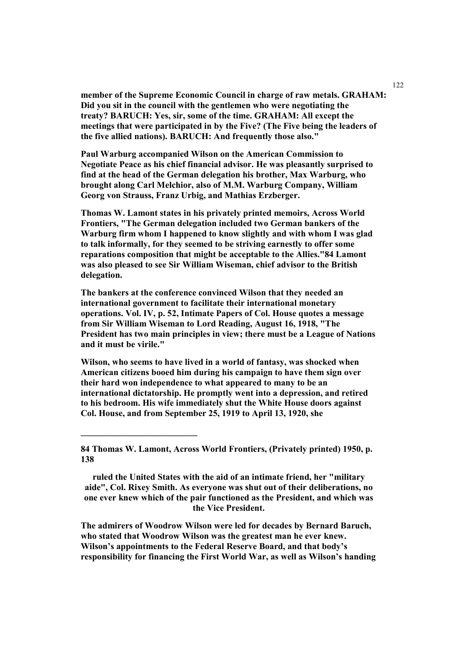member of the Supreme Economic Council in charge of raw metals. GRAHAM: Did you sit in the council with the gentlemen who were negotiating the treaty? BARUCH: Yes, sir, some of the time. GRAHAM: All except the meetings that were participated in by the Five? (The Five being the leaders of the five allied nations). BARUCH: And frequently those also."

Paul Warburg accompanied Wilson on the American Commission to Negotiate Peace as his chief financial advisor. He was pleasantly surprised to find at the head of the German delegation his brother, Max Warburg, who brought along Carl Melchior, also of M.M. Warburg Company, William Georg von Strauss, Franz Urbig, and Mathias Erzberger.

Thomas W. Lamont states in his privately printed memoirs, Across World Frontiers, "The German delegation included two German bankers of the Warburg firm whom I happened to know slightly and with whom I was glad to talk informally, for they seemed to be striving earnestly to offer some reparations composition that might be acceptable to the Allies."84 Lamont was also pleased to see Sir William Wiseman, chief advisor to the British delegation.

The bankers at the conference convinced Wilson that they needed an international government to facilitate their international monetary operations. Vol. IV, p. 52, Intimate Papers of Col. House quotes a message from Sir William Wiseman to Lord Reading, August 16, 1918, "The President has two main principles in view; there must be a League of Nations and it must be virile."

Wilson, who seems to have lived in a world of fantasy, was shocked when American citizens booed him during his campaign to have them sign over their hard won independence to what appeared to many to be an international dictatorship. He promptly went into a depression, and retired to his bedroom. His wife immediately shut the White House doors against Col. House, and from September 25, 1919 to April 13, 1920, she

\_\_\_\_\_\_\_\_\_\_\_\_\_\_\_\_\_\_\_\_\_\_\_\_\_\_

The admirers of Woodrow Wilson were led for decades by Bernard Baruch, who stated that Woodrow Wilson was the greatest man he ever knew. Wilson's appointments to the Federal Reserve Board, and that body's responsibility for financing the First World War, as well as Wilson's handing

<sup>84</sup> Thomas W. Lamont, Across World Frontiers, (Privately printed) 1950, p. 138

ruled the United States with the aid of an intimate friend, her "military aide", Col. Rixey Smith. As everyone was shut out of their deliberations, no one ever knew which of the pair functioned as the President, and which was the Vice President.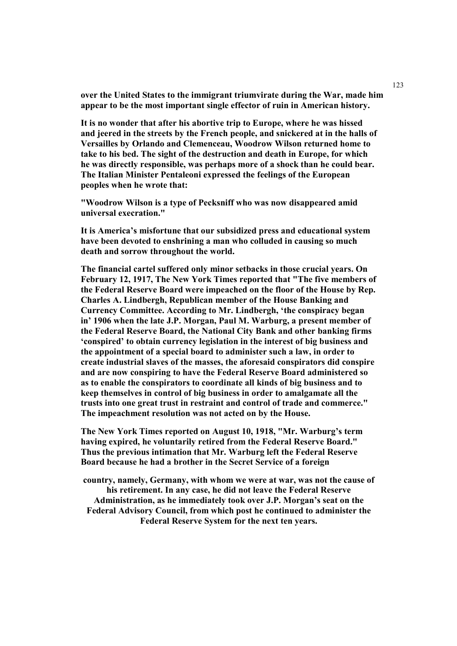over the United States to the immigrant triumvirate during the War, made him appear to be the most important single effector of ruin in American history.

It is no wonder that after his abortive trip to Europe, where he was hissed and jeered in the streets by the French people, and snickered at in the halls of Versailles by Orlando and Clemenceau, Woodrow Wilson returned home to take to his bed. The sight of the destruction and death in Europe, for which he was directly responsible, was perhaps more of a shock than he could bear. The Italian Minister Pentaleoni expressed the feelings of the European peoples when he wrote that:

"Woodrow Wilson is a type of Pecksniff who was now disappeared amid universal execration."

It is America's misfortune that our subsidized press and educational system have been devoted to enshrining a man who colluded in causing so much death and sorrow throughout the world.

The financial cartel suffered only minor setbacks in those crucial years. On February 12, 1917, The New York Times reported that "The five members of the Federal Reserve Board were impeached on the floor of the House by Rep. Charles A. Lindbergh, Republican member of the House Banking and Currency Committee. According to Mr. Lindbergh, 'the conspiracy began in' 1906 when the late J.P. Morgan, Paul M. Warburg, a present member of the Federal Reserve Board, the National City Bank and other banking firms 'conspired' to obtain currency legislation in the interest of big business and the appointment of a special board to administer such a law, in order to create industrial slaves of the masses, the aforesaid conspirators did conspire and are now conspiring to have the Federal Reserve Board administered so as to enable the conspirators to coordinate all kinds of big business and to keep themselves in control of big business in order to amalgamate all the trusts into one great trust in restraint and control of trade and commerce." The impeachment resolution was not acted on by the House.

The New York Times reported on August 10, 1918, "Mr. Warburg's term having expired, he voluntarily retired from the Federal Reserve Board." Thus the previous intimation that Mr. Warburg left the Federal Reserve Board because he had a brother in the Secret Service of a foreign

country, namely, Germany, with whom we were at war, was not the cause of his retirement. In any case, he did not leave the Federal Reserve Administration, as he immediately took over J.P. Morgan's seat on the Federal Advisory Council, from which post he continued to administer the Federal Reserve System for the next ten years.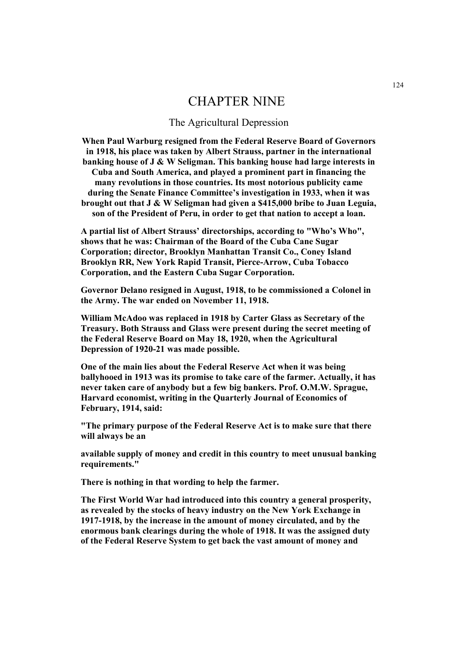# CHAPTER NINE

# The Agricultural Depression

When Paul Warburg resigned from the Federal Reserve Board of Governors in 1918, his place was taken by Albert Strauss, partner in the international banking house of J & W Seligman. This banking house had large interests in Cuba and South America, and played a prominent part in financing the many revolutions in those countries. Its most notorious publicity came during the Senate Finance Committee's investigation in 1933, when it was brought out that J & W Seligman had given a \$415,000 bribe to Juan Leguia, son of the President of Peru, in order to get that nation to accept a loan.

A partial list of Albert Strauss' directorships, according to "Who's Who", shows that he was: Chairman of the Board of the Cuba Cane Sugar Corporation; director, Brooklyn Manhattan Transit Co., Coney Island Brooklyn RR, New York Rapid Transit, Pierce-Arrow, Cuba Tobacco Corporation, and the Eastern Cuba Sugar Corporation.

Governor Delano resigned in August, 1918, to be commissioned a Colonel in the Army. The war ended on November 11, 1918.

William McAdoo was replaced in 1918 by Carter Glass as Secretary of the Treasury. Both Strauss and Glass were present during the secret meeting of the Federal Reserve Board on May 18, 1920, when the Agricultural Depression of 1920-21 was made possible.

One of the main lies about the Federal Reserve Act when it was being ballyhooed in 1913 was its promise to take care of the farmer. Actually, it has never taken care of anybody but a few big bankers. Prof. O.M.W. Sprague, Harvard economist, writing in the Quarterly Journal of Economics of February, 1914, said:

"The primary purpose of the Federal Reserve Act is to make sure that there will always be an

available supply of money and credit in this country to meet unusual banking requirements."

There is nothing in that wording to help the farmer.

The First World War had introduced into this country a general prosperity, as revealed by the stocks of heavy industry on the New York Exchange in 1917-1918, by the increase in the amount of money circulated, and by the enormous bank clearings during the whole of 1918. It was the assigned duty of the Federal Reserve System to get back the vast amount of money and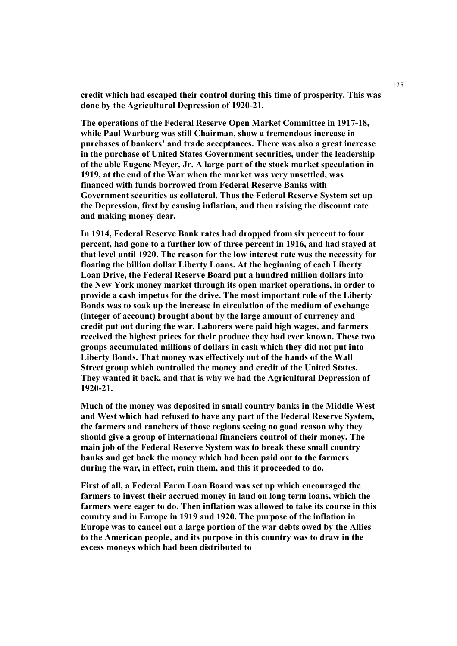credit which had escaped their control during this time of prosperity. This was done by the Agricultural Depression of 1920-21.

The operations of the Federal Reserve Open Market Committee in 1917-18, while Paul Warburg was still Chairman, show a tremendous increase in purchases of bankers' and trade acceptances. There was also a great increase in the purchase of United States Government securities, under the leadership of the able Eugene Meyer, Jr. A large part of the stock market speculation in 1919, at the end of the War when the market was very unsettled, was financed with funds borrowed from Federal Reserve Banks with Government securities as collateral. Thus the Federal Reserve System set up the Depression, first by causing inflation, and then raising the discount rate and making money dear.

In 1914, Federal Reserve Bank rates had dropped from six percent to four percent, had gone to a further low of three percent in 1916, and had stayed at that level until 1920. The reason for the low interest rate was the necessity for floating the billion dollar Liberty Loans. At the beginning of each Liberty Loan Drive, the Federal Reserve Board put a hundred million dollars into the New York money market through its open market operations, in order to provide a cash impetus for the drive. The most important role of the Liberty Bonds was to soak up the increase in circulation of the medium of exchange (integer of account) brought about by the large amount of currency and credit put out during the war. Laborers were paid high wages, and farmers received the highest prices for their produce they had ever known. These two groups accumulated millions of dollars in cash which they did not put into Liberty Bonds. That money was effectively out of the hands of the Wall Street group which controlled the money and credit of the United States. They wanted it back, and that is why we had the Agricultural Depression of 1920-21.

Much of the money was deposited in small country banks in the Middle West and West which had refused to have any part of the Federal Reserve System, the farmers and ranchers of those regions seeing no good reason why they should give a group of international financiers control of their money. The main job of the Federal Reserve System was to break these small country banks and get back the money which had been paid out to the farmers during the war, in effect, ruin them, and this it proceeded to do.

First of all, a Federal Farm Loan Board was set up which encouraged the farmers to invest their accrued money in land on long term loans, which the farmers were eager to do. Then inflation was allowed to take its course in this country and in Europe in 1919 and 1920. The purpose of the inflation in Europe was to cancel out a large portion of the war debts owed by the Allies to the American people, and its purpose in this country was to draw in the excess moneys which had been distributed to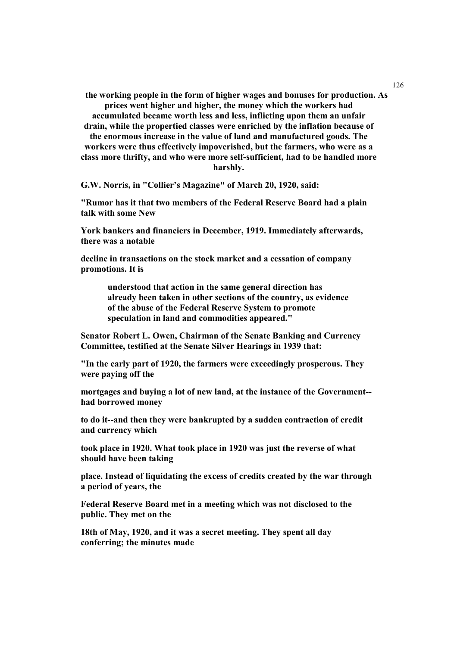the working people in the form of higher wages and bonuses for production. As prices went higher and higher, the money which the workers had accumulated became worth less and less, inflicting upon them an unfair drain, while the propertied classes were enriched by the inflation because of the enormous increase in the value of land and manufactured goods. The workers were thus effectively impoverished, but the farmers, who were as a class more thrifty, and who were more self-sufficient, had to be handled more harshly.

G.W. Norris, in "Collier's Magazine" of March 20, 1920, said:

"Rumor has it that two members of the Federal Reserve Board had a plain talk with some New

York bankers and financiers in December, 1919. Immediately afterwards, there was a notable

decline in transactions on the stock market and a cessation of company promotions. It is

understood that action in the same general direction has already been taken in other sections of the country, as evidence of the abuse of the Federal Reserve System to promote speculation in land and commodities appeared."

Senator Robert L. Owen, Chairman of the Senate Banking and Currency Committee, testified at the Senate Silver Hearings in 1939 that:

"In the early part of 1920, the farmers were exceedingly prosperous. They were paying off the

mortgages and buying a lot of new land, at the instance of the Government- had borrowed money

to do it--and then they were bankrupted by a sudden contraction of credit and currency which

took place in 1920. What took place in 1920 was just the reverse of what should have been taking

place. Instead of liquidating the excess of credits created by the war through a period of years, the

Federal Reserve Board met in a meeting which was not disclosed to the public. They met on the

18th of May, 1920, and it was a secret meeting. They spent all day conferring; the minutes made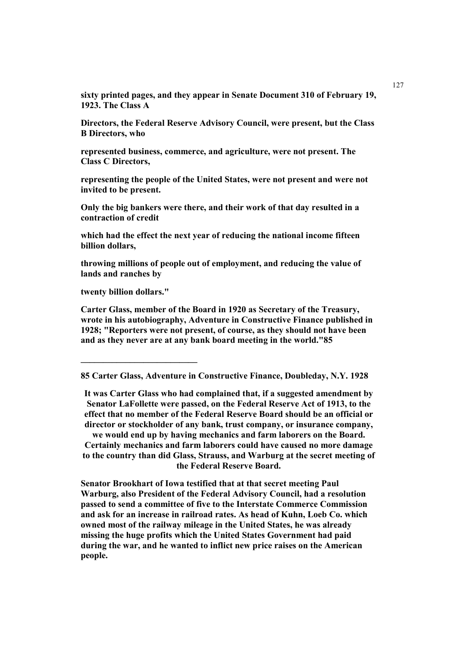sixty printed pages, and they appear in Senate Document 310 of February 19, 1923. The Class A

Directors, the Federal Reserve Advisory Council, were present, but the Class B Directors, who

represented business, commerce, and agriculture, were not present. The Class C Directors,

representing the people of the United States, were not present and were not invited to be present.

Only the big bankers were there, and their work of that day resulted in a contraction of credit

which had the effect the next year of reducing the national income fifteen billion dollars,

throwing millions of people out of employment, and reducing the value of lands and ranches by

twenty billion dollars."

\_\_\_\_\_\_\_\_\_\_\_\_\_\_\_\_\_\_\_\_\_\_\_\_\_\_

Carter Glass, member of the Board in 1920 as Secretary of the Treasury, wrote in his autobiography, Adventure in Constructive Finance published in 1928; "Reporters were not present, of course, as they should not have been and as they never are at any bank board meeting in the world."85

we would end up by having mechanics and farm laborers on the Board. Certainly mechanics and farm laborers could have caused no more damage to the country than did Glass, Strauss, and Warburg at the secret meeting of the Federal Reserve Board.

Senator Brookhart of Iowa testified that at that secret meeting Paul Warburg, also President of the Federal Advisory Council, had a resolution passed to send a committee of five to the Interstate Commerce Commission and ask for an increase in railroad rates. As head of Kuhn, Loeb Co. which owned most of the railway mileage in the United States, he was already missing the huge profits which the United States Government had paid during the war, and he wanted to inflict new price raises on the American people.

<sup>85</sup> Carter Glass, Adventure in Constructive Finance, Doubleday, N.Y. 1928

It was Carter Glass who had complained that, if a suggested amendment by Senator LaFollette were passed, on the Federal Reserve Act of 1913, to the effect that no member of the Federal Reserve Board should be an official or director or stockholder of any bank, trust company, or insurance company,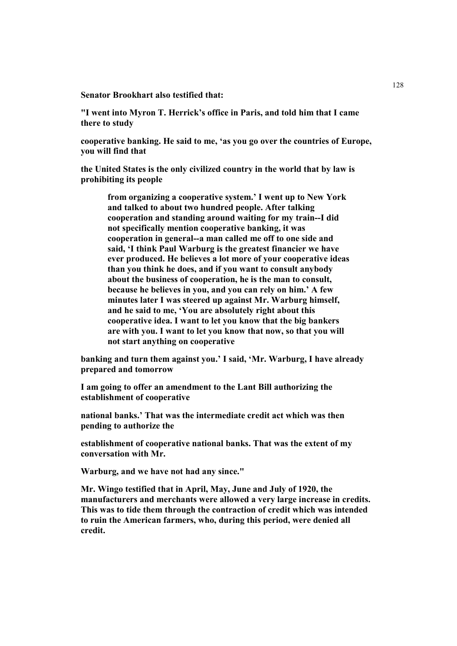Senator Brookhart also testified that:

"I went into Myron T. Herrick's office in Paris, and told him that I came there to study

cooperative banking. He said to me, 'as you go over the countries of Europe, you will find that

the United States is the only civilized country in the world that by law is prohibiting its people

from organizing a cooperative system.' I went up to New York and talked to about two hundred people. After talking cooperation and standing around waiting for my train--I did not specifically mention cooperative banking, it was cooperation in general--a man called me off to one side and said, 'I think Paul Warburg is the greatest financier we have ever produced. He believes a lot more of your cooperative ideas than you think he does, and if you want to consult anybody about the business of cooperation, he is the man to consult, because he believes in you, and you can rely on him.' A few minutes later I was steered up against Mr. Warburg himself, and he said to me, 'You are absolutely right about this cooperative idea. I want to let you know that the big bankers are with you. I want to let you know that now, so that you will not start anything on cooperative

banking and turn them against you.' I said, 'Mr. Warburg, I have already prepared and tomorrow

I am going to offer an amendment to the Lant Bill authorizing the establishment of cooperative

national banks.' That was the intermediate credit act which was then pending to authorize the

establishment of cooperative national banks. That was the extent of my conversation with Mr.

Warburg, and we have not had any since."

Mr. Wingo testified that in April, May, June and July of 1920, the manufacturers and merchants were allowed a very large increase in credits. This was to tide them through the contraction of credit which was intended to ruin the American farmers, who, during this period, were denied all credit.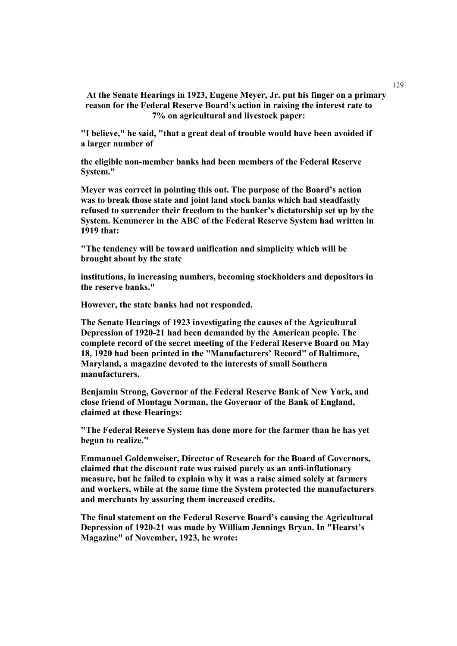At the Senate Hearings in 1923, Eugene Meyer, Jr. put his finger on a primary reason for the Federal Reserve Board's action in raising the interest rate to 7% on agricultural and livestock paper:

"I believe," he said, "that a great deal of trouble would have been avoided if a larger number of

the eligible non-member banks had been members of the Federal Reserve System."

Meyer was correct in pointing this out. The purpose of the Board's action was to break those state and joint land stock banks which had steadfastly refused to surrender their freedom to the banker's dictatorship set up by the System. Kemmerer in the ABC of the Federal Reserve System had written in 1919 that:

"The tendency will be toward unification and simplicity which will be brought about by the state

institutions, in increasing numbers, becoming stockholders and depositors in the reserve banks."

However, the state banks had not responded.

The Senate Hearings of 1923 investigating the causes of the Agricultural Depression of 1920-21 had been demanded by the American people. The complete record of the secret meeting of the Federal Reserve Board on May 18, 1920 had been printed in the "Manufacturers' Record" of Baltimore, Maryland, a magazine devoted to the interests of small Southern manufacturers.

Benjamin Strong, Governor of the Federal Reserve Bank of New York, and close friend of Montagu Norman, the Governor of the Bank of England, claimed at these Hearings:

"The Federal Reserve System has done more for the farmer than he has yet begun to realize."

Emmanuel Goldenweiser, Director of Research for the Board of Governors, claimed that the discount rate was raised purely as an anti-inflationary measure, but he failed to explain why it was a raise aimed solely at farmers and workers, while at the same time the System protected the manufacturers and merchants by assuring them increased credits.

The final statement on the Federal Reserve Board's causing the Agricultural Depression of 1920-21 was made by William Jennings Bryan. In "Hearst's Magazine" of November, 1923, he wrote: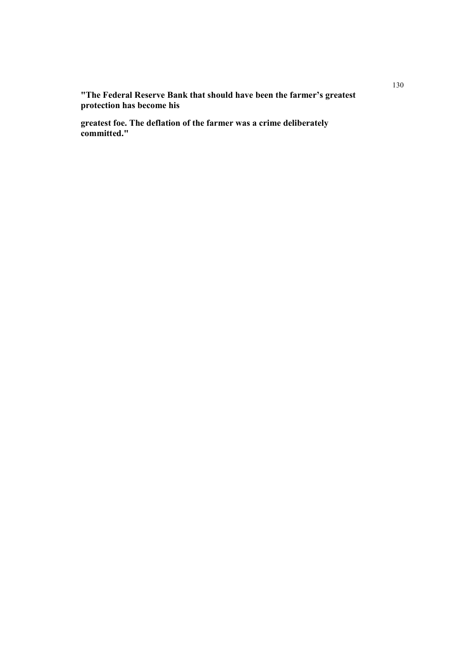"The Federal Reserve Bank that should have been the farmer's greatest protection has become his

greatest foe. The deflation of the farmer was a crime deliberately committed."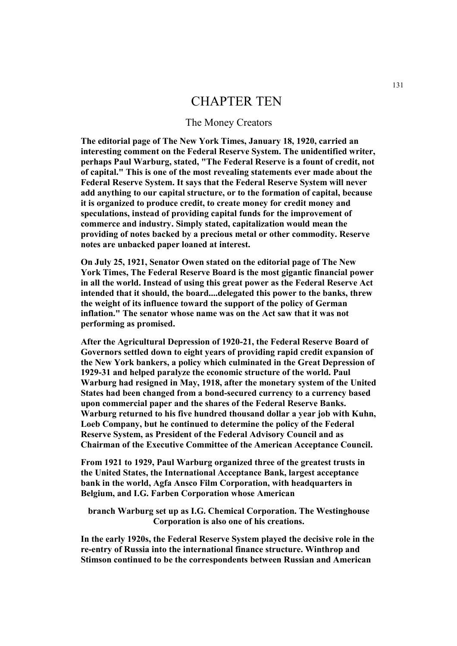# CHAPTER TEN

# The Money Creators

The editorial page of The New York Times, January 18, 1920, carried an interesting comment on the Federal Reserve System. The unidentified writer, perhaps Paul Warburg, stated, "The Federal Reserve is a fount of credit, not of capital." This is one of the most revealing statements ever made about the Federal Reserve System. It says that the Federal Reserve System will never add anything to our capital structure, or to the formation of capital, because it is organized to produce credit, to create money for credit money and speculations, instead of providing capital funds for the improvement of commerce and industry. Simply stated, capitalization would mean the providing of notes backed by a precious metal or other commodity. Reserve notes are unbacked paper loaned at interest.

On July 25, 1921, Senator Owen stated on the editorial page of The New York Times, The Federal Reserve Board is the most gigantic financial power in all the world. Instead of using this great power as the Federal Reserve Act intended that it should, the board....delegated this power to the banks, threw the weight of its influence toward the support of the policy of German inflation." The senator whose name was on the Act saw that it was not performing as promised.

After the Agricultural Depression of 1920-21, the Federal Reserve Board of Governors settled down to eight years of providing rapid credit expansion of the New York bankers, a policy which culminated in the Great Depression of 1929-31 and helped paralyze the economic structure of the world. Paul Warburg had resigned in May, 1918, after the monetary system of the United States had been changed from a bond-secured currency to a currency based upon commercial paper and the shares of the Federal Reserve Banks. Warburg returned to his five hundred thousand dollar a year job with Kuhn, Loeb Company, but he continued to determine the policy of the Federal Reserve System, as President of the Federal Advisory Council and as Chairman of the Executive Committee of the American Acceptance Council.

From 1921 to 1929, Paul Warburg organized three of the greatest trusts in the United States, the International Acceptance Bank, largest acceptance bank in the world, Agfa Ansco Film Corporation, with headquarters in Belgium, and I.G. Farben Corporation whose American

branch Warburg set up as I.G. Chemical Corporation. The Westinghouse Corporation is also one of his creations.

In the early 1920s, the Federal Reserve System played the decisive role in the re-entry of Russia into the international finance structure. Winthrop and Stimson continued to be the correspondents between Russian and American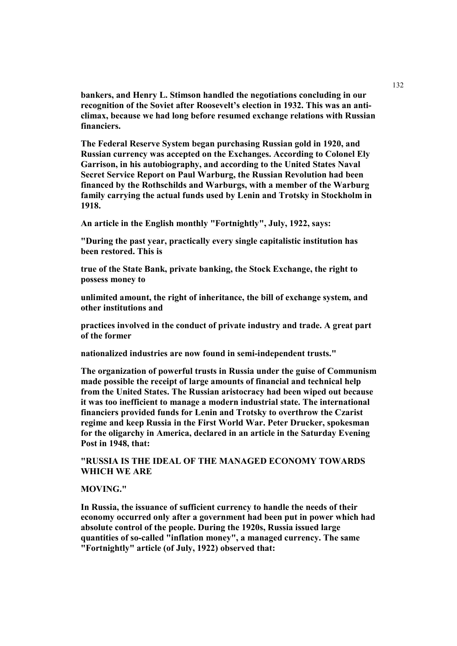bankers, and Henry L. Stimson handled the negotiations concluding in our recognition of the Soviet after Roosevelt's election in 1932. This was an anticlimax, because we had long before resumed exchange relations with Russian financiers.

The Federal Reserve System began purchasing Russian gold in 1920, and Russian currency was accepted on the Exchanges. According to Colonel Ely Garrison, in his autobiography, and according to the United States Naval Secret Service Report on Paul Warburg, the Russian Revolution had been financed by the Rothschilds and Warburgs, with a member of the Warburg family carrying the actual funds used by Lenin and Trotsky in Stockholm in 1918.

An article in the English monthly "Fortnightly", July, 1922, says:

"During the past year, practically every single capitalistic institution has been restored. This is

true of the State Bank, private banking, the Stock Exchange, the right to possess money to

unlimited amount, the right of inheritance, the bill of exchange system, and other institutions and

practices involved in the conduct of private industry and trade. A great part of the former

nationalized industries are now found in semi-independent trusts."

The organization of powerful trusts in Russia under the guise of Communism made possible the receipt of large amounts of financial and technical help from the United States. The Russian aristocracy had been wiped out because it was too inefficient to manage a modern industrial state. The international financiers provided funds for Lenin and Trotsky to overthrow the Czarist regime and keep Russia in the First World War. Peter Drucker, spokesman for the oligarchy in America, declared in an article in the Saturday Evening Post in 1948, that:

"RUSSIA IS THE IDEAL OF THE MANAGED ECONOMY TOWARDS WHICH WE ARE

## MOVING."

In Russia, the issuance of sufficient currency to handle the needs of their economy occurred only after a government had been put in power which had absolute control of the people. During the 1920s, Russia issued large quantities of so-called "inflation money", a managed currency. The same "Fortnightly" article (of July, 1922) observed that: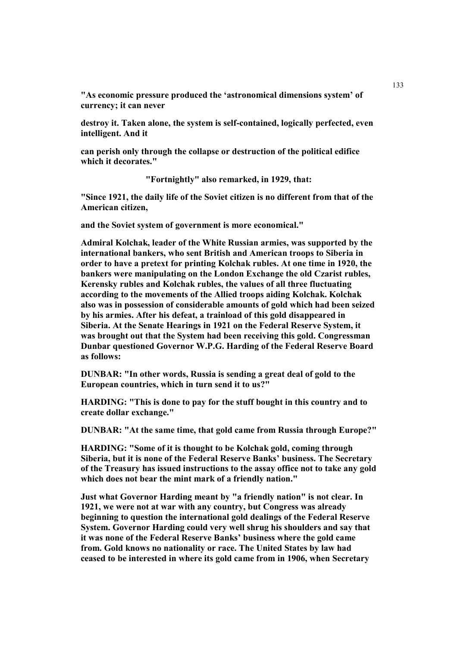"As economic pressure produced the 'astronomical dimensions system' of currency; it can never

destroy it. Taken alone, the system is self-contained, logically perfected, even intelligent. And it

can perish only through the collapse or destruction of the political edifice which it decorates."

"Fortnightly" also remarked, in 1929, that:

"Since 1921, the daily life of the Soviet citizen is no different from that of the American citizen,

and the Soviet system of government is more economical."

Admiral Kolchak, leader of the White Russian armies, was supported by the international bankers, who sent British and American troops to Siberia in order to have a pretext for printing Kolchak rubles. At one time in 1920, the bankers were manipulating on the London Exchange the old Czarist rubles, Kerensky rubles and Kolchak rubles, the values of all three fluctuating according to the movements of the Allied troops aiding Kolchak. Kolchak also was in possession of considerable amounts of gold which had been seized by his armies. After his defeat, a trainload of this gold disappeared in Siberia. At the Senate Hearings in 1921 on the Federal Reserve System, it was brought out that the System had been receiving this gold. Congressman Dunbar questioned Governor W.P.G. Harding of the Federal Reserve Board as follows:

DUNBAR: "In other words, Russia is sending a great deal of gold to the European countries, which in turn send it to us?"

HARDING: "This is done to pay for the stuff bought in this country and to create dollar exchange."

DUNBAR: "At the same time, that gold came from Russia through Europe?"

HARDING: "Some of it is thought to be Kolchak gold, coming through Siberia, but it is none of the Federal Reserve Banks' business. The Secretary of the Treasury has issued instructions to the assay office not to take any gold which does not bear the mint mark of a friendly nation."

Just what Governor Harding meant by "a friendly nation" is not clear. In 1921, we were not at war with any country, but Congress was already beginning to question the international gold dealings of the Federal Reserve System. Governor Harding could very well shrug his shoulders and say that it was none of the Federal Reserve Banks' business where the gold came from. Gold knows no nationality or race. The United States by law had ceased to be interested in where its gold came from in 1906, when Secretary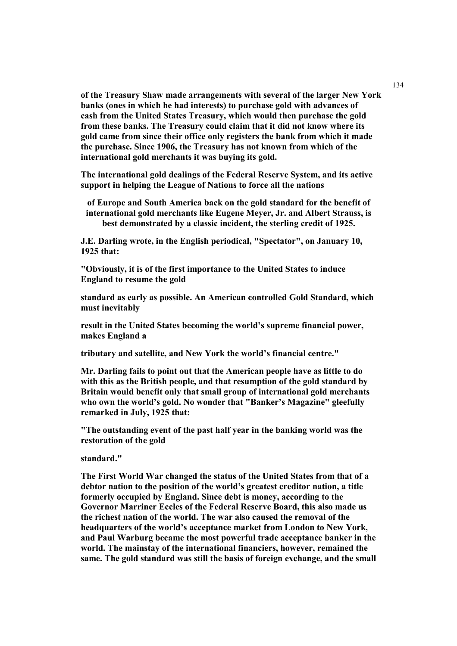of the Treasury Shaw made arrangements with several of the larger New York banks (ones in which he had interests) to purchase gold with advances of cash from the United States Treasury, which would then purchase the gold from these banks. The Treasury could claim that it did not know where its gold came from since their office only registers the bank from which it made the purchase. Since 1906, the Treasury has not known from which of the international gold merchants it was buying its gold.

The international gold dealings of the Federal Reserve System, and its active support in helping the League of Nations to force all the nations

of Europe and South America back on the gold standard for the benefit of international gold merchants like Eugene Meyer, Jr. and Albert Strauss, is best demonstrated by a classic incident, the sterling credit of 1925.

J.E. Darling wrote, in the English periodical, "Spectator", on January 10, 1925 that:

"Obviously, it is of the first importance to the United States to induce England to resume the gold

standard as early as possible. An American controlled Gold Standard, which must inevitably

result in the United States becoming the world's supreme financial power, makes England a

tributary and satellite, and New York the world's financial centre."

Mr. Darling fails to point out that the American people have as little to do with this as the British people, and that resumption of the gold standard by Britain would benefit only that small group of international gold merchants who own the world's gold. No wonder that "Banker's Magazine" gleefully remarked in July, 1925 that:

"The outstanding event of the past half year in the banking world was the restoration of the gold

standard."

The First World War changed the status of the United States from that of a debtor nation to the position of the world's greatest creditor nation, a title formerly occupied by England. Since debt is money, according to the Governor Marriner Eccles of the Federal Reserve Board, this also made us the richest nation of the world. The war also caused the removal of the headquarters of the world's acceptance market from London to New York, and Paul Warburg became the most powerful trade acceptance banker in the world. The mainstay of the international financiers, however, remained the same. The gold standard was still the basis of foreign exchange, and the small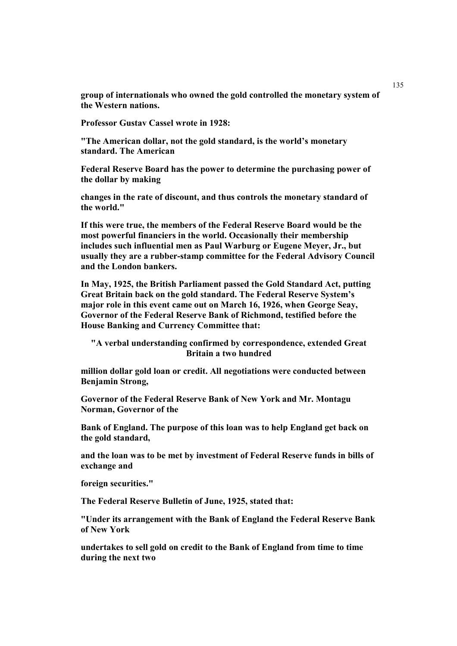group of internationals who owned the gold controlled the monetary system of the Western nations.

Professor Gustav Cassel wrote in 1928:

"The American dollar, not the gold standard, is the world's monetary standard. The American

Federal Reserve Board has the power to determine the purchasing power of the dollar by making

changes in the rate of discount, and thus controls the monetary standard of the world."

If this were true, the members of the Federal Reserve Board would be the most powerful financiers in the world. Occasionally their membership includes such influential men as Paul Warburg or Eugene Meyer, Jr., but usually they are a rubber-stamp committee for the Federal Advisory Council and the London bankers.

In May, 1925, the British Parliament passed the Gold Standard Act, putting Great Britain back on the gold standard. The Federal Reserve System's major role in this event came out on March 16, 1926, when George Seay, Governor of the Federal Reserve Bank of Richmond, testified before the House Banking and Currency Committee that:

# "A verbal understanding confirmed by correspondence, extended Great Britain a two hundred

million dollar gold loan or credit. All negotiations were conducted between Benjamin Strong,

Governor of the Federal Reserve Bank of New York and Mr. Montagu Norman, Governor of the

Bank of England. The purpose of this loan was to help England get back on the gold standard,

and the loan was to be met by investment of Federal Reserve funds in bills of exchange and

foreign securities."

The Federal Reserve Bulletin of June, 1925, stated that:

"Under its arrangement with the Bank of England the Federal Reserve Bank of New York

undertakes to sell gold on credit to the Bank of England from time to time during the next two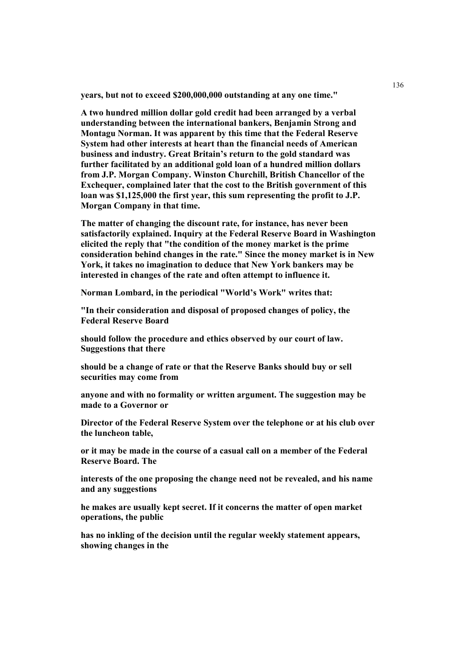years, but not to exceed \$200,000,000 outstanding at any one time."

A two hundred million dollar gold credit had been arranged by a verbal understanding between the international bankers, Benjamin Strong and Montagu Norman. It was apparent by this time that the Federal Reserve System had other interests at heart than the financial needs of American business and industry. Great Britain's return to the gold standard was further facilitated by an additional gold loan of a hundred million dollars from J.P. Morgan Company. Winston Churchill, British Chancellor of the Exchequer, complained later that the cost to the British government of this loan was \$1,125,000 the first year, this sum representing the profit to J.P. Morgan Company in that time.

The matter of changing the discount rate, for instance, has never been satisfactorily explained. Inquiry at the Federal Reserve Board in Washington elicited the reply that "the condition of the money market is the prime consideration behind changes in the rate." Since the money market is in New York, it takes no imagination to deduce that New York bankers may be interested in changes of the rate and often attempt to influence it.

Norman Lombard, in the periodical "World's Work" writes that:

"In their consideration and disposal of proposed changes of policy, the Federal Reserve Board

should follow the procedure and ethics observed by our court of law. Suggestions that there

should be a change of rate or that the Reserve Banks should buy or sell securities may come from

anyone and with no formality or written argument. The suggestion may be made to a Governor or

Director of the Federal Reserve System over the telephone or at his club over the luncheon table,

or it may be made in the course of a casual call on a member of the Federal Reserve Board. The

interests of the one proposing the change need not be revealed, and his name and any suggestions

he makes are usually kept secret. If it concerns the matter of open market operations, the public

has no inkling of the decision until the regular weekly statement appears, showing changes in the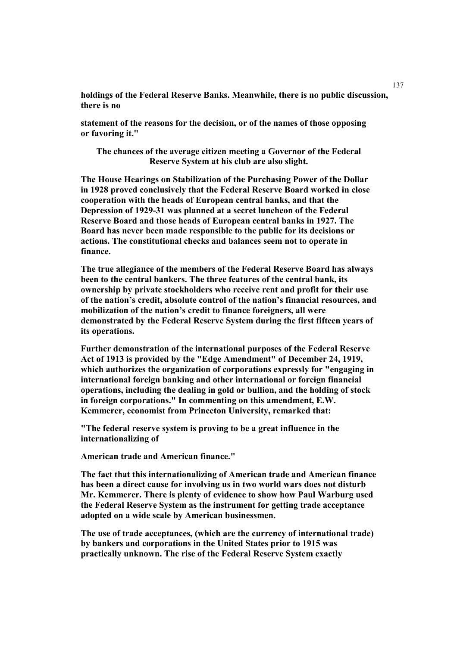holdings of the Federal Reserve Banks. Meanwhile, there is no public discussion, there is no

statement of the reasons for the decision, or of the names of those opposing or favoring it."

The chances of the average citizen meeting a Governor of the Federal Reserve System at his club are also slight.

The House Hearings on Stabilization of the Purchasing Power of the Dollar in 1928 proved conclusively that the Federal Reserve Board worked in close cooperation with the heads of European central banks, and that the Depression of 1929-31 was planned at a secret luncheon of the Federal Reserve Board and those heads of European central banks in 1927. The Board has never been made responsible to the public for its decisions or actions. The constitutional checks and balances seem not to operate in finance.

The true allegiance of the members of the Federal Reserve Board has always been to the central bankers. The three features of the central bank, its ownership by private stockholders who receive rent and profit for their use of the nation's credit, absolute control of the nation's financial resources, and mobilization of the nation's credit to finance foreigners, all were demonstrated by the Federal Reserve System during the first fifteen years of its operations.

Further demonstration of the international purposes of the Federal Reserve Act of 1913 is provided by the "Edge Amendment" of December 24, 1919, which authorizes the organization of corporations expressly for "engaging in international foreign banking and other international or foreign financial operations, including the dealing in gold or bullion, and the holding of stock in foreign corporations." In commenting on this amendment, E.W. Kemmerer, economist from Princeton University, remarked that:

"The federal reserve system is proving to be a great influence in the internationalizing of

American trade and American finance."

The fact that this internationalizing of American trade and American finance has been a direct cause for involving us in two world wars does not disturb Mr. Kemmerer. There is plenty of evidence to show how Paul Warburg used the Federal Reserve System as the instrument for getting trade acceptance adopted on a wide scale by American businessmen.

The use of trade acceptances, (which are the currency of international trade) by bankers and corporations in the United States prior to 1915 was practically unknown. The rise of the Federal Reserve System exactly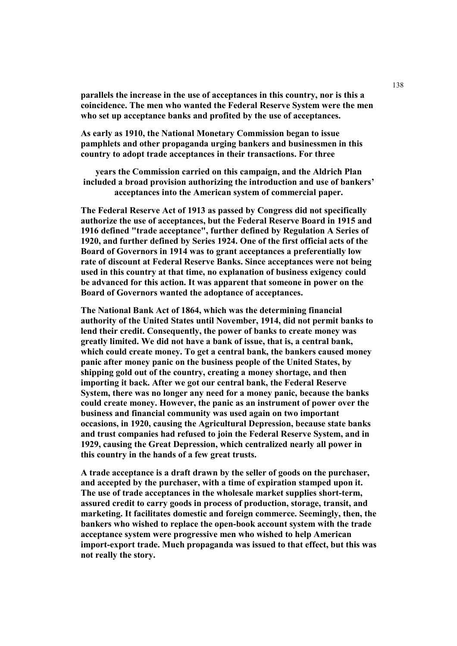parallels the increase in the use of acceptances in this country, nor is this a coincidence. The men who wanted the Federal Reserve System were the men who set up acceptance banks and profited by the use of acceptances.

As early as 1910, the National Monetary Commission began to issue pamphlets and other propaganda urging bankers and businessmen in this country to adopt trade acceptances in their transactions. For three

years the Commission carried on this campaign, and the Aldrich Plan included a broad provision authorizing the introduction and use of bankers' acceptances into the American system of commercial paper.

The Federal Reserve Act of 1913 as passed by Congress did not specifically authorize the use of acceptances, but the Federal Reserve Board in 1915 and 1916 defined "trade acceptance", further defined by Regulation A Series of 1920, and further defined by Series 1924. One of the first official acts of the Board of Governors in 1914 was to grant acceptances a preferentially low rate of discount at Federal Reserve Banks. Since acceptances were not being used in this country at that time, no explanation of business exigency could be advanced for this action. It was apparent that someone in power on the Board of Governors wanted the adoptance of acceptances.

The National Bank Act of 1864, which was the determining financial authority of the United States until November, 1914, did not permit banks to lend their credit. Consequently, the power of banks to create money was greatly limited. We did not have a bank of issue, that is, a central bank, which could create money. To get a central bank, the bankers caused money panic after money panic on the business people of the United States, by shipping gold out of the country, creating a money shortage, and then importing it back. After we got our central bank, the Federal Reserve System, there was no longer any need for a money panic, because the banks could create money. However, the panic as an instrument of power over the business and financial community was used again on two important occasions, in 1920, causing the Agricultural Depression, because state banks and trust companies had refused to join the Federal Reserve System, and in 1929, causing the Great Depression, which centralized nearly all power in this country in the hands of a few great trusts.

A trade acceptance is a draft drawn by the seller of goods on the purchaser, and accepted by the purchaser, with a time of expiration stamped upon it. The use of trade acceptances in the wholesale market supplies short-term, assured credit to carry goods in process of production, storage, transit, and marketing. It facilitates domestic and foreign commerce. Seemingly, then, the bankers who wished to replace the open-book account system with the trade acceptance system were progressive men who wished to help American import-export trade. Much propaganda was issued to that effect, but this was not really the story.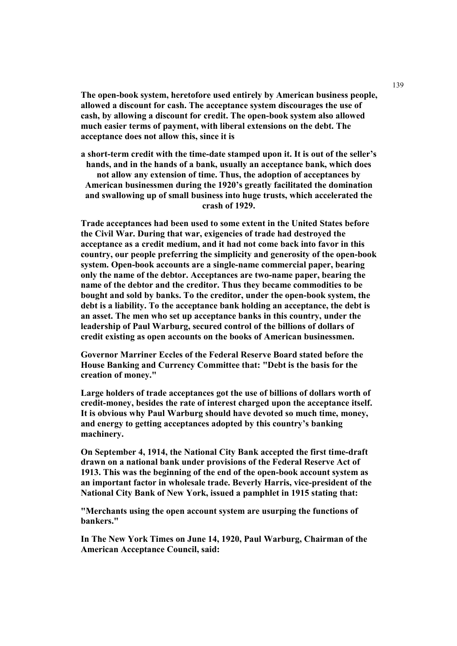The open-book system, heretofore used entirely by American business people, allowed a discount for cash. The acceptance system discourages the use of cash, by allowing a discount for credit. The open-book system also allowed much easier terms of payment, with liberal extensions on the debt. The acceptance does not allow this, since it is

a short-term credit with the time-date stamped upon it. It is out of the seller's hands, and in the hands of a bank, usually an acceptance bank, which does

not allow any extension of time. Thus, the adoption of acceptances by American businessmen during the 1920's greatly facilitated the domination and swallowing up of small business into huge trusts, which accelerated the crash of 1929.

Trade acceptances had been used to some extent in the United States before the Civil War. During that war, exigencies of trade had destroyed the acceptance as a credit medium, and it had not come back into favor in this country, our people preferring the simplicity and generosity of the open-book system. Open-book accounts are a single-name commercial paper, bearing only the name of the debtor. Acceptances are two-name paper, bearing the name of the debtor and the creditor. Thus they became commodities to be bought and sold by banks. To the creditor, under the open-book system, the debt is a liability. To the acceptance bank holding an acceptance, the debt is an asset. The men who set up acceptance banks in this country, under the leadership of Paul Warburg, secured control of the billions of dollars of credit existing as open accounts on the books of American businessmen.

Governor Marriner Eccles of the Federal Reserve Board stated before the House Banking and Currency Committee that: "Debt is the basis for the creation of money."

Large holders of trade acceptances got the use of billions of dollars worth of credit-money, besides the rate of interest charged upon the acceptance itself. It is obvious why Paul Warburg should have devoted so much time, money, and energy to getting acceptances adopted by this country's banking machinery.

On September 4, 1914, the National City Bank accepted the first time-draft drawn on a national bank under provisions of the Federal Reserve Act of 1913. This was the beginning of the end of the open-book account system as an important factor in wholesale trade. Beverly Harris, vice-president of the National City Bank of New York, issued a pamphlet in 1915 stating that:

"Merchants using the open account system are usurping the functions of bankers."

In The New York Times on June 14, 1920, Paul Warburg, Chairman of the American Acceptance Council, said: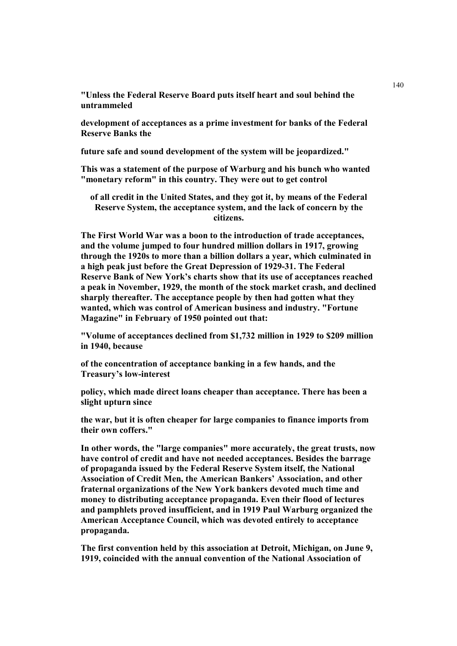"Unless the Federal Reserve Board puts itself heart and soul behind the untrammeled

development of acceptances as a prime investment for banks of the Federal Reserve Banks the

future safe and sound development of the system will be jeopardized."

This was a statement of the purpose of Warburg and his bunch who wanted "monetary reform" in this country. They were out to get control

of all credit in the United States, and they got it, by means of the Federal Reserve System, the acceptance system, and the lack of concern by the citizens.

The First World War was a boon to the introduction of trade acceptances, and the volume jumped to four hundred million dollars in 1917, growing through the 1920s to more than a billion dollars a year, which culminated in a high peak just before the Great Depression of 1929-31. The Federal Reserve Bank of New York's charts show that its use of acceptances reached a peak in November, 1929, the month of the stock market crash, and declined sharply thereafter. The acceptance people by then had gotten what they wanted, which was control of American business and industry. "Fortune Magazine" in February of 1950 pointed out that:

"Volume of acceptances declined from \$1,732 million in 1929 to \$209 million in 1940, because

of the concentration of acceptance banking in a few hands, and the Treasury's low-interest

policy, which made direct loans cheaper than acceptance. There has been a slight upturn since

the war, but it is often cheaper for large companies to finance imports from their own coffers."

In other words, the "large companies" more accurately, the great trusts, now have control of credit and have not needed acceptances. Besides the barrage of propaganda issued by the Federal Reserve System itself, the National Association of Credit Men, the American Bankers' Association, and other fraternal organizations of the New York bankers devoted much time and money to distributing acceptance propaganda. Even their flood of lectures and pamphlets proved insufficient, and in 1919 Paul Warburg organized the American Acceptance Council, which was devoted entirely to acceptance propaganda.

The first convention held by this association at Detroit, Michigan, on June 9, 1919, coincided with the annual convention of the National Association of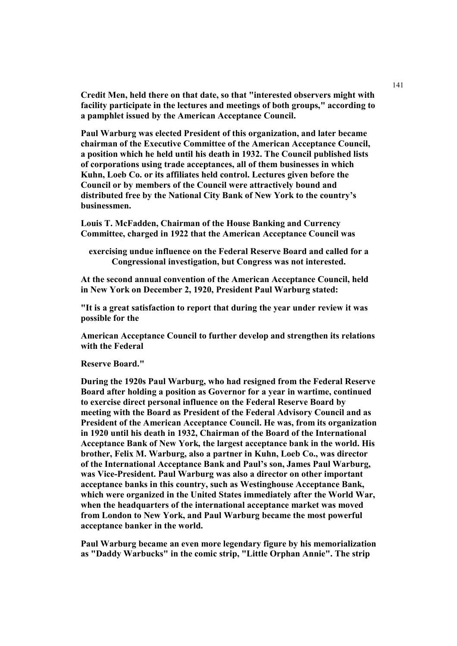Credit Men, held there on that date, so that "interested observers might with facility participate in the lectures and meetings of both groups," according to a pamphlet issued by the American Acceptance Council.

Paul Warburg was elected President of this organization, and later became chairman of the Executive Committee of the American Acceptance Council, a position which he held until his death in 1932. The Council published lists of corporations using trade acceptances, all of them businesses in which Kuhn, Loeb Co. or its affiliates held control. Lectures given before the Council or by members of the Council were attractively bound and distributed free by the National City Bank of New York to the country's businessmen.

Louis T. McFadden, Chairman of the House Banking and Currency Committee, charged in 1922 that the American Acceptance Council was

exercising undue influence on the Federal Reserve Board and called for a Congressional investigation, but Congress was not interested.

At the second annual convention of the American Acceptance Council, held in New York on December 2, 1920, President Paul Warburg stated:

"It is a great satisfaction to report that during the year under review it was possible for the

American Acceptance Council to further develop and strengthen its relations with the Federal

### Reserve Board."

During the 1920s Paul Warburg, who had resigned from the Federal Reserve Board after holding a position as Governor for a year in wartime, continued to exercise direct personal influence on the Federal Reserve Board by meeting with the Board as President of the Federal Advisory Council and as President of the American Acceptance Council. He was, from its organization in 1920 until his death in 1932, Chairman of the Board of the International Acceptance Bank of New York, the largest acceptance bank in the world. His brother, Felix M. Warburg, also a partner in Kuhn, Loeb Co., was director of the International Acceptance Bank and Paul's son, James Paul Warburg, was Vice-President. Paul Warburg was also a director on other important acceptance banks in this country, such as Westinghouse Acceptance Bank, which were organized in the United States immediately after the World War, when the headquarters of the international acceptance market was moved from London to New York, and Paul Warburg became the most powerful acceptance banker in the world.

Paul Warburg became an even more legendary figure by his memorialization as "Daddy Warbucks" in the comic strip, "Little Orphan Annie". The strip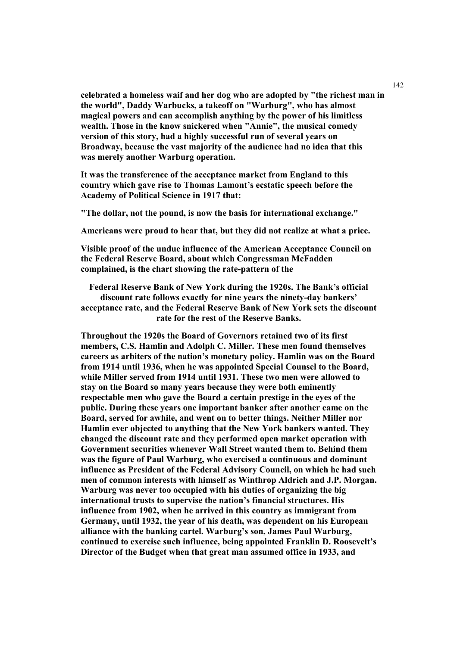celebrated a homeless waif and her dog who are adopted by "the richest man in the world", Daddy Warbucks, a takeoff on "Warburg", who has almost magical powers and can accomplish anything by the power of his limitless wealth. Those in the know snickered when "Annie", the musical comedy version of this story, had a highly successful run of several years on Broadway, because the vast majority of the audience had no idea that this was merely another Warburg operation.

It was the transference of the acceptance market from England to this country which gave rise to Thomas Lamont's ecstatic speech before the Academy of Political Science in 1917 that:

"The dollar, not the pound, is now the basis for international exchange."

Americans were proud to hear that, but they did not realize at what a price.

Visible proof of the undue influence of the American Acceptance Council on the Federal Reserve Board, about which Congressman McFadden complained, is the chart showing the rate-pattern of the

Federal Reserve Bank of New York during the 1920s. The Bank's official discount rate follows exactly for nine years the ninety-day bankers' acceptance rate, and the Federal Reserve Bank of New York sets the discount rate for the rest of the Reserve Banks.

Throughout the 1920s the Board of Governors retained two of its first members, C.S. Hamlin and Adolph C. Miller. These men found themselves careers as arbiters of the nation's monetary policy. Hamlin was on the Board from 1914 until 1936, when he was appointed Special Counsel to the Board, while Miller served from 1914 until 1931. These two men were allowed to stay on the Board so many years because they were both eminently respectable men who gave the Board a certain prestige in the eyes of the public. During these years one important banker after another came on the Board, served for awhile, and went on to better things. Neither Miller nor Hamlin ever objected to anything that the New York bankers wanted. They changed the discount rate and they performed open market operation with Government securities whenever Wall Street wanted them to. Behind them was the figure of Paul Warburg, who exercised a continuous and dominant influence as President of the Federal Advisory Council, on which he had such men of common interests with himself as Winthrop Aldrich and J.P. Morgan. Warburg was never too occupied with his duties of organizing the big international trusts to supervise the nation's financial structures. His influence from 1902, when he arrived in this country as immigrant from Germany, until 1932, the year of his death, was dependent on his European alliance with the banking cartel. Warburg's son, James Paul Warburg, continued to exercise such influence, being appointed Franklin D. Roosevelt's Director of the Budget when that great man assumed office in 1933, and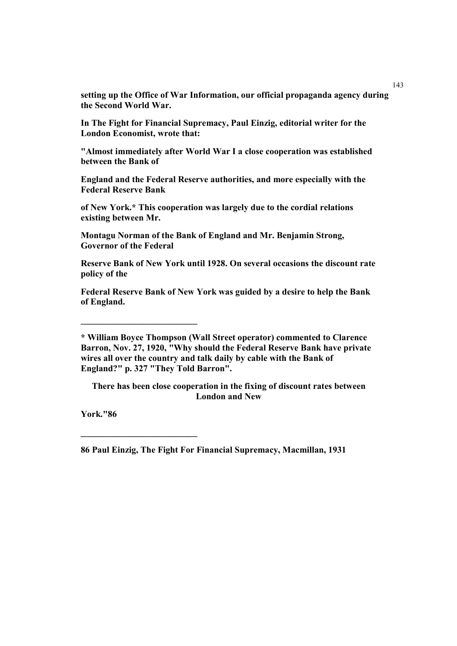setting up the Office of War Information, our official propaganda agency during the Second World War.

In The Fight for Financial Supremacy, Paul Einzig, editorial writer for the London Economist, wrote that:

"Almost immediately after World War I a close cooperation was established between the Bank of

England and the Federal Reserve authorities, and more especially with the Federal Reserve Bank

of New York.\* This cooperation was largely due to the cordial relations existing between Mr.

Montagu Norman of the Bank of England and Mr. Benjamin Strong, Governor of the Federal

Reserve Bank of New York until 1928. On several occasions the discount rate policy of the

Federal Reserve Bank of New York was guided by a desire to help the Bank of England.

There has been close cooperation in the fixing of discount rates between London and New

York."86

\_\_\_\_\_\_\_\_\_\_\_\_\_\_\_\_\_\_\_\_\_\_\_\_\_\_

\_\_\_\_\_\_\_\_\_\_\_\_\_\_\_\_\_\_\_\_\_\_\_\_\_\_

<sup>\*</sup> William Boyce Thompson (Wall Street operator) commented to Clarence Barron, Nov. 27, 1920, "Why should the Federal Reserve Bank have private wires all over the country and talk daily by cable with the Bank of England?" p. 327 "They Told Barron".

<sup>86</sup> Paul Einzig, The Fight For Financial Supremacy, Macmillan, 1931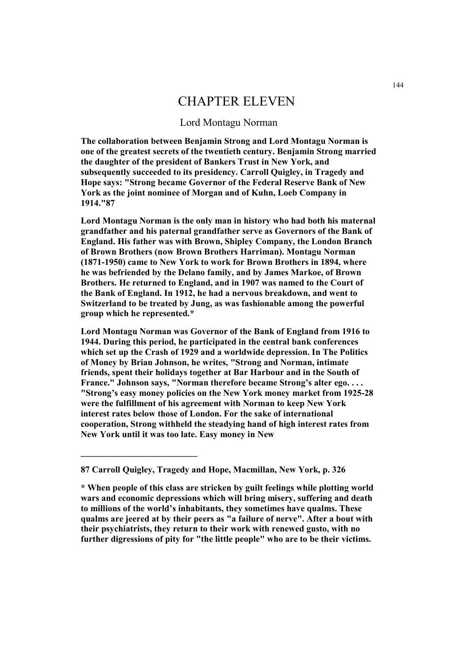## CHAPTER ELEVEN

## Lord Montagu Norman

The collaboration between Benjamin Strong and Lord Montagu Norman is one of the greatest secrets of the twentieth century. Benjamin Strong married the daughter of the president of Bankers Trust in New York, and subsequently succeeded to its presidency. Carroll Ouigley, in Tragedy and Hope says: "Strong became Governor of the Federal Reserve Bank of New York as the joint nominee of Morgan and of Kuhn, Loeb Company in 1914."87

Lord Montagu Norman is the only man in history who had both his maternal grandfather and his paternal grandfather serve as Governors of the Bank of England. His father was with Brown, Shipley Company, the London Branch of Brown Brothers (now Brown Brothers Harriman). Montagu Norman (1871-1950) came to New York to work for Brown Brothers in 1894, where he was befriended by the Delano family, and by James Markoe, of Brown Brothers. He returned to England, and in 1907 was named to the Court of the Bank of England. In 1912, he had a nervous breakdown, and went to Switzerland to be treated by Jung, as was fashionable among the powerful group which he represented.\*

Lord Montagu Norman was Governor of the Bank of England from 1916 to 1944. During this period, he participated in the central bank conferences which set up the Crash of 1929 and a worldwide depression. In The Politics of Money by Brian Johnson, he writes, "Strong and Norman, intimate friends, spent their holidays together at Bar Harbour and in the South of France." Johnson says, "Norman therefore became Strong's alter ego. . . . "Strong's easy money policies on the New York money market from 1925-28 were the fulfillment of his agreement with Norman to keep New York interest rates below those of London. For the sake of international cooperation, Strong withheld the steadying hand of high interest rates from New York until it was too late. Easy money in New

\_\_\_\_\_\_\_\_\_\_\_\_\_\_\_\_\_\_\_\_\_\_\_\_\_\_

<sup>87</sup> Carroll Quigley, Tragedy and Hope, Macmillan, New York, p. 326

<sup>\*</sup> When people of this class are stricken by guilt feelings while plotting world wars and economic depressions which will bring misery, suffering and death to millions of the world's inhabitants, they sometimes have qualms. These qualms are jeered at by their peers as "a failure of nerve". After a bout with their psychiatrists, they return to their work with renewed gusto, with no further digressions of pity for "the little people" who are to be their victims.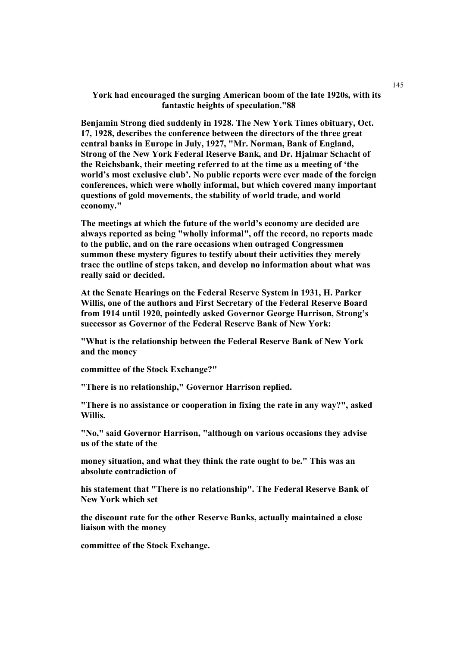York had encouraged the surging American boom of the late 1920s, with its fantastic heights of speculation."88

Benjamin Strong died suddenly in 1928. The New York Times obituary, Oct. 17, 1928, describes the conference between the directors of the three great central banks in Europe in July, 1927, "Mr. Norman, Bank of England, Strong of the New York Federal Reserve Bank, and Dr. Hjalmar Schacht of the Reichsbank, their meeting referred to at the time as a meeting of 'the world's most exclusive club'. No public reports were ever made of the foreign conferences, which were wholly informal, but which covered many important questions of gold movements, the stability of world trade, and world economy."

The meetings at which the future of the world's economy are decided are always reported as being "wholly informal", off the record, no reports made to the public, and on the rare occasions when outraged Congressmen summon these mystery figures to testify about their activities they merely trace the outline of steps taken, and develop no information about what was really said or decided.

At the Senate Hearings on the Federal Reserve System in 1931, H. Parker Willis, one of the authors and First Secretary of the Federal Reserve Board from 1914 until 1920, pointedly asked Governor George Harrison, Strong's successor as Governor of the Federal Reserve Bank of New York:

"What is the relationship between the Federal Reserve Bank of New York and the money

committee of the Stock Exchange?"

"There is no relationship," Governor Harrison replied.

"There is no assistance or cooperation in fixing the rate in any way?", asked Willis.

"No," said Governor Harrison, "although on various occasions they advise us of the state of the

money situation, and what they think the rate ought to be." This was an absolute contradiction of

his statement that "There is no relationship". The Federal Reserve Bank of New York which set

the discount rate for the other Reserve Banks, actually maintained a close liaison with the money

committee of the Stock Exchange.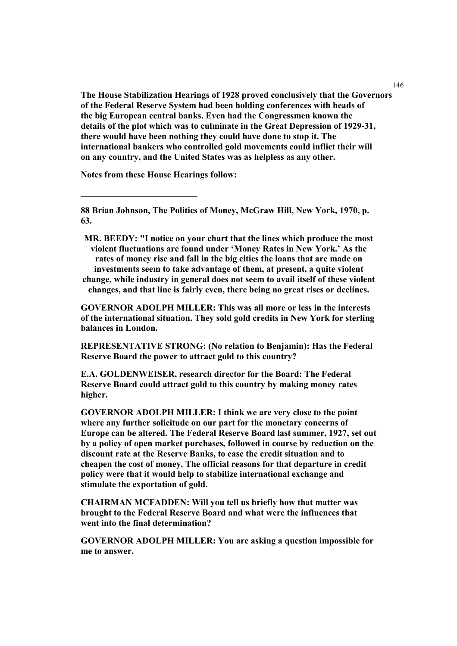The House Stabilization Hearings of 1928 proved conclusively that the Governors of the Federal Reserve System had been holding conferences with heads of the big European central banks. Even had the Congressmen known the details of the plot which was to culminate in the Great Depression of 1929-31, there would have been nothing they could have done to stop it. The international bankers who controlled gold movements could inflict their will on any country, and the United States was as helpless as any other.

Notes from these House Hearings follow:

\_\_\_\_\_\_\_\_\_\_\_\_\_\_\_\_\_\_\_\_\_\_\_\_\_\_

- MR. BEEDY: "I notice on your chart that the lines which produce the most violent fluctuations are found under 'Money Rates in New York.' As the rates of money rise and fall in the big cities the loans that are made on investments seem to take advantage of them, at present, a quite violent
- change, while industry in general does not seem to avail itself of these violent changes, and that line is fairly even, there being no great rises or declines.

GOVERNOR ADOLPH MILLER: This was all more or less in the interests of the international situation. They sold gold credits in New York for sterling balances in London.

REPRESENTATIVE STRONG: (No relation to Benjamin): Has the Federal Reserve Board the power to attract gold to this country?

E.A. GOLDENWEISER, research director for the Board: The Federal Reserve Board could attract gold to this country by making money rates higher.

GOVERNOR ADOLPH MILLER: I think we are very close to the point where any further solicitude on our part for the monetary concerns of Europe can be altered. The Federal Reserve Board last summer, 1927, set out by a policy of open market purchases, followed in course by reduction on the discount rate at the Reserve Banks, to ease the credit situation and to cheapen the cost of money. The official reasons for that departure in credit policy were that it would help to stabilize international exchange and stimulate the exportation of gold.

CHAIRMAN MCFADDEN: Will you tell us briefly how that matter was brought to the Federal Reserve Board and what were the influences that went into the final determination?

GOVERNOR ADOLPH MILLER: You are asking a question impossible for me to answer.

146

<sup>88</sup> Brian Johnson, The Politics of Money, McGraw Hill, New York, 1970, p. 63.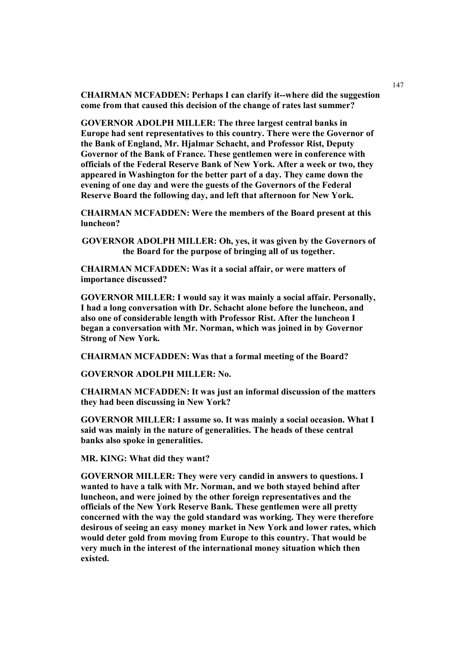CHAIRMAN MCFADDEN: Perhaps I can clarify it--where did the suggestion come from that caused this decision of the change of rates last summer?

GOVERNOR ADOLPH MILLER: The three largest central banks in Europe had sent representatives to this country. There were the Governor of the Bank of England, Mr. Hjalmar Schacht, and Professor Rist, Deputy Governor of the Bank of France. These gentlemen were in conference with officials of the Federal Reserve Bank of New York. After a week or two, they appeared in Washington for the better part of a day. They came down the evening of one day and were the guests of the Governors of the Federal Reserve Board the following day, and left that afternoon for New York.

CHAIRMAN MCFADDEN: Were the members of the Board present at this luncheon?

GOVERNOR ADOLPH MILLER: Oh, yes, it was given by the Governors of the Board for the purpose of bringing all of us together.

CHAIRMAN MCFADDEN: Was it a social affair, or were matters of importance discussed?

GOVERNOR MILLER: I would say it was mainly a social affair. Personally, I had a long conversation with Dr. Schacht alone before the luncheon, and also one of considerable length with Professor Rist. After the luncheon I began a conversation with Mr. Norman, which was joined in by Governor Strong of New York.

CHAIRMAN MCFADDEN: Was that a formal meeting of the Board?

GOVERNOR ADOLPH MILLER: No.

CHAIRMAN MCFADDEN: It was just an informal discussion of the matters they had been discussing in New York?

GOVERNOR MILLER: I assume so. It was mainly a social occasion. What I said was mainly in the nature of generalities. The heads of these central banks also spoke in generalities.

MR. KING: What did they want?

GOVERNOR MILLER: They were very candid in answers to questions. I wanted to have a talk with Mr. Norman, and we both stayed behind after luncheon, and were joined by the other foreign representatives and the officials of the New York Reserve Bank. These gentlemen were all pretty concerned with the way the gold standard was working. They were therefore desirous of seeing an easy money market in New York and lower rates, which would deter gold from moving from Europe to this country. That would be very much in the interest of the international money situation which then existed.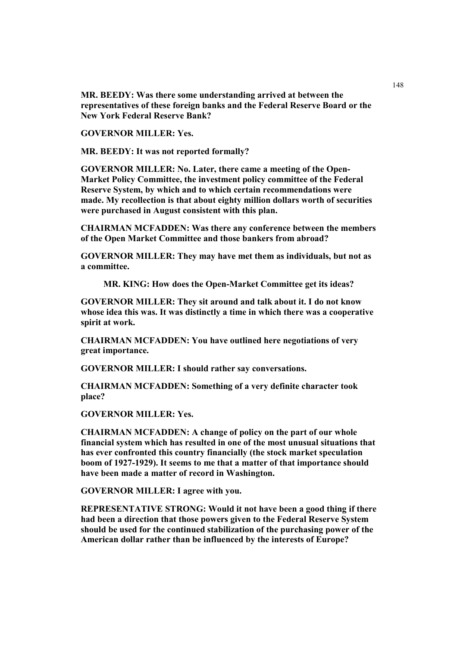MR. BEEDY: Was there some understanding arrived at between the representatives of these foreign banks and the Federal Reserve Board or the New York Federal Reserve Bank?

GOVERNOR MILLER: Yes.

MR. BEEDY: It was not reported formally?

GOVERNOR MILLER: No. Later, there came a meeting of the Open-Market Policy Committee, the investment policy committee of the Federal Reserve System, by which and to which certain recommendations were made. My recollection is that about eighty million dollars worth of securities were purchased in August consistent with this plan.

CHAIRMAN MCFADDEN: Was there any conference between the members of the Open Market Committee and those bankers from abroad?

GOVERNOR MILLER: They may have met them as individuals, but not as a committee.

MR. KING: How does the Open-Market Committee get its ideas?

GOVERNOR MILLER: They sit around and talk about it. I do not know whose idea this was. It was distinctly a time in which there was a cooperative spirit at work.

CHAIRMAN MCFADDEN: You have outlined here negotiations of very great importance.

GOVERNOR MILLER: I should rather say conversations.

CHAIRMAN MCFADDEN: Something of a very definite character took place?

GOVERNOR MILLER: Yes.

CHAIRMAN MCFADDEN: A change of policy on the part of our whole financial system which has resulted in one of the most unusual situations that has ever confronted this country financially (the stock market speculation boom of 1927-1929). It seems to me that a matter of that importance should have been made a matter of record in Washington.

GOVERNOR MILLER: I agree with you.

REPRESENTATIVE STRONG: Would it not have been a good thing if there had been a direction that those powers given to the Federal Reserve System should be used for the continued stabilization of the purchasing power of the American dollar rather than be influenced by the interests of Europe?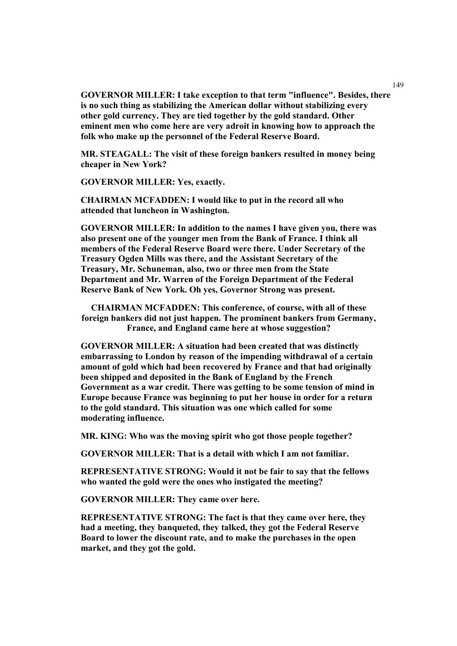GOVERNOR MILLER: I take exception to that term "influence". Besides, there is no such thing as stabilizing the American dollar without stabilizing every other gold currency. They are tied together by the gold standard. Other eminent men who come here are very adroit in knowing how to approach the folk who make up the personnel of the Federal Reserve Board.

MR. STEAGALL: The visit of these foreign bankers resulted in money being cheaper in New York?

GOVERNOR MILLER: Yes, exactly.

CHAIRMAN MCFADDEN: I would like to put in the record all who attended that luncheon in Washington.

GOVERNOR MILLER: In addition to the names I have given you, there was also present one of the younger men from the Bank of France. I think all members of the Federal Reserve Board were there. Under Secretary of the Treasury Ogden Mills was there, and the Assistant Secretary of the Treasury, Mr. Schuneman, also, two or three men from the State Department and Mr. Warren of the Foreign Department of the Federal Reserve Bank of New York. Oh yes, Governor Strong was present.

CHAIRMAN MCFADDEN: This conference, of course, with all of these foreign bankers did not just happen. The prominent bankers from Germany, France, and England came here at whose suggestion?

GOVERNOR MILLER: A situation had been created that was distinctly embarrassing to London by reason of the impending withdrawal of a certain amount of gold which had been recovered by France and that had originally been shipped and deposited in the Bank of England by the French Government as a war credit. There was getting to be some tension of mind in Europe because France was beginning to put her house in order for a return to the gold standard. This situation was one which called for some moderating influence.

MR. KING: Who was the moving spirit who got those people together?

GOVERNOR MILLER: That is a detail with which I am not familiar.

REPRESENTATIVE STRONG: Would it not be fair to say that the fellows who wanted the gold were the ones who instigated the meeting?

GOVERNOR MILLER: They came over here.

REPRESENTATIVE STRONG: The fact is that they came over here, they had a meeting, they banqueted, they talked, they got the Federal Reserve Board to lower the discount rate, and to make the purchases in the open market, and they got the gold.

149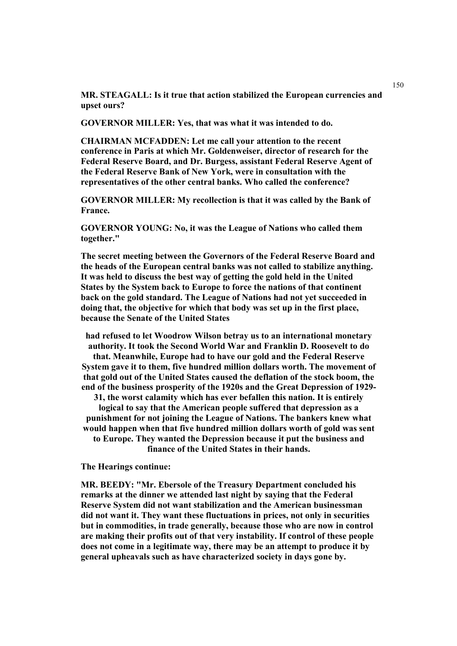MR. STEAGALL: Is it true that action stabilized the European currencies and upset ours?

GOVERNOR MILLER: Yes, that was what it was intended to do.

CHAIRMAN MCFADDEN: Let me call your attention to the recent conference in Paris at which Mr. Goldenweiser, director of research for the Federal Reserve Board, and Dr. Burgess, assistant Federal Reserve Agent of the Federal Reserve Bank of New York, were in consultation with the representatives of the other central banks. Who called the conference?

GOVERNOR MILLER: My recollection is that it was called by the Bank of France.

GOVERNOR YOUNG: No, it was the League of Nations who called them together."

The secret meeting between the Governors of the Federal Reserve Board and the heads of the European central banks was not called to stabilize anything. It was held to discuss the best way of getting the gold held in the United States by the System back to Europe to force the nations of that continent back on the gold standard. The League of Nations had not yet succeeded in doing that, the objective for which that body was set up in the first place, because the Senate of the United States

had refused to let Woodrow Wilson betray us to an international monetary authority. It took the Second World War and Franklin D. Roosevelt to do

that. Meanwhile, Europe had to have our gold and the Federal Reserve System gave it to them, five hundred million dollars worth. The movement of that gold out of the United States caused the deflation of the stock boom, the end of the business prosperity of the 1920s and the Great Depression of 1929-

31, the worst calamity which has ever befallen this nation. It is entirely logical to say that the American people suffered that depression as a punishment for not joining the League of Nations. The bankers knew what would happen when that five hundred million dollars worth of gold was sent to Europe. They wanted the Depression because it put the business and finance of the United States in their hands.

The Hearings continue:

MR. BEEDY: "Mr. Ebersole of the Treasury Department concluded his remarks at the dinner we attended last night by saying that the Federal Reserve System did not want stabilization and the American businessman did not want it. They want these fluctuations in prices, not only in securities but in commodities, in trade generally, because those who are now in control are making their profits out of that very instability. If control of these people does not come in a legitimate way, there may be an attempt to produce it by general upheavals such as have characterized society in days gone by.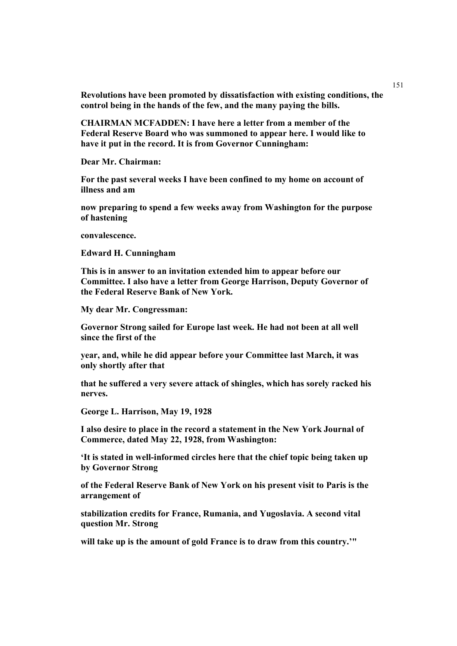Revolutions have been promoted by dissatisfaction with existing conditions, the control being in the hands of the few, and the many paying the bills.

CHAIRMAN MCFADDEN: I have here a letter from a member of the Federal Reserve Board who was summoned to appear here. I would like to have it put in the record. It is from Governor Cunningham:

Dear Mr. Chairman:

For the past several weeks I have been confined to my home on account of illness and am

now preparing to spend a few weeks away from Washington for the purpose of hastening

convalescence.

Edward H. Cunningham

This is in answer to an invitation extended him to appear before our Committee. I also have a letter from George Harrison, Deputy Governor of the Federal Reserve Bank of New York.

My dear Mr. Congressman:

Governor Strong sailed for Europe last week. He had not been at all well since the first of the

year, and, while he did appear before your Committee last March, it was only shortly after that

that he suffered a very severe attack of shingles, which has sorely racked his nerves.

George L. Harrison, May 19, 1928

I also desire to place in the record a statement in the New York Journal of Commerce, dated May 22, 1928, from Washington:

'It is stated in well-informed circles here that the chief topic being taken up by Governor Strong

of the Federal Reserve Bank of New York on his present visit to Paris is the arrangement of

stabilization credits for France, Rumania, and Yugoslavia. A second vital question Mr. Strong

will take up is the amount of gold France is to draw from this country.'"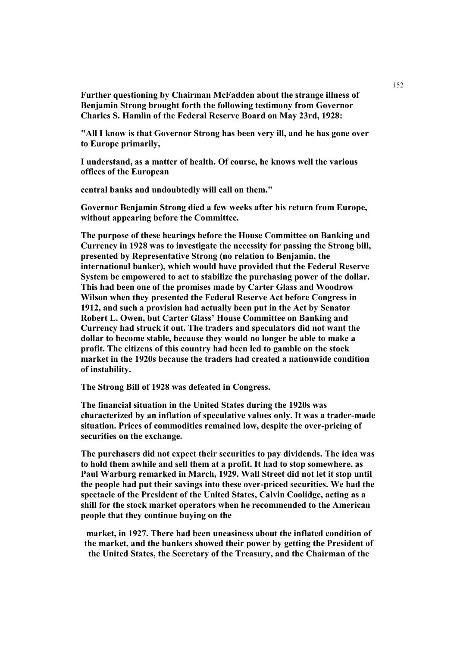Further questioning by Chairman McFadden about the strange illness of Benjamin Strong brought forth the following testimony from Governor Charles S. Hamlin of the Federal Reserve Board on May 23rd, 1928:

"All I know is that Governor Strong has been very ill, and he has gone over to Europe primarily,

I understand, as a matter of health. Of course, he knows well the various offices of the European

central banks and undoubtedly will call on them."

Governor Benjamin Strong died a few weeks after his return from Europe, without appearing before the Committee.

The purpose of these hearings before the House Committee on Banking and Currency in 1928 was to investigate the necessity for passing the Strong bill, presented by Representative Strong (no relation to Benjamin, the international banker), which would have provided that the Federal Reserve System be empowered to act to stabilize the purchasing power of the dollar. This had been one of the promises made by Carter Glass and Woodrow Wilson when they presented the Federal Reserve Act before Congress in 1912, and such a provision had actually been put in the Act by Senator Robert L. Owen, but Carter Glass' House Committee on Banking and Currency had struck it out. The traders and speculators did not want the dollar to become stable, because they would no longer be able to make a profit. The citizens of this country had been led to gamble on the stock market in the 1920s because the traders had created a nationwide condition of instability.

The Strong Bill of 1928 was defeated in Congress.

The financial situation in the United States during the 1920s was characterized by an inflation of speculative values only. It was a trader-made situation. Prices of commodities remained low, despite the over-pricing of securities on the exchange.

The purchasers did not expect their securities to pay dividends. The idea was to hold them awhile and sell them at a profit. It had to stop somewhere, as Paul Warburg remarked in March, 1929. Wall Street did not let it stop until the people had put their savings into these over-priced securities. We had the spectacle of the President of the United States, Calvin Coolidge, acting as a shill for the stock market operators when he recommended to the American people that they continue buying on the

market, in 1927. There had been uneasiness about the inflated condition of the market, and the bankers showed their power by getting the President of the United States, the Secretary of the Treasury, and the Chairman of the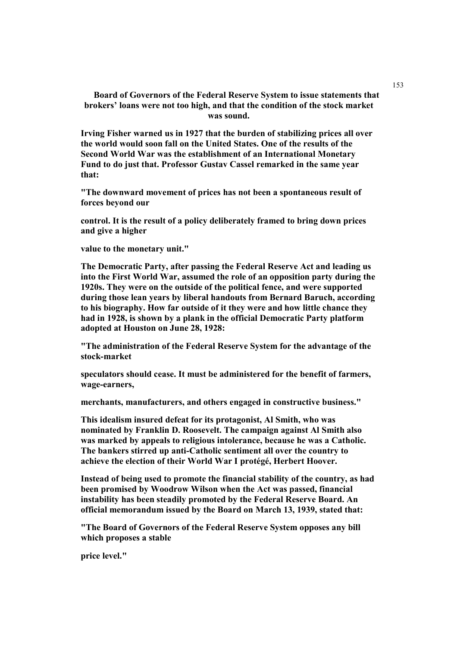## Board of Governors of the Federal Reserve System to issue statements that brokers' loans were not too high, and that the condition of the stock market was sound.

Irving Fisher warned us in 1927 that the burden of stabilizing prices all over the world would soon fall on the United States. One of the results of the Second World War was the establishment of an International Monetary Fund to do just that. Professor Gustav Cassel remarked in the same year that:

"The downward movement of prices has not been a spontaneous result of forces beyond our

control. It is the result of a policy deliberately framed to bring down prices and give a higher

value to the monetary unit."

The Democratic Party, after passing the Federal Reserve Act and leading us into the First World War, assumed the role of an opposition party during the 1920s. They were on the outside of the political fence, and were supported during those lean years by liberal handouts from Bernard Baruch, according to his biography. How far outside of it they were and how little chance they had in 1928, is shown by a plank in the official Democratic Party platform adopted at Houston on June 28, 1928:

"The administration of the Federal Reserve System for the advantage of the stock-market

speculators should cease. It must be administered for the benefit of farmers, wage-earners,

merchants, manufacturers, and others engaged in constructive business."

This idealism insured defeat for its protagonist, Al Smith, who was nominated by Franklin D. Roosevelt. The campaign against Al Smith also was marked by appeals to religious intolerance, because he was a Catholic. The bankers stirred up anti-Catholic sentiment all over the country to achieve the election of their World War I protégé, Herbert Hoover.

Instead of being used to promote the financial stability of the country, as had been promised by Woodrow Wilson when the Act was passed, financial instability has been steadily promoted by the Federal Reserve Board. An official memorandum issued by the Board on March 13, 1939, stated that:

"The Board of Governors of the Federal Reserve System opposes any bill which proposes a stable

price level."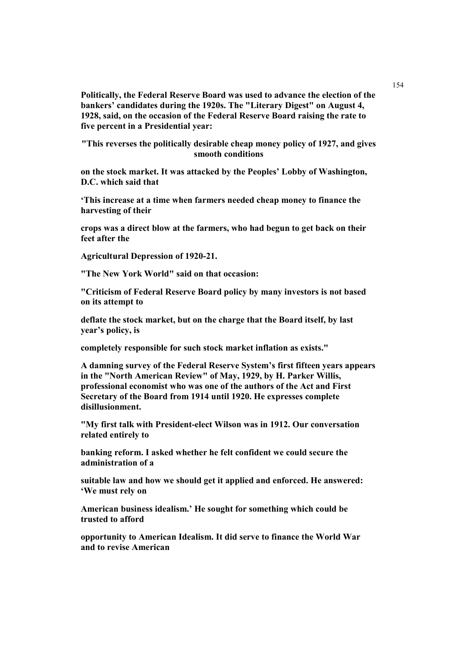Politically, the Federal Reserve Board was used to advance the election of the bankers' candidates during the 1920s. The "Literary Digest" on August 4, 1928, said, on the occasion of the Federal Reserve Board raising the rate to five percent in a Presidential year:

"This reverses the politically desirable cheap money policy of 1927, and gives smooth conditions

on the stock market. It was attacked by the Peoples' Lobby of Washington, D.C. which said that

'This increase at a time when farmers needed cheap money to finance the harvesting of their

crops was a direct blow at the farmers, who had begun to get back on their feet after the

Agricultural Depression of 1920-21.

"The New York World" said on that occasion:

"Criticism of Federal Reserve Board policy by many investors is not based on its attempt to

deflate the stock market, but on the charge that the Board itself, by last year's policy, is

completely responsible for such stock market inflation as exists."

A damning survey of the Federal Reserve System's first fifteen years appears in the "North American Review" of May, 1929, by H. Parker Willis, professional economist who was one of the authors of the Act and First Secretary of the Board from 1914 until 1920. He expresses complete disillusionment.

"My first talk with President-elect Wilson was in 1912. Our conversation related entirely to

banking reform. I asked whether he felt confident we could secure the administration of a

suitable law and how we should get it applied and enforced. He answered: 'We must rely on

American business idealism.' He sought for something which could be trusted to afford

opportunity to American Idealism. It did serve to finance the World War and to revise American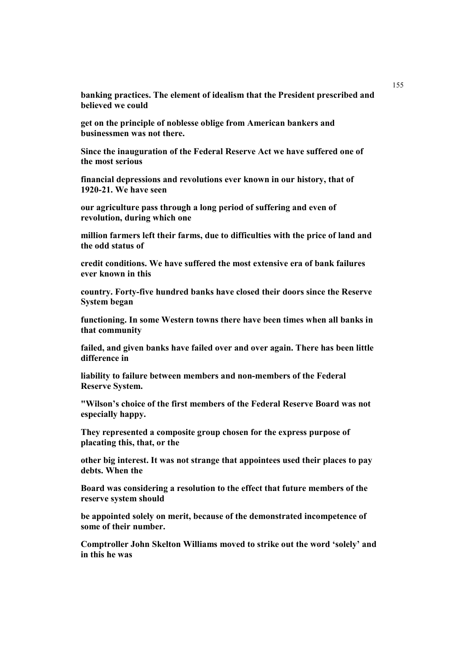banking practices. The element of idealism that the President prescribed and believed we could

get on the principle of noblesse oblige from American bankers and businessmen was not there.

Since the inauguration of the Federal Reserve Act we have suffered one of the most serious

financial depressions and revolutions ever known in our history, that of 1920-21. We have seen

our agriculture pass through a long period of suffering and even of revolution, during which one

million farmers left their farms, due to difficulties with the price of land and the odd status of

credit conditions. We have suffered the most extensive era of bank failures ever known in this

country. Forty-five hundred banks have closed their doors since the Reserve System began

functioning. In some Western towns there have been times when all banks in that community

failed, and given banks have failed over and over again. There has been little difference in

liability to failure between members and non-members of the Federal Reserve System.

"Wilson's choice of the first members of the Federal Reserve Board was not especially happy.

They represented a composite group chosen for the express purpose of placating this, that, or the

other big interest. It was not strange that appointees used their places to pay debts. When the

Board was considering a resolution to the effect that future members of the reserve system should

be appointed solely on merit, because of the demonstrated incompetence of some of their number.

Comptroller John Skelton Williams moved to strike out the word 'solely' and in this he was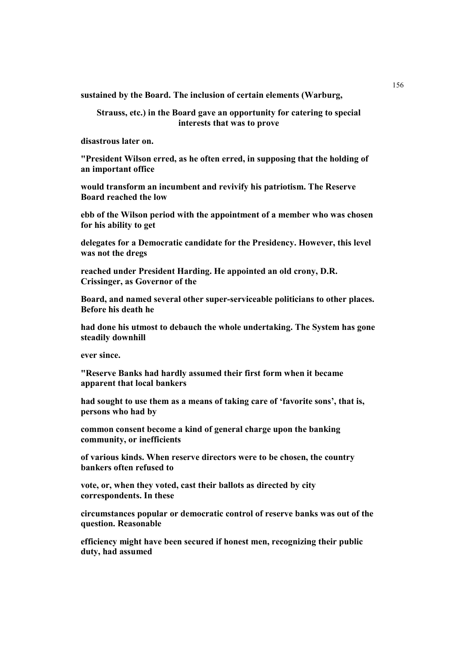sustained by the Board. The inclusion of certain elements (Warburg,

#### Strauss, etc.) in the Board gave an opportunity for catering to special interests that was to prove

disastrous later on.

"President Wilson erred, as he often erred, in supposing that the holding of an important office

would transform an incumbent and revivify his patriotism. The Reserve Board reached the low

ebb of the Wilson period with the appointment of a member who was chosen for his ability to get

delegates for a Democratic candidate for the Presidency. However, this level was not the dregs

reached under President Harding. He appointed an old crony, D.R. Crissinger, as Governor of the

Board, and named several other super-serviceable politicians to other places. Before his death he

had done his utmost to debauch the whole undertaking. The System has gone steadily downhill

ever since.

"Reserve Banks had hardly assumed their first form when it became apparent that local bankers

had sought to use them as a means of taking care of 'favorite sons', that is, persons who had by

common consent become a kind of general charge upon the banking community, or inefficients

of various kinds. When reserve directors were to be chosen, the country bankers often refused to

vote, or, when they voted, cast their ballots as directed by city correspondents. In these

circumstances popular or democratic control of reserve banks was out of the question. Reasonable

efficiency might have been secured if honest men, recognizing their public duty, had assumed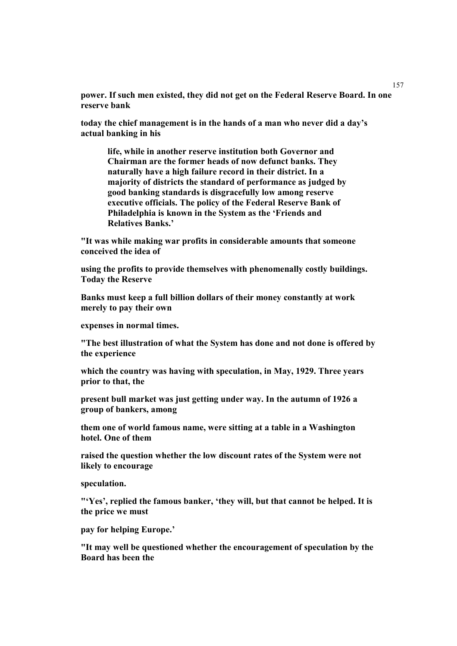power. If such men existed, they did not get on the Federal Reserve Board. In one reserve bank

today the chief management is in the hands of a man who never did a day's actual banking in his

life, while in another reserve institution both Governor and Chairman are the former heads of now defunct banks. They naturally have a high failure record in their district. In a majority of districts the standard of performance as judged by good banking standards is disgracefully low among reserve executive officials. The policy of the Federal Reserve Bank of Philadelphia is known in the System as the 'Friends and Relatives Banks.'

"It was while making war profits in considerable amounts that someone conceived the idea of

using the profits to provide themselves with phenomenally costly buildings. Today the Reserve

Banks must keep a full billion dollars of their money constantly at work merely to pay their own

expenses in normal times.

"The best illustration of what the System has done and not done is offered by the experience

which the country was having with speculation, in May, 1929. Three years prior to that, the

present bull market was just getting under way. In the autumn of 1926 a group of bankers, among

them one of world famous name, were sitting at a table in a Washington hotel. One of them

raised the question whether the low discount rates of the System were not likely to encourage

speculation.

"'Yes', replied the famous banker, 'they will, but that cannot be helped. It is the price we must

pay for helping Europe.'

"It may well be questioned whether the encouragement of speculation by the Board has been the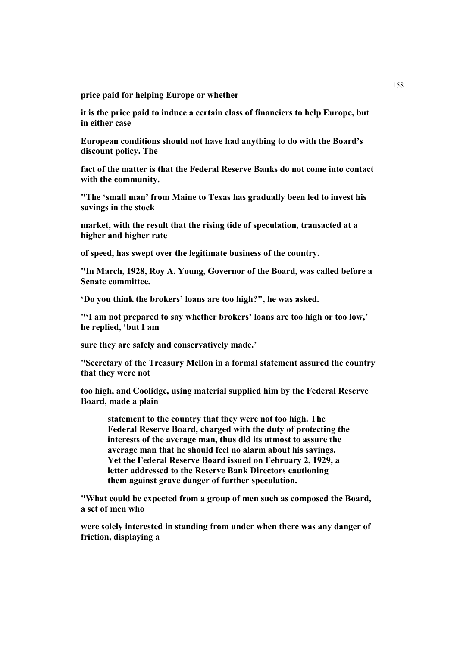price paid for helping Europe or whether

it is the price paid to induce a certain class of financiers to help Europe, but in either case

European conditions should not have had anything to do with the Board's discount policy. The

fact of the matter is that the Federal Reserve Banks do not come into contact with the community.

"The 'small man' from Maine to Texas has gradually been led to invest his savings in the stock

market, with the result that the rising tide of speculation, transacted at a higher and higher rate

of speed, has swept over the legitimate business of the country.

"In March, 1928, Roy A. Young, Governor of the Board, was called before a Senate committee.

'Do you think the brokers' loans are too high?", he was asked.

"'I am not prepared to say whether brokers' loans are too high or too low,' he replied, 'but I am

sure they are safely and conservatively made.'

"Secretary of the Treasury Mellon in a formal statement assured the country that they were not

too high, and Coolidge, using material supplied him by the Federal Reserve Board, made a plain

statement to the country that they were not too high. The Federal Reserve Board, charged with the duty of protecting the interests of the average man, thus did its utmost to assure the average man that he should feel no alarm about his savings. Yet the Federal Reserve Board issued on February 2, 1929, a letter addressed to the Reserve Bank Directors cautioning them against grave danger of further speculation.

"What could be expected from a group of men such as composed the Board, a set of men who

were solely interested in standing from under when there was any danger of friction, displaying a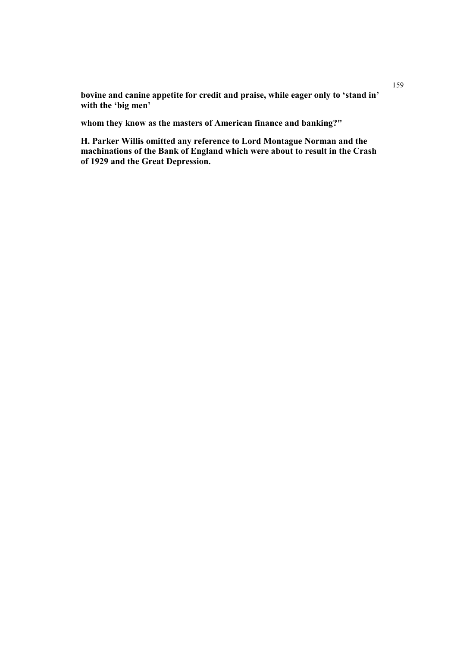bovine and canine appetite for credit and praise, while eager only to 'stand in' with the 'big men'

whom they know as the masters of American finance and banking?"

H. Parker Willis omitted any reference to Lord Montague Norman and the machinations of the Bank of England which were about to result in the Crash of 1929 and the Great Depression.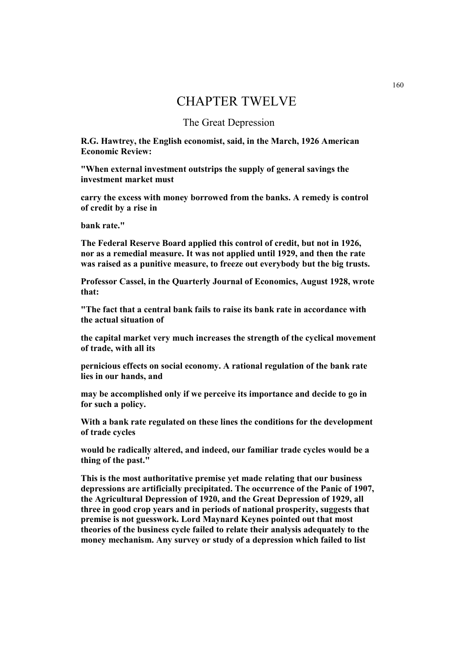# CHAPTER TWELVE

## The Great Depression

R.G. Hawtrey, the English economist, said, in the March, 1926 American Economic Review:

"When external investment outstrips the supply of general savings the investment market must

carry the excess with money borrowed from the banks. A remedy is control of credit by a rise in

bank rate."

The Federal Reserve Board applied this control of credit, but not in 1926, nor as a remedial measure. It was not applied until 1929, and then the rate was raised as a punitive measure, to freeze out everybody but the big trusts.

Professor Cassel, in the Quarterly Journal of Economics, August 1928, wrote that:

"The fact that a central bank fails to raise its bank rate in accordance with the actual situation of

the capital market very much increases the strength of the cyclical movement of trade, with all its

pernicious effects on social economy. A rational regulation of the bank rate lies in our hands, and

may be accomplished only if we perceive its importance and decide to go in for such a policy.

With a bank rate regulated on these lines the conditions for the development of trade cycles

would be radically altered, and indeed, our familiar trade cycles would be a thing of the past."

This is the most authoritative premise yet made relating that our business depressions are artificially precipitated. The occurrence of the Panic of 1907, the Agricultural Depression of 1920, and the Great Depression of 1929, all three in good crop years and in periods of national prosperity, suggests that premise is not guesswork. Lord Maynard Keynes pointed out that most theories of the business cycle failed to relate their analysis adequately to the money mechanism. Any survey or study of a depression which failed to list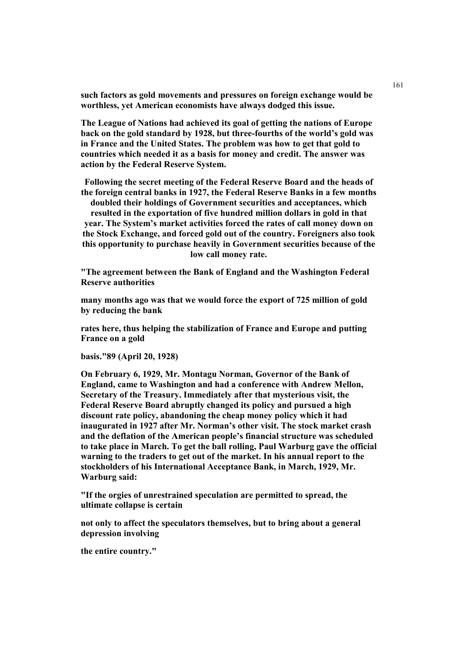such factors as gold movements and pressures on foreign exchange would be worthless, yet American economists have always dodged this issue.

The League of Nations had achieved its goal of getting the nations of Europe back on the gold standard by 1928, but three-fourths of the world's gold was in France and the United States. The problem was how to get that gold to countries which needed it as a basis for money and credit. The answer was action by the Federal Reserve System.

Following the secret meeting of the Federal Reserve Board and the heads of the foreign central banks in 1927, the Federal Reserve Banks in a few months

doubled their holdings of Government securities and acceptances, which resulted in the exportation of five hundred million dollars in gold in that year. The System's market activities forced the rates of call money down on the Stock Exchange, and forced gold out of the country. Foreigners also took this opportunity to purchase heavily in Government securities because of the low call money rate.

"The agreement between the Bank of England and the Washington Federal Reserve authorities

many months ago was that we would force the export of 725 million of gold by reducing the bank

rates here, thus helping the stabilization of France and Europe and putting France on a gold

basis."89 (April 20, 1928)

On February 6, 1929, Mr. Montagu Norman, Governor of the Bank of England, came to Washington and had a conference with Andrew Mellon, Secretary of the Treasury. Immediately after that mysterious visit, the Federal Reserve Board abruptly changed its policy and pursued a high discount rate policy, abandoning the cheap money policy which it had inaugurated in 1927 after Mr. Norman's other visit. The stock market crash and the deflation of the American people's financial structure was scheduled to take place in March. To get the ball rolling, Paul Warburg gave the official warning to the traders to get out of the market. In his annual report to the stockholders of his International Acceptance Bank, in March, 1929, Mr. Warburg said:

"If the orgies of unrestrained speculation are permitted to spread, the ultimate collapse is certain

not only to affect the speculators themselves, but to bring about a general depression involving

the entire country."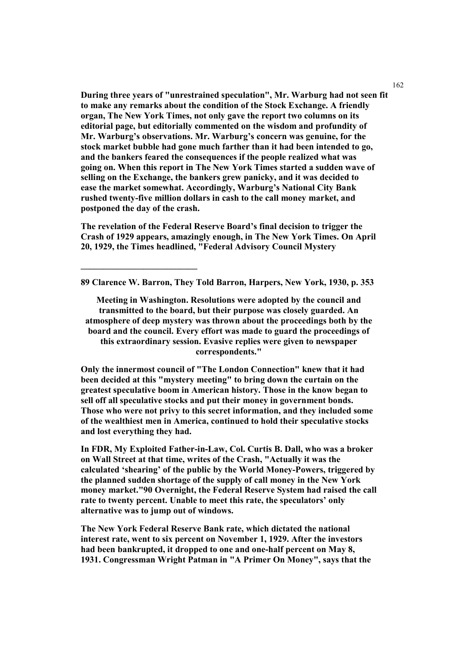During three years of "unrestrained speculation", Mr. Warburg had not seen fit to make any remarks about the condition of the Stock Exchange. A friendly organ, The New York Times, not only gave the report two columns on its editorial page, but editorially commented on the wisdom and profundity of Mr. Warburg's observations. Mr. Warburg's concern was genuine, for the stock market bubble had gone much farther than it had been intended to go, and the bankers feared the consequences if the people realized what was going on. When this report in The New York Times started a sudden wave of selling on the Exchange, the bankers grew panicky, and it was decided to ease the market somewhat. Accordingly, Warburg's National City Bank rushed twenty-five million dollars in cash to the call money market, and postponed the day of the crash.

The revelation of the Federal Reserve Board's final decision to trigger the Crash of 1929 appears, amazingly enough, in The New York Times. On April 20, 1929, the Times headlined, "Federal Advisory Council Mystery

89 Clarence W. Barron, They Told Barron, Harpers, New York, 1930, p. 353

\_\_\_\_\_\_\_\_\_\_\_\_\_\_\_\_\_\_\_\_\_\_\_\_\_\_

Meeting in Washington. Resolutions were adopted by the council and transmitted to the board, but their purpose was closely guarded. An atmosphere of deep mystery was thrown about the proceedings both by the board and the council. Every effort was made to guard the proceedings of this extraordinary session. Evasive replies were given to newspaper correspondents."

Only the innermost council of "The London Connection" knew that it had been decided at this "mystery meeting" to bring down the curtain on the greatest speculative boom in American history. Those in the know began to sell off all speculative stocks and put their money in government bonds. Those who were not privy to this secret information, and they included some of the wealthiest men in America, continued to hold their speculative stocks and lost everything they had.

In FDR, My Exploited Father-in-Law, Col. Curtis B. Dall, who was a broker on Wall Street at that time, writes of the Crash, "Actually it was the calculated 'shearing' of the public by the World Money-Powers, triggered by the planned sudden shortage of the supply of call money in the New York money market."90 Overnight, the Federal Reserve System had raised the call rate to twenty percent. Unable to meet this rate, the speculators' only alternative was to jump out of windows.

The New York Federal Reserve Bank rate, which dictated the national interest rate, went to six percent on November 1, 1929. After the investors had been bankrupted, it dropped to one and one-half percent on May 8, 1931. Congressman Wright Patman in "A Primer On Money", says that the 162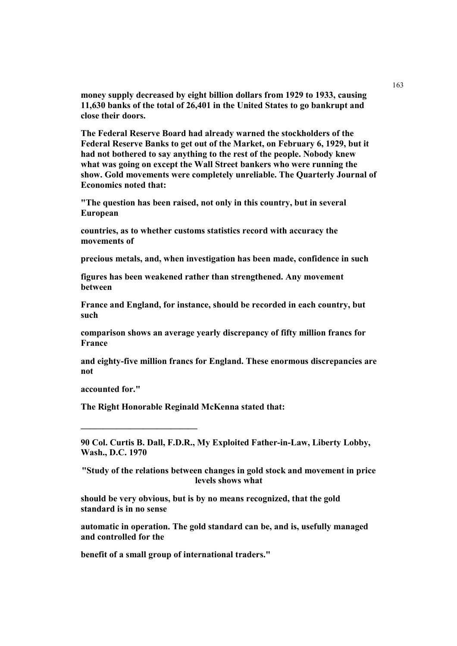money supply decreased by eight billion dollars from 1929 to 1933, causing 11,630 banks of the total of 26,401 in the United States to go bankrupt and close their doors.

The Federal Reserve Board had already warned the stockholders of the Federal Reserve Banks to get out of the Market, on February 6, 1929, but it had not bothered to say anything to the rest of the people. Nobody knew what was going on except the Wall Street bankers who were running the show. Gold movements were completely unreliable. The Quarterly Journal of Economics noted that:

"The question has been raised, not only in this country, but in several European

countries, as to whether customs statistics record with accuracy the movements of

precious metals, and, when investigation has been made, confidence in such

figures has been weakened rather than strengthened. Any movement between

France and England, for instance, should be recorded in each country, but such

comparison shows an average yearly discrepancy of fifty million francs for France

and eighty-five million francs for England. These enormous discrepancies are not

accounted for."

\_\_\_\_\_\_\_\_\_\_\_\_\_\_\_\_\_\_\_\_\_\_\_\_\_\_

The Right Honorable Reginald McKenna stated that:

"Study of the relations between changes in gold stock and movement in price levels shows what

should be very obvious, but is by no means recognized, that the gold standard is in no sense

automatic in operation. The gold standard can be, and is, usefully managed and controlled for the

benefit of a small group of international traders."

<sup>90</sup> Col. Curtis B. Dall, F.D.R., My Exploited Father-in-Law, Liberty Lobby, Wash., D.C. 1970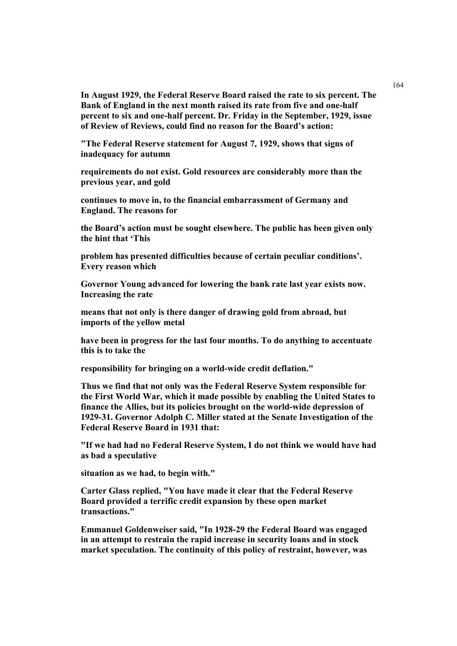In August 1929, the Federal Reserve Board raised the rate to six percent. The Bank of England in the next month raised its rate from five and one-half percent to six and one-half percent. Dr. Friday in the September, 1929, issue of Review of Reviews, could find no reason for the Board's action:

"The Federal Reserve statement for August 7, 1929, shows that signs of inadequacy for autumn

requirements do not exist. Gold resources are considerably more than the previous year, and gold

continues to move in, to the financial embarrassment of Germany and England. The reasons for

the Board's action must be sought elsewhere. The public has been given only the hint that 'This

problem has presented difficulties because of certain peculiar conditions'. Every reason which

Governor Young advanced for lowering the bank rate last year exists now. Increasing the rate

means that not only is there danger of drawing gold from abroad, but imports of the yellow metal

have been in progress for the last four months. To do anything to accentuate this is to take the

responsibility for bringing on a world-wide credit deflation."

Thus we find that not only was the Federal Reserve System responsible for the First World War, which it made possible by enabling the United States to finance the Allies, but its policies brought on the world-wide depression of 1929-31. Governor Adolph C. Miller stated at the Senate Investigation of the Federal Reserve Board in 1931 that:

"If we had had no Federal Reserve System, I do not think we would have had as bad a speculative

situation as we had, to begin with."

Carter Glass replied, "You have made it clear that the Federal Reserve Board provided a terrific credit expansion by these open market transactions."

Emmanuel Goldenweiser said, "In 1928-29 the Federal Board was engaged in an attempt to restrain the rapid increase in security loans and in stock market speculation. The continuity of this policy of restraint, however, was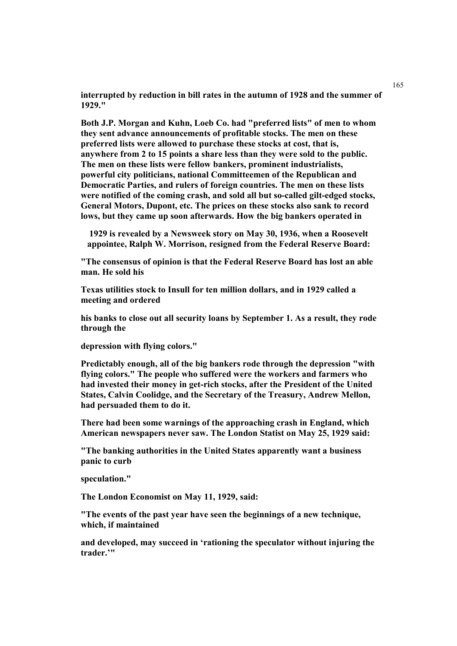interrupted by reduction in bill rates in the autumn of 1928 and the summer of 1929."

Both J.P. Morgan and Kuhn, Loeb Co. had "preferred lists" of men to whom they sent advance announcements of profitable stocks. The men on these preferred lists were allowed to purchase these stocks at cost, that is, anywhere from 2 to 15 points a share less than they were sold to the public. The men on these lists were fellow bankers, prominent industrialists, powerful city politicians, national Committeemen of the Republican and Democratic Parties, and rulers of foreign countries. The men on these lists were notified of the coming crash, and sold all but so-called gilt-edged stocks, General Motors, Dupont, etc. The prices on these stocks also sank to record lows, but they came up soon afterwards. How the big bankers operated in

1929 is revealed by a Newsweek story on May 30, 1936, when a Roosevelt appointee, Ralph W. Morrison, resigned from the Federal Reserve Board:

"The consensus of opinion is that the Federal Reserve Board has lost an able man. He sold his

Texas utilities stock to Insull for ten million dollars, and in 1929 called a meeting and ordered

his banks to close out all security loans by September 1. As a result, they rode through the

depression with flying colors."

Predictably enough, all of the big bankers rode through the depression "with flying colors." The people who suffered were the workers and farmers who had invested their money in get-rich stocks, after the President of the United States, Calvin Coolidge, and the Secretary of the Treasury, Andrew Mellon, had persuaded them to do it.

There had been some warnings of the approaching crash in England, which American newspapers never saw. The London Statist on May 25, 1929 said:

"The banking authorities in the United States apparently want a business panic to curb

speculation."

The London Economist on May 11, 1929, said:

"The events of the past year have seen the beginnings of a new technique, which, if maintained

and developed, may succeed in 'rationing the speculator without injuring the trader.'"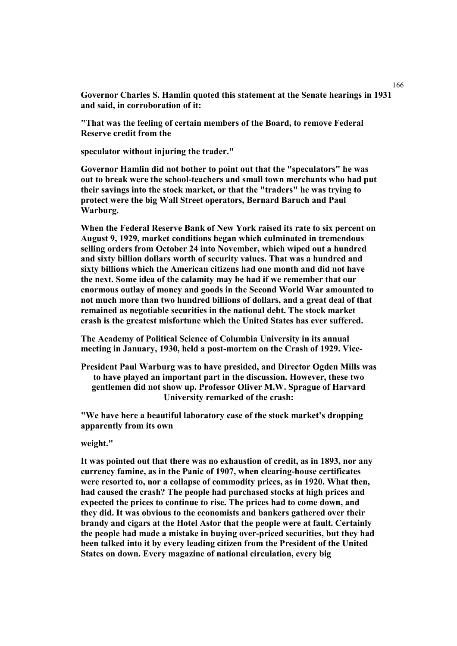Governor Charles S. Hamlin quoted this statement at the Senate hearings in 1931 and said, in corroboration of it:

"That was the feeling of certain members of the Board, to remove Federal Reserve credit from the

speculator without injuring the trader."

Governor Hamlin did not bother to point out that the "speculators" he was out to break were the school-teachers and small town merchants who had put their savings into the stock market, or that the "traders" he was trying to protect were the big Wall Street operators, Bernard Baruch and Paul Warburg.

When the Federal Reserve Bank of New York raised its rate to six percent on August 9, 1929, market conditions began which culminated in tremendous selling orders from October 24 into November, which wiped out a hundred and sixty billion dollars worth of security values. That was a hundred and sixty billions which the American citizens had one month and did not have the next. Some idea of the calamity may be had if we remember that our enormous outlay of money and goods in the Second World War amounted to not much more than two hundred billions of dollars, and a great deal of that remained as negotiable securities in the national debt. The stock market crash is the greatest misfortune which the United States has ever suffered.

The Academy of Political Science of Columbia University in its annual meeting in January, 1930, held a post-mortem on the Crash of 1929. Vice-

President Paul Warburg was to have presided, and Director Ogden Mills was to have played an important part in the discussion. However, these two gentlemen did not show up. Professor Oliver M.W. Sprague of Harvard University remarked of the crash:

"We have here a beautiful laboratory case of the stock market's dropping apparently from its own

### weight."

It was pointed out that there was no exhaustion of credit, as in 1893, nor any currency famine, as in the Panic of 1907, when clearing-house certificates were resorted to, nor a collapse of commodity prices, as in 1920. What then, had caused the crash? The people had purchased stocks at high prices and expected the prices to continue to rise. The prices had to come down, and they did. It was obvious to the economists and bankers gathered over their brandy and cigars at the Hotel Astor that the people were at fault. Certainly the people had made a mistake in buying over-priced securities, but they had been talked into it by every leading citizen from the President of the United States on down. Every magazine of national circulation, every big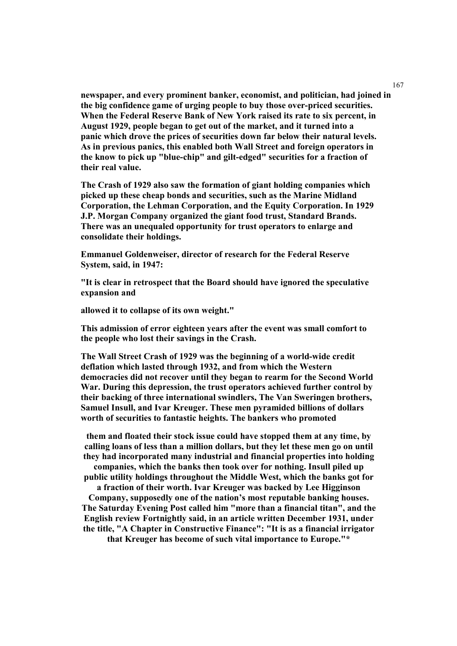newspaper, and every prominent banker, economist, and politician, had joined in the big confidence game of urging people to buy those over-priced securities. When the Federal Reserve Bank of New York raised its rate to six percent, in August 1929, people began to get out of the market, and it turned into a panic which drove the prices of securities down far below their natural levels. As in previous panics, this enabled both Wall Street and foreign operators in the know to pick up "blue-chip" and gilt-edged" securities for a fraction of their real value.

The Crash of 1929 also saw the formation of giant holding companies which picked up these cheap bonds and securities, such as the Marine Midland Corporation, the Lehman Corporation, and the Equity Corporation. In 1929 J.P. Morgan Company organized the giant food trust, Standard Brands. There was an unequaled opportunity for trust operators to enlarge and consolidate their holdings.

Emmanuel Goldenweiser, director of research for the Federal Reserve System, said, in 1947:

"It is clear in retrospect that the Board should have ignored the speculative expansion and

allowed it to collapse of its own weight."

This admission of error eighteen years after the event was small comfort to the people who lost their savings in the Crash.

The Wall Street Crash of 1929 was the beginning of a world-wide credit deflation which lasted through 1932, and from which the Western democracies did not recover until they began to rearm for the Second World War. During this depression, the trust operators achieved further control by their backing of three international swindlers, The Van Sweringen brothers, Samuel Insull, and Ivar Kreuger. These men pyramided billions of dollars worth of securities to fantastic heights. The bankers who promoted

them and floated their stock issue could have stopped them at any time, by calling loans of less than a million dollars, but they let these men go on until they had incorporated many industrial and financial properties into holding companies, which the banks then took over for nothing. Insull piled up public utility holdings throughout the Middle West, which the banks got for a fraction of their worth. Ivar Kreuger was backed by Lee Higginson Company, supposedly one of the nation's most reputable banking houses. The Saturday Evening Post called him "more than a financial titan", and the English review Fortnightly said, in an article written December 1931, under the title, "A Chapter in Constructive Finance": "It is as a financial irrigator that Kreuger has become of such vital importance to Europe."\*

167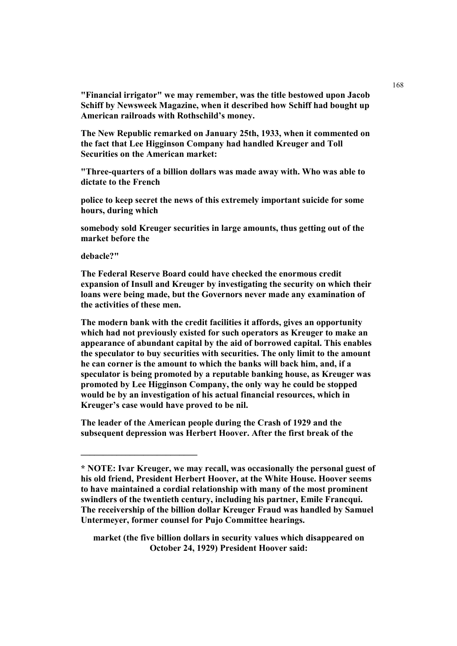"Financial irrigator" we may remember, was the title bestowed upon Jacob Schiff by Newsweek Magazine, when it described how Schiff had bought up American railroads with Rothschild's money.

The New Republic remarked on January 25th, 1933, when it commented on the fact that Lee Higginson Company had handled Kreuger and Toll Securities on the American market:

"Three-quarters of a billion dollars was made away with. Who was able to dictate to the French

police to keep secret the news of this extremely important suicide for some hours, during which

somebody sold Kreuger securities in large amounts, thus getting out of the market before the

## debacle?"

The Federal Reserve Board could have checked the enormous credit expansion of Insull and Kreuger by investigating the security on which their loans were being made, but the Governors never made any examination of the activities of these men.

The modern bank with the credit facilities it affords, gives an opportunity which had not previously existed for such operators as Kreuger to make an appearance of abundant capital by the aid of borrowed capital. This enables the speculator to buy securities with securities. The only limit to the amount he can corner is the amount to which the banks will back him, and, if a speculator is being promoted by a reputable banking house, as Kreuger was promoted by Lee Higginson Company, the only way he could be stopped would be by an investigation of his actual financial resources, which in Kreuger's case would have proved to be nil.

The leader of the American people during the Crash of 1929 and the subsequent depression was Herbert Hoover. After the first break of the

\_\_\_\_\_\_\_\_\_\_\_\_\_\_\_\_\_\_\_\_\_\_\_\_\_\_

market (the five billion dollars in security values which disappeared on October 24, 1929) President Hoover said:

<sup>\*</sup> NOTE: Ivar Kreuger, we may recall, was occasionally the personal guest of his old friend, President Herbert Hoover, at the White House. Hoover seems to have maintained a cordial relationship with many of the most prominent swindlers of the twentieth century, including his partner, Emile Francqui. The receivership of the billion dollar Kreuger Fraud was handled by Samuel Untermeyer, former counsel for Pujo Committee hearings.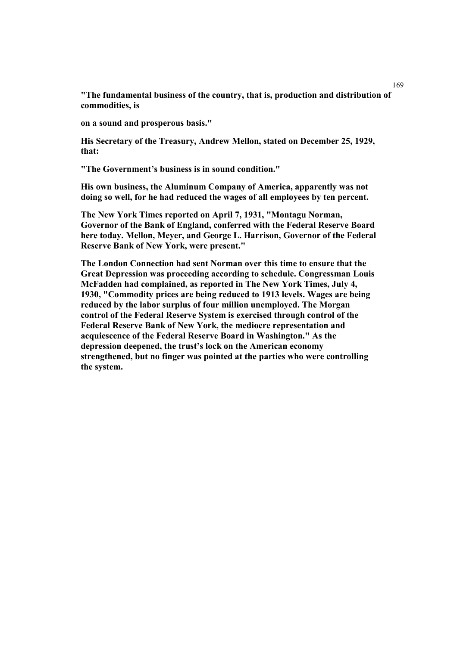"The fundamental business of the country, that is, production and distribution of commodities, is

on a sound and prosperous basis."

His Secretary of the Treasury, Andrew Mellon, stated on December 25, 1929, that:

"The Government's business is in sound condition."

His own business, the Aluminum Company of America, apparently was not doing so well, for he had reduced the wages of all employees by ten percent.

The New York Times reported on April 7, 1931, "Montagu Norman, Governor of the Bank of England, conferred with the Federal Reserve Board here today. Mellon, Meyer, and George L. Harrison, Governor of the Federal Reserve Bank of New York, were present."

The London Connection had sent Norman over this time to ensure that the Great Depression was proceeding according to schedule. Congressman Louis McFadden had complained, as reported in The New York Times, July 4, 1930, "Commodity prices are being reduced to 1913 levels. Wages are being reduced by the labor surplus of four million unemployed. The Morgan control of the Federal Reserve System is exercised through control of the Federal Reserve Bank of New York, the mediocre representation and acquiescence of the Federal Reserve Board in Washington." As the depression deepened, the trust's lock on the American economy strengthened, but no finger was pointed at the parties who were controlling the system.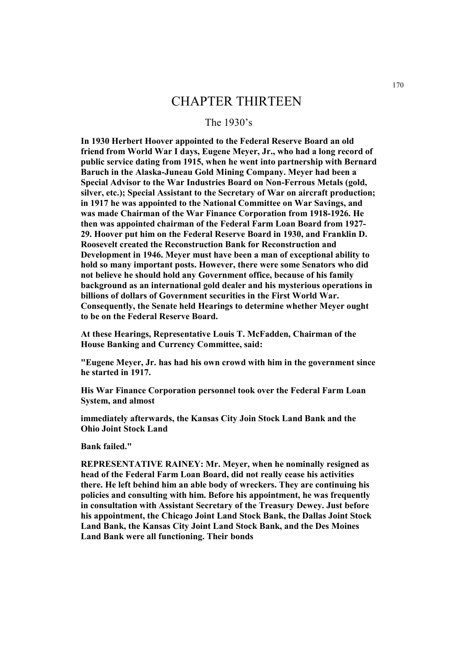## CHAPTER THIRTEEN

## The 1930's

In 1930 Herbert Hoover appointed to the Federal Reserve Board an old friend from World War I days, Eugene Meyer, Jr., who had a long record of public service dating from 1915, when he went into partnership with Bernard Baruch in the Alaska-Juneau Gold Mining Company. Meyer had been a Special Advisor to the War Industries Board on Non-Ferrous Metals (gold, silver, etc.); Special Assistant to the Secretary of War on aircraft production; in 1917 he was appointed to the National Committee on War Savings, and was made Chairman of the War Finance Corporation from 1918-1926. He then was appointed chairman of the Federal Farm Loan Board from 1927- 29. Hoover put him on the Federal Reserve Board in 1930, and Franklin D. Roosevelt created the Reconstruction Bank for Reconstruction and Development in 1946. Meyer must have been a man of exceptional ability to hold so many important posts. However, there were some Senators who did not believe he should hold any Government office, because of his family background as an international gold dealer and his mysterious operations in billions of dollars of Government securities in the First World War. Consequently, the Senate held Hearings to determine whether Meyer ought to be on the Federal Reserve Board.

At these Hearings, Representative Louis T. McFadden, Chairman of the House Banking and Currency Committee, said:

"Eugene Meyer, Jr. has had his own crowd with him in the government since he started in 1917.

His War Finance Corporation personnel took over the Federal Farm Loan System, and almost

immediately afterwards, the Kansas City Join Stock Land Bank and the Ohio Joint Stock Land

Bank failed."

REPRESENTATIVE RAINEY: Mr. Meyer, when he nominally resigned as head of the Federal Farm Loan Board, did not really cease his activities there. He left behind him an able body of wreckers. They are continuing his policies and consulting with him. Before his appointment, he was frequently in consultation with Assistant Secretary of the Treasury Dewey. Just before his appointment, the Chicago Joint Land Stock Bank, the Dallas Joint Stock Land Bank, the Kansas City Joint Land Stock Bank, and the Des Moines Land Bank were all functioning. Their bonds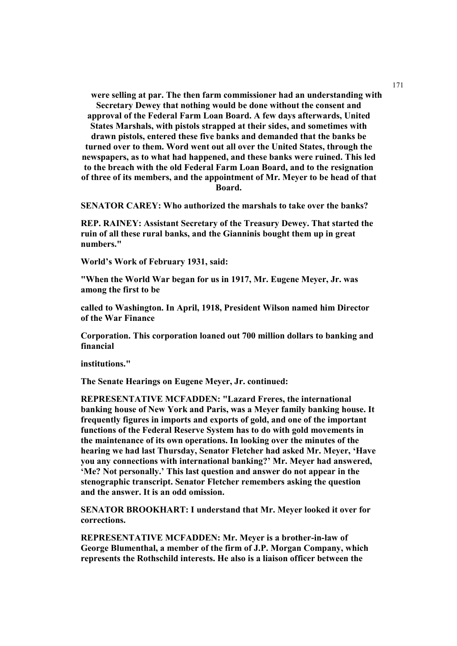were selling at par. The then farm commissioner had an understanding with Secretary Dewey that nothing would be done without the consent and approval of the Federal Farm Loan Board. A few days afterwards, United States Marshals, with pistols strapped at their sides, and sometimes with drawn pistols, entered these five banks and demanded that the banks be turned over to them. Word went out all over the United States, through the newspapers, as to what had happened, and these banks were ruined. This led to the breach with the old Federal Farm Loan Board, and to the resignation of three of its members, and the appointment of Mr. Meyer to be head of that Board.

SENATOR CAREY: Who authorized the marshals to take over the banks?

REP. RAINEY: Assistant Secretary of the Treasury Dewey. That started the ruin of all these rural banks, and the Gianninis bought them up in great numbers."

World's Work of February 1931, said:

"When the World War began for us in 1917, Mr. Eugene Meyer, Jr. was among the first to be

called to Washington. In April, 1918, President Wilson named him Director of the War Finance

Corporation. This corporation loaned out 700 million dollars to banking and financial

institutions."

The Senate Hearings on Eugene Meyer, Jr. continued:

REPRESENTATIVE MCFADDEN: "Lazard Freres, the international banking house of New York and Paris, was a Meyer family banking house. It frequently figures in imports and exports of gold, and one of the important functions of the Federal Reserve System has to do with gold movements in the maintenance of its own operations. In looking over the minutes of the hearing we had last Thursday, Senator Fletcher had asked Mr. Meyer, 'Have you any connections with international banking?' Mr. Meyer had answered, 'Me? Not personally.' This last question and answer do not appear in the stenographic transcript. Senator Fletcher remembers asking the question and the answer. It is an odd omission.

SENATOR BROOKHART: I understand that Mr. Meyer looked it over for corrections.

REPRESENTATIVE MCFADDEN: Mr. Meyer is a brother-in-law of George Blumenthal, a member of the firm of J.P. Morgan Company, which represents the Rothschild interests. He also is a liaison officer between the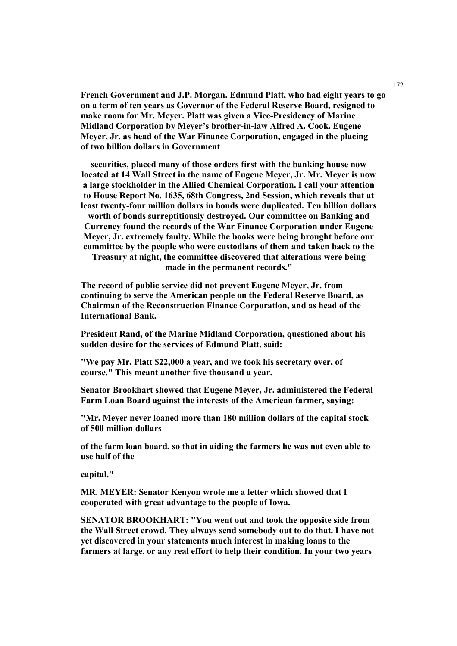French Government and J.P. Morgan. Edmund Platt, who had eight years to go on a term of ten years as Governor of the Federal Reserve Board, resigned to make room for Mr. Meyer. Platt was given a Vice-Presidency of Marine Midland Corporation by Meyer's brother-in-law Alfred A. Cook. Eugene Meyer, Jr. as head of the War Finance Corporation, engaged in the placing of two billion dollars in Government

securities, placed many of those orders first with the banking house now located at 14 Wall Street in the name of Eugene Meyer, Jr. Mr. Meyer is now a large stockholder in the Allied Chemical Corporation. I call your attention to House Report No. 1635, 68th Congress, 2nd Session, which reveals that at least twenty-four million dollars in bonds were duplicated. Ten billion dollars worth of bonds surreptitiously destroyed. Our committee on Banking and Currency found the records of the War Finance Corporation under Eugene Meyer, Jr. extremely faulty. While the books were being brought before our committee by the people who were custodians of them and taken back to the Treasury at night, the committee discovered that alterations were being

made in the permanent records."

The record of public service did not prevent Eugene Meyer, Jr. from continuing to serve the American people on the Federal Reserve Board, as Chairman of the Reconstruction Finance Corporation, and as head of the International Bank.

President Rand, of the Marine Midland Corporation, questioned about his sudden desire for the services of Edmund Platt, said:

"We pay Mr. Platt \$22,000 a year, and we took his secretary over, of course." This meant another five thousand a year.

Senator Brookhart showed that Eugene Meyer, Jr. administered the Federal Farm Loan Board against the interests of the American farmer, saying:

"Mr. Meyer never loaned more than 180 million dollars of the capital stock of 500 million dollars

of the farm loan board, so that in aiding the farmers he was not even able to use half of the

capital."

MR. MEYER: Senator Kenyon wrote me a letter which showed that I cooperated with great advantage to the people of Iowa.

SENATOR BROOKHART: "You went out and took the opposite side from the Wall Street crowd. They always send somebody out to do that. I have not yet discovered in your statements much interest in making loans to the farmers at large, or any real effort to help their condition. In your two years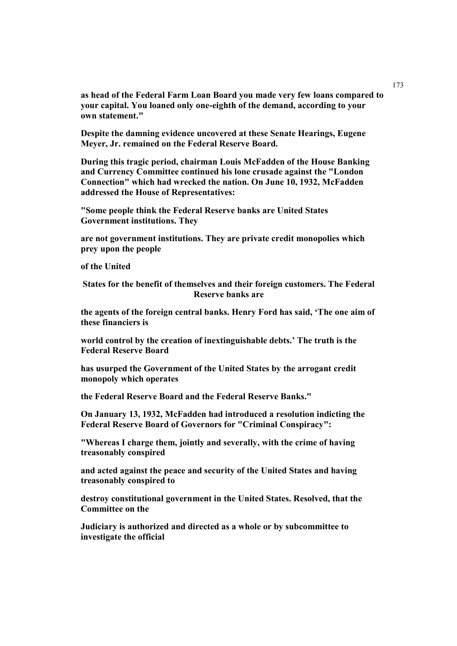as head of the Federal Farm Loan Board you made very few loans compared to your capital. You loaned only one-eighth of the demand, according to your own statement."

Despite the damning evidence uncovered at these Senate Hearings, Eugene Meyer, Jr. remained on the Federal Reserve Board.

During this tragic period, chairman Louis McFadden of the House Banking and Currency Committee continued his lone crusade against the "London Connection" which had wrecked the nation. On June 10, 1932, McFadden addressed the House of Representatives:

"Some people think the Federal Reserve banks are United States Government institutions. They

are not government institutions. They are private credit monopolies which prey upon the people

of the United

States for the benefit of themselves and their foreign customers. The Federal Reserve banks are

the agents of the foreign central banks. Henry Ford has said, 'The one aim of these financiers is

world control by the creation of inextinguishable debts.' The truth is the Federal Reserve Board

has usurped the Government of the United States by the arrogant credit monopoly which operates

the Federal Reserve Board and the Federal Reserve Banks."

On January 13, 1932, McFadden had introduced a resolution indicting the Federal Reserve Board of Governors for "Criminal Conspiracy":

"Whereas I charge them, jointly and severally, with the crime of having treasonably conspired

and acted against the peace and security of the United States and having treasonably conspired to

destroy constitutional government in the United States. Resolved, that the Committee on the

Judiciary is authorized and directed as a whole or by subcommittee to investigate the official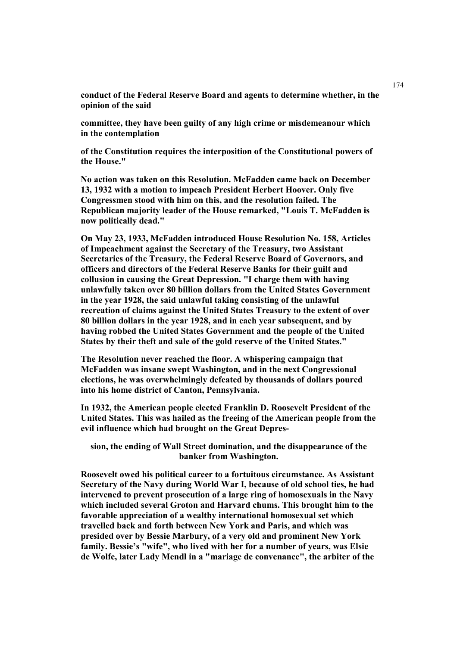conduct of the Federal Reserve Board and agents to determine whether, in the opinion of the said

committee, they have been guilty of any high crime or misdemeanour which in the contemplation

of the Constitution requires the interposition of the Constitutional powers of the House."

No action was taken on this Resolution. McFadden came back on December 13, 1932 with a motion to impeach President Herbert Hoover. Only five Congressmen stood with him on this, and the resolution failed. The Republican majority leader of the House remarked, "Louis T. McFadden is now politically dead."

On May 23, 1933, McFadden introduced House Resolution No. 158, Articles of Impeachment against the Secretary of the Treasury, two Assistant Secretaries of the Treasury, the Federal Reserve Board of Governors, and officers and directors of the Federal Reserve Banks for their guilt and collusion in causing the Great Depression. "I charge them with having unlawfully taken over 80 billion dollars from the United States Government in the year 1928, the said unlawful taking consisting of the unlawful recreation of claims against the United States Treasury to the extent of over 80 billion dollars in the year 1928, and in each year subsequent, and by having robbed the United States Government and the people of the United States by their theft and sale of the gold reserve of the United States."

The Resolution never reached the floor. A whispering campaign that McFadden was insane swept Washington, and in the next Congressional elections, he was overwhelmingly defeated by thousands of dollars poured into his home district of Canton, Pennsylvania.

In 1932, the American people elected Franklin D. Roosevelt President of the United States. This was hailed as the freeing of the American people from the evil influence which had brought on the Great Depres-

sion, the ending of Wall Street domination, and the disappearance of the banker from Washington.

Roosevelt owed his political career to a fortuitous circumstance. As Assistant Secretary of the Navy during World War I, because of old school ties, he had intervened to prevent prosecution of a large ring of homosexuals in the Navy which included several Groton and Harvard chums. This brought him to the favorable appreciation of a wealthy international homosexual set which travelled back and forth between New York and Paris, and which was presided over by Bessie Marbury, of a very old and prominent New York family. Bessie's "wife", who lived with her for a number of years, was Elsie de Wolfe, later Lady Mendl in a "mariage de convenance", the arbiter of the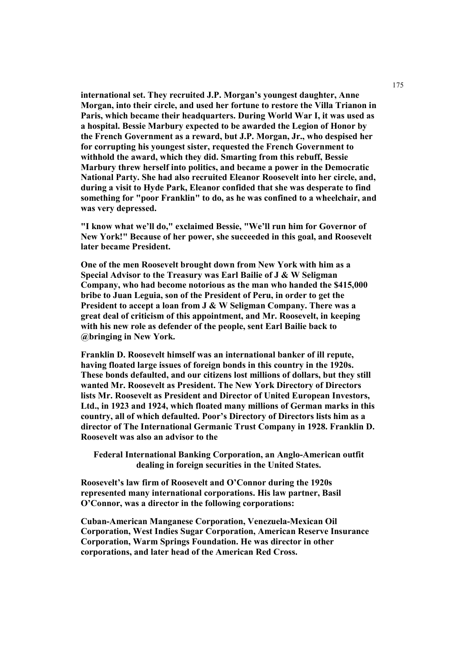international set. They recruited J.P. Morgan's youngest daughter, Anne Morgan, into their circle, and used her fortune to restore the Villa Trianon in Paris, which became their headquarters. During World War I, it was used as a hospital. Bessie Marbury expected to be awarded the Legion of Honor by the French Government as a reward, but J.P. Morgan, Jr., who despised her for corrupting his youngest sister, requested the French Government to withhold the award, which they did. Smarting from this rebuff, Bessie Marbury threw herself into politics, and became a power in the Democratic National Party. She had also recruited Eleanor Roosevelt into her circle, and, during a visit to Hyde Park, Eleanor confided that she was desperate to find something for "poor Franklin" to do, as he was confined to a wheelchair, and was very depressed.

"I know what we'll do," exclaimed Bessie, "We'll run him for Governor of New York!" Because of her power, she succeeded in this goal, and Roosevelt later became President.

One of the men Roosevelt brought down from New York with him as a Special Advisor to the Treasury was Earl Bailie of J & W Seligman Company, who had become notorious as the man who handed the \$415,000 bribe to Juan Leguia, son of the President of Peru, in order to get the President to accept a loan from J & W Seligman Company. There was a great deal of criticism of this appointment, and Mr. Roosevelt, in keeping with his new role as defender of the people, sent Earl Bailie back to @bringing in New York.

Franklin D. Roosevelt himself was an international banker of ill repute, having floated large issues of foreign bonds in this country in the 1920s. These bonds defaulted, and our citizens lost millions of dollars, but they still wanted Mr. Roosevelt as President. The New York Directory of Directors lists Mr. Roosevelt as President and Director of United European Investors, Ltd., in 1923 and 1924, which floated many millions of German marks in this country, all of which defaulted. Poor's Directory of Directors lists him as a director of The International Germanic Trust Company in 1928. Franklin D. Roosevelt was also an advisor to the

Federal International Banking Corporation, an Anglo-American outfit dealing in foreign securities in the United States.

Roosevelt's law firm of Roosevelt and O'Connor during the 1920s represented many international corporations. His law partner, Basil O'Connor, was a director in the following corporations:

Cuban-American Manganese Corporation, Venezuela-Mexican Oil Corporation, West Indies Sugar Corporation, American Reserve Insurance Corporation, Warm Springs Foundation. He was director in other corporations, and later head of the American Red Cross.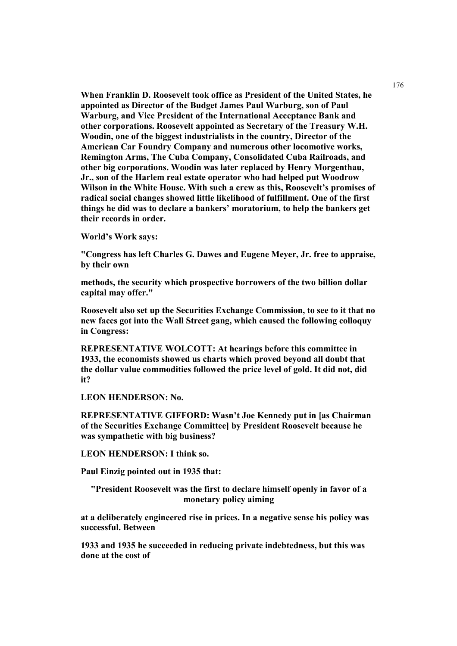When Franklin D. Roosevelt took office as President of the United States, he appointed as Director of the Budget James Paul Warburg, son of Paul Warburg, and Vice President of the International Acceptance Bank and other corporations. Roosevelt appointed as Secretary of the Treasury W.H. Woodin, one of the biggest industrialists in the country, Director of the American Car Foundry Company and numerous other locomotive works, Remington Arms, The Cuba Company, Consolidated Cuba Railroads, and other big corporations. Woodin was later replaced by Henry Morgenthau, Jr., son of the Harlem real estate operator who had helped put Woodrow Wilson in the White House. With such a crew as this, Roosevelt's promises of radical social changes showed little likelihood of fulfillment. One of the first things he did was to declare a bankers' moratorium, to help the bankers get their records in order.

World's Work says:

"Congress has left Charles G. Dawes and Eugene Meyer, Jr. free to appraise, by their own

methods, the security which prospective borrowers of the two billion dollar capital may offer."

Roosevelt also set up the Securities Exchange Commission, to see to it that no new faces got into the Wall Street gang, which caused the following colloquy in Congress:

REPRESENTATIVE WOLCOTT: At hearings before this committee in 1933, the economists showed us charts which proved beyond all doubt that the dollar value commodities followed the price level of gold. It did not, did it?

LEON HENDERSON: No.

REPRESENTATIVE GIFFORD: Wasn't Joe Kennedy put in [as Chairman of the Securities Exchange Committee] by President Roosevelt because he was sympathetic with big business?

LEON HENDERSON: I think so.

Paul Einzig pointed out in 1935 that:

"President Roosevelt was the first to declare himself openly in favor of a monetary policy aiming

at a deliberately engineered rise in prices. In a negative sense his policy was successful. Between

1933 and 1935 he succeeded in reducing private indebtedness, but this was done at the cost of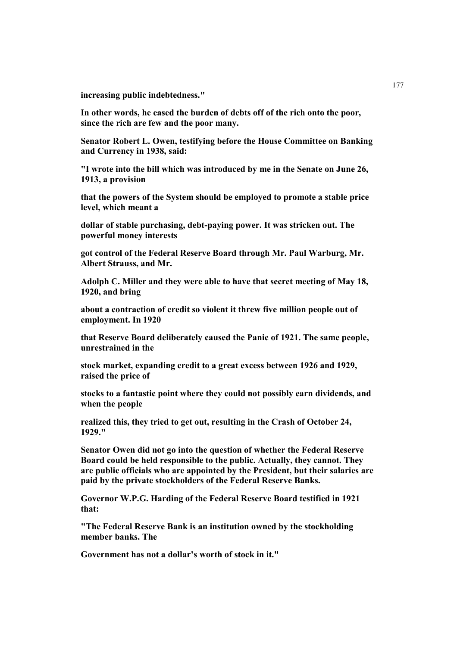increasing public indebtedness."

In other words, he eased the burden of debts off of the rich onto the poor, since the rich are few and the poor many.

Senator Robert L. Owen, testifying before the House Committee on Banking and Currency in 1938, said:

"I wrote into the bill which was introduced by me in the Senate on June 26, 1913, a provision

that the powers of the System should be employed to promote a stable price level, which meant a

dollar of stable purchasing, debt-paying power. It was stricken out. The powerful money interests

got control of the Federal Reserve Board through Mr. Paul Warburg, Mr. Albert Strauss, and Mr.

Adolph C. Miller and they were able to have that secret meeting of May 18, 1920, and bring

about a contraction of credit so violent it threw five million people out of employment. In 1920

that Reserve Board deliberately caused the Panic of 1921. The same people, unrestrained in the

stock market, expanding credit to a great excess between 1926 and 1929, raised the price of

stocks to a fantastic point where they could not possibly earn dividends, and when the people

realized this, they tried to get out, resulting in the Crash of October 24, 1929."

Senator Owen did not go into the question of whether the Federal Reserve Board could be held responsible to the public. Actually, they cannot. They are public officials who are appointed by the President, but their salaries are paid by the private stockholders of the Federal Reserve Banks.

Governor W.P.G. Harding of the Federal Reserve Board testified in 1921 that:

"The Federal Reserve Bank is an institution owned by the stockholding member banks. The

Government has not a dollar's worth of stock in it."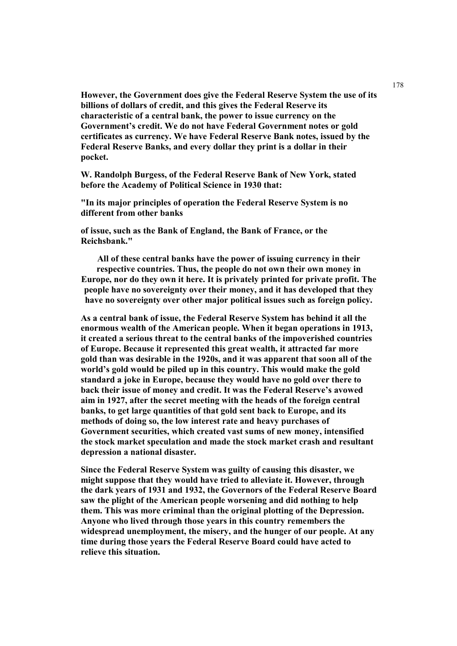However, the Government does give the Federal Reserve System the use of its billions of dollars of credit, and this gives the Federal Reserve its characteristic of a central bank, the power to issue currency on the Government's credit. We do not have Federal Government notes or gold certificates as currency. We have Federal Reserve Bank notes, issued by the Federal Reserve Banks, and every dollar they print is a dollar in their pocket.

W. Randolph Burgess, of the Federal Reserve Bank of New York, stated before the Academy of Political Science in 1930 that:

"In its major principles of operation the Federal Reserve System is no different from other banks

of issue, such as the Bank of England, the Bank of France, or the Reichsbank."

All of these central banks have the power of issuing currency in their respective countries. Thus, the people do not own their own money in Europe, nor do they own it here. It is privately printed for private profit. The people have no sovereignty over their money, and it has developed that they have no sovereignty over other major political issues such as foreign policy.

As a central bank of issue, the Federal Reserve System has behind it all the enormous wealth of the American people. When it began operations in 1913, it created a serious threat to the central banks of the impoverished countries of Europe. Because it represented this great wealth, it attracted far more gold than was desirable in the 1920s, and it was apparent that soon all of the world's gold would be piled up in this country. This would make the gold standard a joke in Europe, because they would have no gold over there to back their issue of money and credit. It was the Federal Reserve's avowed aim in 1927, after the secret meeting with the heads of the foreign central banks, to get large quantities of that gold sent back to Europe, and its methods of doing so, the low interest rate and heavy purchases of Government securities, which created vast sums of new money, intensified the stock market speculation and made the stock market crash and resultant depression a national disaster.

Since the Federal Reserve System was guilty of causing this disaster, we might suppose that they would have tried to alleviate it. However, through the dark years of 1931 and 1932, the Governors of the Federal Reserve Board saw the plight of the American people worsening and did nothing to help them. This was more criminal than the original plotting of the Depression. Anyone who lived through those years in this country remembers the widespread unemployment, the misery, and the hunger of our people. At any time during those years the Federal Reserve Board could have acted to relieve this situation.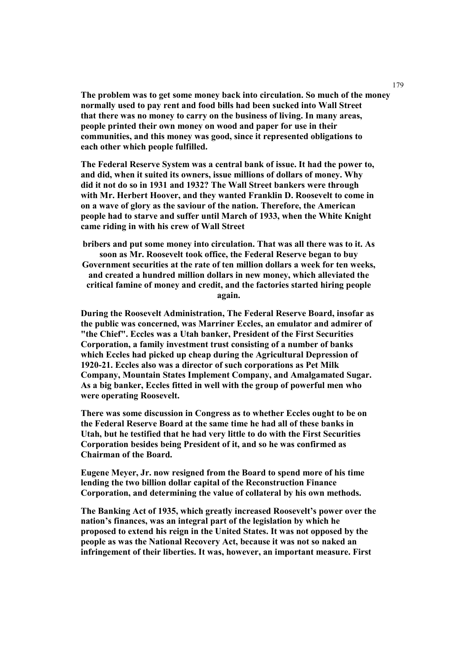The problem was to get some money back into circulation. So much of the money normally used to pay rent and food bills had been sucked into Wall Street that there was no money to carry on the business of living. In many areas, people printed their own money on wood and paper for use in their communities, and this money was good, since it represented obligations to each other which people fulfilled.

The Federal Reserve System was a central bank of issue. It had the power to, and did, when it suited its owners, issue millions of dollars of money. Why did it not do so in 1931 and 1932? The Wall Street bankers were through with Mr. Herbert Hoover, and they wanted Franklin D. Roosevelt to come in on a wave of glory as the saviour of the nation. Therefore, the American people had to starve and suffer until March of 1933, when the White Knight came riding in with his crew of Wall Street

bribers and put some money into circulation. That was all there was to it. As soon as Mr. Roosevelt took office, the Federal Reserve began to buy Government securities at the rate of ten million dollars a week for ten weeks, and created a hundred million dollars in new money, which alleviated the critical famine of money and credit, and the factories started hiring people again.

During the Roosevelt Administration, The Federal Reserve Board, insofar as the public was concerned, was Marriner Eccles, an emulator and admirer of "the Chief". Eccles was a Utah banker, President of the First Securities Corporation, a family investment trust consisting of a number of banks which Eccles had picked up cheap during the Agricultural Depression of 1920-21. Eccles also was a director of such corporations as Pet Milk Company, Mountain States Implement Company, and Amalgamated Sugar. As a big banker, Eccles fitted in well with the group of powerful men who were operating Roosevelt.

There was some discussion in Congress as to whether Eccles ought to be on the Federal Reserve Board at the same time he had all of these banks in Utah, but he testified that he had very little to do with the First Securities Corporation besides being President of it, and so he was confirmed as Chairman of the Board.

Eugene Meyer, Jr. now resigned from the Board to spend more of his time lending the two billion dollar capital of the Reconstruction Finance Corporation, and determining the value of collateral by his own methods.

The Banking Act of 1935, which greatly increased Roosevelt's power over the nation's finances, was an integral part of the legislation by which he proposed to extend his reign in the United States. It was not opposed by the people as was the National Recovery Act, because it was not so naked an infringement of their liberties. It was, however, an important measure. First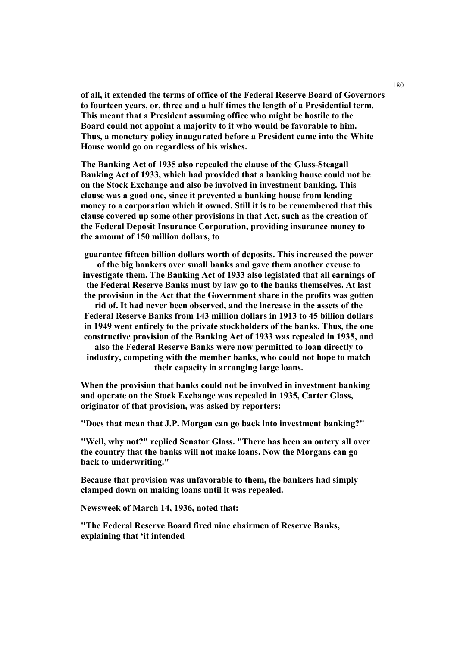of all, it extended the terms of office of the Federal Reserve Board of Governors to fourteen years, or, three and a half times the length of a Presidential term. This meant that a President assuming office who might be hostile to the Board could not appoint a majority to it who would be favorable to him. Thus, a monetary policy inaugurated before a President came into the White House would go on regardless of his wishes.

The Banking Act of 1935 also repealed the clause of the Glass-Steagall Banking Act of 1933, which had provided that a banking house could not be on the Stock Exchange and also be involved in investment banking. This clause was a good one, since it prevented a banking house from lending money to a corporation which it owned. Still it is to be remembered that this clause covered up some other provisions in that Act, such as the creation of the Federal Deposit Insurance Corporation, providing insurance money to the amount of 150 million dollars, to

guarantee fifteen billion dollars worth of deposits. This increased the power of the big bankers over small banks and gave them another excuse to investigate them. The Banking Act of 1933 also legislated that all earnings of the Federal Reserve Banks must by law go to the banks themselves. At last the provision in the Act that the Government share in the profits was gotten

rid of. It had never been observed, and the increase in the assets of the Federal Reserve Banks from 143 million dollars in 1913 to 45 billion dollars in 1949 went entirely to the private stockholders of the banks. Thus, the one constructive provision of the Banking Act of 1933 was repealed in 1935, and

also the Federal Reserve Banks were now permitted to loan directly to industry, competing with the member banks, who could not hope to match their capacity in arranging large loans.

When the provision that banks could not be involved in investment banking and operate on the Stock Exchange was repealed in 1935, Carter Glass, originator of that provision, was asked by reporters:

"Does that mean that J.P. Morgan can go back into investment banking?"

"Well, why not?" replied Senator Glass. "There has been an outcry all over the country that the banks will not make loans. Now the Morgans can go back to underwriting."

Because that provision was unfavorable to them, the bankers had simply clamped down on making loans until it was repealed.

Newsweek of March 14, 1936, noted that:

"The Federal Reserve Board fired nine chairmen of Reserve Banks, explaining that 'it intended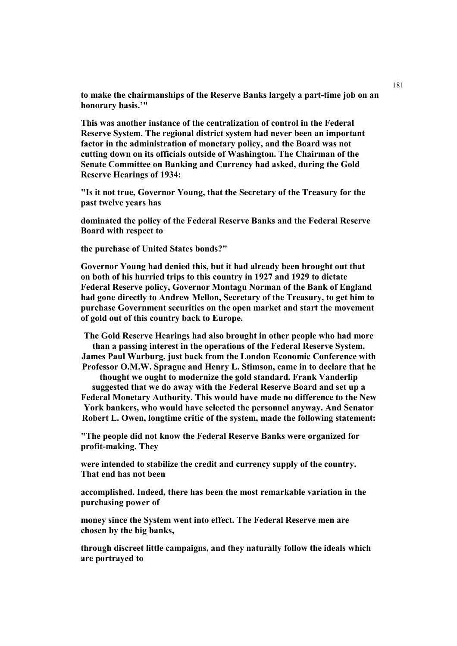to make the chairmanships of the Reserve Banks largely a part-time job on an honorary basis.'"

This was another instance of the centralization of control in the Federal Reserve System. The regional district system had never been an important factor in the administration of monetary policy, and the Board was not cutting down on its officials outside of Washington. The Chairman of the Senate Committee on Banking and Currency had asked, during the Gold Reserve Hearings of 1934:

"Is it not true, Governor Young, that the Secretary of the Treasury for the past twelve years has

dominated the policy of the Federal Reserve Banks and the Federal Reserve Board with respect to

the purchase of United States bonds?"

Governor Young had denied this, but it had already been brought out that on both of his hurried trips to this country in 1927 and 1929 to dictate Federal Reserve policy, Governor Montagu Norman of the Bank of England had gone directly to Andrew Mellon, Secretary of the Treasury, to get him to purchase Government securities on the open market and start the movement of gold out of this country back to Europe.

The Gold Reserve Hearings had also brought in other people who had more than a passing interest in the operations of the Federal Reserve System. James Paul Warburg, just back from the London Economic Conference with Professor O.M.W. Sprague and Henry L. Stimson, came in to declare that he thought we ought to modernize the gold standard. Frank Vanderlip suggested that we do away with the Federal Reserve Board and set up a Federal Monetary Authority. This would have made no difference to the New York bankers, who would have selected the personnel anyway. And Senator Robert L. Owen, longtime critic of the system, made the following statement:

"The people did not know the Federal Reserve Banks were organized for profit-making. They

were intended to stabilize the credit and currency supply of the country. That end has not been

accomplished. Indeed, there has been the most remarkable variation in the purchasing power of

money since the System went into effect. The Federal Reserve men are chosen by the big banks,

through discreet little campaigns, and they naturally follow the ideals which are portrayed to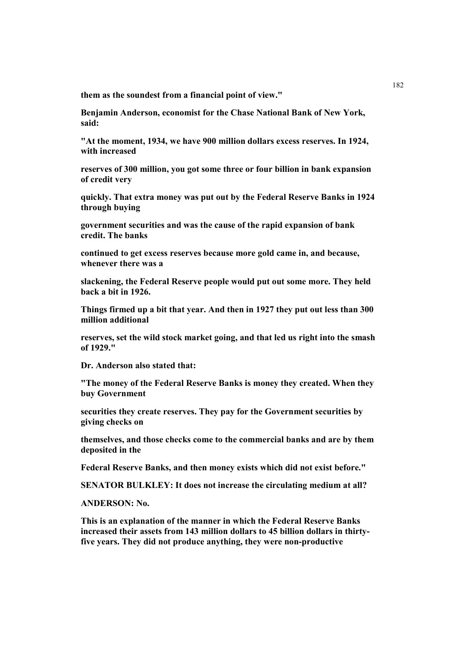them as the soundest from a financial point of view."

Benjamin Anderson, economist for the Chase National Bank of New York, said:

"At the moment, 1934, we have 900 million dollars excess reserves. In 1924, with increased

reserves of 300 million, you got some three or four billion in bank expansion of credit very

quickly. That extra money was put out by the Federal Reserve Banks in 1924 through buying

government securities and was the cause of the rapid expansion of bank credit. The banks

continued to get excess reserves because more gold came in, and because, whenever there was a

slackening, the Federal Reserve people would put out some more. They held back a bit in 1926.

Things firmed up a bit that year. And then in 1927 they put out less than 300 million additional

reserves, set the wild stock market going, and that led us right into the smash of 1929."

Dr. Anderson also stated that:

"The money of the Federal Reserve Banks is money they created. When they buy Government

securities they create reserves. They pay for the Government securities by giving checks on

themselves, and those checks come to the commercial banks and are by them deposited in the

Federal Reserve Banks, and then money exists which did not exist before."

SENATOR BULKLEY: It does not increase the circulating medium at all?

ANDERSON: No.

This is an explanation of the manner in which the Federal Reserve Banks increased their assets from 143 million dollars to 45 billion dollars in thirtyfive years. They did not produce anything, they were non-productive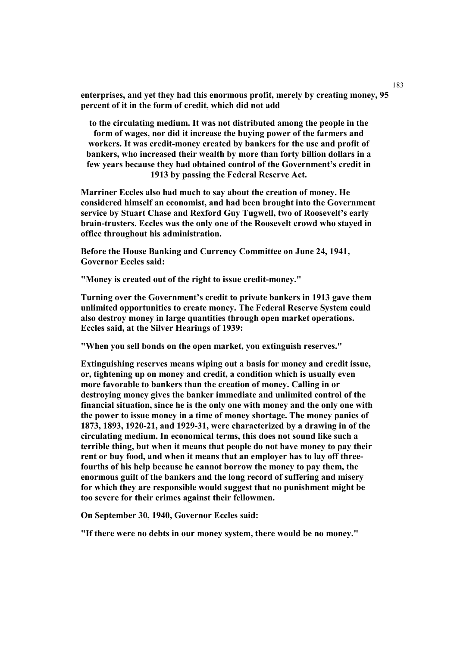enterprises, and yet they had this enormous profit, merely by creating money, 95 percent of it in the form of credit, which did not add

to the circulating medium. It was not distributed among the people in the form of wages, nor did it increase the buying power of the farmers and workers. It was credit-money created by bankers for the use and profit of bankers, who increased their wealth by more than forty billion dollars in a few years because they had obtained control of the Government's credit in 1913 by passing the Federal Reserve Act.

Marriner Eccles also had much to say about the creation of money. He considered himself an economist, and had been brought into the Government service by Stuart Chase and Rexford Guy Tugwell, two of Roosevelt's early brain-trusters. Eccles was the only one of the Roosevelt crowd who stayed in office throughout his administration.

Before the House Banking and Currency Committee on June 24, 1941, Governor Eccles said:

"Money is created out of the right to issue credit-money."

Turning over the Government's credit to private bankers in 1913 gave them unlimited opportunities to create money. The Federal Reserve System could also destroy money in large quantities through open market operations. Eccles said, at the Silver Hearings of 1939:

"When you sell bonds on the open market, you extinguish reserves."

Extinguishing reserves means wiping out a basis for money and credit issue, or, tightening up on money and credit, a condition which is usually even more favorable to bankers than the creation of money. Calling in or destroying money gives the banker immediate and unlimited control of the financial situation, since he is the only one with money and the only one with the power to issue money in a time of money shortage. The money panics of 1873, 1893, 1920-21, and 1929-31, were characterized by a drawing in of the circulating medium. In economical terms, this does not sound like such a terrible thing, but when it means that people do not have money to pay their rent or buy food, and when it means that an employer has to lay off threefourths of his help because he cannot borrow the money to pay them, the enormous guilt of the bankers and the long record of suffering and misery for which they are responsible would suggest that no punishment might be too severe for their crimes against their fellowmen.

On September 30, 1940, Governor Eccles said:

"If there were no debts in our money system, there would be no money."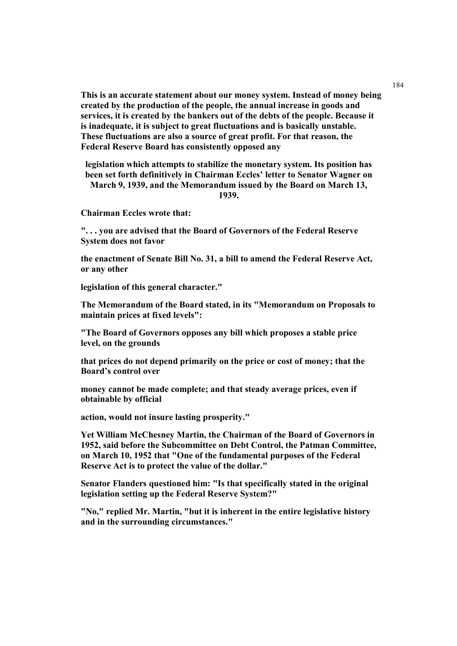This is an accurate statement about our money system. Instead of money being created by the production of the people, the annual increase in goods and services, it is created by the bankers out of the debts of the people. Because it is inadequate, it is subject to great fluctuations and is basically unstable. These fluctuations are also a source of great profit. For that reason, the Federal Reserve Board has consistently opposed any

legislation which attempts to stabilize the monetary system. Its position has been set forth definitively in Chairman Eccles' letter to Senator Wagner on March 9, 1939, and the Memorandum issued by the Board on March 13, 1939.

Chairman Eccles wrote that:

". . . you are advised that the Board of Governors of the Federal Reserve System does not favor

the enactment of Senate Bill No. 31, a bill to amend the Federal Reserve Act, or any other

legislation of this general character."

The Memorandum of the Board stated, in its "Memorandum on Proposals to maintain prices at fixed levels":

"The Board of Governors opposes any bill which proposes a stable price level, on the grounds

that prices do not depend primarily on the price or cost of money; that the Board's control over

money cannot be made complete; and that steady average prices, even if obtainable by official

action, would not insure lasting prosperity."

Yet William McChesney Martin, the Chairman of the Board of Governors in 1952, said before the Subcommittee on Debt Control, the Patman Committee, on March 10, 1952 that "One of the fundamental purposes of the Federal Reserve Act is to protect the value of the dollar."

Senator Flanders questioned him: "Is that specifically stated in the original legislation setting up the Federal Reserve System?"

"No," replied Mr. Martin, "but it is inherent in the entire legislative history and in the surrounding circumstances."

184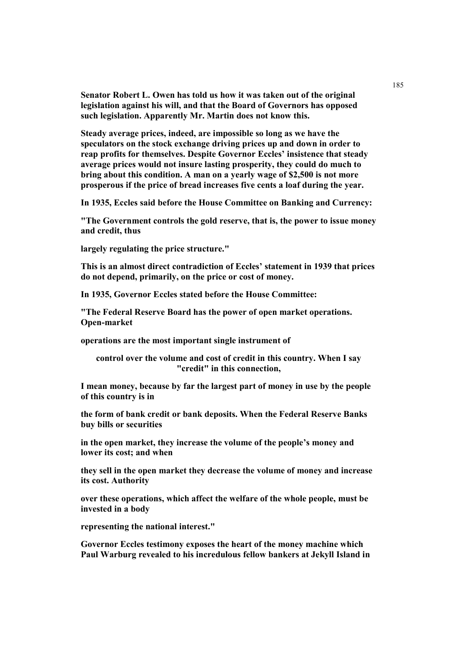Senator Robert L. Owen has told us how it was taken out of the original legislation against his will, and that the Board of Governors has opposed such legislation. Apparently Mr. Martin does not know this.

Steady average prices, indeed, are impossible so long as we have the speculators on the stock exchange driving prices up and down in order to reap profits for themselves. Despite Governor Eccles' insistence that steady average prices would not insure lasting prosperity, they could do much to bring about this condition. A man on a yearly wage of \$2,500 is not more prosperous if the price of bread increases five cents a loaf during the year.

In 1935, Eccles said before the House Committee on Banking and Currency:

"The Government controls the gold reserve, that is, the power to issue money and credit, thus

largely regulating the price structure."

This is an almost direct contradiction of Eccles' statement in 1939 that prices do not depend, primarily, on the price or cost of money.

In 1935, Governor Eccles stated before the House Committee:

"The Federal Reserve Board has the power of open market operations. Open-market

operations are the most important single instrument of

control over the volume and cost of credit in this country. When I say "credit" in this connection,

I mean money, because by far the largest part of money in use by the people of this country is in

the form of bank credit or bank deposits. When the Federal Reserve Banks buy bills or securities

in the open market, they increase the volume of the people's money and lower its cost; and when

they sell in the open market they decrease the volume of money and increase its cost. Authority

over these operations, which affect the welfare of the whole people, must be invested in a body

representing the national interest."

Governor Eccles testimony exposes the heart of the money machine which Paul Warburg revealed to his incredulous fellow bankers at Jekyll Island in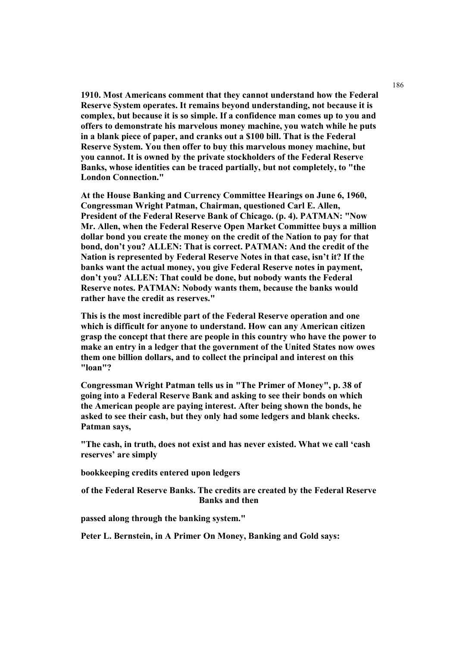1910. Most Americans comment that they cannot understand how the Federal Reserve System operates. It remains beyond understanding, not because it is complex, but because it is so simple. If a confidence man comes up to you and offers to demonstrate his marvelous money machine, you watch while he puts in a blank piece of paper, and cranks out a \$100 bill. That is the Federal Reserve System. You then offer to buy this marvelous money machine, but you cannot. It is owned by the private stockholders of the Federal Reserve Banks, whose identities can be traced partially, but not completely, to "the London Connection."

At the House Banking and Currency Committee Hearings on June 6, 1960, Congressman Wright Patman, Chairman, questioned Carl E. Allen, President of the Federal Reserve Bank of Chicago. (p. 4). PATMAN: "Now Mr. Allen, when the Federal Reserve Open Market Committee buys a million dollar bond you create the money on the credit of the Nation to pay for that bond, don't you? ALLEN: That is correct. PATMAN: And the credit of the Nation is represented by Federal Reserve Notes in that case, isn't it? If the banks want the actual money, you give Federal Reserve notes in payment, don't you? ALLEN: That could be done, but nobody wants the Federal Reserve notes. PATMAN: Nobody wants them, because the banks would rather have the credit as reserves."

This is the most incredible part of the Federal Reserve operation and one which is difficult for anyone to understand. How can any American citizen grasp the concept that there are people in this country who have the power to make an entry in a ledger that the government of the United States now owes them one billion dollars, and to collect the principal and interest on this "loan"?

Congressman Wright Patman tells us in "The Primer of Money", p. 38 of going into a Federal Reserve Bank and asking to see their bonds on which the American people are paying interest. After being shown the bonds, he asked to see their cash, but they only had some ledgers and blank checks. Patman says,

"The cash, in truth, does not exist and has never existed. What we call 'cash reserves' are simply

bookkeeping credits entered upon ledgers

of the Federal Reserve Banks. The credits are created by the Federal Reserve Banks and then

passed along through the banking system."

Peter L. Bernstein, in A Primer On Money, Banking and Gold says: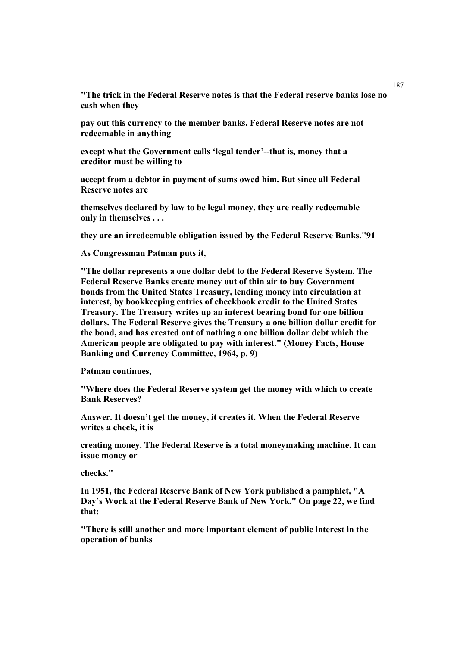"The trick in the Federal Reserve notes is that the Federal reserve banks lose no cash when they

pay out this currency to the member banks. Federal Reserve notes are not redeemable in anything

except what the Government calls 'legal tender'--that is, money that a creditor must be willing to

accept from a debtor in payment of sums owed him. But since all Federal Reserve notes are

themselves declared by law to be legal money, they are really redeemable only in themselves . . .

they are an irredeemable obligation issued by the Federal Reserve Banks."91

As Congressman Patman puts it,

"The dollar represents a one dollar debt to the Federal Reserve System. The Federal Reserve Banks create money out of thin air to buy Government bonds from the United States Treasury, lending money into circulation at interest, by bookkeeping entries of checkbook credit to the United States Treasury. The Treasury writes up an interest bearing bond for one billion dollars. The Federal Reserve gives the Treasury a one billion dollar credit for the bond, and has created out of nothing a one billion dollar debt which the American people are obligated to pay with interest." (Money Facts, House Banking and Currency Committee, 1964, p. 9)

Patman continues,

"Where does the Federal Reserve system get the money with which to create Bank Reserves?

Answer. It doesn't get the money, it creates it. When the Federal Reserve writes a check, it is

creating money. The Federal Reserve is a total moneymaking machine. It can issue money or

checks."

In 1951, the Federal Reserve Bank of New York published a pamphlet, "A Day's Work at the Federal Reserve Bank of New York." On page 22, we find that:

"There is still another and more important element of public interest in the operation of banks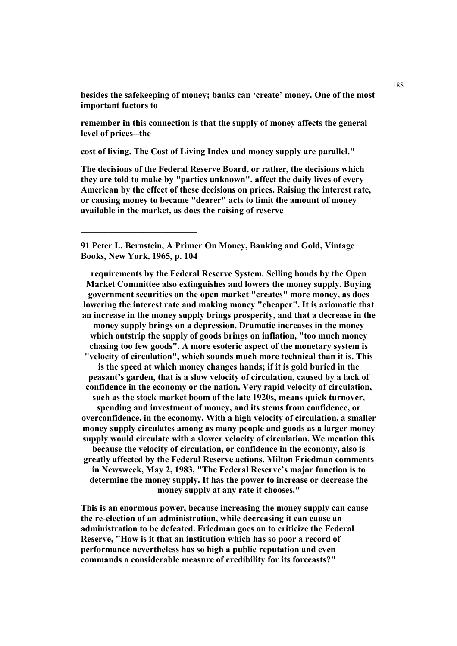besides the safekeeping of money; banks can 'create' money. One of the most important factors to

remember in this connection is that the supply of money affects the general level of prices--the

cost of living. The Cost of Living Index and money supply are parallel."

The decisions of the Federal Reserve Board, or rather, the decisions which they are told to make by "parties unknown", affect the daily lives of every American by the effect of these decisions on prices. Raising the interest rate, or causing money to became "dearer" acts to limit the amount of money available in the market, as does the raising of reserve

\_\_\_\_\_\_\_\_\_\_\_\_\_\_\_\_\_\_\_\_\_\_\_\_\_\_

requirements by the Federal Reserve System. Selling bonds by the Open Market Committee also extinguishes and lowers the money supply. Buying government securities on the open market "creates" more money, as does lowering the interest rate and making money "cheaper". It is axiomatic that an increase in the money supply brings prosperity, and that a decrease in the money supply brings on a depression. Dramatic increases in the money which outstrip the supply of goods brings on inflation, "too much money chasing too few goods". A more esoteric aspect of the monetary system is "velocity of circulation", which sounds much more technical than it is. This is the speed at which money changes hands; if it is gold buried in the peasant's garden, that is a slow velocity of circulation, caused by a lack of confidence in the economy or the nation. Very rapid velocity of circulation, such as the stock market boom of the late 1920s, means quick turnover, spending and investment of money, and its stems from confidence, or overconfidence, in the economy. With a high velocity of circulation, a smaller money supply circulates among as many people and goods as a larger money supply would circulate with a slower velocity of circulation. We mention this because the velocity of circulation, or confidence in the economy, also is greatly affected by the Federal Reserve actions. Milton Friedman comments in Newsweek, May 2, 1983, "The Federal Reserve's major function is to determine the money supply. It has the power to increase or decrease the money supply at any rate it chooses."

This is an enormous power, because increasing the money supply can cause the re-election of an administration, while decreasing it can cause an administration to be defeated. Friedman goes on to criticize the Federal Reserve, "How is it that an institution which has so poor a record of performance nevertheless has so high a public reputation and even commands a considerable measure of credibility for its forecasts?"

<sup>91</sup> Peter L. Bernstein, A Primer On Money, Banking and Gold, Vintage Books, New York, 1965, p. 104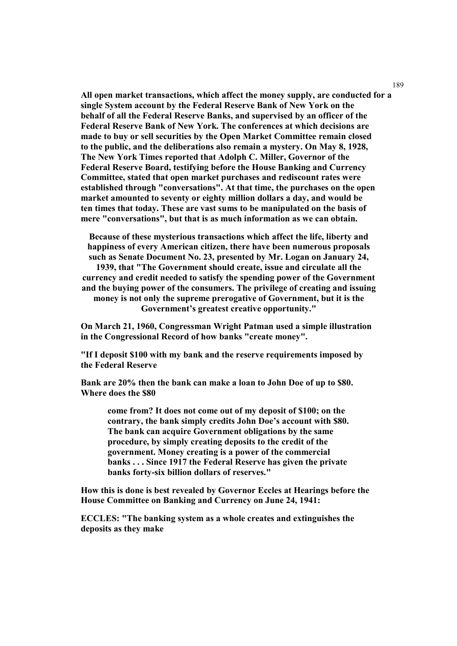All open market transactions, which affect the money supply, are conducted for a single System account by the Federal Reserve Bank of New York on the behalf of all the Federal Reserve Banks, and supervised by an officer of the Federal Reserve Bank of New York. The conferences at which decisions are made to buy or sell securities by the Open Market Committee remain closed to the public, and the deliberations also remain a mystery. On May 8, 1928, The New York Times reported that Adolph C. Miller, Governor of the Federal Reserve Board, testifying before the House Banking and Currency Committee, stated that open market purchases and rediscount rates were established through "conversations". At that time, the purchases on the open market amounted to seventy or eighty million dollars a day, and would be ten times that today. These are vast sums to be manipulated on the basis of mere "conversations", but that is as much information as we can obtain.

Because of these mysterious transactions which affect the life, liberty and happiness of every American citizen, there have been numerous proposals such as Senate Document No. 23, presented by Mr. Logan on January 24, 1939, that "The Government should create, issue and circulate all the currency and credit needed to satisfy the spending power of the Government and the buying power of the consumers. The privilege of creating and issuing money is not only the supreme prerogative of Government, but it is the Government's greatest creative opportunity."

On March 21, 1960, Congressman Wright Patman used a simple illustration in the Congressional Record of how banks "create money".

"If I deposit \$100 with my bank and the reserve requirements imposed by the Federal Reserve

Bank are 20% then the bank can make a loan to John Doe of up to \$80. Where does the \$80

come from? It does not come out of my deposit of \$100; on the contrary, the bank simply credits John Doe's account with \$80. The bank can acquire Government obligations by the same procedure, by simply creating deposits to the credit of the government. Money creating is a power of the commercial banks . . . Since 1917 the Federal Reserve has given the private banks forty-six billion dollars of reserves."

How this is done is best revealed by Governor Eccles at Hearings before the House Committee on Banking and Currency on June 24, 1941:

ECCLES: "The banking system as a whole creates and extinguishes the deposits as they make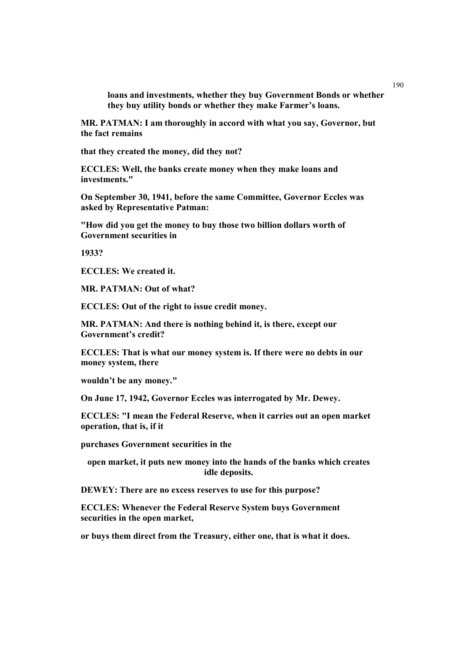loans and investments, whether they buy Government Bonds or whether they buy utility bonds or whether they make Farmer's loans.

MR. PATMAN: I am thoroughly in accord with what you say, Governor, but the fact remains

that they created the money, did they not?

ECCLES: Well, the banks create money when they make loans and investments."

On September 30, 1941, before the same Committee, Governor Eccles was asked by Representative Patman:

"How did you get the money to buy those two billion dollars worth of Government securities in

1933?

ECCLES: We created it.

MR. PATMAN: Out of what?

ECCLES: Out of the right to issue credit money.

MR. PATMAN: And there is nothing behind it, is there, except our Government's credit?

ECCLES: That is what our money system is. If there were no debts in our money system, there

wouldn't be any money."

On June 17, 1942, Governor Eccles was interrogated by Mr. Dewey.

ECCLES: "I mean the Federal Reserve, when it carries out an open market operation, that is, if it

purchases Government securities in the

open market, it puts new money into the hands of the banks which creates idle deposits.

DEWEY: There are no excess reserves to use for this purpose?

ECCLES: Whenever the Federal Reserve System buys Government securities in the open market,

or buys them direct from the Treasury, either one, that is what it does.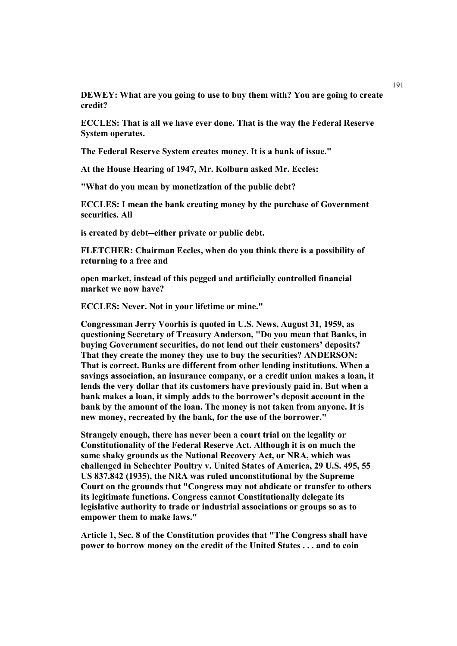DEWEY: What are you going to use to buy them with? You are going to create credit?

ECCLES: That is all we have ever done. That is the way the Federal Reserve System operates.

The Federal Reserve System creates money. It is a bank of issue."

At the House Hearing of 1947, Mr. Kolburn asked Mr. Eccles:

"What do you mean by monetization of the public debt?

ECCLES: I mean the bank creating money by the purchase of Government securities. All

is created by debt--either private or public debt.

FLETCHER: Chairman Eccles, when do you think there is a possibility of returning to a free and

open market, instead of this pegged and artificially controlled financial market we now have?

ECCLES: Never. Not in your lifetime or mine."

Congressman Jerry Voorhis is quoted in U.S. News, August 31, 1959, as questioning Secretary of Treasury Anderson, "Do you mean that Banks, in buying Government securities, do not lend out their customers' deposits? That they create the money they use to buy the securities? ANDERSON: That is correct. Banks are different from other lending institutions. When a savings association, an insurance company, or a credit union makes a loan, it lends the very dollar that its customers have previously paid in. But when a bank makes a loan, it simply adds to the borrower's deposit account in the bank by the amount of the loan. The money is not taken from anyone. It is new money, recreated by the bank, for the use of the borrower."

Strangely enough, there has never been a court trial on the legality or Constitutionality of the Federal Reserve Act. Although it is on much the same shaky grounds as the National Recovery Act, or NRA, which was challenged in Schechter Poultry v. United States of America, 29 U.S. 495, 55 US 837.842 (1935), the NRA was ruled unconstitutional by the Supreme Court on the grounds that "Congress may not abdicate or transfer to others its legitimate functions. Congress cannot Constitutionally delegate its legislative authority to trade or industrial associations or groups so as to empower them to make laws."

Article 1, Sec. 8 of the Constitution provides that "The Congress shall have power to borrow money on the credit of the United States . . . and to coin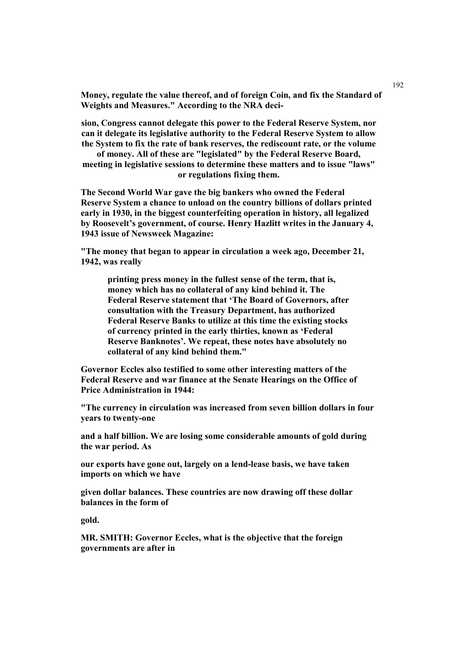Money, regulate the value thereof, and of foreign Coin, and fix the Standard of Weights and Measures." According to the NRA deci-

sion, Congress cannot delegate this power to the Federal Reserve System, nor can it delegate its legislative authority to the Federal Reserve System to allow the System to fix the rate of bank reserves, the rediscount rate, or the volume

of money. All of these are "legislated" by the Federal Reserve Board, meeting in legislative sessions to determine these matters and to issue "laws" or regulations fixing them.

The Second World War gave the big bankers who owned the Federal Reserve System a chance to unload on the country billions of dollars printed early in 1930, in the biggest counterfeiting operation in history, all legalized by Roosevelt's government, of course. Henry Hazlitt writes in the January 4, 1943 issue of Newsweek Magazine:

"The money that began to appear in circulation a week ago, December 21, 1942, was really

printing press money in the fullest sense of the term, that is, money which has no collateral of any kind behind it. The Federal Reserve statement that 'The Board of Governors, after consultation with the Treasury Department, has authorized Federal Reserve Banks to utilize at this time the existing stocks of currency printed in the early thirties, known as 'Federal Reserve Banknotes'. We repeat, these notes have absolutely no collateral of any kind behind them."

Governor Eccles also testified to some other interesting matters of the Federal Reserve and war finance at the Senate Hearings on the Office of Price Administration in 1944:

"The currency in circulation was increased from seven billion dollars in four years to twenty-one

and a half billion. We are losing some considerable amounts of gold during the war period. As

our exports have gone out, largely on a lend-lease basis, we have taken imports on which we have

given dollar balances. These countries are now drawing off these dollar balances in the form of

gold.

MR. SMITH: Governor Eccles, what is the objective that the foreign governments are after in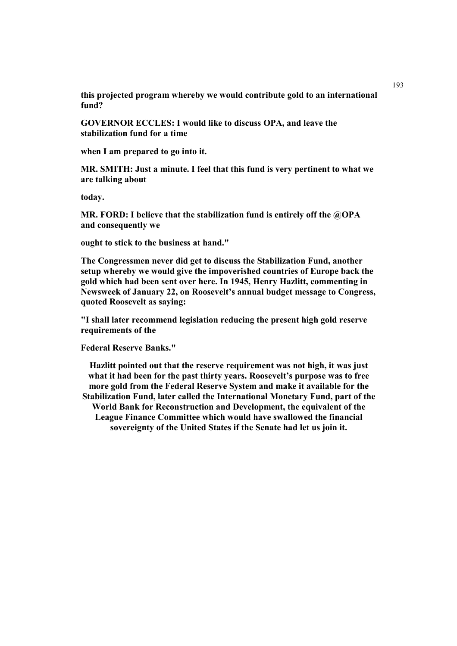this projected program whereby we would contribute gold to an international fund?

GOVERNOR ECCLES: I would like to discuss OPA, and leave the stabilization fund for a time

when I am prepared to go into it.

MR. SMITH: Just a minute. I feel that this fund is very pertinent to what we are talking about

today.

MR. FORD: I believe that the stabilization fund is entirely off the @OPA and consequently we

ought to stick to the business at hand."

The Congressmen never did get to discuss the Stabilization Fund, another setup whereby we would give the impoverished countries of Europe back the gold which had been sent over here. In 1945, Henry Hazlitt, commenting in Newsweek of January 22, on Roosevelt's annual budget message to Congress, quoted Roosevelt as saying:

"I shall later recommend legislation reducing the present high gold reserve requirements of the

Federal Reserve Banks."

Hazlitt pointed out that the reserve requirement was not high, it was just what it had been for the past thirty years. Roosevelt's purpose was to free more gold from the Federal Reserve System and make it available for the Stabilization Fund, later called the International Monetary Fund, part of the World Bank for Reconstruction and Development, the equivalent of the League Finance Committee which would have swallowed the financial sovereignty of the United States if the Senate had let us join it.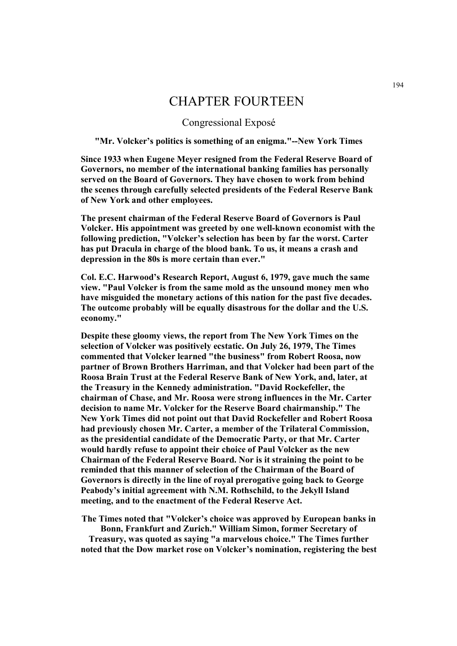## CHAPTER FOURTEEN

### Congressional Exposé

"Mr. Volcker's politics is something of an enigma."--New York Times

Since 1933 when Eugene Meyer resigned from the Federal Reserve Board of Governors, no member of the international banking families has personally served on the Board of Governors. They have chosen to work from behind the scenes through carefully selected presidents of the Federal Reserve Bank of New York and other employees.

The present chairman of the Federal Reserve Board of Governors is Paul Volcker. His appointment was greeted by one well-known economist with the following prediction, "Volcker's selection has been by far the worst. Carter has put Dracula in charge of the blood bank. To us, it means a crash and depression in the 80s is more certain than ever."

Col. E.C. Harwood's Research Report, August 6, 1979, gave much the same view. "Paul Volcker is from the same mold as the unsound money men who have misguided the monetary actions of this nation for the past five decades. The outcome probably will be equally disastrous for the dollar and the U.S. economy."

Despite these gloomy views, the report from The New York Times on the selection of Volcker was positively ecstatic. On July 26, 1979, The Times commented that Volcker learned "the business" from Robert Roosa, now partner of Brown Brothers Harriman, and that Volcker had been part of the Roosa Brain Trust at the Federal Reserve Bank of New York, and, later, at the Treasury in the Kennedy administration. "David Rockefeller, the chairman of Chase, and Mr. Roosa were strong influences in the Mr. Carter decision to name Mr. Volcker for the Reserve Board chairmanship." The New York Times did not point out that David Rockefeller and Robert Roosa had previously chosen Mr. Carter, a member of the Trilateral Commission, as the presidential candidate of the Democratic Party, or that Mr. Carter would hardly refuse to appoint their choice of Paul Volcker as the new Chairman of the Federal Reserve Board. Nor is it straining the point to be reminded that this manner of selection of the Chairman of the Board of Governors is directly in the line of royal prerogative going back to George Peabody's initial agreement with N.M. Rothschild, to the Jekyll Island meeting, and to the enactment of the Federal Reserve Act.

The Times noted that "Volcker's choice was approved by European banks in Bonn, Frankfurt and Zurich." William Simon, former Secretary of

Treasury, was quoted as saying "a marvelous choice." The Times further noted that the Dow market rose on Volcker's nomination, registering the best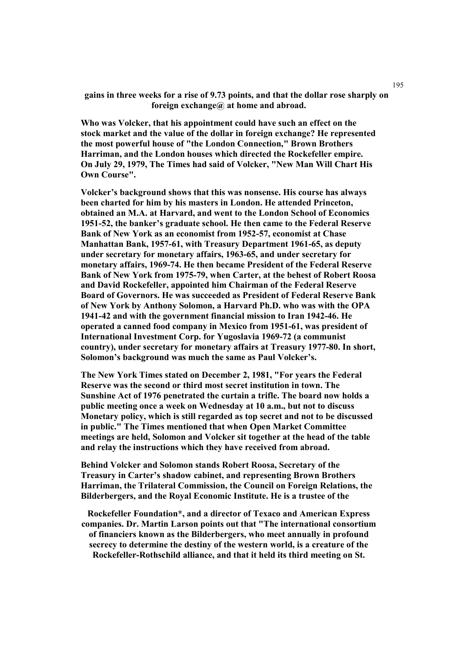gains in three weeks for a rise of 9.73 points, and that the dollar rose sharply on foreign exchange@ at home and abroad.

Who was Volcker, that his appointment could have such an effect on the stock market and the value of the dollar in foreign exchange? He represented the most powerful house of "the London Connection," Brown Brothers Harriman, and the London houses which directed the Rockefeller empire. On July 29, 1979, The Times had said of Volcker, "New Man Will Chart His Own Course".

Volcker's background shows that this was nonsense. His course has always been charted for him by his masters in London. He attended Princeton, obtained an M.A. at Harvard, and went to the London School of Economics 1951-52, the banker's graduate school. He then came to the Federal Reserve Bank of New York as an economist from 1952-57, economist at Chase Manhattan Bank, 1957-61, with Treasury Department 1961-65, as deputy under secretary for monetary affairs, 1963-65, and under secretary for monetary affairs, 1969-74. He then became President of the Federal Reserve Bank of New York from 1975-79, when Carter, at the behest of Robert Roosa and David Rockefeller, appointed him Chairman of the Federal Reserve Board of Governors. He was succeeded as President of Federal Reserve Bank of New York by Anthony Solomon, a Harvard Ph.D. who was with the OPA 1941-42 and with the government financial mission to Iran 1942-46. He operated a canned food company in Mexico from 1951-61, was president of International Investment Corp. for Yugoslavia 1969-72 (a communist country), under secretary for monetary affairs at Treasury 1977-80. In short, Solomon's background was much the same as Paul Volcker's.

The New York Times stated on December 2, 1981, "For years the Federal Reserve was the second or third most secret institution in town. The Sunshine Act of 1976 penetrated the curtain a trifle. The board now holds a public meeting once a week on Wednesday at 10 a.m., but not to discuss Monetary policy, which is still regarded as top secret and not to be discussed in public." The Times mentioned that when Open Market Committee meetings are held, Solomon and Volcker sit together at the head of the table and relay the instructions which they have received from abroad.

Behind Volcker and Solomon stands Robert Roosa, Secretary of the Treasury in Carter's shadow cabinet, and representing Brown Brothers Harriman, the Trilateral Commission, the Council on Foreign Relations, the Bilderbergers, and the Royal Economic Institute. He is a trustee of the

Rockefeller Foundation\*, and a director of Texaco and American Express companies. Dr. Martin Larson points out that "The international consortium of financiers known as the Bilderbergers, who meet annually in profound secrecy to determine the destiny of the western world, is a creature of the Rockefeller-Rothschild alliance, and that it held its third meeting on St.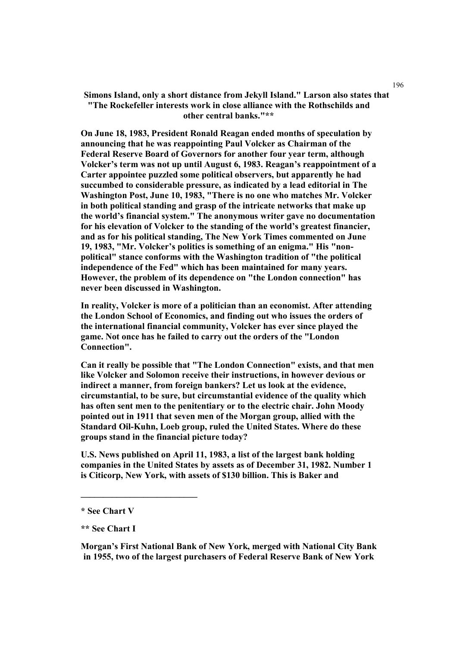### Simons Island, only a short distance from Jekyll Island." Larson also states that "The Rockefeller interests work in close alliance with the Rothschilds and other central banks."\*\*

On June 18, 1983, President Ronald Reagan ended months of speculation by announcing that he was reappointing Paul Volcker as Chairman of the Federal Reserve Board of Governors for another four year term, although Volcker's term was not up until August 6, 1983. Reagan's reappointment of a Carter appointee puzzled some political observers, but apparently he had succumbed to considerable pressure, as indicated by a lead editorial in The Washington Post, June 10, 1983, "There is no one who matches Mr. Volcker in both political standing and grasp of the intricate networks that make up the world's financial system." The anonymous writer gave no documentation for his elevation of Volcker to the standing of the world's greatest financier, and as for his political standing, The New York Times commented on June 19, 1983, "Mr. Volcker's politics is something of an enigma." His "nonpolitical" stance conforms with the Washington tradition of "the political independence of the Fed" which has been maintained for many years. However, the problem of its dependence on "the London connection" has never been discussed in Washington.

In reality, Volcker is more of a politician than an economist. After attending the London School of Economics, and finding out who issues the orders of the international financial community, Volcker has ever since played the game. Not once has he failed to carry out the orders of the "London Connection".

Can it really be possible that "The London Connection" exists, and that men like Volcker and Solomon receive their instructions, in however devious or indirect a manner, from foreign bankers? Let us look at the evidence, circumstantial, to be sure, but circumstantial evidence of the quality which has often sent men to the penitentiary or to the electric chair. John Moody pointed out in 1911 that seven men of the Morgan group, allied with the Standard Oil-Kuhn, Loeb group, ruled the United States. Where do these groups stand in the financial picture today?

U.S. News published on April 11, 1983, a list of the largest bank holding companies in the United States by assets as of December 31, 1982. Number 1 is Citicorp, New York, with assets of \$130 billion. This is Baker and

\_\_\_\_\_\_\_\_\_\_\_\_\_\_\_\_\_\_\_\_\_\_\_\_\_\_

Morgan's First National Bank of New York, merged with National City Bank in 1955, two of the largest purchasers of Federal Reserve Bank of New York

<sup>\*</sup> See Chart V

<sup>\*\*</sup> See Chart I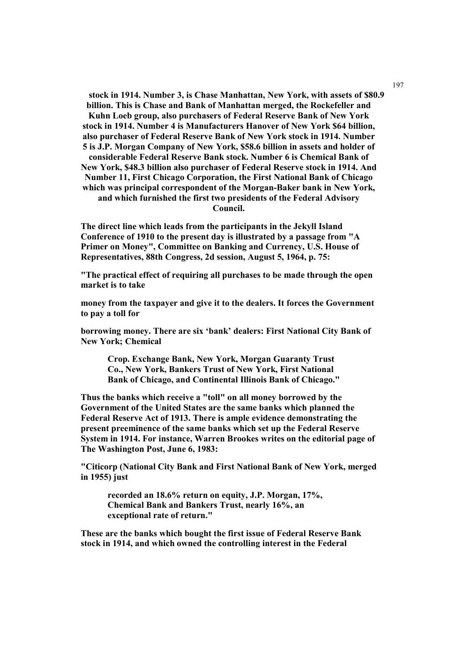stock in 1914. Number 3, is Chase Manhattan, New York, with assets of \$80.9 billion. This is Chase and Bank of Manhattan merged, the Rockefeller and Kuhn Loeb group, also purchasers of Federal Reserve Bank of New York stock in 1914. Number 4 is Manufacturers Hanover of New York \$64 billion, also purchaser of Federal Reserve Bank of New York stock in 1914. Number 5 is J.P. Morgan Company of New York, \$58.6 billion in assets and holder of considerable Federal Reserve Bank stock. Number 6 is Chemical Bank of New York, \$48.3 billion also purchaser of Federal Reserve stock in 1914. And Number 11, First Chicago Corporation, the First National Bank of Chicago which was principal correspondent of the Morgan-Baker bank in New York, and which furnished the first two presidents of the Federal Advisory Council.

The direct line which leads from the participants in the Jekyll Island Conference of 1910 to the present day is illustrated by a passage from "A Primer on Money", Committee on Banking and Currency, U.S. House of Representatives, 88th Congress, 2d session, August 5, 1964, p. 75:

"The practical effect of requiring all purchases to be made through the open market is to take

money from the taxpayer and give it to the dealers. It forces the Government to pay a toll for

borrowing money. There are six 'bank' dealers: First National City Bank of New York; Chemical

Crop. Exchange Bank, New York, Morgan Guaranty Trust Co., New York, Bankers Trust of New York, First National Bank of Chicago, and Continental Illinois Bank of Chicago."

Thus the banks which receive a "toll" on all money borrowed by the Government of the United States are the same banks which planned the Federal Reserve Act of 1913. There is ample evidence demonstrating the present preeminence of the same banks which set up the Federal Reserve System in 1914. For instance, Warren Brookes writes on the editorial page of The Washington Post, June 6, 1983:

"Citicorp (National City Bank and First National Bank of New York, merged in 1955) just

recorded an 18.6% return on equity, J.P. Morgan, 17%, Chemical Bank and Bankers Trust, nearly 16%, an exceptional rate of return."

These are the banks which bought the first issue of Federal Reserve Bank stock in 1914, and which owned the controlling interest in the Federal

197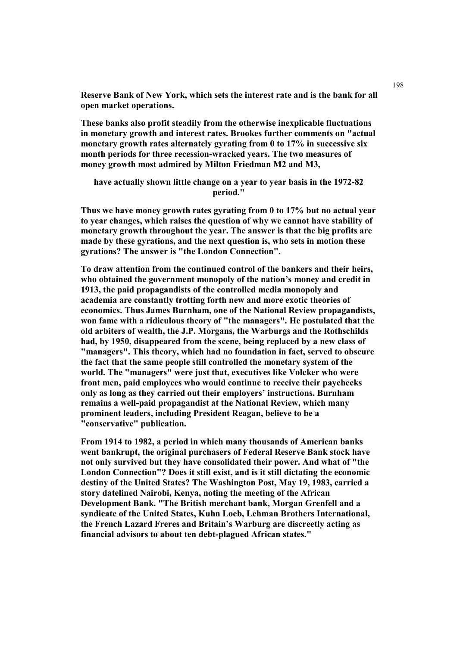Reserve Bank of New York, which sets the interest rate and is the bank for all open market operations.

These banks also profit steadily from the otherwise inexplicable fluctuations in monetary growth and interest rates. Brookes further comments on "actual monetary growth rates alternately gyrating from 0 to 17% in successive six month periods for three recession-wracked years. The two measures of money growth most admired by Milton Friedman M2 and M3,

```
have actually shown little change on a year to year basis in the 1972-82 
                    period."
```
Thus we have money growth rates gyrating from 0 to 17% but no actual year to year changes, which raises the question of why we cannot have stability of monetary growth throughout the year. The answer is that the big profits are made by these gyrations, and the next question is, who sets in motion these gyrations? The answer is "the London Connection".

To draw attention from the continued control of the bankers and their heirs, who obtained the government monopoly of the nation's money and credit in 1913, the paid propagandists of the controlled media monopoly and academia are constantly trotting forth new and more exotic theories of economics. Thus James Burnham, one of the National Review propagandists, won fame with a ridiculous theory of "the managers". He postulated that the old arbiters of wealth, the J.P. Morgans, the Warburgs and the Rothschilds had, by 1950, disappeared from the scene, being replaced by a new class of "managers". This theory, which had no foundation in fact, served to obscure the fact that the same people still controlled the monetary system of the world. The "managers" were just that, executives like Volcker who were front men, paid employees who would continue to receive their paychecks only as long as they carried out their employers' instructions. Burnham remains a well-paid propagandist at the National Review, which many prominent leaders, including President Reagan, believe to be a "conservative" publication.

From 1914 to 1982, a period in which many thousands of American banks went bankrupt, the original purchasers of Federal Reserve Bank stock have not only survived but they have consolidated their power. And what of "the London Connection"? Does it still exist, and is it still dictating the economic destiny of the United States? The Washington Post, May 19, 1983, carried a story datelined Nairobi, Kenya, noting the meeting of the African Development Bank. "The British merchant bank, Morgan Grenfell and a syndicate of the United States, Kuhn Loeb, Lehman Brothers International, the French Lazard Freres and Britain's Warburg are discreetly acting as financial advisors to about ten debt-plagued African states."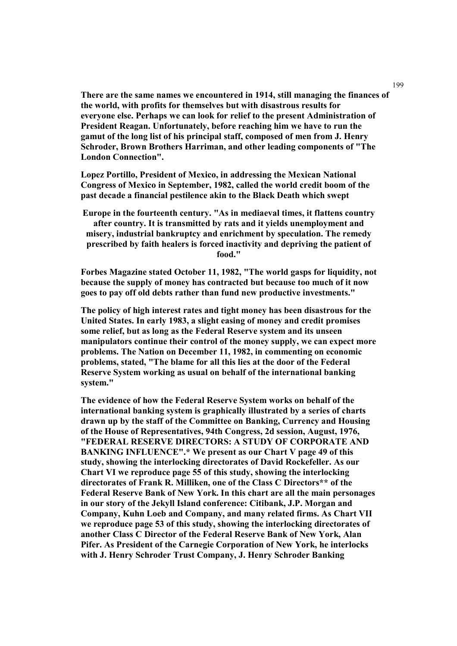There are the same names we encountered in 1914, still managing the finances of the world, with profits for themselves but with disastrous results for everyone else. Perhaps we can look for relief to the present Administration of President Reagan. Unfortunately, before reaching him we have to run the gamut of the long list of his principal staff, composed of men from J. Henry Schroder, Brown Brothers Harriman, and other leading components of "The London Connection".

Lopez Portillo, President of Mexico, in addressing the Mexican National Congress of Mexico in September, 1982, called the world credit boom of the past decade a financial pestilence akin to the Black Death which swept

Europe in the fourteenth century. "As in mediaeval times, it flattens country after country. It is transmitted by rats and it yields unemployment and misery, industrial bankruptcy and enrichment by speculation. The remedy prescribed by faith healers is forced inactivity and depriving the patient of food."

Forbes Magazine stated October 11, 1982, "The world gasps for liquidity, not because the supply of money has contracted but because too much of it now goes to pay off old debts rather than fund new productive investments."

The policy of high interest rates and tight money has been disastrous for the United States. In early 1983, a slight easing of money and credit promises some relief, but as long as the Federal Reserve system and its unseen manipulators continue their control of the money supply, we can expect more problems. The Nation on December 11, 1982, in commenting on economic problems, stated, "The blame for all this lies at the door of the Federal Reserve System working as usual on behalf of the international banking system."

The evidence of how the Federal Reserve System works on behalf of the international banking system is graphically illustrated by a series of charts drawn up by the staff of the Committee on Banking, Currency and Housing of the House of Representatives, 94th Congress, 2d session, August, 1976, "FEDERAL RESERVE DIRECTORS: A STUDY OF CORPORATE AND BANKING INFLUENCE".\* We present as our Chart V page 49 of this study, showing the interlocking directorates of David Rockefeller. As our Chart VI we reproduce page 55 of this study, showing the interlocking directorates of Frank R. Milliken, one of the Class C Directors\*\* of the Federal Reserve Bank of New York. In this chart are all the main personages in our story of the Jekyll Island conference: Citibank, J.P. Morgan and Company, Kuhn Loeb and Company, and many related firms. As Chart VII we reproduce page 53 of this study, showing the interlocking directorates of another Class C Director of the Federal Reserve Bank of New York, Alan Pifer. As President of the Carnegie Corporation of New York, he interlocks with J. Henry Schroder Trust Company, J. Henry Schroder Banking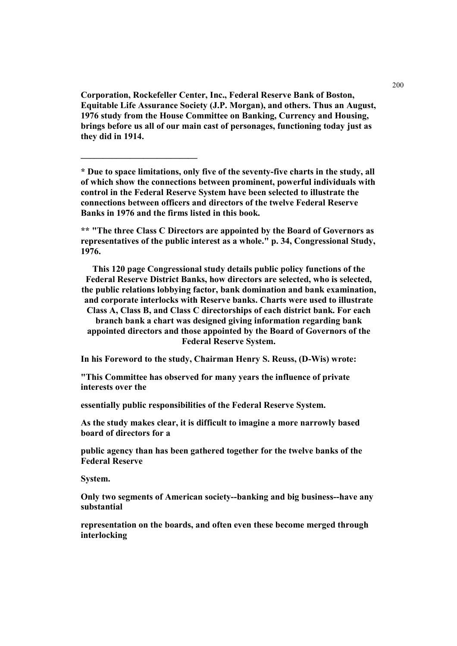Corporation, Rockefeller Center, Inc., Federal Reserve Bank of Boston, Equitable Life Assurance Society (J.P. Morgan), and others. Thus an August, 1976 study from the House Committee on Banking, Currency and Housing, brings before us all of our main cast of personages, functioning today just as they did in 1914.

\* Due to space limitations, only five of the seventy-five charts in the study, all of which show the connections between prominent, powerful individuals with control in the Federal Reserve System have been selected to illustrate the connections between officers and directors of the twelve Federal Reserve Banks in 1976 and the firms listed in this book.

\_\_\_\_\_\_\_\_\_\_\_\_\_\_\_\_\_\_\_\_\_\_\_\_\_\_

\*\* "The three Class C Directors are appointed by the Board of Governors as representatives of the public interest as a whole." p. 34, Congressional Study, 1976.

This 120 page Congressional study details public policy functions of the Federal Reserve District Banks, how directors are selected, who is selected, the public relations lobbying factor, bank domination and bank examination, and corporate interlocks with Reserve banks. Charts were used to illustrate

Class A, Class B, and Class C directorships of each district bank. For each branch bank a chart was designed giving information regarding bank appointed directors and those appointed by the Board of Governors of the Federal Reserve System.

In his Foreword to the study, Chairman Henry S. Reuss, (D-Wis) wrote:

"This Committee has observed for many years the influence of private interests over the

essentially public responsibilities of the Federal Reserve System.

As the study makes clear, it is difficult to imagine a more narrowly based board of directors for a

public agency than has been gathered together for the twelve banks of the Federal Reserve

System.

Only two segments of American society--banking and big business--have any substantial

representation on the boards, and often even these become merged through interlocking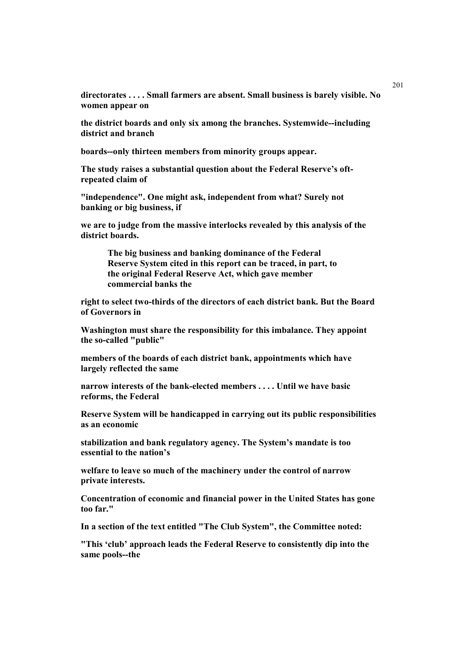directorates . . . . Small farmers are absent. Small business is barely visible. No women appear on

the district boards and only six among the branches. Systemwide--including district and branch

boards--only thirteen members from minority groups appear.

The study raises a substantial question about the Federal Reserve's oftrepeated claim of

"independence". One might ask, independent from what? Surely not banking or big business, if

we are to judge from the massive interlocks revealed by this analysis of the district boards.

The big business and banking dominance of the Federal Reserve System cited in this report can be traced, in part, to the original Federal Reserve Act, which gave member commercial banks the

right to select two-thirds of the directors of each district bank. But the Board of Governors in

Washington must share the responsibility for this imbalance. They appoint the so-called "public"

members of the boards of each district bank, appointments which have largely reflected the same

narrow interests of the bank-elected members . . . . Until we have basic reforms, the Federal

Reserve System will be handicapped in carrying out its public responsibilities as an economic

stabilization and bank regulatory agency. The System's mandate is too essential to the nation's

welfare to leave so much of the machinery under the control of narrow private interests.

Concentration of economic and financial power in the United States has gone too far."

In a section of the text entitled "The Club System", the Committee noted:

"This 'club' approach leads the Federal Reserve to consistently dip into the same pools--the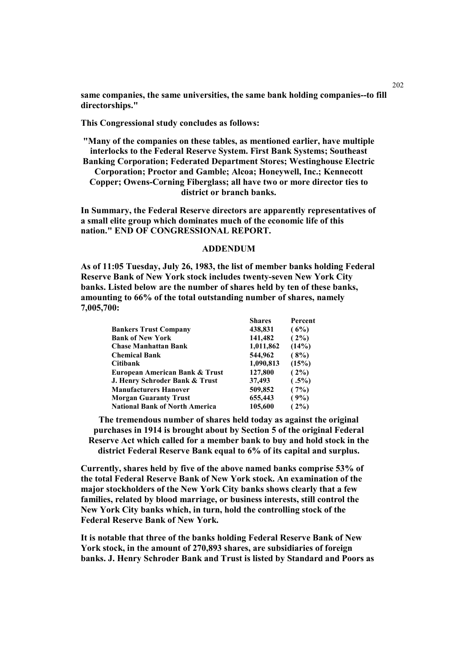same companies, the same universities, the same bank holding companies--to fill directorships."

This Congressional study concludes as follows:

"Many of the companies on these tables, as mentioned earlier, have multiple interlocks to the Federal Reserve System. First Bank Systems; Southeast Banking Corporation; Federated Department Stores; Westinghouse Electric Corporation; Proctor and Gamble; Alcoa; Honeywell, Inc.; Kennecott Copper; Owens-Corning Fiberglass; all have two or more director ties to district or branch banks.

In Summary, the Federal Reserve directors are apparently representatives of a small elite group which dominates much of the economic life of this nation." END OF CONGRESSIONAL REPORT.

#### ADDENDUM

As of 11:05 Tuesday, July 26, 1983, the list of member banks holding Federal Reserve Bank of New York stock includes twenty-seven New York City banks. Listed below are the number of shares held by ten of these banks, amounting to 66% of the total outstanding number of shares, namely 7,005,700:

|                                       | <b>Shares</b> | Percent  |
|---------------------------------------|---------------|----------|
| <b>Bankers Trust Company</b>          | 438,831       | (6%)     |
| <b>Bank of New York</b>               | 141,482       | $(2\%)$  |
| <b>Chase Manhattan Bank</b>           | 1,011,862     | (14%)    |
| <b>Chemical Bank</b>                  | 544,962       | (8%)     |
| <b>Citibank</b>                       | 1,090,813     | (15%)    |
| European American Bank & Trust        | 127,800       | $(2\%)$  |
| J. Henry Schroder Bank & Trust        | 37,493        | $(.5\%)$ |
| <b>Manufacturers Hanover</b>          | 509,852       | (7%)     |
| <b>Morgan Guaranty Trust</b>          | 655,443       | (9%)     |
| <b>National Bank of North America</b> | 105,600       | $(2\%)$  |

The tremendous number of shares held today as against the original purchases in 1914 is brought about by Section 5 of the original Federal Reserve Act which called for a member bank to buy and hold stock in the district Federal Reserve Bank equal to 6% of its capital and surplus.

Currently, shares held by five of the above named banks comprise 53% of the total Federal Reserve Bank of New York stock. An examination of the major stockholders of the New York City banks shows clearly that a few families, related by blood marriage, or business interests, still control the New York City banks which, in turn, hold the controlling stock of the Federal Reserve Bank of New York.

It is notable that three of the banks holding Federal Reserve Bank of New York stock, in the amount of 270,893 shares, are subsidiaries of foreign banks. J. Henry Schroder Bank and Trust is listed by Standard and Poors as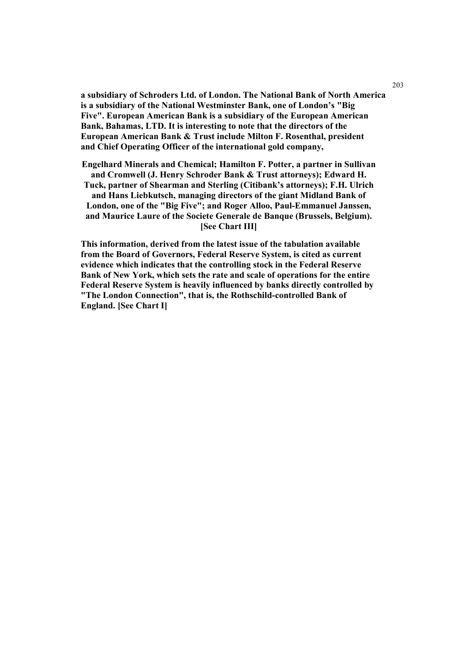a subsidiary of Schroders Ltd. of London. The National Bank of North America is a subsidiary of the National Westminster Bank, one of London's "Big Five". European American Bank is a subsidiary of the European American Bank, Bahamas, LTD. It is interesting to note that the directors of the European American Bank & Trust include Milton F. Rosenthal, president and Chief Operating Officer of the international gold company,

Engelhard Minerals and Chemical; Hamilton F. Potter, a partner in Sullivan and Cromwell (J. Henry Schroder Bank & Trust attorneys); Edward H. Tuck, partner of Shearman and Sterling (Citibank's attorneys); F.H. Ulrich and Hans Liebkutsch, managing directors of the giant Midland Bank of London, one of the "Big Five"; and Roger Alloo, Paul-Emmanuel Janssen, and Maurice Laure of the Societe Generale de Banque (Brussels, Belgium). [See Chart III]

This information, derived from the latest issue of the tabulation available from the Board of Governors, Federal Reserve System, is cited as current evidence which indicates that the controlling stock in the Federal Reserve Bank of New York, which sets the rate and scale of operations for the entire Federal Reserve System is heavily influenced by banks directly controlled by "The London Connection", that is, the Rothschild-controlled Bank of England. [See Chart I]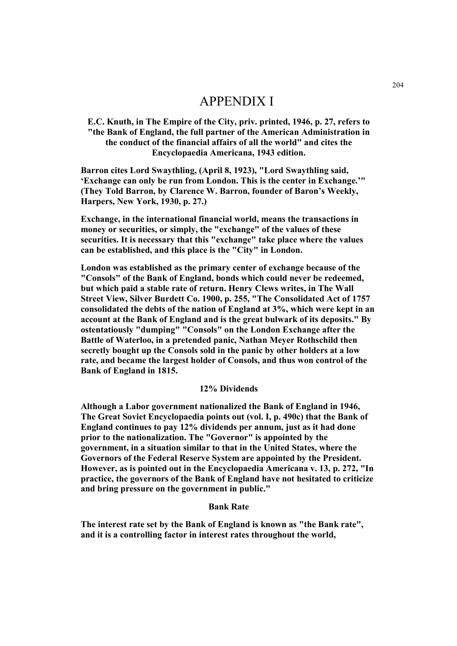# APPENDIX I

### E.C. Knuth, in The Empire of the City, priv. printed, 1946, p. 27, refers to "the Bank of England, the full partner of the American Administration in the conduct of the financial affairs of all the world" and cites the Encyclopaedia Americana, 1943 edition.

Barron cites Lord Swaythling, (April 8, 1923), "Lord Swaythling said, 'Exchange can only be run from London. This is the center in Exchange.'" (They Told Barron, by Clarence W. Barron, founder of Baron's Weekly, Harpers, New York, 1930, p. 27.)

Exchange, in the international financial world, means the transactions in money or securities, or simply, the "exchange" of the values of these securities. It is necessary that this "exchange" take place where the values can be established, and this place is the "City" in London.

London was established as the primary center of exchange because of the "Consols" of the Bank of England, bonds which could never be redeemed, but which paid a stable rate of return. Henry Clews writes, in The Wall Street View, Silver Burdett Co. 1900, p. 255, "The Consolidated Act of 1757 consolidated the debts of the nation of England at 3%, which were kept in an account at the Bank of England and is the great bulwark of its deposits." By ostentatiously "dumping" "Consols" on the London Exchange after the Battle of Waterloo, in a pretended panic, Nathan Meyer Rothschild then secretly bought up the Consols sold in the panic by other holders at a low rate, and became the largest holder of Consols, and thus won control of the Bank of England in 1815.

### 12% Dividends

Although a Labor government nationalized the Bank of England in 1946, The Great Soviet Encyclopaedia points out (vol. I, p. 490c) that the Bank of England continues to pay 12% dividends per annum, just as it had done prior to the nationalization. The "Governor" is appointed by the government, in a situation similar to that in the United States, where the Governors of the Federal Reserve System are appointed by the President. However, as is pointed out in the Encyclopaedia Americana v. 13, p. 272, "In practice, the governors of the Bank of England have not hesitated to criticize and bring pressure on the government in public."

#### Bank Rate

The interest rate set by the Bank of England is known as "the Bank rate", and it is a controlling factor in interest rates throughout the world,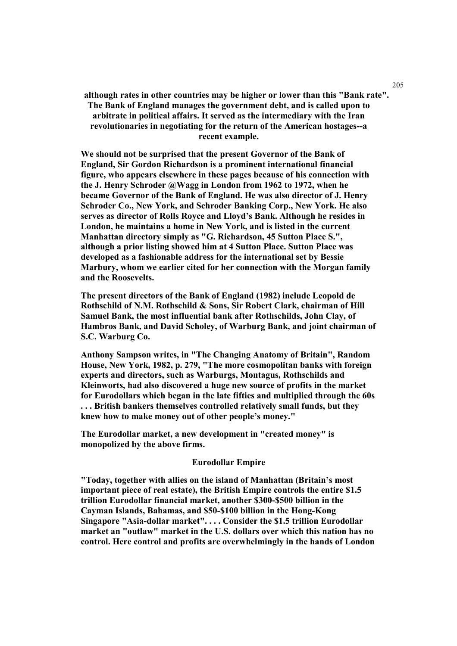although rates in other countries may be higher or lower than this "Bank rate". The Bank of England manages the government debt, and is called upon to arbitrate in political affairs. It served as the intermediary with the Iran revolutionaries in negotiating for the return of the American hostages--a recent example.

We should not be surprised that the present Governor of the Bank of England, Sir Gordon Richardson is a prominent international financial figure, who appears elsewhere in these pages because of his connection with the J. Henry Schroder @Wagg in London from 1962 to 1972, when he became Governor of the Bank of England. He was also director of J. Henry Schroder Co., New York, and Schroder Banking Corp., New York. He also serves as director of Rolls Royce and Lloyd's Bank. Although he resides in London, he maintains a home in New York, and is listed in the current Manhattan directory simply as "G. Richardson, 45 Sutton Place S.", although a prior listing showed him at 4 Sutton Place. Sutton Place was developed as a fashionable address for the international set by Bessie Marbury, whom we earlier cited for her connection with the Morgan family and the Roosevelts.

The present directors of the Bank of England (1982) include Leopold de Rothschild of N.M. Rothschild & Sons, Sir Robert Clark, chairman of Hill Samuel Bank, the most influential bank after Rothschilds, John Clay, of Hambros Bank, and David Scholey, of Warburg Bank, and joint chairman of S.C. Warburg Co.

Anthony Sampson writes, in "The Changing Anatomy of Britain", Random House, New York, 1982, p. 279, "The more cosmopolitan banks with foreign experts and directors, such as Warburgs, Montagus, Rothschilds and Kleinworts, had also discovered a huge new source of profits in the market for Eurodollars which began in the late fifties and multiplied through the 60s ... British bankers themselves controlled relatively small funds, but they knew how to make money out of other people's money."

The Eurodollar market, a new development in "created money" is monopolized by the above firms.

### Eurodollar Empire

"Today, together with allies on the island of Manhattan (Britain's most important piece of real estate), the British Empire controls the entire \$1.5 trillion Eurodollar financial market, another \$300-\$500 billion in the Cayman Islands, Bahamas, and \$50-\$100 billion in the Hong-Kong Singapore "Asia-dollar market". . . . Consider the \$1.5 trillion Eurodollar market an "outlaw" market in the U.S. dollars over which this nation has no control. Here control and profits are overwhelmingly in the hands of London 205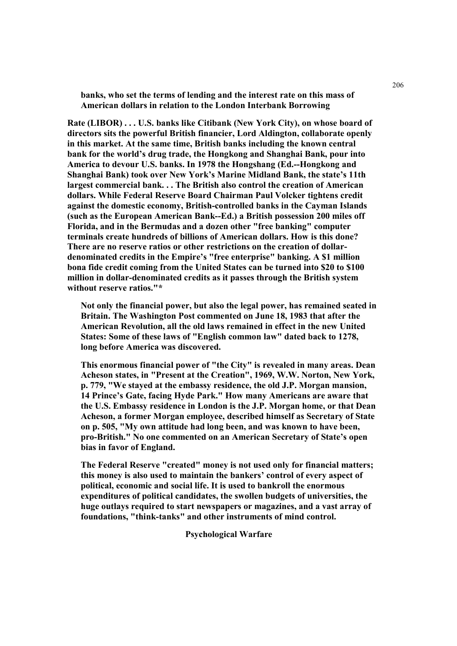banks, who set the terms of lending and the interest rate on this mass of American dollars in relation to the London Interbank Borrowing

Rate (LIBOR) . . . U.S. banks like Citibank (New York City), on whose board of directors sits the powerful British financier, Lord Aldington, collaborate openly in this market. At the same time, British banks including the known central bank for the world's drug trade, the Hongkong and Shanghai Bank, pour into America to devour U.S. banks. In 1978 the Hongshang (Ed.--Hongkong and Shanghai Bank) took over New York's Marine Midland Bank, the state's 11th largest commercial bank. . . The British also control the creation of American dollars. While Federal Reserve Board Chairman Paul Volcker tightens credit against the domestic economy, British-controlled banks in the Cayman Islands (such as the European American Bank--Ed.) a British possession 200 miles off Florida, and in the Bermudas and a dozen other "free banking" computer terminals create hundreds of billions of American dollars. How is this done? There are no reserve ratios or other restrictions on the creation of dollardenominated credits in the Empire's "free enterprise" banking. A \$1 million bona fide credit coming from the United States can be turned into \$20 to \$100 million in dollar-denominated credits as it passes through the British system without reserve ratios."\*

Not only the financial power, but also the legal power, has remained seated in Britain. The Washington Post commented on June 18, 1983 that after the American Revolution, all the old laws remained in effect in the new United States: Some of these laws of "English common law" dated back to 1278, long before America was discovered.

This enormous financial power of "the City" is revealed in many areas. Dean Acheson states, in "Present at the Creation", 1969, W.W. Norton, New York, p. 779, "We stayed at the embassy residence, the old J.P. Morgan mansion, 14 Prince's Gate, facing Hyde Park." How many Americans are aware that the U.S. Embassy residence in London is the J.P. Morgan home, or that Dean Acheson, a former Morgan employee, described himself as Secretary of State on p. 505, "My own attitude had long been, and was known to have been, pro-British." No one commented on an American Secretary of State's open bias in favor of England.

The Federal Reserve "created" money is not used only for financial matters; this money is also used to maintain the bankers' control of every aspect of political, economic and social life. It is used to bankroll the enormous expenditures of political candidates, the swollen budgets of universities, the huge outlays required to start newspapers or magazines, and a vast array of foundations, "think-tanks" and other instruments of mind control.

Psychological Warfare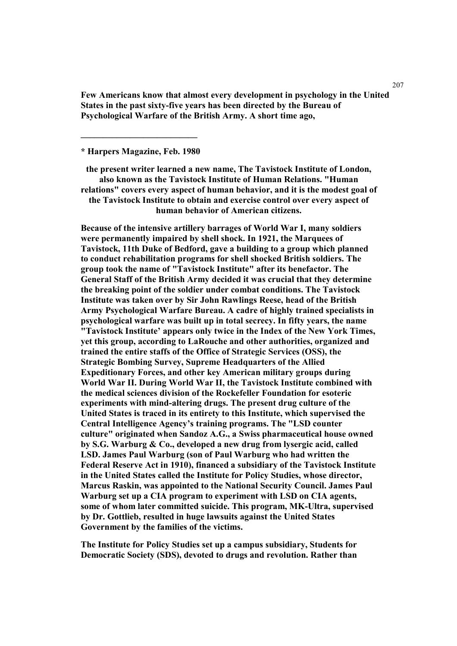Few Americans know that almost every development in psychology in the United States in the past sixty-five years has been directed by the Bureau of Psychological Warfare of the British Army. A short time ago,

\* Harpers Magazine, Feb. 1980

\_\_\_\_\_\_\_\_\_\_\_\_\_\_\_\_\_\_\_\_\_\_\_\_\_\_

the present writer learned a new name, The Tavistock Institute of London, also known as the Tavistock Institute of Human Relations. "Human relations" covers every aspect of human behavior, and it is the modest goal of the Tavistock Institute to obtain and exercise control over every aspect of human behavior of American citizens.

Because of the intensive artillery barrages of World War I, many soldiers were permanently impaired by shell shock. In 1921, the Marquees of Tavistock, 11th Duke of Bedford, gave a building to a group which planned to conduct rehabilitation programs for shell shocked British soldiers. The group took the name of "Tavistock Institute" after its benefactor. The General Staff of the British Army decided it was crucial that they determine the breaking point of the soldier under combat conditions. The Tavistock Institute was taken over by Sir John Rawlings Reese, head of the British Army Psychological Warfare Bureau. A cadre of highly trained specialists in psychological warfare was built up in total secrecy. In fifty years, the name "Tavistock Institute' appears only twice in the Index of the New York Times, yet this group, according to LaRouche and other authorities, organized and trained the entire staffs of the Office of Strategic Services (OSS), the Strategic Bombing Survey, Supreme Headquarters of the Allied Expeditionary Forces, and other key American military groups during World War II. During World War II, the Tavistock Institute combined with the medical sciences division of the Rockefeller Foundation for esoteric experiments with mind-altering drugs. The present drug culture of the United States is traced in its entirety to this Institute, which supervised the Central Intelligence Agency's training programs. The "LSD counter culture" originated when Sandoz A.G., a Swiss pharmaceutical house owned by S.G. Warburg & Co., developed a new drug from lysergic acid, called LSD. James Paul Warburg (son of Paul Warburg who had written the Federal Reserve Act in 1910), financed a subsidiary of the Tavistock Institute in the United States called the Institute for Policy Studies, whose director, Marcus Raskin, was appointed to the National Security Council. James Paul Warburg set up a CIA program to experiment with LSD on CIA agents, some of whom later committed suicide. This program, MK-Ultra, supervised by Dr. Gottlieb, resulted in huge lawsuits against the United States Government by the families of the victims.

The Institute for Policy Studies set up a campus subsidiary, Students for Democratic Society (SDS), devoted to drugs and revolution. Rather than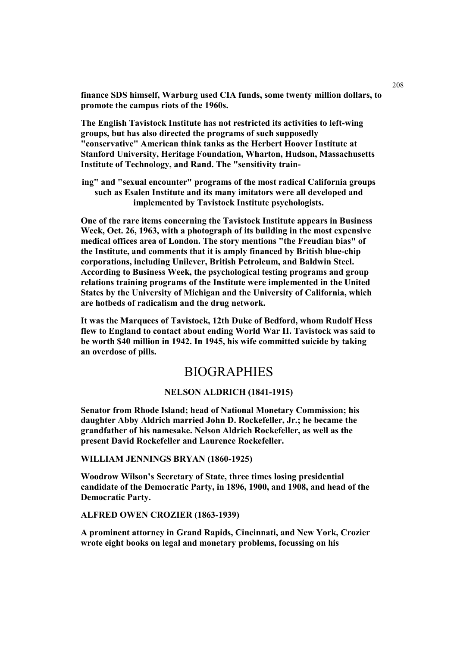finance SDS himself, Warburg used CIA funds, some twenty million dollars, to promote the campus riots of the 1960s.

The English Tavistock Institute has not restricted its activities to left-wing groups, but has also directed the programs of such supposedly "conservative" American think tanks as the Herbert Hoover Institute at Stanford University, Heritage Foundation, Wharton, Hudson, Massachusetts Institute of Technology, and Rand. The "sensitivity train-

ing" and "sexual encounter" programs of the most radical California groups such as Esalen Institute and its many imitators were all developed and implemented by Tavistock Institute psychologists.

One of the rare items concerning the Tavistock Institute appears in Business Week, Oct. 26, 1963, with a photograph of its building in the most expensive medical offices area of London. The story mentions "the Freudian bias" of the Institute, and comments that it is amply financed by British blue-chip corporations, including Unilever, British Petroleum, and Baldwin Steel. According to Business Week, the psychological testing programs and group relations training programs of the Institute were implemented in the United States by the University of Michigan and the University of California, which are hotbeds of radicalism and the drug network.

It was the Marquees of Tavistock, 12th Duke of Bedford, whom Rudolf Hess flew to England to contact about ending World War II. Tavistock was said to be worth \$40 million in 1942. In 1945, his wife committed suicide by taking an overdose of pills.

## BIOGRAPHIES

### NELSON ALDRICH (1841-1915)

Senator from Rhode Island; head of National Monetary Commission; his daughter Abby Aldrich married John D. Rockefeller, Jr.; he became the grandfather of his namesake. Nelson Aldrich Rockefeller, as well as the present David Rockefeller and Laurence Rockefeller.

WILLIAM JENNINGS BRYAN (1860-1925)

Woodrow Wilson's Secretary of State, three times losing presidential candidate of the Democratic Party, in 1896, 1900, and 1908, and head of the Democratic Party.

ALFRED OWEN CROZIER (1863-1939)

A prominent attorney in Grand Rapids, Cincinnati, and New York, Crozier wrote eight books on legal and monetary problems, focussing on his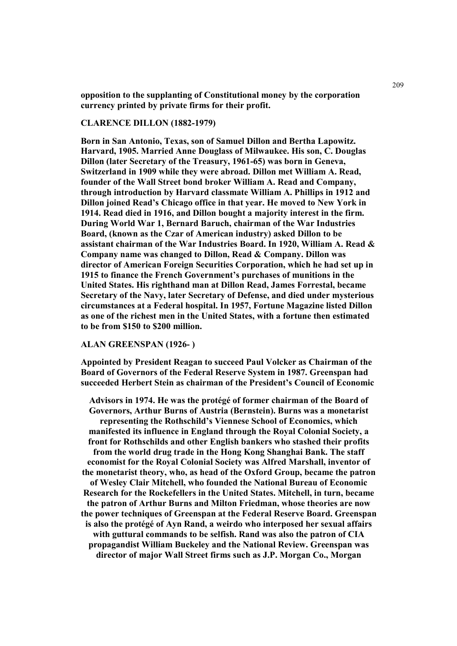opposition to the supplanting of Constitutional money by the corporation currency printed by private firms for their profit.

### CLARENCE DILLON (1882-1979)

Born in San Antonio, Texas, son of Samuel Dillon and Bertha Lapowitz. Harvard, 1905. Married Anne Douglass of Milwaukee. His son, C. Douglas Dillon (later Secretary of the Treasury, 1961-65) was born in Geneva, Switzerland in 1909 while they were abroad. Dillon met William A. Read, founder of the Wall Street bond broker William A. Read and Company, through introduction by Harvard classmate William A. Phillips in 1912 and Dillon joined Read's Chicago office in that year. He moved to New York in 1914. Read died in 1916, and Dillon bought a majority interest in the firm. During World War 1, Bernard Baruch, chairman of the War Industries Board, (known as the Czar of American industry) asked Dillon to be assistant chairman of the War Industries Board. In 1920, William A. Read & Company name was changed to Dillon, Read & Company. Dillon was director of American Foreign Securities Corporation, which he had set up in 1915 to finance the French Government's purchases of munitions in the United States. His righthand man at Dillon Read, James Forrestal, became Secretary of the Navy, later Secretary of Defense, and died under mysterious circumstances at a Federal hospital. In 1957, Fortune Magazine listed Dillon as one of the richest men in the United States, with a fortune then estimated to be from \$150 to \$200 million.

#### ALAN GREENSPAN (1926- )

Appointed by President Reagan to succeed Paul Volcker as Chairman of the Board of Governors of the Federal Reserve System in 1987. Greenspan had succeeded Herbert Stein as chairman of the President's Council of Economic

Advisors in 1974. He was the protégé of former chairman of the Board of Governors, Arthur Burns of Austria (Bernstein). Burns was a monetarist representing the Rothschild's Viennese School of Economics, which manifested its influence in England through the Royal Colonial Society, a front for Rothschilds and other English bankers who stashed their profits from the world drug trade in the Hong Kong Shanghai Bank. The staff economist for the Royal Colonial Society was Alfred Marshall, inventor of the monetarist theory, who, as head of the Oxford Group, became the patron of Wesley Clair Mitchell, who founded the National Bureau of Economic Research for the Rockefellers in the United States. Mitchell, in turn, became the patron of Arthur Burns and Milton Friedman, whose theories are now the power techniques of Greenspan at the Federal Reserve Board. Greenspan is also the protégé of Ayn Rand, a weirdo who interposed her sexual affairs with guttural commands to be selfish. Rand was also the patron of CIA propagandist William Buckeley and the National Review. Greenspan was director of major Wall Street firms such as J.P. Morgan Co., Morgan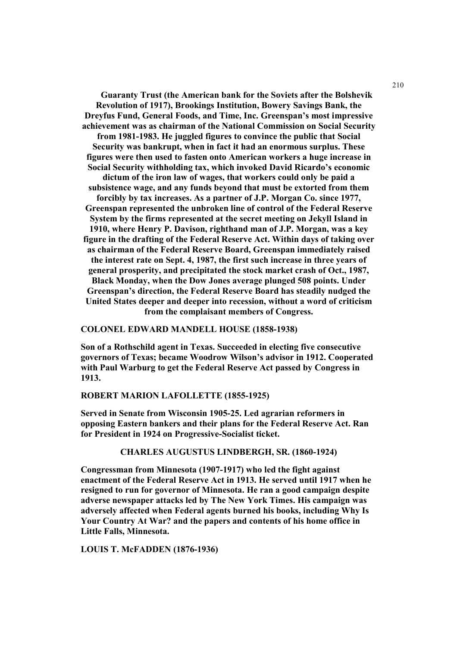Guaranty Trust (the American bank for the Soviets after the Bolshevik Revolution of 1917), Brookings Institution, Bowery Savings Bank, the Dreyfus Fund, General Foods, and Time, Inc. Greenspan's most impressive achievement was as chairman of the National Commission on Social Security from 1981-1983. He juggled figures to convince the public that Social Security was bankrupt, when in fact it had an enormous surplus. These figures were then used to fasten onto American workers a huge increase in Social Security withholding tax, which invoked David Ricardo's economic dictum of the iron law of wages, that workers could only be paid a subsistence wage, and any funds beyond that must be extorted from them forcibly by tax increases. As a partner of J.P. Morgan Co. since 1977, Greenspan represented the unbroken line of control of the Federal Reserve System by the firms represented at the secret meeting on Jekyll Island in 1910, where Henry P. Davison, righthand man of J.P. Morgan, was a key figure in the drafting of the Federal Reserve Act. Within days of taking over as chairman of the Federal Reserve Board, Greenspan immediately raised the interest rate on Sept. 4, 1987, the first such increase in three years of general prosperity, and precipitated the stock market crash of Oct., 1987, Black Monday, when the Dow Jones average plunged 508 points. Under Greenspan's direction, the Federal Reserve Board has steadily nudged the United States deeper and deeper into recession, without a word of criticism from the complaisant members of Congress.

COLONEL EDWARD MANDELL HOUSE (1858-1938)

Son of a Rothschild agent in Texas. Succeeded in electing five consecutive governors of Texas; became Woodrow Wilson's advisor in 1912. Cooperated with Paul Warburg to get the Federal Reserve Act passed by Congress in 1913.

#### ROBERT MARION LAFOLLETTE (1855-1925)

Served in Senate from Wisconsin 1905-25. Led agrarian reformers in opposing Eastern bankers and their plans for the Federal Reserve Act. Ran for President in 1924 on Progressive-Socialist ticket.

#### CHARLES AUGUSTUS LINDBERGH, SR. (1860-1924)

Congressman from Minnesota (1907-1917) who led the fight against enactment of the Federal Reserve Act in 1913. He served until 1917 when he resigned to run for governor of Minnesota. He ran a good campaign despite adverse newspaper attacks led by The New York Times. His campaign was adversely affected when Federal agents burned his books, including Why Is Your Country At War? and the papers and contents of his home office in Little Falls, Minnesota.

### LOUIS T. McFADDEN (1876-1936)

210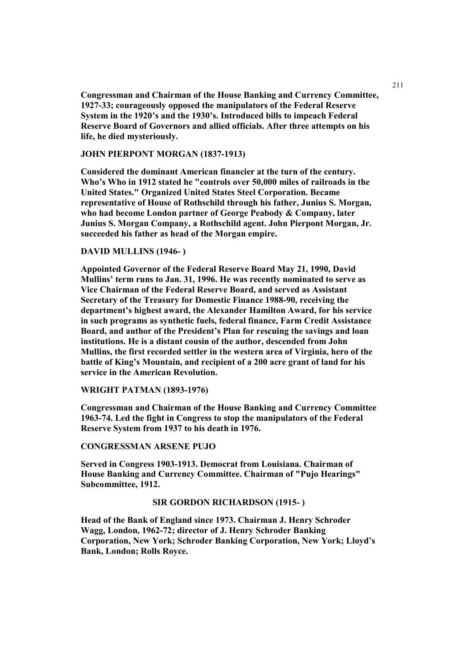Congressman and Chairman of the House Banking and Currency Committee, 1927-33; courageously opposed the manipulators of the Federal Reserve System in the 1920's and the 1930's. Introduced bills to impeach Federal Reserve Board of Governors and allied officials. After three attempts on his life, he died mysteriously.

### JOHN PIERPONT MORGAN (1837-1913)

Considered the dominant American financier at the turn of the century. Who's Who in 1912 stated he "controls over 50,000 miles of railroads in the United States." Organized United States Steel Corporation. Became representative of House of Rothschild through his father, Junius S. Morgan, who had become London partner of George Peabody & Company, later Junius S. Morgan Company, a Rothschild agent. John Pierpont Morgan, Jr. succeeded his father as head of the Morgan empire.

### DAVID MULLINS (1946- )

Appointed Governor of the Federal Reserve Board May 21, 1990, David Mullins' term runs to Jan. 31, 1996. He was recently nominated to serve as Vice Chairman of the Federal Reserve Board, and served as Assistant Secretary of the Treasury for Domestic Finance 1988-90, receiving the department's highest award, the Alexander Hamilton Award, for his service in such programs as synthetic fuels, federal finance, Farm Credit Assistance Board, and author of the President's Plan for rescuing the savings and loan institutions. He is a distant cousin of the author, descended from John Mullins, the first recorded settler in the western area of Virginia, hero of the battle of King's Mountain, and recipient of a 200 acre grant of land for his service in the American Revolution.

### WRIGHT PATMAN (1893-1976)

Congressman and Chairman of the House Banking and Currency Committee 1963-74. Led the fight in Congress to stop the manipulators of the Federal Reserve System from 1937 to his death in 1976.

#### CONGRESSMAN ARSENE PUJO

Served in Congress 1903-1913. Democrat from Louisiana. Chairman of House Banking and Currency Committee. Chairman of "Pujo Hearings" Subcommittee, 1912.

### SIR GORDON RICHARDSON (1915- )

Head of the Bank of England since 1973. Chairman J. Henry Schroder Wagg, London, 1962-72; director of J. Henry Schroder Banking Corporation, New York; Schroder Banking Corporation, New York; Lloyd's Bank, London; Rolls Royce.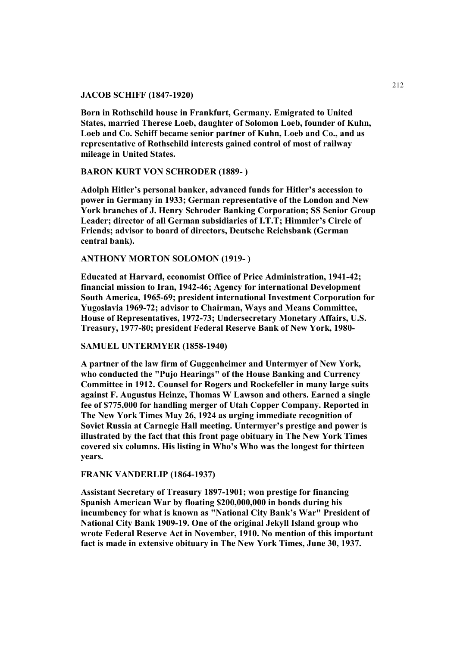#### JACOB SCHIFF (1847-1920)

Born in Rothschild house in Frankfurt, Germany. Emigrated to United States, married Therese Loeb, daughter of Solomon Loeb, founder of Kuhn, Loeb and Co. Schiff became senior partner of Kuhn, Loeb and Co., and as representative of Rothschild interests gained control of most of railway mileage in United States.

### BARON KURT VON SCHRODER (1889- )

Adolph Hitler's personal banker, advanced funds for Hitler's accession to power in Germany in 1933; German representative of the London and New York branches of J. Henry Schroder Banking Corporation; SS Senior Group Leader; director of all German subsidiaries of I.T.T; Himmler's Circle of Friends; advisor to board of directors, Deutsche Reichsbank (German central bank).

### ANTHONY MORTON SOLOMON (1919- )

Educated at Harvard, economist Office of Price Administration, 1941-42; financial mission to Iran, 1942-46; Agency for international Development South America, 1965-69; president international Investment Corporation for Yugoslavia 1969-72; advisor to Chairman, Ways and Means Committee, House of Representatives, 1972-73; Undersecretary Monetary Affairs, U.S. Treasury, 1977-80; president Federal Reserve Bank of New York, 1980-

#### SAMUEL UNTERMYER (1858-1940)

A partner of the law firm of Guggenheimer and Untermyer of New York, who conducted the "Pujo Hearings" of the House Banking and Currency Committee in 1912. Counsel for Rogers and Rockefeller in many large suits against F. Augustus Heinze, Thomas W Lawson and others. Earned a single fee of \$775,000 for handling merger of Utah Copper Company. Reported in The New York Times May 26, 1924 as urging immediate recognition of Soviet Russia at Carnegie Hall meeting. Untermyer's prestige and power is illustrated by the fact that this front page obituary in The New York Times covered six columns. His listing in Who's Who was the longest for thirteen years.

### FRANK VANDERLIP (1864-1937)

Assistant Secretary of Treasury 1897-1901; won prestige for financing Spanish American War by floating \$200,000,000 in bonds during his incumbency for what is known as "National City Bank's War" President of National City Bank 1909-19. One of the original Jekyll Island group who wrote Federal Reserve Act in November, 1910. No mention of this important fact is made in extensive obituary in The New York Times, June 30, 1937.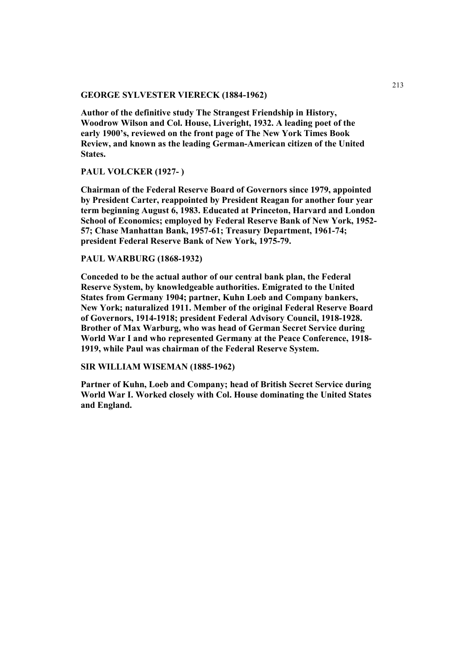#### GEORGE SYLVESTER VIERECK (1884-1962)

Author of the definitive study The Strangest Friendship in History, Woodrow Wilson and Col. House, Liveright, 1932. A leading poet of the early 1900's, reviewed on the front page of The New York Times Book Review, and known as the leading German-American citizen of the United States.

### PAUL VOLCKER (1927- )

Chairman of the Federal Reserve Board of Governors since 1979, appointed by President Carter, reappointed by President Reagan for another four year term beginning August 6, 1983. Educated at Princeton, Harvard and London School of Economics; employed by Federal Reserve Bank of New York, 1952- 57; Chase Manhattan Bank, 1957-61; Treasury Department, 1961-74; president Federal Reserve Bank of New York, 1975-79.

#### PAUL WARBURG (1868-1932)

Conceded to be the actual author of our central bank plan, the Federal Reserve System, by knowledgeable authorities. Emigrated to the United States from Germany 1904; partner, Kuhn Loeb and Company bankers, New York; naturalized 1911. Member of the original Federal Reserve Board of Governors, 1914-1918; president Federal Advisory Council, 1918-1928. Brother of Max Warburg, who was head of German Secret Service during World War I and who represented Germany at the Peace Conference, 1918- 1919, while Paul was chairman of the Federal Reserve System.

### SIR WILLIAM WISEMAN (1885-1962)

Partner of Kuhn, Loeb and Company; head of British Secret Service during World War I. Worked closely with Col. House dominating the United States and England.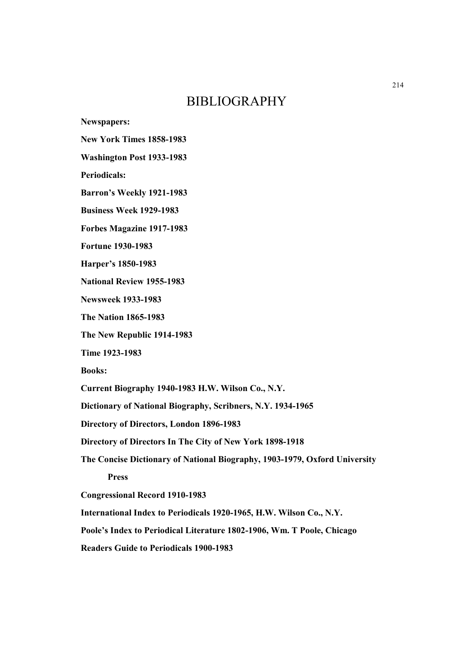# BIBLIOGRAPHY

Newspapers:

New York Times 1858-1983

Washington Post 1933-1983

Periodicals:

Barron's Weekly 1921-1983

Business Week 1929-1983

Forbes Magazine 1917-1983

Fortune 1930-1983

Harper's 1850-1983

National Review 1955-1983

Newsweek 1933-1983

The Nation 1865-1983

The New Republic 1914-1983

Time 1923-1983

Books:

Current Biography 1940-1983 H.W. Wilson Co., N.Y.

Dictionary of National Biography, Scribners, N.Y. 1934-1965

Directory of Directors, London 1896-1983

Directory of Directors In The City of New York 1898-1918

The Concise Dictionary of National Biography, 1903-1979, Oxford University Press

Congressional Record 1910-1983

International Index to Periodicals 1920-1965, H.W. Wilson Co., N.Y.

Poole's Index to Periodical Literature 1802-1906, Wm. T Poole, Chicago

Readers Guide to Periodicals 1900-1983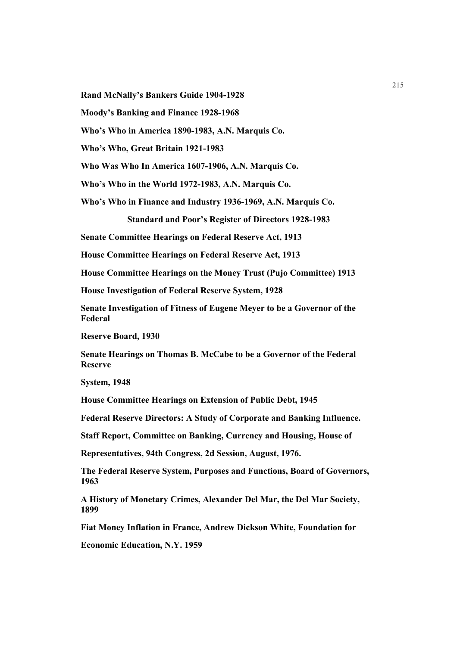Rand McNally's Bankers Guide 1904-1928

Moody's Banking and Finance 1928-1968

Who's Who in America 1890-1983, A.N. Marquis Co.

Who's Who, Great Britain 1921-1983

Who Was Who In America 1607-1906, A.N. Marquis Co.

Who's Who in the World 1972-1983, A.N. Marquis Co.

Who's Who in Finance and Industry 1936-1969, A.N. Marquis Co.

Standard and Poor's Register of Directors 1928-1983

Senate Committee Hearings on Federal Reserve Act, 1913

House Committee Hearings on Federal Reserve Act, 1913

House Committee Hearings on the Money Trust (Pujo Committee) 1913

House Investigation of Federal Reserve System, 1928

Senate Investigation of Fitness of Eugene Meyer to be a Governor of the Federal

Reserve Board, 1930

Senate Hearings on Thomas B. McCabe to be a Governor of the Federal Reserve

System, 1948

House Committee Hearings on Extension of Public Debt, 1945

Federal Reserve Directors: A Study of Corporate and Banking Influence.

Staff Report, Committee on Banking, Currency and Housing, House of

Representatives, 94th Congress, 2d Session, August, 1976.

The Federal Reserve System, Purposes and Functions, Board of Governors, 1963

A History of Monetary Crimes, Alexander Del Mar, the Del Mar Society, 1899

Fiat Money Inflation in France, Andrew Dickson White, Foundation for

Economic Education, N.Y. 1959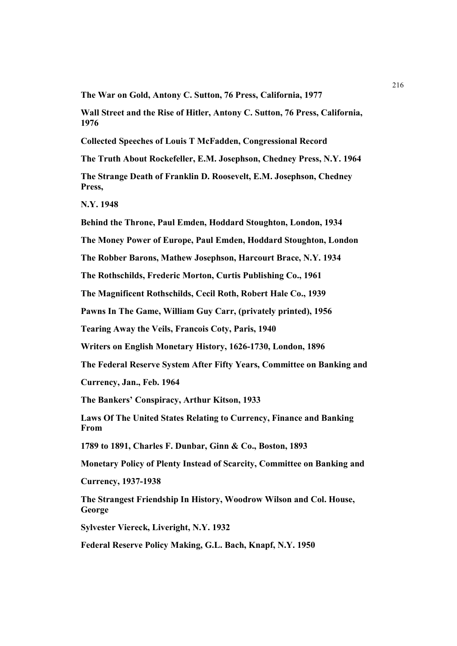The War on Gold, Antony C. Sutton, 76 Press, California, 1977

Wall Street and the Rise of Hitler, Antony C. Sutton, 76 Press, California, 1976

Collected Speeches of Louis T McFadden, Congressional Record

The Truth About Rockefeller, E.M. Josephson, Chedney Press, N.Y. 1964

The Strange Death of Franklin D. Roosevelt, E.M. Josephson, Chedney Press,

N.Y. 1948

Behind the Throne, Paul Emden, Hoddard Stoughton, London, 1934

The Money Power of Europe, Paul Emden, Hoddard Stoughton, London

The Robber Barons, Mathew Josephson, Harcourt Brace, N.Y. 1934

The Rothschilds, Frederic Morton, Curtis Publishing Co., 1961

The Magnificent Rothschilds, Cecil Roth, Robert Hale Co., 1939

Pawns In The Game, William Guy Carr, (privately printed), 1956

Tearing Away the Veils, Francois Coty, Paris, 1940

Writers on English Monetary History, 1626-1730, London, 1896

The Federal Reserve System After Fifty Years, Committee on Banking and

Currency, Jan., Feb. 1964

The Bankers' Conspiracy, Arthur Kitson, 1933

Laws Of The United States Relating to Currency, Finance and Banking From

1789 to 1891, Charles F. Dunbar, Ginn & Co., Boston, 1893

Monetary Policy of Plenty Instead of Scarcity, Committee on Banking and

Currency, 1937-1938

The Strangest Friendship In History, Woodrow Wilson and Col. House, George

Sylvester Viereck, Liveright, N.Y. 1932

Federal Reserve Policy Making, G.L. Bach, Knapf, N.Y. 1950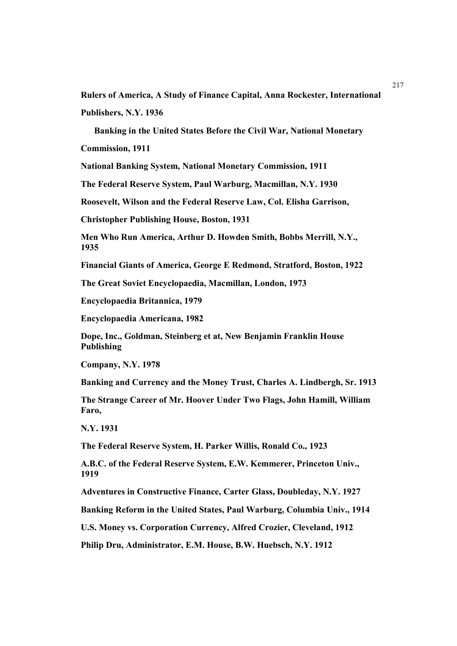Rulers of America, A Study of Finance Capital, Anna Rockester, International

Publishers, N.Y. 1936

Banking in the United States Before the Civil War, National Monetary

Commission, 1911

National Banking System, National Monetary Commission, 1911

The Federal Reserve System, Paul Warburg, Macmillan, N.Y. 1930

Roosevelt, Wilson and the Federal Reserve Law, Col. Elisha Garrison,

Christopher Publishing House, Boston, 1931

Men Who Run America, Arthur D. Howden Smith, Bobbs Merrill, N.Y., 1935

Financial Giants of America, George E Redmond, Stratford, Boston, 1922

The Great Soviet Encyclopaedia, Macmillan, London, 1973

Encyclopaedia Britannica, 1979

Encyclopaedia Americana, 1982

Dope, Inc., Goldman, Steinberg et at, New Benjamin Franklin House Publishing

Company, N.Y. 1978

Banking and Currency and the Money Trust, Charles A. Lindbergh, Sr. 1913

The Strange Career of Mr. Hoover Under Two Flags, John Hamill, William Faro,

N.Y. 1931

The Federal Reserve System, H. Parker Willis, Ronald Co., 1923

A.B.C. of the Federal Reserve System, E.W. Kemmerer, Princeton Univ., 1919

Adventures in Constructive Finance, Carter Glass, Doubleday, N.Y. 1927

Banking Reform in the United States, Paul Warburg, Columbia Univ., 1914

U.S. Money vs. Corporation Currency, Alfred Crozier, Cleveland, 1912

Philip Dru, Administrator, E.M. House, B.W. Huebsch, N.Y. 1912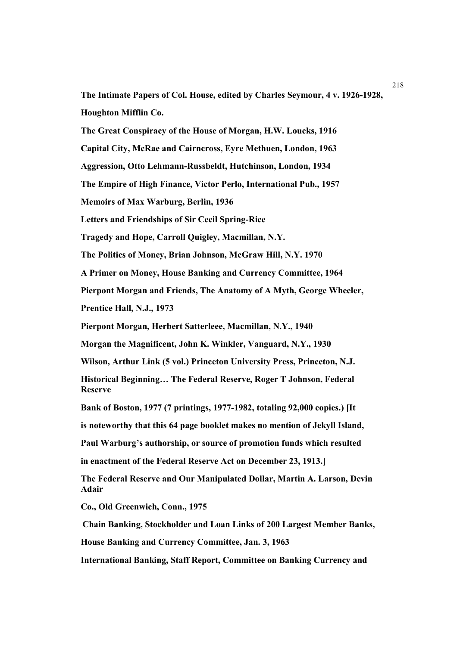The Intimate Papers of Col. House, edited by Charles Seymour, 4 v. 1926-1928, Houghton Mifflin Co.

The Great Conspiracy of the House of Morgan, H.W. Loucks, 1916 Capital City, McRae and Cairncross, Eyre Methuen, London, 1963 Aggression, Otto Lehmann-Russbeldt, Hutchinson, London, 1934 The Empire of High Finance, Victor Perlo, International Pub., 1957 Memoirs of Max Warburg, Berlin, 1936 Letters and Friendships of Sir Cecil Spring-Rice Tragedy and Hope, Carroll Quigley, Macmillan, N.Y. The Politics of Money, Brian Johnson, McGraw Hill, N.Y. 1970 A Primer on Money, House Banking and Currency Committee, 1964 Pierpont Morgan and Friends, The Anatomy of A Myth, George Wheeler, Prentice Hall, N.J., 1973 Pierpont Morgan, Herbert Satterleee, Macmillan, N.Y., 1940 Morgan the Magnificent, John K. Winkler, Vanguard, N.Y., 1930 Wilson, Arthur Link (5 vol.) Princeton University Press, Princeton, N.J. Historical Beginning… The Federal Reserve, Roger T Johnson, Federal Reserve Bank of Boston, 1977 (7 printings, 1977-1982, totaling 92,000 copies.) [It is noteworthy that this 64 page booklet makes no mention of Jekyll Island, Paul Warburg's authorship, or source of promotion funds which resulted in enactment of the Federal Reserve Act on December 23, 1913.] The Federal Reserve and Our Manipulated Dollar, Martin A. Larson, Devin Adair

Co., Old Greenwich, Conn., 1975

Chain Banking, Stockholder and Loan Links of 200 Largest Member Banks,

House Banking and Currency Committee, Jan. 3, 1963

International Banking, Staff Report, Committee on Banking Currency and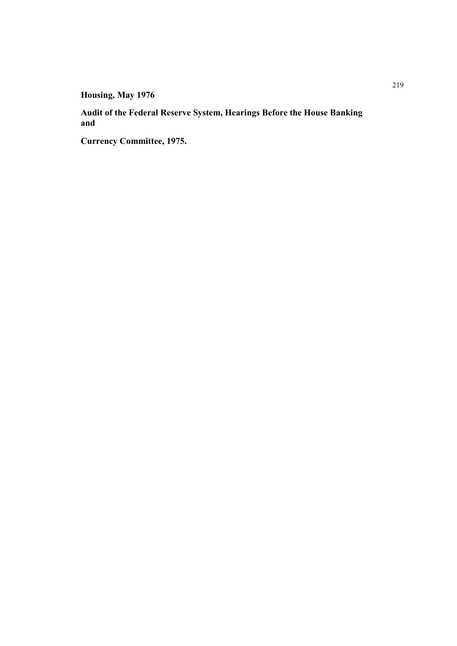Housing, May 1976

Audit of the Federal Reserve System, Hearings Before the House Banking and

Currency Committee, 1975.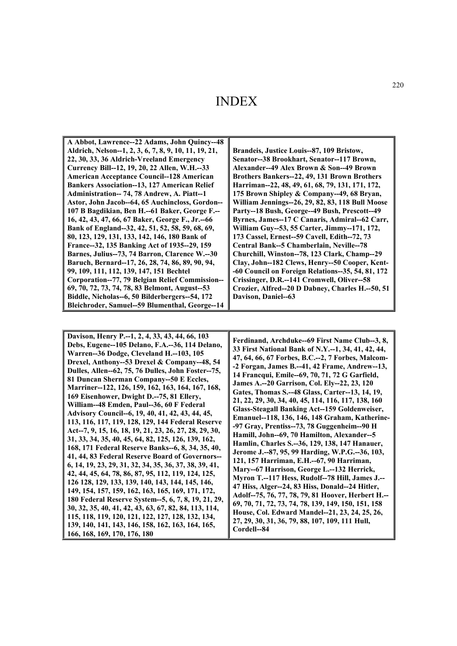## INDEX

A Abbot, Lawrence--22 Adams, John Quincy--48 Aldrich, Nelson--1, 2, 3, 6, 7, 8, 9, 10, 11, 19, 21, 22, 30, 33, 36 Aldrich-Vreeland Emergency Currency Bill--12, 19, 20, 22 Allen, W.H.--33 American Acceptance Council--128 American Bankers Association--13, 127 American Relief Administration-- 74, 78 Andrew, A. Piatt--1 Astor, John Jacob--64, 65 Auchincloss, Gordon-- 107 B Bagdikian, Ben H.--61 Baker, George F.-- 16, 42, 43, 47, 66, 67 Baker, George F., Jr.--66 Bank of England--32, 42, 51, 52, 58, 59, 68, 69, 80, 123, 129, 131, 133, 142, 146, 180 Bank of France--32, 135 Banking Act of 1935--29, 159 Barnes, Julius--73, 74 Barron, Clarence W.--30 Baruch, Bernard--17, 26, 28, 74, 86, 89, 90, 94, 99, 109, 111, 112, 139, 147, 151 Bechtel Corporation--77, 79 Belgian Relief Commission-- 69, 70, 72, 73, 74, 78, 83 Belmont, August--53 Biddle, Nicholas--6, 50 Bilderbergers--54, 172 Bleichroder, Samuel--59 Blumenthal, George--14

Brandeis, Justice Louis--87, 109 Bristow, Senator--38 Brookhart, Senator--117 Brown, Alexander--49 Alex Brown & Son--49 Brown Brothers Bankers--22, 49, 131 Brown Brothers Harriman--22, 48, 49, 61, 68, 79, 131, 171, 172, 175 Brown Shipley & Company--49, 68 Bryan, William Jennings--26, 29, 82, 83, 118 Bull Moose Party--18 Bush, George--49 Bush, Prescott--49 Byrnes, James--17 C Canaris, Admiral--62 Carr, William Guy--53, 55 Carter, Jimmy--171, 172, 173 Cassel, Ernest--59 Cavell, Edith--72, 73 Central Bank--5 Chamberlain, Neville--78 Churchill, Winston--78, 123 Clark, Champ--29 Clay, John--182 Clews, Henry--50 Cooper, Kent- -60 Council on Foreign Relations--35, 54, 81, 172 Crissinger, D.R.--141 Cromwell, Oliver--58 Crozier, Alfred--20 D Dabney, Charles H.--50, 51 Davison, Daniel--63

Davison, Henry P.--1, 2, 4, 33, 43, 44, 66, 103 Debs, Eugene--105 Delano, F.A.--36, 114 Delano, Warren--36 Dodge, Cleveland H.--103, 105 Drexel, Anthony--53 Drexel & Company--48, 54 Dulles, Allen--62, 75, 76 Dulles, John Foster--75, 81 Duncan Sherman Company--50 E Eccles, Marriner--122, 126, 159, 162, 163, 164, 167, 168, 169 Eisenhower, Dwight D.--75, 81 Ellery, William--48 Emden, Paul--36, 60 F Federal Advisory Council--6, 19, 40, 41, 42, 43, 44, 45, 113, 116, 117, 119, 128, 129, 144 Federal Reserve Act--7, 9, 15, 16, 18, 19, 21, 23, 26, 27, 28, 29, 30, 31, 33, 34, 35, 40, 45, 64, 82, 125, 126, 139, 162, 168, 171 Federal Reserve Banks--6, 8, 34, 35, 40, 41, 44, 83 Federal Reserve Board of Governors-- 6, 14, 19, 23, 29, 31, 32, 34, 35, 36, 37, 38, 39, 41, 42, 44, 45, 64, 78, 86, 87, 95, 112, 119, 124, 125, 126 128, 129, 133, 139, 140, 143, 144, 145, 146, 149, 154, 157, 159, 162, 163, 165, 169, 171, 172, 180 Federal Reserve System--5, 6, 7, 8, 19, 21, 29, 30, 32, 35, 40, 41, 42, 43, 63, 67, 82, 84, 113, 114, 115, 118, 119, 120, 121, 122, 127, 128, 132, 134, 139, 140, 141, 143, 146, 158, 162, 163, 164, 165, 166, 168, 169, 170, 176, 180

Ferdinand, Archduke--69 First Name Club--3, 8, 33 First National Bank of N.Y.--1, 34, 41, 42, 44, 47, 64, 66, 67 Forbes, B.C.--2, 7 Forbes, Malcom- -2 Forgan, James B.--41, 42 Frame, Andrew--13, 14 Francqui, Emile--69, 70, 71, 72 G Garfield, James A.--20 Garrison, Col. Ely--22, 23, 120 Gates, Thomas S.--48 Glass, Carter--13, 14, 19, 21, 22, 29, 30, 34, 40, 45, 114, 116, 117, 138, 160 Glass-Steagall Banking Act--159 Goldenweiser, Emanuel--118, 136, 146, 148 Graham, Katherine- -97 Gray, Prentiss--73, 78 Guggenheim--90 H Hamill, John--69, 70 Hamilton, Alexander--5 Hamlin, Charles S.--36, 129, 138, 147 Hanauer, Jerome J.--87, 95, 99 Harding, W.P.G.--36, 103, 121, 157 Harriman, E.H.--67, 90 Harriman, Mary--67 Harrison, George L.--132 Herrick, Myron T.--117 Hess, Rudolf--78 Hill, James J.-- 47 Hiss, Alger--24, 83 Hiss, Donald--24 Hitler, Adolf--75, 76, 77, 78, 79, 81 Hoover, Herbert H.-- 69, 70, 71, 72, 73, 74, 78, 139, 149, 150, 151, 158 House, Col. Edward Mandel--21, 23, 24, 25, 26, 27, 29, 30, 31, 36, 79, 88, 107, 109, 111 Hull, Cordell--84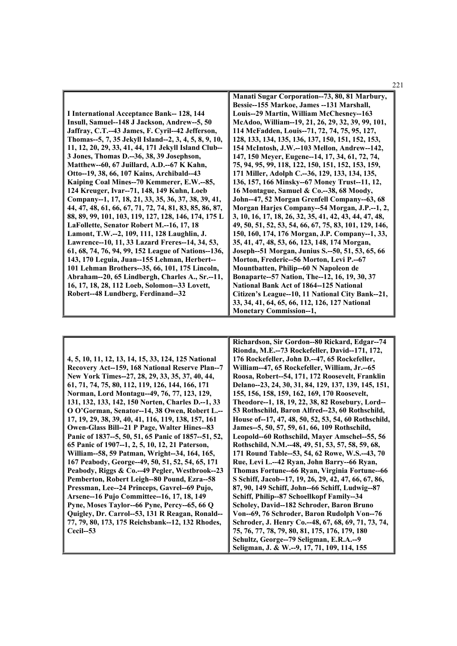221

| I International Acceptance Bank-- 128, 144              |
|---------------------------------------------------------|
| Insull, Samuel--148 J Jackson, Andrew--5, 50            |
| Jaffray, C.T.--43 James, F. Cyril--42 Jefferson,        |
| Thomas--5, 7, 35 Jekyll Island--2, 3, 4, 5, 8, 9, 10,   |
| 11, 12, 20, 29, 33, 41, 44, 171 Jekyll Island Club--    |
| 3 Jones, Thomas D.--36, 38, 39 Josephson,               |
| Matthew--60, 67 Juillard, A.D.--67 K Kahn,              |
| Otto--19, 38, 66, 107 Kains, Archibald--43              |
| Kaiping Coal Mines--70 Kemmerer, E.W.--85,              |
| 124 Kreuger, Ivar--71, 148, 149 Kuhn, Loeb              |
| Company--1, 17, 18, 21, 33, 35, 36, 37, 38, 39, 41,     |
| 44, 47, 48, 61, 66, 67, 71, 72, 74, 81, 83, 85, 86, 87, |
| 88, 89, 99, 101, 103, 119, 127, 128, 146, 174, 175 L    |
| LaFollette, Senator Robert M.--16, 17, 18               |
| Lamont, T.W.--2, 109, 111, 128 Laughlin, J.             |
| Lawrence--10, 11, 33 Lazard Freres--14, 34, 53,         |
| 61, 68, 74, 76, 94, 99, 152 League of Nations--136,     |
| 143, 170 Leguia, Juan--155 Lehman, Herbert--            |
| 101 Lehman Brothers--35, 66, 101, 175 Lincoln,          |
| Abraham--20, 65 Lindbergh, Charles A., Sr.--11,         |
| 16, 17, 18, 28, 112 Loeb, Solomon--33 Lovett,           |
| Robert--48 Lundberg, Ferdinand--32                      |
|                                                         |

Manati Sugar Corporation--73, 80, 81 Marbury, Bessie--155 Markoe, James --131 Marshall, Louis--29 Martin, William McChesney--163 McAdoo, William--19, 21, 26, 29, 32, 39, 99, 101, 114 McFadden, Louis--71, 72, 74, 75, 95, 127, 128, 133, 134, 135, 136, 137, 150, 151, 152, 153, 154 McIntosh, J.W.--103 Mellon, Andrew--142, 147, 150 Meyer, Eugene--14, 17, 34, 61, 72, 74, 75, 94, 95, 99, 118, 122, 150, 151, 152, 153, 159, 171 Miller, Adolph C.--36, 129, 133, 134, 135, 136, 157, 166 Minsky--67 Money Trust--11, 12, 16 Montague, Samuel & Co.--38, 68 Moody, John--47, 52 Morgan Grenfell Company--63, 68 Morgan Harjes Company--54 Morgan, J.P.--1, 2, 3, 10, 16, 17, 18, 26, 32, 35, 41, 42, 43, 44, 47, 48, 49, 50, 51, 52, 53, 54, 66, 67, 75, 83, 101, 129, 146, 150, 160, 174, 176 Morgan, J.P. Company--1, 33, 35, 41, 47, 48, 53, 66, 123, 148, 174 Morgan, Joseph--51 Morgan, Junius S.--50, 51, 53, 65, 66 Morton, Frederic--56 Morton, Levi P.--67 Mountbatten, Philip--60 N Napoleon de Bonaparte--57 Nation, The--12, 16, 19, 30, 37 National Bank Act of 1864--125 National Citizen's League--10, 11 National City Bank--21, 33, 34, 41, 64, 65, 66, 112, 126, 127 National Monetary Commission--1,

4, 5, 10, 11, 12, 13, 14, 15, 33, 124, 125 National Recovery Act--159, 168 National Reserve Plan--7 New York Times--27, 28, 29, 33, 35, 37, 40, 44, 61, 71, 74, 75, 80, 112, 119, 126, 144, 166, 171 Norman, Lord Montagu--49, 76, 77, 123, 129, 131, 132, 133, 142, 150 Norten, Charles D.--1, 33 O O'Gorman, Senator--14, 38 Owen, Robert L.-- 17, 19, 29, 38, 39, 40, 41, 116, 119, 138, 157, 161 Owen-Glass Bill--21 P Page, Walter Hines--83 Panic of 1837--5, 50, 51, 65 Panic of 1857--51, 52, 65 Panic of 1907--1, 2, 5, 10, 12, 21 Paterson, William--58, 59 Patman, Wright--34, 164, 165, 167 Peabody, George--49, 50, 51, 52, 54, 65, 171 Peabody, Riggs & Co.--49 Pegler, Westbrook--23 Pemberton, Robert Leigh--80 Pound, Ezra--58 Pressman, Lee--24 Princeps, Gavrel--69 Pujo, Arsene--16 Pujo Committee--16, 17, 18, 149 Pyne, Moses Taylor--66 Pyne, Percy--65, 66 Q Quigley, Dr. Carrol--53, 131 R Reagan, Ronald-- 77, 79, 80, 173, 175 Reichsbank--12, 132 Rhodes, Cecil--53

Richardson, Sir Gordon--80 Rickard, Edgar--74 Rionda, M.E.--73 Rockefeller, David--171, 172, 176 Rockefeller, John D.--47, 65 Rockefeller, William--47, 65 Rockefeller, William, Jr.--65 Roosa, Robert--54, 171, 172 Roosevelt, Franklin Delano--23, 24, 30, 31, 84, 129, 137, 139, 145, 151, 155, 156, 158, 159, 162, 169, 170 Roosevelt, Theodore--1, 18, 19, 22, 38, 82 Rosebury, Lord-- 53 Rothschild, Baron Alfred--23, 60 Rothschild, House of--17, 47, 48, 50, 52, 53, 54, 60 Rothschild, James--5, 50, 57, 59, 61, 66, 109 Rothschild, Leopold--60 Rothschild, Mayer Amschel--55, 56 Rothschild, N.M.--48, 49, 51, 53, 57, 58, 59, 68, 171 Round Table--53, 54, 62 Rowe, W.S.--43, 70 Rue, Levi L.--42 Ryan, John Barry--66 Ryan, Thomas Fortune--66 Ryan, Virginia Fortune--66 S Schiff, Jacob--17, 19, 26, 29, 42, 47, 66, 67, 86, 87, 90, 149 Schiff, John--66 Schiff, Ludwig--87 Schiff, Philip--87 Schoellkopf Family--34 Scholey, David--182 Schroder, Baron Bruno Von--69, 76 Schroder, Baron Rudolph Von--76 Schroder, J. Henry Co.--48, 67, 68, 69, 71, 73, 74, 75, 76, 77, 78, 79, 80, 81, 175, 176, 179, 180 Schultz, George--79 Seligman, E.R.A.--9 Seligman, J. & W.--9, 17, 71, 109, 114, 155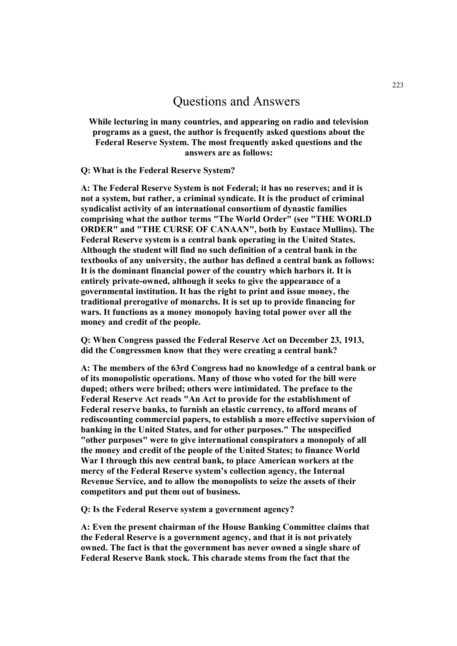## Questions and Answers

While lecturing in many countries, and appearing on radio and television programs as a guest, the author is frequently asked questions about the Federal Reserve System. The most frequently asked questions and the answers are as follows:

Q: What is the Federal Reserve System?

A: The Federal Reserve System is not Federal; it has no reserves; and it is not a system, but rather, a criminal syndicate. It is the product of criminal syndicalist activity of an international consortium of dynastic families comprising what the author terms "The World Order" (see "THE WORLD ORDER" and "THE CURSE OF CANAAN", both by Eustace Mullins). The Federal Reserve system is a central bank operating in the United States. Although the student will find no such definition of a central bank in the textbooks of any university, the author has defined a central bank as follows: It is the dominant financial power of the country which harbors it. It is entirely private-owned, although it seeks to give the appearance of a governmental institution. It has the right to print and issue money, the traditional prerogative of monarchs. It is set up to provide financing for wars. It functions as a money monopoly having total power over all the money and credit of the people.

Q: When Congress passed the Federal Reserve Act on December 23, 1913, did the Congressmen know that they were creating a central bank?

A: The members of the 63rd Congress had no knowledge of a central bank or of its monopolistic operations. Many of those who voted for the bill were duped; others were bribed; others were intimidated. The preface to the Federal Reserve Act reads "An Act to provide for the establishment of Federal reserve banks, to furnish an elastic currency, to afford means of rediscounting commercial papers, to establish a more effective supervision of banking in the United States, and for other purposes." The unspecified "other purposes" were to give international conspirators a monopoly of all the money and credit of the people of the United States; to finance World War I through this new central bank, to place American workers at the mercy of the Federal Reserve system's collection agency, the Internal Revenue Service, and to allow the monopolists to seize the assets of their competitors and put them out of business.

Q: Is the Federal Reserve system a government agency?

A: Even the present chairman of the House Banking Committee claims that the Federal Reserve is a government agency, and that it is not privately owned. The fact is that the government has never owned a single share of Federal Reserve Bank stock. This charade stems from the fact that the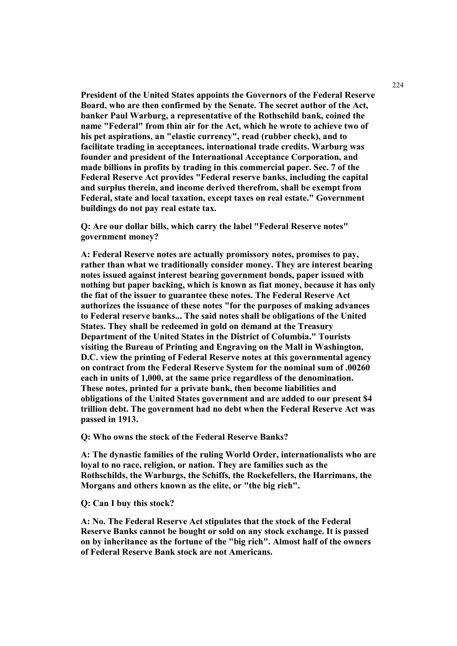President of the United States appoints the Governors of the Federal Reserve Board, who are then confirmed by the Senate. The secret author of the Act, banker Paul Warburg, a representative of the Rothschild bank, coined the name "Federal" from thin air for the Act, which he wrote to achieve two of his pet aspirations, an "elastic currency", read (rubber check), and to facilitate trading in acceptances, international trade credits. Warburg was founder and president of the International Acceptance Corporation, and made billions in profits by trading in this commercial paper. Sec. 7 of the Federal Reserve Act provides "Federal reserve banks, including the capital and surplus therein, and income derived therefrom, shall be exempt from Federal, state and local taxation, except taxes on real estate." Government buildings do not pay real estate tax.

Q: Are our dollar bills, which carry the label "Federal Reserve notes" government money?

A: Federal Reserve notes are actually promissory notes, promises to pay, rather than what we traditionally consider money. They are interest bearing notes issued against interest bearing government bonds, paper issued with nothing but paper backing, which is known as fiat money, because it has only the fiat of the issuer to guarantee these notes. The Federal Reserve Act authorizes the issuance of these notes "for the purposes of making advances to Federal reserve banks... The said notes shall be obligations of the United States. They shall be redeemed in gold on demand at the Treasury Department of the United States in the District of Columbia." Tourists visiting the Bureau of Printing and Engraving on the Mall in Washington, D.C. view the printing of Federal Reserve notes at this governmental agency on contract from the Federal Reserve System for the nominal sum of .00260 each in units of 1,000, at the same price regardless of the denomination. These notes, printed for a private bank, then become liabilities and obligations of the United States government and are added to our present \$4 trillion debt. The government had no debt when the Federal Reserve Act was passed in 1913.

Q: Who owns the stock of the Federal Reserve Banks?

A: The dynastic families of the ruling World Order, internationalists who are loyal to no race, religion, or nation. They are families such as the Rothschilds, the Warburgs, the Schiffs, the Rockefellers, the Harrimans, the Morgans and others known as the elite, or "the big rich".

Q: Can I buy this stock?

A: No. The Federal Reserve Act stipulates that the stock of the Federal Reserve Banks cannot be bought or sold on any stock exchange. It is passed on by inheritance as the fortune of the "big rich". Almost half of the owners of Federal Reserve Bank stock are not Americans.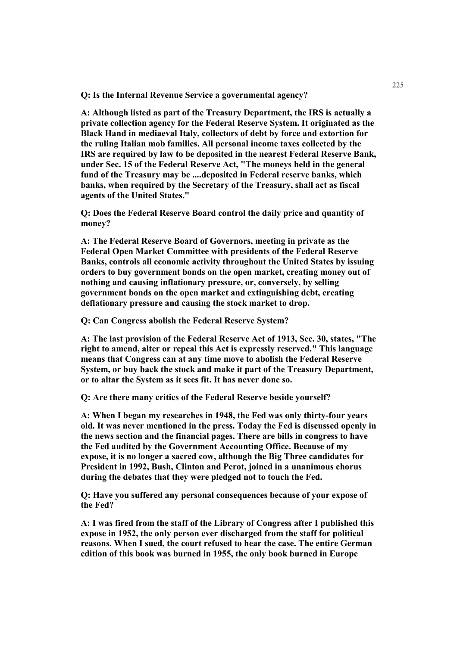Q: Is the Internal Revenue Service a governmental agency?

A: Although listed as part of the Treasury Department, the IRS is actually a private collection agency for the Federal Reserve System. It originated as the Black Hand in mediaeval Italy, collectors of debt by force and extortion for the ruling Italian mob families. All personal income taxes collected by the IRS are required by law to be deposited in the nearest Federal Reserve Bank, under Sec. 15 of the Federal Reserve Act, "The moneys held in the general fund of the Treasury may be ....deposited in Federal reserve banks, which banks, when required by the Secretary of the Treasury, shall act as fiscal agents of the United States."

Q: Does the Federal Reserve Board control the daily price and quantity of money?

A: The Federal Reserve Board of Governors, meeting in private as the Federal Open Market Committee with presidents of the Federal Reserve Banks, controls all economic activity throughout the United States by issuing orders to buy government bonds on the open market, creating money out of nothing and causing inflationary pressure, or, conversely, by selling government bonds on the open market and extinguishing debt, creating deflationary pressure and causing the stock market to drop.

Q: Can Congress abolish the Federal Reserve System?

A: The last provision of the Federal Reserve Act of 1913, Sec. 30, states, "The right to amend, alter or repeal this Act is expressly reserved." This language means that Congress can at any time move to abolish the Federal Reserve System, or buy back the stock and make it part of the Treasury Department, or to altar the System as it sees fit. It has never done so.

Q: Are there many critics of the Federal Reserve beside yourself?

A: When I began my researches in 1948, the Fed was only thirty-four years old. It was never mentioned in the press. Today the Fed is discussed openly in the news section and the financial pages. There are bills in congress to have the Fed audited by the Government Accounting Office. Because of my expose, it is no longer a sacred cow, although the Big Three candidates for President in 1992, Bush, Clinton and Perot, joined in a unanimous chorus during the debates that they were pledged not to touch the Fed.

Q: Have you suffered any personal consequences because of your expose of the Fed?

A: I was fired from the staff of the Library of Congress after I published this expose in 1952, the only person ever discharged from the staff for political reasons. When I sued, the court refused to hear the case. The entire German edition of this book was burned in 1955, the only book burned in Europe